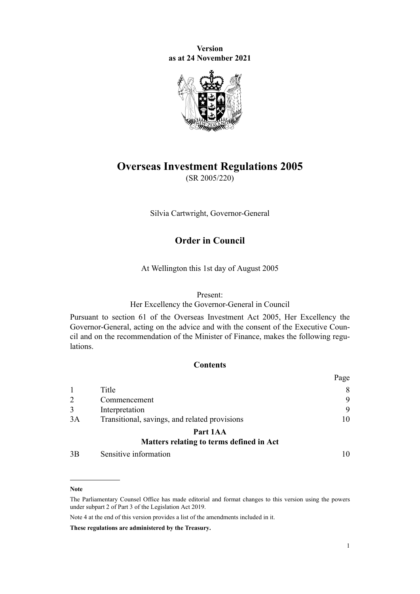**Version as at 24 November 2021**



# **Overseas Investment Regulations 2005**

(SR 2005/220)

Silvia Cartwright, Governor-General

# **Order in Council**

At Wellington this 1st day of August 2005

## Present:

Her Excellency the Governor-General in Council

Pursuant to [section 61](http://legislation.govt.nz/pdflink.aspx?id=DLM358084) of the [Overseas Investment Act 2005](http://legislation.govt.nz/pdflink.aspx?id=DLM356880), Her Excellency the Governor-General, acting on the advice and with the consent of the Executive Council and on the recommendation of the Minister of Finance, makes the following regulations.

# **Contents**

|    |                                               | Page           |
|----|-----------------------------------------------|----------------|
|    | Title                                         | 8              |
|    | Commencement                                  | 9              |
|    | Interpretation                                | 9              |
| 3A | Transitional, savings, and related provisions | 10             |
|    | Part 1AA                                      |                |
|    | Matters relating to terms defined in Act      |                |
| 2D |                                               | 1 <sub>0</sub> |

[3B](#page-9-0) [Sensitive information](#page-9-0) [10](#page-9-0)

#### **Note**

The Parliamentary Counsel Office has made editorial and format changes to this version using the powers under [subpart 2](http://legislation.govt.nz/pdflink.aspx?id=DLM7298371) of Part 3 of the Legislation Act 2019.

Note 4 at the end of this version provides a list of the amendments included in it.

**These regulations are administered by the Treasury.**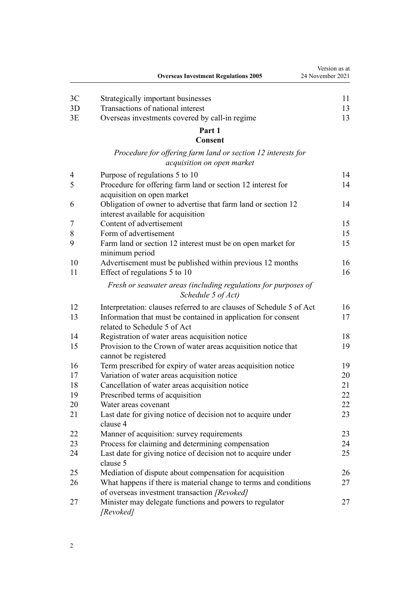|    | <b>Overseas Investment Regulations 2005</b>                                                                      | Version as at<br>24 November 2021 |
|----|------------------------------------------------------------------------------------------------------------------|-----------------------------------|
| 3C | Strategically important businesses                                                                               | 11                                |
| 3D | Transactions of national interest                                                                                | 13                                |
| 3E | Overseas investments covered by call-in regime                                                                   | 13                                |
|    | Part 1                                                                                                           |                                   |
|    | Consent                                                                                                          |                                   |
|    | Procedure for offering farm land or section 12 interests for<br>acquisition on open market                       |                                   |
| 4  | Purpose of regulations 5 to 10                                                                                   | 14                                |
| 5  | Procedure for offering farm land or section 12 interest for<br>acquisition on open market                        | 14                                |
| 6  | Obligation of owner to advertise that farm land or section 12<br>interest available for acquisition              | 14                                |
| 7  | Content of advertisement                                                                                         | 15                                |
| 8  | Form of advertisement                                                                                            | 15                                |
| 9  | Farm land or section 12 interest must be on open market for<br>minimum period                                    | 15                                |
| 10 | Advertisement must be published within previous 12 months                                                        | 16                                |
| 11 | Effect of regulations 5 to 10                                                                                    | 16                                |
|    | Fresh or seawater areas (including regulations for purposes of<br>Schedule 5 of Act)                             |                                   |
| 12 | Interpretation: clauses referred to are clauses of Schedule 5 of Act                                             | 16                                |
| 13 | Information that must be contained in application for consent<br>related to Schedule 5 of Act                    | 17                                |
| 14 | Registration of water areas acquisition notice                                                                   | 18                                |
| 15 | Provision to the Crown of water areas acquisition notice that<br>cannot be registered                            | 19                                |
| 16 | Term prescribed for expiry of water areas acquisition notice                                                     | 19                                |
| 17 | Variation of water areas acquisition notice                                                                      | 20                                |
| 18 | Cancellation of water areas acquisition notice                                                                   | 21                                |
| 19 | Prescribed terms of acquisition                                                                                  | 22                                |
| 20 | Water areas covenant                                                                                             | 22                                |
| 21 | Last date for giving notice of decision not to acquire under<br>clause 4                                         | 23                                |
| 22 | Manner of acquisition: survey requirements                                                                       | 23                                |
| 23 | Process for claiming and determining compensation                                                                | 24                                |
| 24 | Last date for giving notice of decision not to acquire under<br>clause 5                                         | 25                                |
| 25 | Mediation of dispute about compensation for acquisition                                                          | 26                                |
| 26 | What happens if there is material change to terms and conditions<br>of overseas investment transaction [Revoked] | 27                                |
| 27 | Minister may delegate functions and powers to regulator<br>[Revoked]                                             | 27                                |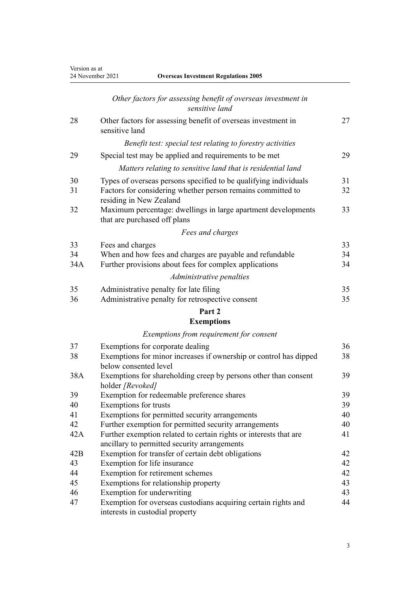|  |  | <b>Overseas Investment Regulations 2005</b> |  |
|--|--|---------------------------------------------|--|
|--|--|---------------------------------------------|--|

|          | Other factors for assessing benefit of overseas investment in<br>sensitive land                                                                            |          |
|----------|------------------------------------------------------------------------------------------------------------------------------------------------------------|----------|
| 28       | Other factors for assessing benefit of overseas investment in<br>sensitive land                                                                            | 27       |
|          | Benefit test: special test relating to forestry activities                                                                                                 |          |
| 29       | Special test may be applied and requirements to be met                                                                                                     | 29       |
|          | Matters relating to sensitive land that is residential land                                                                                                |          |
| 30<br>31 | Types of overseas persons specified to be qualifying individuals<br>Factors for considering whether person remains committed to<br>residing in New Zealand | 31<br>32 |
| 32       | Maximum percentage: dwellings in large apartment developments<br>that are purchased off plans                                                              | 33       |
|          | Fees and charges                                                                                                                                           |          |
| 33       | Fees and charges                                                                                                                                           | 33       |
| 34       | When and how fees and charges are payable and refundable                                                                                                   | 34       |
| 34A      | Further provisions about fees for complex applications                                                                                                     | 34       |
|          | Administrative penalties                                                                                                                                   |          |
| 35       | Administrative penalty for late filing                                                                                                                     | 35       |
| 36       | Administrative penalty for retrospective consent                                                                                                           | 35       |
|          | Part 2                                                                                                                                                     |          |
|          | <b>Exemptions</b>                                                                                                                                          |          |
|          | Exemptions from requirement for consent                                                                                                                    |          |
| 37       | Exemptions for corporate dealing                                                                                                                           | 36       |
| 38       | Exemptions for minor increases if ownership or control has dipped<br>below consented level                                                                 | 38       |
| 38A      | Exemptions for shareholding creep by persons other than consent<br>holder [Revoked]                                                                        | 39       |
| 39       | Exemption for redeemable preference shares                                                                                                                 | 39       |
| 40       | Exemptions for trusts                                                                                                                                      | 39       |
| 41       | Exemptions for permitted security arrangements                                                                                                             | 40       |
| 42       | Further exemption for permitted security arrangements                                                                                                      | 40       |
| 42A      | Further exemption related to certain rights or interests that are<br>ancillary to permitted security arrangements                                          | 41       |
| 42B      | Exemption for transfer of certain debt obligations                                                                                                         | 42       |
| 43       | Exemption for life insurance                                                                                                                               | 42       |
| 44       | Exemption for retirement schemes                                                                                                                           | 42       |
| 45       | Exemptions for relationship property                                                                                                                       | 43       |
| 46       | Exemption for underwriting                                                                                                                                 | 43       |
| 47       | Exemption for overseas custodians acquiring certain rights and<br>interests in custodial property                                                          | 44       |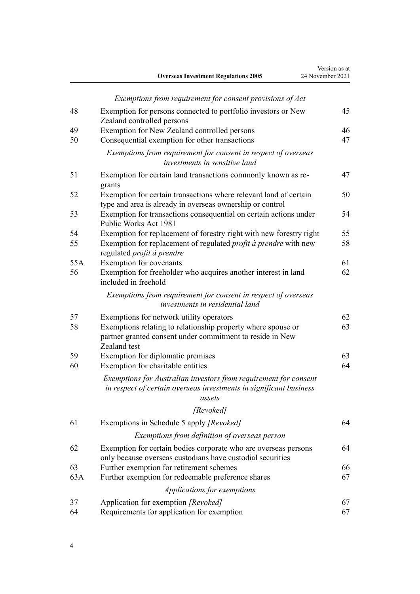|     | <b>Overseas Investment Regulations 2005</b>                                                                                                      | Version as at<br>24 November 2021 |
|-----|--------------------------------------------------------------------------------------------------------------------------------------------------|-----------------------------------|
|     | Exemptions from requirement for consent provisions of Act                                                                                        |                                   |
| 48  | Exemption for persons connected to portfolio investors or New<br>Zealand controlled persons                                                      | 45                                |
| 49  | Exemption for New Zealand controlled persons                                                                                                     | 46                                |
| 50  | Consequential exemption for other transactions                                                                                                   | 47                                |
|     | Exemptions from requirement for consent in respect of overseas<br>investments in sensitive land                                                  |                                   |
| 51  | Exemption for certain land transactions commonly known as re-<br>grants                                                                          | 47                                |
| 52  | Exemption for certain transactions where relevant land of certain<br>type and area is already in overseas ownership or control                   | 50                                |
| 53  | Exemption for transactions consequential on certain actions under<br>Public Works Act 1981                                                       | 54                                |
| 54  | Exemption for replacement of forestry right with new forestry right                                                                              | 55                                |
| 55  | Exemption for replacement of regulated <i>profit à prendre</i> with new<br>regulated profit à prendre                                            | 58                                |
| 55A | Exemption for covenants                                                                                                                          | 61                                |
| 56  | Exemption for freeholder who acquires another interest in land<br>included in freehold                                                           | 62                                |
|     | Exemptions from requirement for consent in respect of overseas<br>investments in residential land                                                |                                   |
| 57  | Exemptions for network utility operators                                                                                                         | 62                                |
| 58  | Exemptions relating to relationship property where spouse or<br>partner granted consent under commitment to reside in New<br>Zealand test        | 63                                |
| 59  | Exemption for diplomatic premises                                                                                                                | 63                                |
| 60  | Exemption for charitable entities                                                                                                                | 64                                |
|     | Exemptions for Australian investors from requirement for consent<br>in respect of certain overseas investments in significant business<br>assets |                                   |
|     | [Revoked]                                                                                                                                        |                                   |
| 61  | Exemptions in Schedule 5 apply [Revoked]                                                                                                         | 64                                |
|     | Exemptions from definition of overseas person                                                                                                    |                                   |
| 62  | Exemption for certain bodies corporate who are overseas persons<br>only because overseas custodians have custodial securities                    | 64                                |
| 63  | Further exemption for retirement schemes                                                                                                         | 66                                |
| 63A | Further exemption for redeemable preference shares                                                                                               | 67                                |
|     | Applications for exemptions                                                                                                                      |                                   |
| 37  | Application for exemption [Revoked]                                                                                                              | 67                                |
| 64  | Requirements for application for exemption                                                                                                       | 67                                |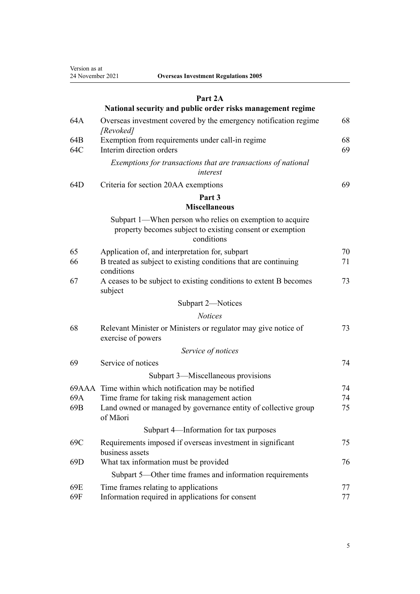Version as at 24 November 2021 **Overseas Investment Regulations 2005**

|  | <b>Dverseas Investment Regulations 2005</b> |  |
|--|---------------------------------------------|--|
|  |                                             |  |

# **[Part 2A](#page-67-0)**

|                 | National security and public order risks management regime                                                                          |          |
|-----------------|-------------------------------------------------------------------------------------------------------------------------------------|----------|
| 64A             | Overseas investment covered by the emergency notification regime<br>[Revoked]                                                       | 68       |
| 64B<br>64C      | Exemption from requirements under call-in regime<br>Interim direction orders                                                        | 68<br>69 |
|                 | Exemptions for transactions that are transactions of national<br>interest                                                           |          |
| 64D             | Criteria for section 20AA exemptions                                                                                                | 69       |
|                 | Part 3<br><b>Miscellaneous</b>                                                                                                      |          |
|                 | Subpart 1—When person who relies on exemption to acquire<br>property becomes subject to existing consent or exemption<br>conditions |          |
| 65              | Application of, and interpretation for, subpart                                                                                     | 70       |
| 66              | B treated as subject to existing conditions that are continuing<br>conditions                                                       | 71       |
| 67              | A ceases to be subject to existing conditions to extent B becomes<br>subject                                                        | 73       |
|                 | Subpart 2-Notices                                                                                                                   |          |
|                 | <b>Notices</b>                                                                                                                      |          |
| 68              | Relevant Minister or Ministers or regulator may give notice of<br>exercise of powers                                                | 73       |
|                 | Service of notices                                                                                                                  |          |
| 69              | Service of notices                                                                                                                  | 74       |
|                 | Subpart 3—Miscellaneous provisions                                                                                                  |          |
|                 | 69AAA Time within which notification may be notified                                                                                | 74       |
| 69A             | Time frame for taking risk management action                                                                                        | 74       |
| 69B             | Land owned or managed by governance entity of collective group<br>of Māori                                                          | 75       |
|                 | Subpart 4—Information for tax purposes                                                                                              |          |
| 69C             | Requirements imposed if overseas investment in significant<br>business assets                                                       | 75       |
| 69 <sub>D</sub> | What tax information must be provided                                                                                               | 76       |
|                 | Subpart 5-Other time frames and information requirements                                                                            |          |
| 69E             | Time frames relating to applications                                                                                                | 77       |
| 69F             | Information required in applications for consent                                                                                    | 77       |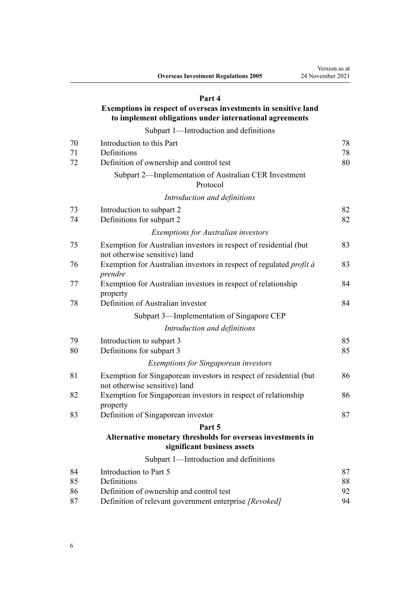# **[Part 4](#page-77-0)**

# **[Exemptions in respect of overseas investments in sensitive land](#page-77-0) [to implement obligations under international agreements](#page-77-0)**

[Subpart 1—Introduction and definitions](#page-77-0)

| 70 | Introduction to this Part                                                                           | 78 |
|----|-----------------------------------------------------------------------------------------------------|----|
| 71 | Definitions                                                                                         | 78 |
| 72 | Definition of ownership and control test                                                            | 80 |
|    | Subpart 2—Implementation of Australian CER Investment<br>Protocol                                   |    |
|    | Introduction and definitions                                                                        |    |
| 73 | Introduction to subpart 2                                                                           | 82 |
| 74 | Definitions for subpart 2                                                                           | 82 |
|    | <b>Exemptions for Australian investors</b>                                                          |    |
| 75 | Exemption for Australian investors in respect of residential (but<br>not otherwise sensitive) land  | 83 |
| 76 | Exemption for Australian investors in respect of regulated <i>profit à</i><br>prendre               | 83 |
| 77 | Exemption for Australian investors in respect of relationship<br>property                           | 84 |
| 78 | Definition of Australian investor                                                                   | 84 |
|    | Subpart 3-Implementation of Singapore CEP                                                           |    |
|    | Introduction and definitions                                                                        |    |
| 79 | Introduction to subpart 3                                                                           | 85 |
| 80 | Definitions for subpart 3                                                                           | 85 |
|    | <b>Exemptions for Singaporean investors</b>                                                         |    |
| 81 | Exemption for Singaporean investors in respect of residential (but<br>not otherwise sensitive) land | 86 |
| 82 | Exemption for Singaporean investors in respect of relationship<br>property                          | 86 |
| 83 | Definition of Singaporean investor                                                                  | 87 |
|    | Part 5                                                                                              |    |
|    | Alternative monetary thresholds for overseas investments in<br>significant business assets          |    |
|    | Subpart 1-Introduction and definitions                                                              |    |
| 84 | Introduction to Part 5                                                                              | 87 |
| 85 | Definitions                                                                                         | 88 |
| 86 | Definition of ownership and control test                                                            | 92 |
| 87 | Definition of relevant government enterprise [Revoked]                                              | 94 |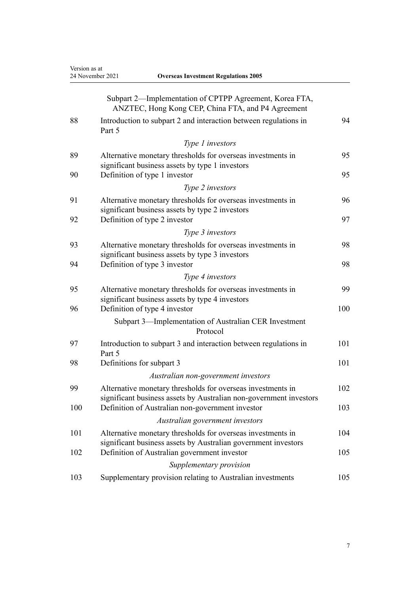Version as at

| 24 November 2021<br><b>Overseas Investment Regulations 2005</b> |        |                                                                                                                                   |     |
|-----------------------------------------------------------------|--------|-----------------------------------------------------------------------------------------------------------------------------------|-----|
|                                                                 |        | Subpart 2—Implementation of CPTPP Agreement, Korea FTA,<br>ANZTEC, Hong Kong CEP, China FTA, and P4 Agreement                     |     |
| 88                                                              | Part 5 | Introduction to subpart 2 and interaction between regulations in                                                                  | 94  |
|                                                                 |        | Type 1 investors                                                                                                                  |     |
| 89                                                              |        | Alternative monetary thresholds for overseas investments in<br>significant business assets by type 1 investors                    | 95  |
| 90                                                              |        | Definition of type 1 investor                                                                                                     | 95  |
|                                                                 |        | Type 2 investors                                                                                                                  |     |
| 91                                                              |        | Alternative monetary thresholds for overseas investments in<br>significant business assets by type 2 investors                    | 96  |
| 92                                                              |        | Definition of type 2 investor                                                                                                     | 97  |
|                                                                 |        | Type 3 investors                                                                                                                  |     |
| 93                                                              |        | Alternative monetary thresholds for overseas investments in<br>significant business assets by type 3 investors                    | 98  |
| 94                                                              |        | Definition of type 3 investor                                                                                                     | 98  |
|                                                                 |        | Type 4 investors                                                                                                                  |     |
| 95                                                              |        | Alternative monetary thresholds for overseas investments in<br>significant business assets by type 4 investors                    | 99  |
| 96                                                              |        | Definition of type 4 investor                                                                                                     | 100 |
|                                                                 |        | Subpart 3—Implementation of Australian CER Investment<br>Protocol                                                                 |     |
| 97                                                              | Part 5 | Introduction to subpart 3 and interaction between regulations in                                                                  | 101 |
| 98                                                              |        | Definitions for subpart 3                                                                                                         | 101 |
|                                                                 |        | Australian non-government investors                                                                                               |     |
| 99                                                              |        | Alternative monetary thresholds for overseas investments in<br>significant business assets by Australian non-government investors | 102 |
| 100                                                             |        | Definition of Australian non-government investor                                                                                  | 103 |
|                                                                 |        | Australian government investors                                                                                                   |     |
| 101                                                             |        | Alternative monetary thresholds for overseas investments in<br>significant business assets by Australian government investors     | 104 |
| 102                                                             |        | Definition of Australian government investor                                                                                      | 105 |
|                                                                 |        | Supplementary provision                                                                                                           |     |
| 103                                                             |        | Supplementary provision relating to Australian investments                                                                        | 105 |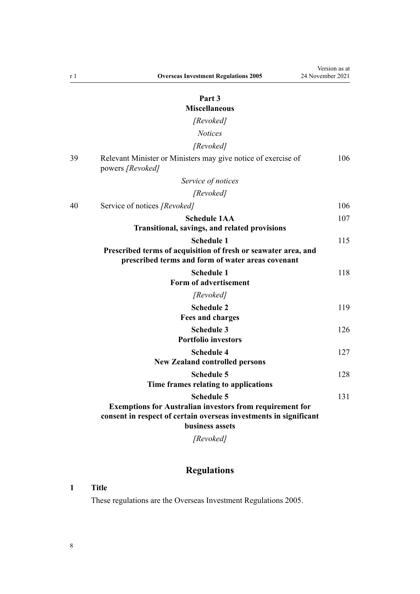# **[Part 3](#page-105-0)**

# **[Miscellaneous](#page-105-0)**

*[Revoked]*

| <i>Notices</i> |
|----------------|
| [Revoked]      |

<span id="page-7-0"></span>

| 39 | Relevant Minister or Ministers may give notice of exercise of<br>powers [Revoked]                                                                                            | 106 |
|----|------------------------------------------------------------------------------------------------------------------------------------------------------------------------------|-----|
|    | Service of notices                                                                                                                                                           |     |
|    | [Revoked]                                                                                                                                                                    |     |
| 40 | Service of notices [Revoked]                                                                                                                                                 | 106 |
|    | <b>Schedule 1AA</b><br><b>Transitional, savings, and related provisions</b>                                                                                                  | 107 |
|    | <b>Schedule 1</b><br>Prescribed terms of acquisition of fresh or seawater area, and<br>prescribed terms and form of water areas covenant                                     | 115 |
|    | <b>Schedule 1</b><br>Form of advertisement                                                                                                                                   | 118 |
|    | [Revoked]                                                                                                                                                                    |     |
|    | <b>Schedule 2</b><br><b>Fees and charges</b>                                                                                                                                 | 119 |
|    | <b>Schedule 3</b><br><b>Portfolio investors</b>                                                                                                                              | 126 |
|    | <b>Schedule 4</b><br><b>New Zealand controlled persons</b>                                                                                                                   | 127 |
|    | <b>Schedule 5</b><br>Time frames relating to applications                                                                                                                    | 128 |
|    | <b>Schedule 5</b><br><b>Exemptions for Australian investors from requirement for</b><br>consent in respect of certain overseas investments in significant<br>business assets | 131 |
|    | [Revoked]                                                                                                                                                                    |     |

# **Regulations**

# **1 Title**

These regulations are the Overseas Investment Regulations 2005.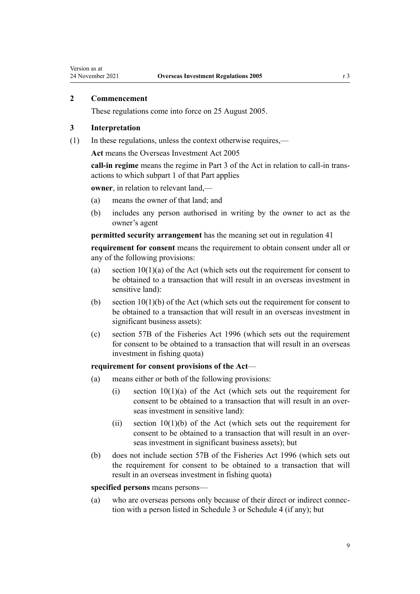# <span id="page-8-0"></span>**2 Commencement**

These regulations come into force on 25 August 2005.

# **3 Interpretation**

(1) In these regulations, unless the context otherwise requires,—

**Act** means the [Overseas Investment Act 2005](http://legislation.govt.nz/pdflink.aspx?id=DLM356880)

**call-in regime** means the regime in [Part 3](http://legislation.govt.nz/pdflink.aspx?id=LMS358413) of the Act in relation to call-in trans‐ actions to which [subpart 1](http://legislation.govt.nz/pdflink.aspx?id=LMS358449) of that Part applies

**owner**, in relation to relevant land,—

- (a) means the owner of that land; and
- (b) includes any person authorised in writing by the owner to act as the owner's agent

**permitted security arrangement** has the meaning set out in [regulation 41](#page-39-0)

**requirement for consent** means the requirement to obtain consent under all or any of the following provisions:

- (a) section  $10(1)(a)$  of the Act (which sets out the requirement for consent to be obtained to a transaction that will result in an overseas investment in sensitive land):
- (b) section  $10(1)(b)$  of the Act (which sets out the requirement for consent to be obtained to a transaction that will result in an overseas investment in significant business assets):
- (c) [section 57B](http://legislation.govt.nz/pdflink.aspx?id=DLM396300) of the Fisheries Act 1996 (which sets out the requirement for consent to be obtained to a transaction that will result in an overseas investment in fishing quota)

## **requirement for consent provisions of the Act**—

- (a) means either or both of the following provisions:
	- (i) section  $10(1)(a)$  of the Act (which sets out the requirement for consent to be obtained to a transaction that will result in an overseas investment in sensitive land):
	- (ii) [section 10\(1\)\(b\)](http://legislation.govt.nz/pdflink.aspx?id=DLM358014) of the Act (which sets out the requirement for consent to be obtained to a transaction that will result in an overseas investment in significant business assets); but
- (b) does not include [section 57B](http://legislation.govt.nz/pdflink.aspx?id=DLM396300) of the Fisheries Act 1996 (which sets out the requirement for consent to be obtained to a transaction that will result in an overseas investment in fishing quota)

#### **specified persons** means persons—

(a) who are overseas persons only because of their direct or indirect connec‐ tion with a person listed in [Schedule 3](#page-125-0) or [Schedule 4](#page-126-0) (if any); but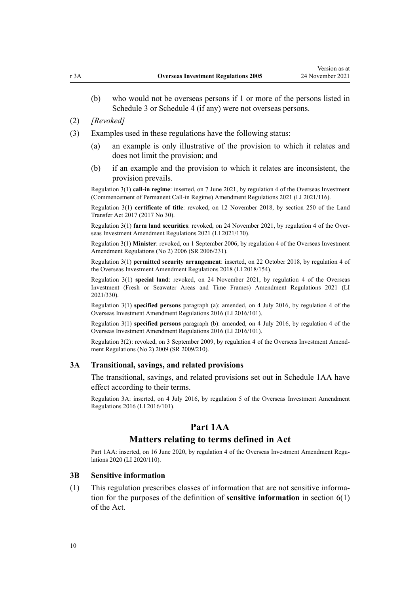- <span id="page-9-0"></span>(b) who would not be overseas persons if 1 or more of the persons listed in [Schedule 3](#page-125-0) or [Schedule 4](#page-126-0) (if any) were not overseas persons.
- (2) *[Revoked]*
- (3) Examples used in these regulations have the following status:
	- (a) an example is only illustrative of the provision to which it relates and does not limit the provision; and
	- (b) if an example and the provision to which it relates are inconsistent, the provision prevails.

Regulation 3(1) **call-in regime**: inserted, on 7 June 2021, by [regulation 4](http://legislation.govt.nz/pdflink.aspx?id=LMS495278) of the Overseas Investment (Commencement of Permanent Call-in Regime) Amendment Regulations 2021 (LI 2021/116).

Regulation 3(1) **certificate of title**: revoked, on 12 November 2018, by [section 250](http://legislation.govt.nz/pdflink.aspx?id=DLM6731493) of the Land Transfer Act 2017 (2017 No 30).

Regulation 3(1) **farm land securities**: revoked, on 24 November 2021, by [regulation 4](http://legislation.govt.nz/pdflink.aspx?id=LMS500824) of the Over‐ seas Investment Amendment Regulations 2021 (LI 2021/170).

Regulation 3(1) **Minister**: revoked, on 1 September 2006, by [regulation 4](http://legislation.govt.nz/pdflink.aspx?id=DLM404355) of the Overseas Investment Amendment Regulations (No 2) 2006 (SR 2006/231).

Regulation 3(1) **permitted security arrangement**: inserted, on 22 October 2018, by [regulation 4](http://legislation.govt.nz/pdflink.aspx?id=LMS76978) of the Overseas Investment Amendment Regulations 2018 (LI 2018/154).

Regulation 3(1) **special land**: revoked, on 24 November 2021, by [regulation 4](http://legislation.govt.nz/pdflink.aspx?id=LMS572169) of the Overseas Investment (Fresh or Seawater Areas and Time Frames) Amendment Regulations 2021 (LI 2021/330).

Regulation 3(1) **specified persons** paragraph (a): amended, on 4 July 2016, by [regulation 4](http://legislation.govt.nz/pdflink.aspx?id=DLM6845756) of the Overseas Investment Amendment Regulations 2016 (LI 2016/101).

Regulation 3(1) **specified persons** paragraph (b): amended, on 4 July 2016, by [regulation 4](http://legislation.govt.nz/pdflink.aspx?id=DLM6845756) of the Overseas Investment Amendment Regulations 2016 (LI 2016/101).

Regulation 3(2): revoked, on 3 September 2009, by [regulation 4](http://legislation.govt.nz/pdflink.aspx?id=DLM2242421) of the Overseas Investment Amendment Regulations (No 2) 2009 (SR 2009/210).

#### **3A Transitional, savings, and related provisions**

The transitional, savings, and related provisions set out in [Schedule 1AA](#page-106-0) have effect according to their terms.

Regulation 3A: inserted, on 4 July 2016, by [regulation 5](http://legislation.govt.nz/pdflink.aspx?id=DLM6845758) of the Overseas Investment Amendment Regulations 2016 (LI 2016/101).

# **Part 1AA**

# **Matters relating to terms defined in Act**

Part 1AA: inserted, on 16 June 2020, by [regulation 4](http://legislation.govt.nz/pdflink.aspx?id=LMS345429) of the Overseas Investment Amendment Regulations 2020 (LI 2020/110).

# **3B Sensitive information**

(1) This regulation prescribes classes of information that are not sensitive informa‐ tion for the purposes of the definition of **sensitive information** in [section 6\(1\)](http://legislation.govt.nz/pdflink.aspx?id=DLM356891) of the Act.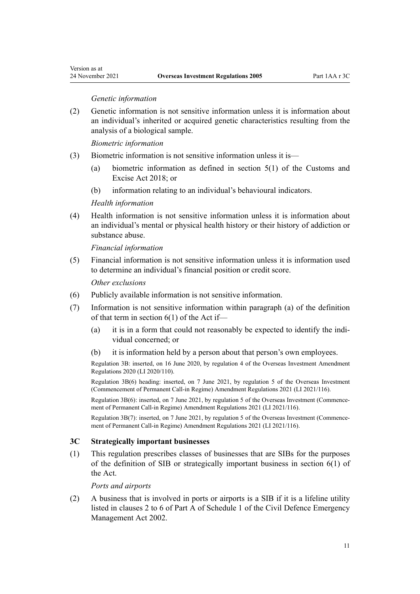<span id="page-10-0"></span>Version as at

## *Genetic information*

(2) Genetic information is not sensitive information unless it is information about an individual's inherited or acquired genetic characteristics resulting from the analysis of a biological sample.

*Biometric information*

- (3) Biometric information is not sensitive information unless it is—
	- (a) biometric information as defined in [section 5\(1\)](http://legislation.govt.nz/pdflink.aspx?id=DLM7038971) of the Customs and Excise Act 2018; or
	- (b) information relating to an individual's behavioural indicators.

*Health information*

(4) Health information is not sensitive information unless it is information about an individual's mental or physical health history or their history of addiction or substance abuse.

*Financial information*

(5) Financial information is not sensitive information unless it is information used to determine an individual's financial position or credit score.

*Other exclusions*

- (6) Publicly available information is not sensitive information.
- (7) Information is not sensitive information within paragraph (a) of the definition of that term in [section 6\(1\)](http://legislation.govt.nz/pdflink.aspx?id=DLM356891) of the Act if—
	- (a) it is in a form that could not reasonably be expected to identify the individual concerned; or
	- (b) it is information held by a person about that person's own employees.

Regulation 3B: inserted, on 16 June 2020, by [regulation 4](http://legislation.govt.nz/pdflink.aspx?id=LMS345429) of the Overseas Investment Amendment Regulations 2020 (LI 2020/110).

Regulation 3B(6) heading: inserted, on 7 June 2021, by [regulation 5](http://legislation.govt.nz/pdflink.aspx?id=LMS495279) of the Overseas Investment (Commencement of Permanent Call-in Regime) Amendment Regulations 2021 (LI 2021/116).

Regulation 3B(6): inserted, on 7 June 2021, by [regulation 5](http://legislation.govt.nz/pdflink.aspx?id=LMS495279) of the Overseas Investment (Commencement of Permanent Call-in Regime) Amendment Regulations 2021 (LI 2021/116).

Regulation 3B(7): inserted, on 7 June 2021, by [regulation 5](http://legislation.govt.nz/pdflink.aspx?id=LMS495279) of the Overseas Investment (Commencement of Permanent Call-in Regime) Amendment Regulations 2021 (LI 2021/116).

## **3C Strategically important businesses**

(1) This regulation prescribes classes of businesses that are SIBs for the purposes of the definition of SIB or strategically important business in [section 6\(1\)](http://legislation.govt.nz/pdflink.aspx?id=DLM356891) of the Act.

*Ports and airports*

(2) A business that is involved in ports or airports is a SIB if it is a lifeline utility listed in clauses 2 to 6 of Part A of [Schedule 1](http://legislation.govt.nz/pdflink.aspx?id=DLM151443) of the Civil Defence Emergency Management Act 2002.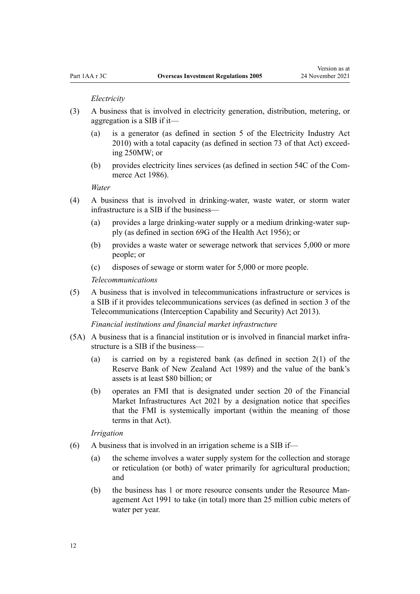#### *Electricity*

- (3) A business that is involved in electricity generation, distribution, metering, or aggregation is a SIB if it—
	- (a) is a generator (as defined in [section 5](http://legislation.govt.nz/pdflink.aspx?id=DLM2634242) of the Electricity Industry Act 2010) with a total capacity (as defined in [section 73](http://legislation.govt.nz/pdflink.aspx?id=DLM2634418) of that Act) exceed‐ ing 250MW; or
	- (b) provides electricity lines services (as defined in [section 54C](http://legislation.govt.nz/pdflink.aspx?id=DLM1940014) of the Com‐ merce Act 1986).

*Water*

- (4) A business that is involved in drinking-water, waste water, or storm water infrastructure is a SIB if the business—
	- (a) provides a large drinking-water supply or a medium drinking-water sup‐ ply (as defined in [section 69G](http://legislation.govt.nz/pdflink.aspx?id=DLM1409680) of the Health Act 1956); or
	- (b) provides a waste water or sewerage network that services 5,000 or more people; or
	- (c) disposes of sewage or storm water for 5,000 or more people.

#### *Telecommunications*

(5) A business that is involved in telecommunications infrastructure or services is a SIB if it provides telecommunications services (as defined in [section 3](http://legislation.govt.nz/pdflink.aspx?id=DLM5177930) of the Telecommunications (Interception Capability and Security) Act 2013).

*Financial institutions and financial market infrastructure*

- (5A) A business that is a financial institution or is involved in financial market infra‐ structure is a SIB if the business—
	- (a) is carried on by a registered bank (as defined in [section 2\(1\)](http://legislation.govt.nz/pdflink.aspx?id=DLM199370) of the Reserve Bank of New Zealand Act 1989) and the value of the bank's assets is at least \$80 billion; or
	- (b) operates an FMI that is designated under [section 20](http://legislation.govt.nz/pdflink.aspx?id=LMS155985) of the Financial Market Infrastructures Act 2021 by a designation notice that specifies that the FMI is systemically important (within the meaning of those terms in that Act).

*Irrigation*

- $(6)$  A business that is involved in an irrigation scheme is a SIB if—
	- (a) the scheme involves a water supply system for the collection and storage or reticulation (or both) of water primarily for agricultural production; and
	- (b) the business has 1 or more resource consents under the Resource Man[agement Act 1991](http://legislation.govt.nz/pdflink.aspx?id=DLM230264) to take (in total) more than 25 million cubic meters of water per year.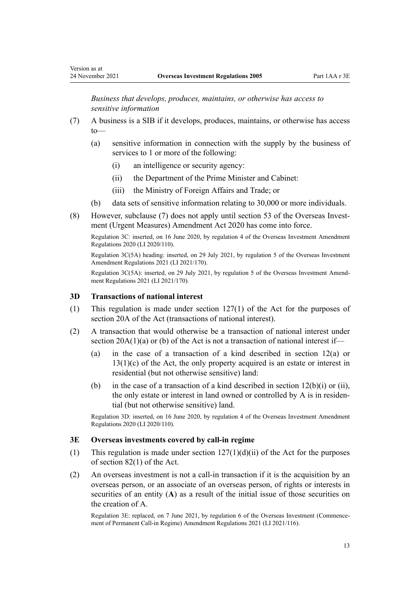<span id="page-12-0"></span>*Business that develops, produces, maintains, or otherwise has access to sensitive information*

- (7) A business is a SIB if it develops, produces, maintains, or otherwise has access to—
	- (a) sensitive information in connection with the supply by the business of services to 1 or more of the following:
		- (i) an intelligence or security agency:
		- (ii) the Department of the Prime Minister and Cabinet:
		- (iii) the Ministry of Foreign Affairs and Trade; or
	- (b) data sets of sensitive information relating to 30,000 or more individuals.
- (8) However, subclause (7) does not apply until [section 53](http://legislation.govt.nz/pdflink.aspx?id=LMS342569) of the Overseas Invest‐ ment (Urgent Measures) Amendment Act 2020 has come into force.

Regulation 3C: inserted, on 16 June 2020, by [regulation 4](http://legislation.govt.nz/pdflink.aspx?id=LMS345429) of the Overseas Investment Amendment Regulations 2020 (LI 2020/110).

Regulation 3C(5A) heading: inserted, on 29 July 2021, by [regulation 5](http://legislation.govt.nz/pdflink.aspx?id=LMS500825) of the Overseas Investment Amendment Regulations 2021 (LI 2021/170).

Regulation 3C(5A): inserted, on 29 July 2021, by [regulation 5](http://legislation.govt.nz/pdflink.aspx?id=LMS500825) of the Overseas Investment Amend‐ ment Regulations 2021 (LI 2021/170).

# **3D Transactions of national interest**

- (1) This regulation is made under [section 127\(1\)](http://legislation.govt.nz/pdflink.aspx?id=LMS359910) of the Act for the purposes of [section 20A](http://legislation.govt.nz/pdflink.aspx?id=LMS357515) of the Act (transactions of national interest).
- (2) A transaction that would otherwise be a transaction of national interest under section  $20A(1)(a)$  or (b) of the Act is not a transaction of national interest if—
	- (a) in the case of a transaction of a kind described in [section 12\(a\)](http://legislation.govt.nz/pdflink.aspx?id=DLM358017) or  $13(1)(c)$  of the Act, the only property acquired is an estate or interest in residential (but not otherwise sensitive) land:
	- (b) in the case of a transaction of a kind described in section  $12(b)(i)$  or (ii), the only estate or interest in land owned or controlled by A is in residential (but not otherwise sensitive) land.

Regulation 3D: inserted, on 16 June 2020, by [regulation 4](http://legislation.govt.nz/pdflink.aspx?id=LMS345429) of the Overseas Investment Amendment Regulations 2020 (LI 2020/110).

# **3E Overseas investments covered by call-in regime**

- (1) This regulation is made under section  $127(1)(d)(ii)$  of the Act for the purposes of [section 82\(1\)](http://legislation.govt.nz/pdflink.aspx?id=LMS358451) of the Act.
- (2) An overseas investment is not a call-in transaction if it is the acquisition by an overseas person, or an associate of an overseas person, of rights or interests in securities of an entity (**A**) as a result of the initial issue of those securities on the creation of A.

Regulation 3E: replaced, on 7 June 2021, by [regulation 6](http://legislation.govt.nz/pdflink.aspx?id=LMS495282) of the Overseas Investment (Commence‐ ment of Permanent Call-in Regime) Amendment Regulations 2021 (LI 2021/116).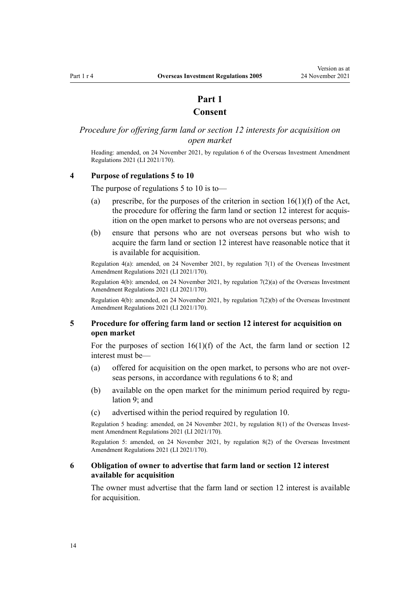# **Part 1**

# **Consent**

# <span id="page-13-0"></span>*Procedure for offering farm land or section 12 interests for acquisition on open market*

Heading: amended, on 24 November 2021, by [regulation 6](http://legislation.govt.nz/pdflink.aspx?id=LMS500827) of the Overseas Investment Amendment Regulations 2021 (LI 2021/170).

# **4 Purpose of regulations 5 to 10**

The purpose of regulations 5 to 10 is to—

- (a) prescribe, for the purposes of the criterion in section  $16(1)(f)$  of the Act, the procedure for offering the farm land or section 12 interest for acquisition on the open market to persons who are not overseas persons; and
- (b) ensure that persons who are not overseas persons but who wish to acquire the farm land or section 12 interest have reasonable notice that it is available for acquisition.

Regulation 4(a): amended, on 24 November 2021, by [regulation 7\(1\)](http://legislation.govt.nz/pdflink.aspx?id=LMS500829) of the Overseas Investment Amendment Regulations 2021 (LI 2021/170).

Regulation 4(b): amended, on 24 November 2021, by [regulation 7\(2\)\(a\)](http://legislation.govt.nz/pdflink.aspx?id=LMS500829) of the Overseas Investment Amendment Regulations 2021 (LI 2021/170).

Regulation 4(b): amended, on 24 November 2021, by [regulation 7\(2\)\(b\)](http://legislation.govt.nz/pdflink.aspx?id=LMS500829) of the Overseas Investment Amendment Regulations 2021 (LI 2021/170).

# **5 Procedure for offering farm land or section 12 interest for acquisition on open market**

For the purposes of section  $16(1)(f)$  of the Act, the farm land or section 12 interest must be—

- (a) offered for acquisition on the open market, to persons who are not over‐ seas persons, in accordance with regulations 6 to 8; and
- (b) available on the open market for the minimum period required by regu[lation 9](#page-14-0); and
- (c) advertised within the period required by [regulation 10](#page-15-0).

Regulation 5 heading: amended, on 24 November 2021, by [regulation 8\(1\)](http://legislation.govt.nz/pdflink.aspx?id=LMS500830) of the Overseas Investment Amendment Regulations 2021 (LI 2021/170).

Regulation 5: amended, on 24 November 2021, by [regulation 8\(2\)](http://legislation.govt.nz/pdflink.aspx?id=LMS500830) of the Overseas Investment Amendment Regulations 2021 (LI 2021/170).

## **6 Obligation of owner to advertise that farm land or section 12 interest available for acquisition**

The owner must advertise that the farm land or section 12 interest is available for acquisition.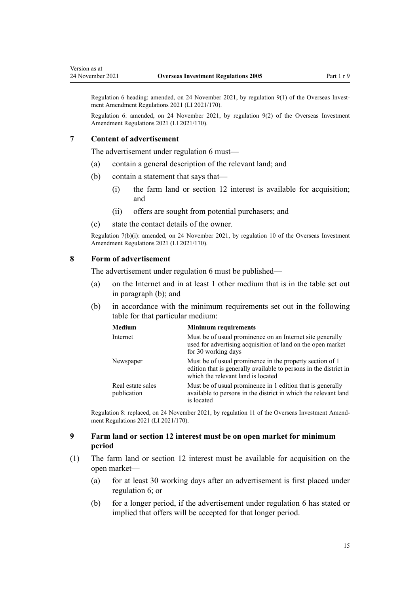<span id="page-14-0"></span>Version as at

Regulation 6 heading: amended, on 24 November 2021, by [regulation 9\(1\)](http://legislation.govt.nz/pdflink.aspx?id=LMS500831) of the Overseas Investment Amendment Regulations 2021 (LI 2021/170).

Regulation 6: amended, on 24 November 2021, by [regulation 9\(2\)](http://legislation.govt.nz/pdflink.aspx?id=LMS500831) of the Overseas Investment Amendment Regulations 2021 (LI 2021/170).

## **7 Content of advertisement**

The advertisement under [regulation 6](#page-13-0) must—

- (a) contain a general description of the relevant land; and
- (b) contain a statement that says that—
	- (i) the farm land or section 12 interest is available for acquisition; and
	- (ii) offers are sought from potential purchasers; and
- (c) state the contact details of the owner.

Regulation 7(b)(i): amended, on 24 November 2021, by [regulation 10](http://legislation.govt.nz/pdflink.aspx?id=LMS500832) of the Overseas Investment Amendment Regulations 2021 (LI 2021/170).

## **8 Form of advertisement**

The advertisement under [regulation 6](#page-13-0) must be published—

- (a) on the Internet and in at least 1 other medium that is in the table set out in paragraph (b); and
- (b) in accordance with the minimum requirements set out in the following table for that particular medium:

| <b>Medium</b>                    | <b>Minimum requirements</b>                                                                                                                                         |
|----------------------------------|---------------------------------------------------------------------------------------------------------------------------------------------------------------------|
| Internet                         | Must be of usual prominence on an Internet site generally<br>used for advertising acquisition of land on the open market<br>for 30 working days                     |
| Newspaper                        | Must be of usual prominence in the property section of 1<br>edition that is generally available to persons in the district in<br>which the relevant land is located |
| Real estate sales<br>publication | Must be of usual prominence in 1 edition that is generally<br>available to persons in the district in which the relevant land<br>is located                         |

Regulation 8: replaced, on 24 November 2021, by [regulation 11](http://legislation.govt.nz/pdflink.aspx?id=LMS500837) of the Overseas Investment Amend‐ ment Regulations 2021 (LI 2021/170).

# **9 Farm land or section 12 interest must be on open market for minimum period**

- (1) The farm land or section 12 interest must be available for acquisition on the open market—
	- (a) for at least 30 working days after an advertisement is first placed under [regulation 6](#page-13-0); or
	- (b) for a longer period, if the advertisement under [regulation 6](#page-13-0) has stated or implied that offers will be accepted for that longer period.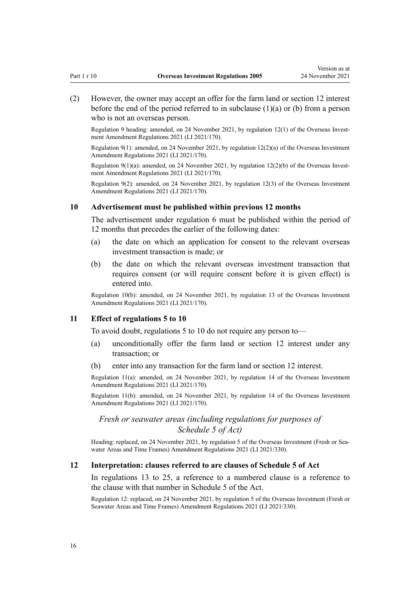<span id="page-15-0"></span>(2) However, the owner may accept an offer for the farm land or section 12 interest before the end of the period referred to in subclause  $(1)(a)$  or  $(b)$  from a person who is not an overseas person.

Regulation 9 heading: amended, on 24 November 2021, by [regulation 12\(1\)](http://legislation.govt.nz/pdflink.aspx?id=LMS500838) of the Overseas Investment Amendment Regulations 2021 (LI 2021/170).

Regulation 9(1): amended, on 24 November 2021, by [regulation 12\(2\)\(a\)](http://legislation.govt.nz/pdflink.aspx?id=LMS500838) of the Overseas Investment Amendment Regulations 2021 (LI 2021/170).

Regulation 9(1)(a): amended, on 24 November 2021, by regulation  $12(2)(b)$  of the Overseas Investment Amendment Regulations 2021 (LI 2021/170).

Regulation 9(2): amended, on 24 November 2021, by [regulation 12\(3\)](http://legislation.govt.nz/pdflink.aspx?id=LMS500838) of the Overseas Investment Amendment Regulations 2021 (LI 2021/170).

## **10 Advertisement must be published within previous 12 months**

The advertisement under [regulation 6](#page-13-0) must be published within the period of 12 months that precedes the earlier of the following dates:

- (a) the date on which an application for consent to the relevant overseas investment transaction is made; or
- (b) the date on which the relevant overseas investment transaction that requires consent (or will require consent before it is given effect) is entered into.

Regulation 10(b): amended, on 24 November 2021, by [regulation 13](http://legislation.govt.nz/pdflink.aspx?id=LMS500839) of the Overseas Investment Amendment Regulations 2021 (LI 2021/170).

#### **11 Effect of regulations 5 to 10**

To avoid doubt, [regulations 5 to 10](#page-13-0) do not require any person to—

- (a) unconditionally offer the farm land or section 12 interest under any transaction; or
- (b) enter into any transaction for the farm land or section 12 interest.

Regulation 11(a): amended, on 24 November 2021, by [regulation 14](http://legislation.govt.nz/pdflink.aspx?id=LMS500840) of the Overseas Investment Amendment Regulations 2021 (LI 2021/170).

Regulation 11(b): amended, on 24 November 2021, by [regulation 14](http://legislation.govt.nz/pdflink.aspx?id=LMS500840) of the Overseas Investment Amendment Regulations 2021 (LI 2021/170).

# *Fresh or seawater areas (including regulations for purposes of Schedule 5 of Act)*

Heading: replaced, on 24 November 2021, by [regulation 5](http://legislation.govt.nz/pdflink.aspx?id=LMS572195) of the Overseas Investment (Fresh or Seawater Areas and Time Frames) Amendment Regulations 2021 (LI 2021/330).

#### **12 Interpretation: clauses referred to are clauses of Schedule 5 of Act**

In [regulations 13 to 25,](#page-16-0) a reference to a numbered clause is a reference to the clause with that number in [Schedule 5](http://legislation.govt.nz/pdflink.aspx?id=LMS623503) of the Act.

Regulation 12: replaced, on 24 November 2021, by [regulation 5](http://legislation.govt.nz/pdflink.aspx?id=LMS572195) of the Overseas Investment (Fresh or Seawater Areas and Time Frames) Amendment Regulations 2021 (LI 2021/330).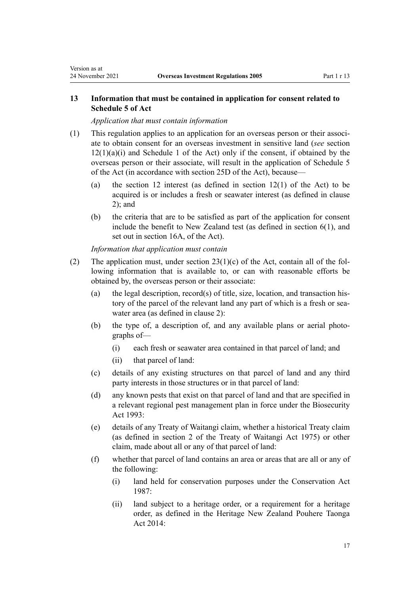# **13 Information that must be contained in application for consent related to Schedule 5 of Act**

*Application that must contain information*

<span id="page-16-0"></span>Version as at

- (1) This regulation applies to an application for an overseas person or their associ‐ ate to obtain consent for an overseas investment in sensitive land (*see* [section](http://legislation.govt.nz/pdflink.aspx?id=DLM358017)  $12(1)(a)(i)$  and [Schedule 1](http://legislation.govt.nz/pdflink.aspx?id=DLM358552) of the Act) only if the consent, if obtained by the overseas person or their associate, will result in the application of [Schedule 5](http://legislation.govt.nz/pdflink.aspx?id=LMS623503) of the Act (in accordance with [section 25D](http://legislation.govt.nz/pdflink.aspx?id=LMS623448) of the Act), because—
	- (a) the section 12 interest (as defined in section  $12(1)$  of the Act) to be acquired is or includes a fresh or seawater interest (as defined in [clause](http://legislation.govt.nz/pdflink.aspx?id=LMS623476) [2\)](http://legislation.govt.nz/pdflink.aspx?id=LMS623476); and
	- (b) the criteria that are to be satisfied as part of the application for consent include the benefit to New Zealand test (as defined in [section 6\(1\),](http://legislation.govt.nz/pdflink.aspx?id=DLM356891) and set out in [section 16A,](http://legislation.govt.nz/pdflink.aspx?id=LMS110592) of the Act).

*Information that application must contain*

- (2) The application must, under section  $23(1)(c)$  of the Act, contain all of the following information that is available to, or can with reasonable efforts be obtained by, the overseas person or their associate:
	- (a) the legal description, record(s) of title, size, location, and transaction history of the parcel of the relevant land any part of which is a fresh or seawater area (as defined in [clause 2](http://legislation.govt.nz/pdflink.aspx?id=LMS623476)):
	- (b) the type of, a description of, and any available plans or aerial photographs of—
		- (i) each fresh or seawater area contained in that parcel of land; and
		- (ii) that parcel of land:
	- (c) details of any existing structures on that parcel of land and any third party interests in those structures or in that parcel of land:
	- (d) any known pests that exist on that parcel of land and that are specified in a relevant regional pest management plan in force under the [Biosecurity](http://legislation.govt.nz/pdflink.aspx?id=DLM314622) [Act 1993:](http://legislation.govt.nz/pdflink.aspx?id=DLM314622)
	- (e) details of any Treaty of Waitangi claim, whether a historical Treaty claim (as defined in [section 2](http://legislation.govt.nz/pdflink.aspx?id=DLM435375) of the Treaty of Waitangi Act 1975) or other claim, made about all or any of that parcel of land:
	- (f) whether that parcel of land contains an area or areas that are all or any of the following:
		- (i) land held for conservation purposes under the [Conservation Act](http://legislation.govt.nz/pdflink.aspx?id=DLM103609) [1987](http://legislation.govt.nz/pdflink.aspx?id=DLM103609):
		- (ii) land subject to a heritage order, or a requirement for a heritage order, as defined in the [Heritage New Zealand Pouhere Taonga](http://legislation.govt.nz/pdflink.aspx?id=DLM4005402) [Act 2014:](http://legislation.govt.nz/pdflink.aspx?id=DLM4005402)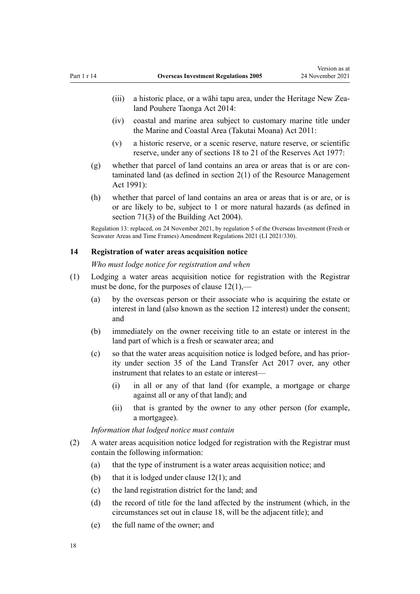- <span id="page-17-0"></span>(iii) a historic place, or a wāhi tapu area, under the Heritage New Zea[land Pouhere Taonga Act 2014](http://legislation.govt.nz/pdflink.aspx?id=DLM4005402):
- (iv) coastal and marine area subject to customary marine title under the [Marine and Coastal Area \(Takutai Moana\) Act 2011](http://legislation.govt.nz/pdflink.aspx?id=DLM3213102):
- (v) a historic reserve, or a scenic reserve, nature reserve, or scientific reserve, under any of [sections 18 to 21](http://legislation.govt.nz/pdflink.aspx?id=DLM444607) of the Reserves Act 1977:
- (g) whether that parcel of land contains an area or areas that is or are con‐ taminated land (as defined in [section 2\(1\)](http://legislation.govt.nz/pdflink.aspx?id=DLM230272) of the Resource Management Act 1991):
- (h) whether that parcel of land contains an area or areas that is or are, or is or are likely to be, subject to 1 or more natural hazards (as defined in [section 71\(3\)](http://legislation.govt.nz/pdflink.aspx?id=DLM306818) of the Building Act 2004).

Regulation 13: replaced, on 24 November 2021, by [regulation 5](http://legislation.govt.nz/pdflink.aspx?id=LMS572195) of the Overseas Investment (Fresh or Seawater Areas and Time Frames) Amendment Regulations 2021 (LI 2021/330).

# **14 Registration of water areas acquisition notice**

*Who must lodge notice for registration and when*

- (1) Lodging a water areas acquisition notice for registration with the Registrar must be done, for the purposes of [clause 12\(1\)](http://legislation.govt.nz/pdflink.aspx?id=LMS623488),—
	- (a) by the overseas person or their associate who is acquiring the estate or interest in land (also known as the section 12 interest) under the consent; and
	- (b) immediately on the owner receiving title to an estate or interest in the land part of which is a fresh or seawater area; and
	- (c) so that the water areas acquisition notice is lodged before, and has prior‐ ity under [section 35](http://legislation.govt.nz/pdflink.aspx?id=DLM6731151) of the Land Transfer Act 2017 over, any other instrument that relates to an estate or interest—
		- (i) in all or any of that land (for example, a mortgage or charge against all or any of that land); and
		- (ii) that is granted by the owner to any other person (for example, a mortgagee).

*Information that lodged notice must contain*

- (2) A water areas acquisition notice lodged for registration with the Registrar must contain the following information:
	- (a) that the type of instrument is a water areas acquisition notice; and
	- (b) that it is lodged under clause  $12(1)$ ; and
	- (c) the land registration district for the land; and
	- (d) the record of title for the land affected by the instrument (which, in the circumstances set out in [clause 18](http://legislation.govt.nz/pdflink.aspx?id=LMS623497), will be the adjacent title); and
	- (e) the full name of the owner; and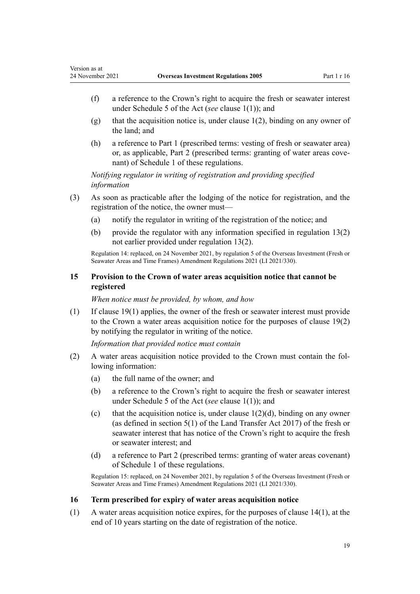<span id="page-18-0"></span>Version as at

- (f) a reference to the Crown's right to acquire the fresh or seawater interest under [Schedule 5](http://legislation.govt.nz/pdflink.aspx?id=LMS623503) of the Act (*see* [clause 1\(1\)\)](http://legislation.govt.nz/pdflink.aspx?id=LMS623456); and
- (g) that the acquisition notice is, under clause  $1(2)$ , binding on any owner of the land; and
- (h) a reference to [Part 1](#page-114-0) (prescribed terms: vesting of fresh or seawater area) or, as applicable, [Part 2](#page-115-0) (prescribed terms: granting of water areas covenant) of Schedule 1 of these regulations.

*Notifying regulator in writing of registration and providing specified information*

- (3) As soon as practicable after the lodging of the notice for registration, and the registration of the notice, the owner must—
	- (a) notify the regulator in writing of the registration of the notice; and
	- (b) provide the regulator with any information specified in [regulation 13\(2\)](#page-16-0) not earlier provided under regulation 13(2).

Regulation 14: replaced, on 24 November 2021, by [regulation 5](http://legislation.govt.nz/pdflink.aspx?id=LMS572195) of the Overseas Investment (Fresh or Seawater Areas and Time Frames) Amendment Regulations 2021 (LI 2021/330).

# **15 Provision to the Crown of water areas acquisition notice that cannot be registered**

*When notice must be provided, by whom, and how*

(1) If [clause 19\(1\)](http://legislation.govt.nz/pdflink.aspx?id=LMS623498) applies, the owner of the fresh or seawater interest must provide to the Crown a water areas acquisition notice for the purposes of clause 19(2) by notifying the regulator in writing of the notice.

*Information that provided notice must contain*

- (2) A water areas acquisition notice provided to the Crown must contain the fol‐ lowing information:
	- (a) the full name of the owner; and
	- (b) a reference to the Crown's right to acquire the fresh or seawater interest under [Schedule 5](http://legislation.govt.nz/pdflink.aspx?id=LMS623503) of the Act (*see* [clause 1\(1\)\)](http://legislation.govt.nz/pdflink.aspx?id=LMS623456); and
	- (c) that the acquisition notice is, under clause  $1(2)(d)$ , binding on any owner (as defined in [section 5\(1\)](http://legislation.govt.nz/pdflink.aspx?id=DLM6731040) of the Land Transfer Act 2017) of the fresh or seawater interest that has notice of the Crown's right to acquire the fresh or seawater interest; and
	- (d) a reference to [Part 2](#page-115-0) (prescribed terms: granting of water areas covenant) of Schedule 1 of these regulations.

Regulation 15: replaced, on 24 November 2021, by [regulation 5](http://legislation.govt.nz/pdflink.aspx?id=LMS572195) of the Overseas Investment (Fresh or Seawater Areas and Time Frames) Amendment Regulations 2021 (LI 2021/330).

# **16 Term prescribed for expiry of water areas acquisition notice**

(1) A water areas acquisition notice expires, for the purposes of [clause 14\(1\),](http://legislation.govt.nz/pdflink.aspx?id=LMS623490) at the end of 10 years starting on the date of registration of the notice.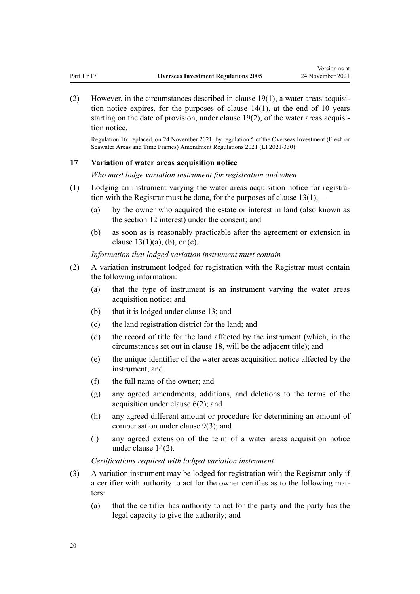<span id="page-19-0"></span>(2) However, in the circumstances described in [clause 19\(1\)](http://legislation.govt.nz/pdflink.aspx?id=LMS623498), a water areas acquisition notice expires, for the purposes of clause  $14(1)$ , at the end of 10 years starting on the date of provision, under clause  $19(2)$ , of the water areas acquisition notice.

Regulation 16: replaced, on 24 November 2021, by [regulation 5](http://legislation.govt.nz/pdflink.aspx?id=LMS572195) of the Overseas Investment (Fresh or Seawater Areas and Time Frames) Amendment Regulations 2021 (LI 2021/330).

#### **17 Variation of water areas acquisition notice**

*Who must lodge variation instrument for registration and when*

- (1) Lodging an instrument varying the water areas acquisition notice for registra‐ tion with the Registrar must be done, for the purposes of clause  $13(1)$ ,
	- (a) by the owner who acquired the estate or interest in land (also known as the section 12 interest) under the consent; and
	- (b) as soon as is reasonably practicable after the agreement or extension in clause  $13(1)(a)$ , (b), or (c).

*Information that lodged variation instrument must contain*

- (2) A variation instrument lodged for registration with the Registrar must contain the following information:
	- (a) that the type of instrument is an instrument varying the water areas acquisition notice; and
	- (b) that it is lodged under [clause 13](http://legislation.govt.nz/pdflink.aspx?id=LMS623489); and
	- (c) the land registration district for the land; and
	- (d) the record of title for the land affected by the instrument (which, in the circumstances set out in [clause 18](http://legislation.govt.nz/pdflink.aspx?id=LMS623497), will be the adjacent title); and
	- (e) the unique identifier of the water areas acquisition notice affected by the instrument; and
	- (f) the full name of the owner; and
	- (g) any agreed amendments, additions, and deletions to the terms of the acquisition under [clause 6\(2\)](http://legislation.govt.nz/pdflink.aspx?id=LMS623481); and
	- (h) any agreed different amount or procedure for determining an amount of compensation under [clause 9\(3\);](http://legislation.govt.nz/pdflink.aspx?id=LMS623484) and
	- (i) any agreed extension of the term of a water areas acquisition notice under [clause 14\(2\).](http://legislation.govt.nz/pdflink.aspx?id=LMS623490)

*Certifications required with lodged variation instrument*

- (3) A variation instrument may be lodged for registration with the Registrar only if a certifier with authority to act for the owner certifies as to the following matters:
	- (a) that the certifier has authority to act for the party and the party has the legal capacity to give the authority; and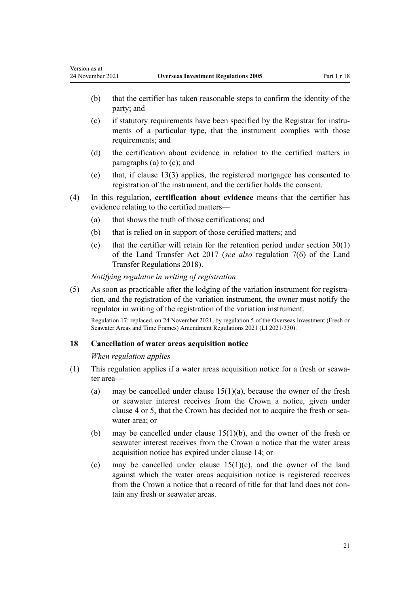- (b) that the certifier has taken reasonable steps to confirm the identity of the party; and
- (c) if statutory requirements have been specified by the Registrar for instru‐ ments of a particular type, that the instrument complies with those requirements; and
- (d) the certification about evidence in relation to the certified matters in paragraphs (a) to (c); and
- (e) that, if [clause 13\(3\)](http://legislation.govt.nz/pdflink.aspx?id=LMS623489) applies, the registered mortgagee has consented to registration of the instrument, and the certifier holds the consent.
- (4) In this regulation, **certification about evidence** means that the certifier has evidence relating to the certified matters—
	- (a) that shows the truth of those certifications; and
	- (b) that is relied on in support of those certified matters; and
	- (c) that the certifier will retain for the retention period under [section 30\(1\)](http://legislation.govt.nz/pdflink.aspx?id=DLM6731146) of the Land Transfer Act 2017 (*see also* [regulation 7\(6\)](http://legislation.govt.nz/pdflink.aspx?id=LMS48727) of the Land Transfer Regulations 2018).

*Notifying regulator in writing of registration*

(5) As soon as practicable after the lodging of the variation instrument for registration, and the registration of the variation instrument, the owner must notify the regulator in writing of the registration of the variation instrument.

Regulation 17: replaced, on 24 November 2021, by [regulation 5](http://legislation.govt.nz/pdflink.aspx?id=LMS572195) of the Overseas Investment (Fresh or Seawater Areas and Time Frames) Amendment Regulations 2021 (LI 2021/330).

# **18 Cancellation of water areas acquisition notice**

#### *When regulation applies*

<span id="page-20-0"></span>Version as at

- (1) This regulation applies if a water areas acquisition notice for a fresh or seawa‐ ter area—
	- (a) may be cancelled under clause  $15(1)(a)$ , because the owner of the fresh or seawater interest receives from the Crown a notice, given under [clause 4](http://legislation.govt.nz/pdflink.aspx?id=LMS623479) or [5,](http://legislation.govt.nz/pdflink.aspx?id=LMS623480) that the Crown has decided not to acquire the fresh or seawater area; or
	- (b) may be cancelled under [clause 15\(1\)\(b\),](http://legislation.govt.nz/pdflink.aspx?id=LMS623491) and the owner of the fresh or seawater interest receives from the Crown a notice that the water areas acquisition notice has expired under [clause 14](http://legislation.govt.nz/pdflink.aspx?id=LMS623490); or
	- (c) may be cancelled under clause  $15(1)(c)$ , and the owner of the land against which the water areas acquisition notice is registered receives from the Crown a notice that a record of title for that land does not contain any fresh or seawater areas.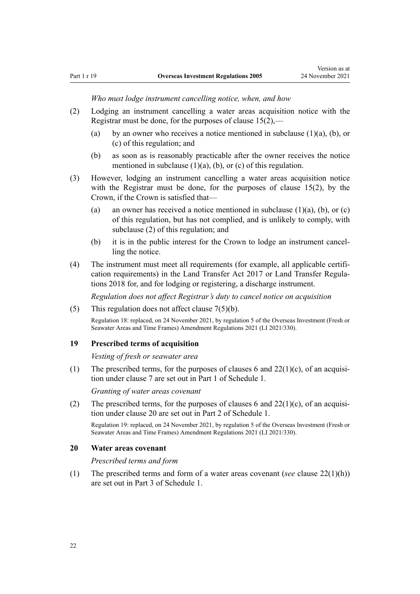*Who must lodge instrument cancelling notice, when, and how*

- <span id="page-21-0"></span>(2) Lodging an instrument cancelling a water areas acquisition notice with the Registrar must be done, for the purposes of [clause 15\(2\)](http://legislation.govt.nz/pdflink.aspx?id=LMS623491),—
	- (a) by an owner who receives a notice mentioned in subclause  $(1)(a)$ ,  $(b)$ , or (c) of this regulation; and
	- (b) as soon as is reasonably practicable after the owner receives the notice mentioned in subclause  $(1)(a)$ ,  $(b)$ , or  $(c)$  of this regulation.
- (3) However, lodging an instrument cancelling a water areas acquisition notice with the Registrar must be done, for the purposes of [clause 15\(2\),](http://legislation.govt.nz/pdflink.aspx?id=LMS623491) by the Crown, if the Crown is satisfied that—
	- (a) an owner has received a notice mentioned in subclause  $(1)(a)$ ,  $(b)$ , or  $(c)$ of this regulation, but has not complied, and is unlikely to comply, with subclause (2) of this regulation; and
	- (b) it is in the public interest for the Crown to lodge an instrument cancelling the notice.
- (4) The instrument must meet all requirements (for example, all applicable certifi‐ cation requirements) in the [Land Transfer Act 2017](http://legislation.govt.nz/pdflink.aspx?id=DLM6731002) or Land Transfer Regula[tions 2018](http://legislation.govt.nz/pdflink.aspx?id=LMS48705) for, and for lodging or registering, a discharge instrument.

*Regulation does not affect Registrar's duty to cancel notice on acquisition*

(5) This regulation does not affect [clause 7\(5\)\(b\).](http://legislation.govt.nz/pdflink.aspx?id=LMS623482)

Regulation 18: replaced, on 24 November 2021, by [regulation 5](http://legislation.govt.nz/pdflink.aspx?id=LMS572195) of the Overseas Investment (Fresh or Seawater Areas and Time Frames) Amendment Regulations 2021 (LI 2021/330).

# **19 Prescribed terms of acquisition**

*Vesting of fresh or seawater area*

(1) The prescribed terms, for the purposes of [clauses 6](http://legislation.govt.nz/pdflink.aspx?id=LMS623481) and  $22(1)(c)$ , of an acquisition under [clause 7](http://legislation.govt.nz/pdflink.aspx?id=LMS623482) are set out in [Part 1](#page-114-0) of Schedule 1.

*Granting of water areas covenant*

(2) The prescribed terms, for the purposes of [clauses 6](http://legislation.govt.nz/pdflink.aspx?id=LMS623481) and  $22(1)(c)$ , of an acquisition under [clause 20](http://legislation.govt.nz/pdflink.aspx?id=LMS623499) are set out in [Part 2](#page-115-0) of Schedule 1.

Regulation 19: replaced, on 24 November 2021, by [regulation 5](http://legislation.govt.nz/pdflink.aspx?id=LMS572195) of the Overseas Investment (Fresh or Seawater Areas and Time Frames) Amendment Regulations 2021 (LI 2021/330).

# **20 Water areas covenant**

*Prescribed terms and form*

(1) The prescribed terms and form of a water areas covenant (*see* [clause 22\(1\)\(h\)](http://legislation.govt.nz/pdflink.aspx?id=LMS623501)) are set out in [Part 3](#page-116-0) of Schedule 1.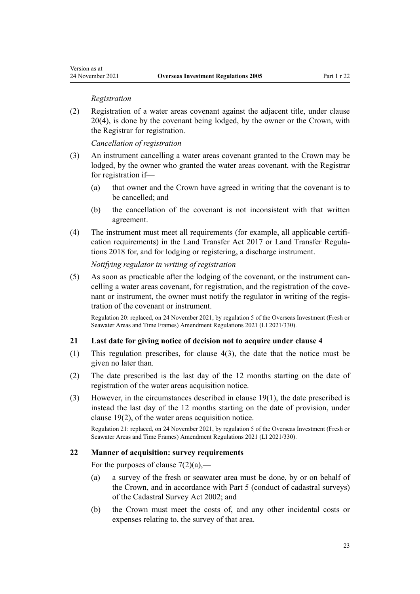#### *Registration*

<span id="page-22-0"></span>(2) Registration of a water areas covenant against the adjacent title, under [clause](http://legislation.govt.nz/pdflink.aspx?id=LMS623499) [20\(4\)](http://legislation.govt.nz/pdflink.aspx?id=LMS623499), is done by the covenant being lodged, by the owner or the Crown, with the Registrar for registration.

*Cancellation of registration*

- (3) An instrument cancelling a water areas covenant granted to the Crown may be lodged, by the owner who granted the water areas covenant, with the Registrar for registration if—
	- (a) that owner and the Crown have agreed in writing that the covenant is to be cancelled; and
	- (b) the cancellation of the covenant is not inconsistent with that written agreement.
- (4) The instrument must meet all requirements (for example, all applicable certifi‐ cation requirements) in the [Land Transfer Act 2017](http://legislation.govt.nz/pdflink.aspx?id=DLM6731002) or Land Transfer Regula[tions 2018](http://legislation.govt.nz/pdflink.aspx?id=LMS48705) for, and for lodging or registering, a discharge instrument.

## *Notifying regulator in writing of registration*

 $(5)$  As soon as practicable after the lodging of the covenant, or the instrument cancelling a water areas covenant, for registration, and the registration of the covenant or instrument, the owner must notify the regulator in writing of the registration of the covenant or instrument.

Regulation 20: replaced, on 24 November 2021, by [regulation 5](http://legislation.govt.nz/pdflink.aspx?id=LMS572195) of the Overseas Investment (Fresh or Seawater Areas and Time Frames) Amendment Regulations 2021 (LI 2021/330).

# **21 Last date for giving notice of decision not to acquire under clause 4**

- (1) This regulation prescribes, for [clause 4\(3\)](http://legislation.govt.nz/pdflink.aspx?id=LMS623479), the date that the notice must be given no later than.
- (2) The date prescribed is the last day of the 12 months starting on the date of registration of the water areas acquisition notice.
- (3) However, in the circumstances described in [clause 19\(1\)](http://legislation.govt.nz/pdflink.aspx?id=LMS623498), the date prescribed is instead the last day of the 12 months starting on the date of provision, under clause 19(2), of the water areas acquisition notice.

Regulation 21: replaced, on 24 November 2021, by [regulation 5](http://legislation.govt.nz/pdflink.aspx?id=LMS572195) of the Overseas Investment (Fresh or Seawater Areas and Time Frames) Amendment Regulations 2021 (LI 2021/330).

# **22 Manner of acquisition: survey requirements**

For the purposes of clause  $7(2)(a)$ ,—

- (a) a survey of the fresh or seawater area must be done, by or on behalf of the Crown, and in accordance with [Part 5](http://legislation.govt.nz/pdflink.aspx?id=DLM142497) (conduct of cadastral surveys) of the Cadastral Survey Act 2002; and
- (b) the Crown must meet the costs of, and any other incidental costs or expenses relating to, the survey of that area.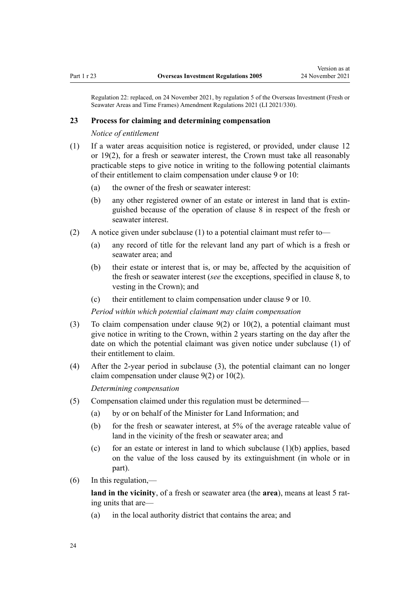<span id="page-23-0"></span>Regulation 22: replaced, on 24 November 2021, by [regulation 5](http://legislation.govt.nz/pdflink.aspx?id=LMS572195) of the Overseas Investment (Fresh or Seawater Areas and Time Frames) Amendment Regulations 2021 (LI 2021/330).

#### **23 Process for claiming and determining compensation**

*Notice of entitlement*

- (1) If a water areas acquisition notice is registered, or provided, under [clause 12](http://legislation.govt.nz/pdflink.aspx?id=LMS623488) or [19\(2\),](http://legislation.govt.nz/pdflink.aspx?id=LMS623498) for a fresh or seawater interest, the Crown must take all reasonably practicable steps to give notice in writing to the following potential claimants of their entitlement to claim compensation under [clause 9](http://legislation.govt.nz/pdflink.aspx?id=LMS623484) or [10](http://legislation.govt.nz/pdflink.aspx?id=LMS623485):
	- (a) the owner of the fresh or seawater interest:
	- (b) any other registered owner of an estate or interest in land that is extin‐ guished because of the operation of [clause 8](http://legislation.govt.nz/pdflink.aspx?id=LMS623483) in respect of the fresh or seawater interest.
- (2) A notice given under subclause (1) to a potential claimant must refer to—
	- (a) any record of title for the relevant land any part of which is a fresh or seawater area; and
	- (b) their estate or interest that is, or may be, affected by the acquisition of the fresh or seawater interest (*see* the exceptions, specified in [clause 8](http://legislation.govt.nz/pdflink.aspx?id=LMS623483), to vesting in the Crown); and
	- (c) their entitlement to claim compensation under [clause 9](http://legislation.govt.nz/pdflink.aspx?id=LMS623484) or [10](http://legislation.govt.nz/pdflink.aspx?id=LMS623485).

*Period within which potential claimant may claim compensation*

- (3) To claim compensation under [clause 9\(2\)](http://legislation.govt.nz/pdflink.aspx?id=LMS623484) or [10\(2\),](http://legislation.govt.nz/pdflink.aspx?id=LMS623485) a potential claimant must give notice in writing to the Crown, within 2 years starting on the day after the date on which the potential claimant was given notice under subclause (1) of their entitlement to claim.
- (4) After the 2-year period in subclause (3), the potential claimant can no longer claim compensation under [clause 9\(2\)](http://legislation.govt.nz/pdflink.aspx?id=LMS623484) or [10\(2\)](http://legislation.govt.nz/pdflink.aspx?id=LMS623485).

*Determining compensation*

- (5) Compensation claimed under this regulation must be determined—
	- (a) by or on behalf of the Minister for Land Information; and
	- (b) for the fresh or seawater interest, at 5% of the average rateable value of land in the vicinity of the fresh or seawater area; and
	- (c) for an estate or interest in land to which subclause  $(1)(b)$  applies, based on the value of the loss caused by its extinguishment (in whole or in part).
- $(6)$  In this regulation,—

land in the vicinity, of a fresh or seawater area (the **area**), means at least 5 rating units that are—

(a) in the local authority district that contains the area; and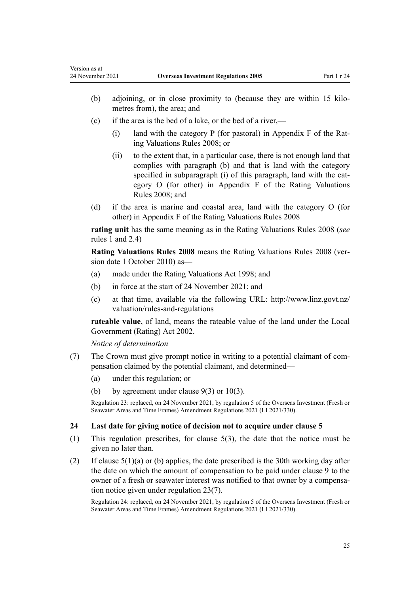- <span id="page-24-0"></span>(b) adjoining, or in close proximity to (because they are within 15 kilometres from), the area; and
- (c) if the area is the bed of a lake, or the bed of a river,—
	- (i) land with the category P (for pastoral) in Appendix F of the Rating Valuations Rules 2008; or
	- (ii) to the extent that, in a particular case, there is not enough land that complies with paragraph (b) and that is land with the category specified in subparagraph (i) of this paragraph, land with the category O (for other) in Appendix F of the Rating Valuations Rules 2008; and
- (d) if the area is marine and coastal area, land with the category O (for other) in Appendix F of the Rating Valuations Rules 2008

**rating unit** has the same meaning as in the Rating Valuations Rules 2008 (*see* rules 1 and 2.4)

**Rating Valuations Rules 2008** means the Rating Valuations Rules 2008 (ver‐ sion date 1 October 2010) as—

- (a) made under the [Rating Valuations Act 1998](http://legislation.govt.nz/pdflink.aspx?id=DLM427296); and
- (b) in force at the start of 24 November 2021; and
- (c) at that time, available via the following URL: [http://www.linz.govt.nz/](http://www.linz.govt.nz/valuation/rules-and-regulations) [valuation/rules-and-regulations](http://www.linz.govt.nz/valuation/rules-and-regulations)

**rateable value**, of land, means the rateable value of the land under the [Local](http://legislation.govt.nz/pdflink.aspx?id=DLM131393) [Government \(Rating\) Act 2002](http://legislation.govt.nz/pdflink.aspx?id=DLM131393).

*Notice of determination*

- (7) The Crown must give prompt notice in writing to a potential claimant of com‐ pensation claimed by the potential claimant, and determined—
	- (a) under this regulation; or
	- (b) by agreement under clause  $9(3)$  or  $10(3)$ .

Regulation 23: replaced, on 24 November 2021, by [regulation 5](http://legislation.govt.nz/pdflink.aspx?id=LMS572195) of the Overseas Investment (Fresh or Seawater Areas and Time Frames) Amendment Regulations 2021 (LI 2021/330).

#### **24 Last date for giving notice of decision not to acquire under clause 5**

- (1) This regulation prescribes, for [clause 5\(3\)](http://legislation.govt.nz/pdflink.aspx?id=LMS623480), the date that the notice must be given no later than.
- (2) If clause  $5(1)(a)$  or (b) applies, the date prescribed is the 30th working day after the date on which the amount of compensation to be paid under [clause 9](http://legislation.govt.nz/pdflink.aspx?id=LMS623484) to the owner of a fresh or seawater interest was notified to that owner by a compensation notice given under [regulation 23\(7\).](#page-23-0)

Regulation 24: replaced, on 24 November 2021, by [regulation 5](http://legislation.govt.nz/pdflink.aspx?id=LMS572195) of the Overseas Investment (Fresh or Seawater Areas and Time Frames) Amendment Regulations 2021 (LI 2021/330).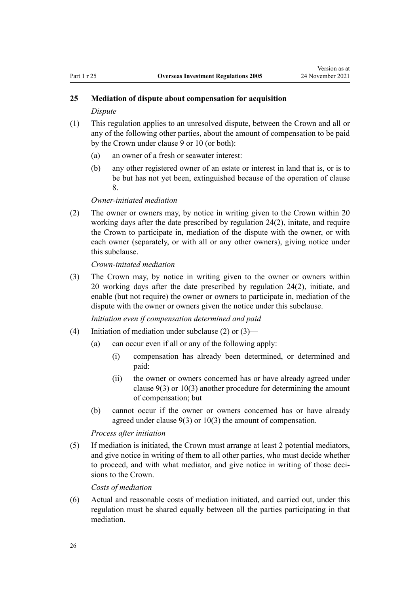# <span id="page-25-0"></span>**25 Mediation of dispute about compensation for acquisition**

#### *Dispute*

- (1) This regulation applies to an unresolved dispute, between the Crown and all or any of the following other parties, about the amount of compensation to be paid by the Crown under [clause 9](http://legislation.govt.nz/pdflink.aspx?id=LMS623484) or [10](http://legislation.govt.nz/pdflink.aspx?id=LMS623485) (or both):
	- (a) an owner of a fresh or seawater interest:
	- (b) any other registered owner of an estate or interest in land that is, or is to be but has not yet been, extinguished because of the operation of [clause](http://legislation.govt.nz/pdflink.aspx?id=LMS623483) [8.](http://legislation.govt.nz/pdflink.aspx?id=LMS623483)

## *Owner-initiated mediation*

(2) The owner or owners may, by notice in writing given to the Crown within 20 working days after the date prescribed by [regulation 24\(2\),](#page-24-0) initate, and require the Crown to participate in, mediation of the dispute with the owner, or with each owner (separately, or with all or any other owners), giving notice under this subclause.

*Crown-initated mediation*

(3) The Crown may, by notice in writing given to the owner or owners within 20 working days after the date prescribed by [regulation 24\(2\),](#page-24-0) initiate, and enable (but not require) the owner or owners to participate in, mediation of the dispute with the owner or owners given the notice under this subclause.

*Initiation even if compensation determined and paid*

- (4) Initiation of mediation under subclause (2) or (3)—
	- (a) can occur even if all or any of the following apply:
		- (i) compensation has already been determined, or determined and paid:
		- (ii) the owner or owners concerned has or have already agreed under [clause 9\(3\)](http://legislation.govt.nz/pdflink.aspx?id=LMS623484) or [10\(3\)](http://legislation.govt.nz/pdflink.aspx?id=LMS623485) another procedure for determining the amount of compensation; but
	- (b) cannot occur if the owner or owners concerned has or have already agreed under [clause 9\(3\)](http://legislation.govt.nz/pdflink.aspx?id=LMS623484) or [10\(3\)](http://legislation.govt.nz/pdflink.aspx?id=LMS623485) the amount of compensation.

*Process after initiation*

(5) If mediation is initiated, the Crown must arrange at least 2 potential mediators, and give notice in writing of them to all other parties, who must decide whether to proceed, and with what mediator, and give notice in writing of those decisions to the Crown.

*Costs of mediation*

(6) Actual and reasonable costs of mediation initiated, and carried out, under this regulation must be shared equally between all the parties participating in that mediation.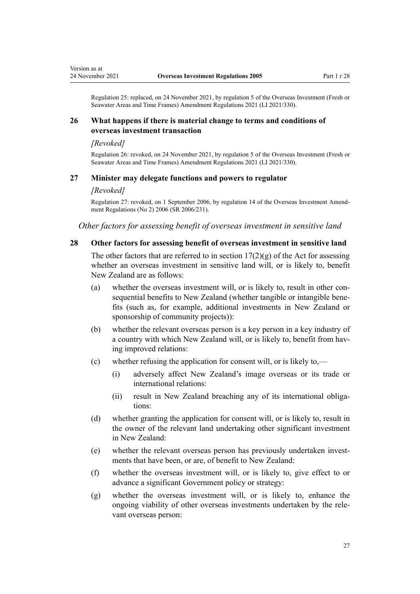<span id="page-26-0"></span>Regulation 25: replaced, on 24 November 2021, by [regulation 5](http://legislation.govt.nz/pdflink.aspx?id=LMS572195) of the Overseas Investment (Fresh or Seawater Areas and Time Frames) Amendment Regulations 2021 (LI 2021/330).

# **26 What happens if there is material change to terms and conditions of overseas investment transaction**

#### *[Revoked]*

Regulation 26: revoked, on 24 November 2021, by [regulation 5](http://legislation.govt.nz/pdflink.aspx?id=LMS572195) of the Overseas Investment (Fresh or Seawater Areas and Time Frames) Amendment Regulations 2021 (LI 2021/330).

#### **27 Minister may delegate functions and powers to regulator**

#### *[Revoked]*

Regulation 27: revoked, on 1 September 2006, by [regulation 14](http://legislation.govt.nz/pdflink.aspx?id=DLM404365) of the Overseas Investment Amend‐ ment Regulations (No 2) 2006 (SR 2006/231).

*Other factors for assessing benefit of overseas investment in sensitive land*

## **28 Other factors for assessing benefit of overseas investment in sensitive land**

The other factors that are referred to in section  $17(2)(g)$  of the Act for assessing whether an overseas investment in sensitive land will, or is likely to, benefit New Zealand are as follows:

- (a) whether the overseas investment will, or is likely to, result in other consequential benefits to New Zealand (whether tangible or intangible benefits (such as, for example, additional investments in New Zealand or sponsorship of community projects)):
- (b) whether the relevant overseas person is a key person in a key industry of a country with which New Zealand will, or is likely to, benefit from having improved relations:
- (c) whether refusing the application for consent will, or is likely to,—
	- (i) adversely affect New Zealand's image overseas or its trade or international relations:
	- (ii) result in New Zealand breaching any of its international obligations:
- (d) whether granting the application for consent will, or is likely to, result in the owner of the relevant land undertaking other significant investment in New Zealand:
- (e) whether the relevant overseas person has previously undertaken investments that have been, or are, of benefit to New Zealand:
- (f) whether the overseas investment will, or is likely to, give effect to or advance a significant Government policy or strategy:
- (g) whether the overseas investment will, or is likely to, enhance the ongoing viability of other overseas investments undertaken by the rele‐ vant overseas person: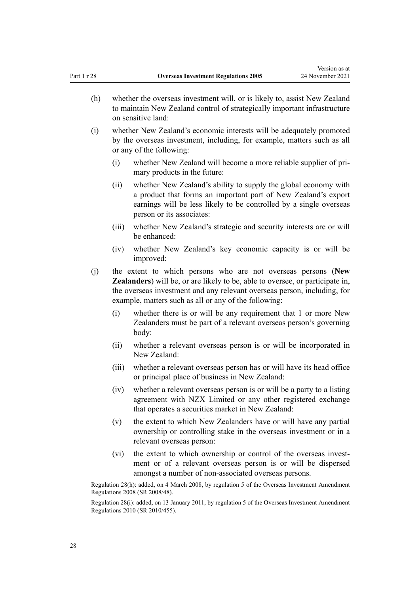Version as at

- (h) whether the overseas investment will, or is likely to, assist New Zealand to maintain New Zealand control of strategically important infrastructure on sensitive land:
- (i) whether New Zealand's economic interests will be adequately promoted by the overseas investment, including, for example, matters such as all or any of the following:
	- (i) whether New Zealand will become a more reliable supplier of pri‐ mary products in the future:
	- (ii) whether New Zealand's ability to supply the global economy with a product that forms an important part of New Zealand's export earnings will be less likely to be controlled by a single overseas person or its associates:
	- (iii) whether New Zealand's strategic and security interests are or will be enhanced:
	- (iv) whether New Zealand's key economic capacity is or will be improved:
- (j) the extent to which persons who are not overseas persons (**New Zealanders**) will be, or are likely to be, able to oversee, or participate in, the overseas investment and any relevant overseas person, including, for example, matters such as all or any of the following:
	- (i) whether there is or will be any requirement that 1 or more New Zealanders must be part of a relevant overseas person's governing body:
	- (ii) whether a relevant overseas person is or will be incorporated in New Zealand:
	- (iii) whether a relevant overseas person has or will have its head office or principal place of business in New Zealand:
	- (iv) whether a relevant overseas person is or will be a party to a listing agreement with NZX Limited or any other registered exchange that operates a securities market in New Zealand:
	- (v) the extent to which New Zealanders have or will have any partial ownership or controlling stake in the overseas investment or in a relevant overseas person:
	- (vi) the extent to which ownership or control of the overseas investment or of a relevant overseas person is or will be dispersed amongst a number of non-associated overseas persons.

Regulation 28(h): added, on 4 March 2008, by [regulation 5](http://legislation.govt.nz/pdflink.aspx?id=DLM1181208) of the Overseas Investment Amendment Regulations 2008 (SR 2008/48).

Regulation 28(i): added, on 13 January 2011, by [regulation 5](http://legislation.govt.nz/pdflink.aspx?id=DLM3410108) of the Overseas Investment Amendment Regulations 2010 (SR 2010/455).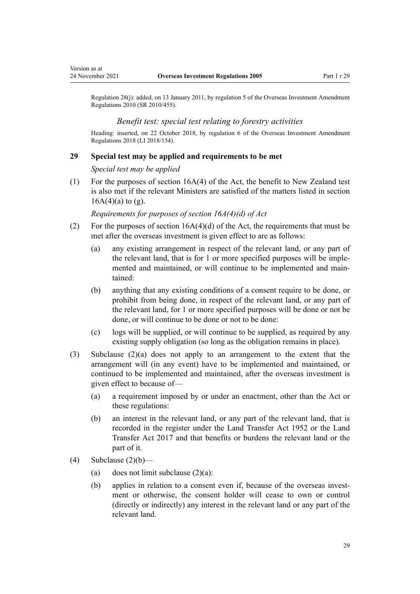<span id="page-28-0"></span>Version as at

Regulation 28(j): added, on 13 January 2011, by [regulation 5](http://legislation.govt.nz/pdflink.aspx?id=DLM3410108) of the Overseas Investment Amendment Regulations 2010 (SR 2010/455).

#### *Benefit test: special test relating to forestry activities*

Heading: inserted, on 22 October 2018, by [regulation 6](http://legislation.govt.nz/pdflink.aspx?id=LMS77006) of the Overseas Investment Amendment Regulations 2018 (LI 2018/154).

## **29 Special test may be applied and requirements to be met**

*Special test may be applied*

(1) For the purposes of [section 16A\(4\)](http://legislation.govt.nz/pdflink.aspx?id=LMS110592) of the Act, the benefit to New Zealand test is also met if the relevant Ministers are satisfied of the matters listed in section  $16A(4)(a)$  to (g).

*Requirements for purposes of section 16A(4)(d) of Act*

- (2) For the purposes of section  $16A(4)(d)$  of the Act, the requirements that must be met after the overseas investment is given effect to are as follows:
	- (a) any existing arrangement in respect of the relevant land, or any part of the relevant land, that is for 1 or more specified purposes will be implemented and maintained, or will continue to be implemented and maintained:
	- (b) anything that any existing conditions of a consent require to be done, or prohibit from being done, in respect of the relevant land, or any part of the relevant land, for 1 or more specified purposes will be done or not be done, or will continue to be done or not to be done:
	- (c) logs will be supplied, or will continue to be supplied, as required by any existing supply obligation (so long as the obligation remains in place).
- (3) Subclause (2)(a) does not apply to an arrangement to the extent that the arrangement will (in any event) have to be implemented and maintained, or continued to be implemented and maintained, after the overseas investment is given effect to because of—
	- (a) a requirement imposed by or under an enactment, other than the Act or these regulations:
	- (b) an interest in the relevant land, or any part of the relevant land, that is recorded in the register under the [Land Transfer Act 1952](http://legislation.govt.nz/pdflink.aspx?id=DLM269031) or the [Land](http://legislation.govt.nz/pdflink.aspx?id=DLM6731002) [Transfer Act 2017](http://legislation.govt.nz/pdflink.aspx?id=DLM6731002) and that benefits or burdens the relevant land or the part of it.
- (4) Subclause  $(2)(b)$ 
	- (a) does not limit subclause  $(2)(a)$ :
	- (b) applies in relation to a consent even if, because of the overseas investment or otherwise, the consent holder will cease to own or control (directly or indirectly) any interest in the relevant land or any part of the relevant land.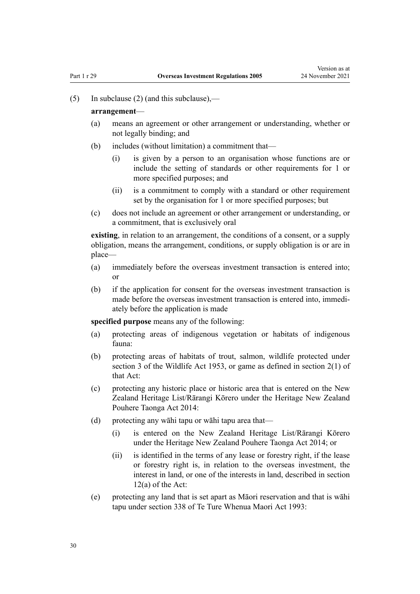(5) In subclause (2) (and this subclause),—

#### **arrangement**—

- (a) means an agreement or other arrangement or understanding, whether or not legally binding; and
- (b) includes (without limitation) a commitment that—
	- (i) is given by a person to an organisation whose functions are or include the setting of standards or other requirements for 1 or more specified purposes; and
	- (ii) is a commitment to comply with a standard or other requirement set by the organisation for 1 or more specified purposes; but
- (c) does not include an agreement or other arrangement or understanding, or a commitment, that is exclusively oral

**existing**, in relation to an arrangement, the conditions of a consent, or a supply obligation, means the arrangement, conditions, or supply obligation is or are in place—

- (a) immediately before the overseas investment transaction is entered into; or
- (b) if the application for consent for the overseas investment transaction is made before the overseas investment transaction is entered into, immediately before the application is made

**specified purpose** means any of the following:

- (a) protecting areas of indigenous vegetation or habitats of indigenous fauna:
- (b) protecting areas of habitats of trout, salmon, wildlife protected under [section 3](http://legislation.govt.nz/pdflink.aspx?id=DLM277090) of the Wildlife Act 1953, or game as defined in [section 2\(1\)](http://legislation.govt.nz/pdflink.aspx?id=DLM276819) of that Act:
- (c) protecting any historic place or historic area that is entered on the New Zealand Heritage List/Rārangi Kōrero under the [Heritage New Zealand](http://legislation.govt.nz/pdflink.aspx?id=DLM4005402) [Pouhere Taonga Act 2014:](http://legislation.govt.nz/pdflink.aspx?id=DLM4005402)
- (d) protecting any wāhi tapu or wāhi tapu area that—
	- (i) is entered on the New Zealand Heritage List/Rārangi Kōrero under the [Heritage New Zealand Pouhere Taonga Act 2014;](http://legislation.govt.nz/pdflink.aspx?id=DLM4005402) or
	- (ii) is identified in the terms of any lease or forestry right, if the lease or forestry right is, in relation to the overseas investment, the interest in land, or one of the interests in land, described in [section](http://legislation.govt.nz/pdflink.aspx?id=DLM358017) [12\(a\)](http://legislation.govt.nz/pdflink.aspx?id=DLM358017) of the Act:
- (e) protecting any land that is set apart as Māori reservation and that is wāhi tapu under [section 338](http://legislation.govt.nz/pdflink.aspx?id=DLM292881) of Te Ture Whenua Maori Act 1993: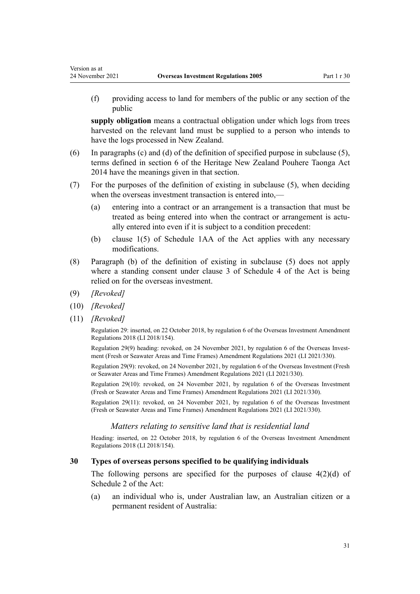(f) providing access to land for members of the public or any section of the public

**supply obligation** means a contractual obligation under which logs from trees harvested on the relevant land must be supplied to a person who intends to have the logs processed in New Zealand.

- (6) In paragraphs (c) and (d) of the definition of specified purpose in subclause (5), terms defined in [section 6](http://legislation.govt.nz/pdflink.aspx?id=DLM4005423) of the Heritage New Zealand Pouhere Taonga Act 2014 have the meanings given in that section.
- (7) For the purposes of the definition of existing in subclause (5), when deciding when the overseas investment transaction is entered into,—
	- (a) entering into a contract or an arrangement is a transaction that must be treated as being entered into when the contract or arrangement is actually entered into even if it is subject to a condition precedent:
	- (b) [clause 1\(5\)](http://legislation.govt.nz/pdflink.aspx?id=LMS111964) of Schedule 1AA of the Act applies with any necessary modifications.
- (8) Paragraph (b) of the definition of existing in subclause (5) does not apply where a standing consent under [clause 3](http://legislation.govt.nz/pdflink.aspx?id=LMS111258) of Schedule 4 of the Act is being relied on for the overseas investment.
- (9) *[Revoked]*

<span id="page-30-0"></span>Version as at

- (10) *[Revoked]*
- (11) *[Revoked]*

Regulation 29: inserted, on 22 October 2018, by [regulation 6](http://legislation.govt.nz/pdflink.aspx?id=LMS77006) of the Overseas Investment Amendment Regulations 2018 (LI 2018/154).

Regulation 29(9) heading: revoked, on 24 November 2021, by [regulation 6](http://legislation.govt.nz/pdflink.aspx?id=LMS572196) of the Overseas Investment (Fresh or Seawater Areas and Time Frames) Amendment Regulations 2021 (LI 2021/330).

Regulation 29(9): revoked, on 24 November 2021, by [regulation 6](http://legislation.govt.nz/pdflink.aspx?id=LMS572196) of the Overseas Investment (Fresh or Seawater Areas and Time Frames) Amendment Regulations 2021 (LI 2021/330).

Regulation 29(10): revoked, on 24 November 2021, by [regulation 6](http://legislation.govt.nz/pdflink.aspx?id=LMS572196) of the Overseas Investment (Fresh or Seawater Areas and Time Frames) Amendment Regulations 2021 (LI 2021/330).

Regulation 29(11): revoked, on 24 November 2021, by [regulation 6](http://legislation.govt.nz/pdflink.aspx?id=LMS572196) of the Overseas Investment (Fresh or Seawater Areas and Time Frames) Amendment Regulations 2021 (LI 2021/330).

#### *Matters relating to sensitive land that is residential land*

Heading: inserted, on 22 October 2018, by [regulation 6](http://legislation.govt.nz/pdflink.aspx?id=LMS77006) of the Overseas Investment Amendment Regulations 2018 (LI 2018/154).

#### **30 Types of overseas persons specified to be qualifying individuals**

The following persons are specified for the purposes of clause  $4(2)(d)$  of Schedule 2 of the Act:

(a) an individual who is, under Australian law, an Australian citizen or a permanent resident of Australia: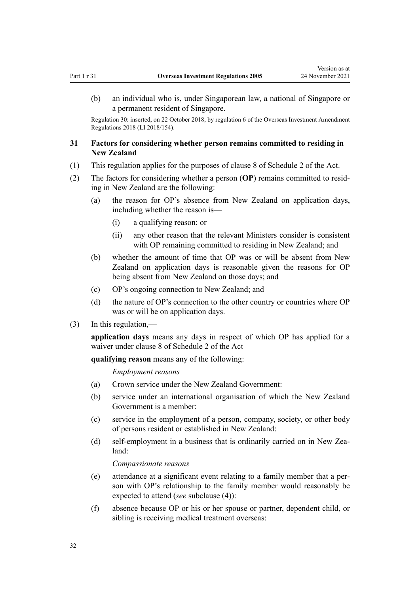<span id="page-31-0"></span>(b) an individual who is, under Singaporean law, a national of Singapore or a permanent resident of Singapore.

Regulation 30: inserted, on 22 October 2018, by [regulation 6](http://legislation.govt.nz/pdflink.aspx?id=LMS77006) of the Overseas Investment Amendment Regulations 2018 (LI 2018/154).

# **31 Factors for considering whether person remains committed to residing in New Zealand**

- (1) This regulation applies for the purposes of [clause 8](http://legislation.govt.nz/pdflink.aspx?id=LMS112326) of Schedule 2 of the Act.
- (2) The factors for considering whether a person (**OP**) remains committed to resid‐ ing in New Zealand are the following:
	- (a) the reason for OP's absence from New Zealand on application days, including whether the reason is—
		- (i) a qualifying reason; or
		- (ii) any other reason that the relevant Ministers consider is consistent with OP remaining committed to residing in New Zealand; and
	- (b) whether the amount of time that OP was or will be absent from New Zealand on application days is reasonable given the reasons for OP being absent from New Zealand on those days; and
	- (c) OP's ongoing connection to New Zealand; and
	- (d) the nature of OP's connection to the other country or countries where OP was or will be on application days.
- (3) In this regulation,—

**application days** means any days in respect of which OP has applied for a waiver under [clause 8](http://legislation.govt.nz/pdflink.aspx?id=LMS112326) of Schedule 2 of the Act

**qualifying reason** means any of the following:

*Employment reasons*

- (a) Crown service under the New Zealand Government:
- (b) service under an international organisation of which the New Zealand Government is a member:
- (c) service in the employment of a person, company, society, or other body of persons resident or established in New Zealand:
- (d) self-employment in a business that is ordinarily carried on in New Zealand:

*Compassionate reasons*

- (e) attendance at a significant event relating to a family member that a per‐ son with OP's relationship to the family member would reasonably be expected to attend (*see* subclause (4)):
- (f) absence because OP or his or her spouse or partner, dependent child, or sibling is receiving medical treatment overseas: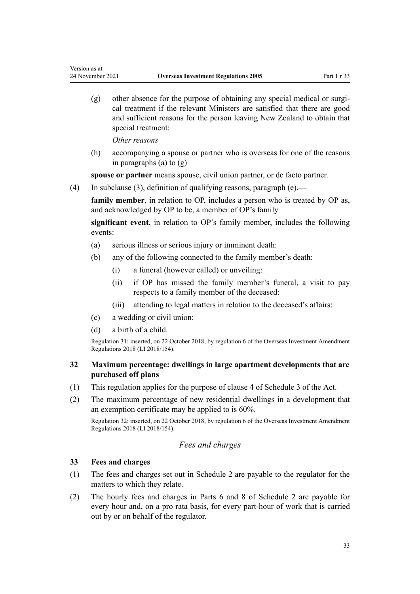$(g)$  other absence for the purpose of obtaining any special medical or surgical treatment if the relevant Ministers are satisfied that there are good and sufficient reasons for the person leaving New Zealand to obtain that special treatment:

*Other reasons*

<span id="page-32-0"></span>Version as at

(h) accompanying a spouse or partner who is overseas for one of the reasons in paragraphs (a) to (g)

**spouse or partner** means spouse, civil union partner, or de facto partner.

(4) In subclause (3), definition of qualifying reasons, paragraph  $(e)$ ,—

**family member**, in relation to OP, includes a person who is treated by OP as, and acknowledged by OP to be, a member of OP's family

**significant event**, in relation to OP's family member, includes the following events:

- (a) serious illness or serious injury or imminent death:
- (b) any of the following connected to the family member's death:
	- (i) a funeral (however called) or unveiling:
	- (ii) if OP has missed the family member's funeral, a visit to pay respects to a family member of the deceased:
	- (iii) attending to legal matters in relation to the deceased's affairs:
- (c) a wedding or civil union:
- (d) a birth of a child.

Regulation 31: inserted, on 22 October 2018, by [regulation 6](http://legislation.govt.nz/pdflink.aspx?id=LMS77006) of the Overseas Investment Amendment Regulations 2018 (LI 2018/154).

# **32 Maximum percentage: dwellings in large apartment developments that are purchased off plans**

- (1) This regulation applies for the purpose of [clause 4](http://legislation.govt.nz/pdflink.aspx?id=LMS111210) of Schedule 3 of the Act.
- (2) The maximum percentage of new residential dwellings in a development that an exemption certificate may be applied to is 60%.

Regulation 32: inserted, on 22 October 2018, by [regulation 6](http://legislation.govt.nz/pdflink.aspx?id=LMS77006) of the Overseas Investment Amendment Regulations 2018 (LI 2018/154).

# *Fees and charges*

# **33 Fees and charges**

- (1) The fees and charges set out in [Schedule 2](#page-118-0) are payable to the regulator for the matters to which they relate.
- (2) The hourly fees and charges in [Parts 6](#page-123-0) and [8](#page-124-0) of Schedule 2 are payable for every hour and, on a pro rata basis, for every part-hour of work that is carried out by or on behalf of the regulator.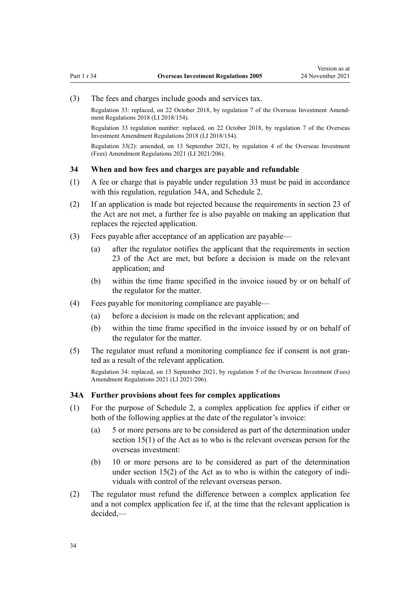<span id="page-33-0"></span>(3) The fees and charges include goods and services tax.

Regulation 33: replaced, on 22 October 2018, by [regulation 7](http://legislation.govt.nz/pdflink.aspx?id=LMS77009) of the Overseas Investment Amendment Regulations 2018 (LI 2018/154).

Regulation 33 regulation number: replaced, on 22 October 2018, by [regulation 7](http://legislation.govt.nz/pdflink.aspx?id=LMS77009) of the Overseas Investment Amendment Regulations 2018 (LI 2018/154).

Regulation 33(2): amended, on 13 September 2021, by [regulation 4](http://legislation.govt.nz/pdflink.aspx?id=LMS528048) of the Overseas Investment (Fees) Amendment Regulations 2021 (LI 2021/206).

## **34 When and how fees and charges are payable and refundable**

- (1) A fee or charge that is payable under [regulation 33](#page-32-0) must be paid in accordance with this regulation, regulation 34A, and [Schedule 2.](#page-118-0)
- (2) If an application is made but rejected because the requirements in [section 23](http://legislation.govt.nz/pdflink.aspx?id=DLM358035) of the Act are not met, a further fee is also payable on making an application that replaces the rejected application.
- (3) Fees payable after acceptance of an application are payable—
	- (a) after the regulator notifies the applicant that the requirements in [section](http://legislation.govt.nz/pdflink.aspx?id=DLM358035) [23](http://legislation.govt.nz/pdflink.aspx?id=DLM358035) of the Act are met, but before a decision is made on the relevant application; and
	- (b) within the time frame specified in the invoice issued by or on behalf of the regulator for the matter.
- (4) Fees payable for monitoring compliance are payable—
	- (a) before a decision is made on the relevant application; and
	- (b) within the time frame specified in the invoice issued by or on behalf of the regulator for the matter.
- (5) The regulator must refund a monitoring compliance fee if consent is not gran‐ ted as a result of the relevant application.

Regulation 34: replaced, on 13 September 2021, by [regulation 5](http://legislation.govt.nz/pdflink.aspx?id=LMS528051) of the Overseas Investment (Fees) Amendment Regulations 2021 (LI 2021/206).

#### **34A Further provisions about fees for complex applications**

- (1) For the purpose of [Schedule 2](#page-118-0), a complex application fee applies if either or both of the following applies at the date of the regulator's invoice:
	- (a) 5 or more persons are to be considered as part of the determination under [section 15\(1\)](http://legislation.govt.nz/pdflink.aspx?id=DLM358023) of the Act as to who is the relevant overseas person for the overseas investment:
	- (b) 10 or more persons are to be considered as part of the determination under section  $15(2)$  of the Act as to who is within the category of individuals with control of the relevant overseas person.
- (2) The regulator must refund the difference between a complex application fee and a not complex application fee if, at the time that the relevant application is decided,—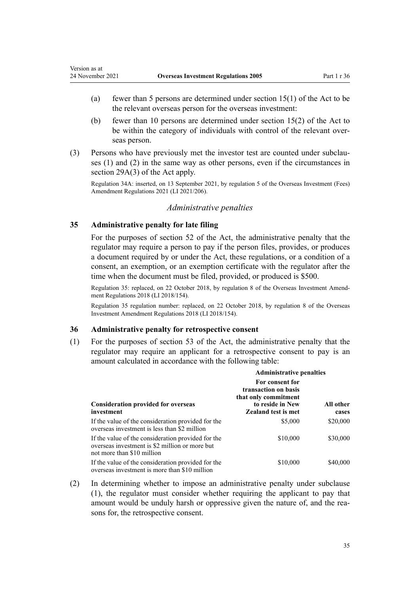- (a) fewer than 5 persons are determined under section  $15(1)$  of the Act to be the relevant overseas person for the overseas investment:
- (b) fewer than 10 persons are determined under [section 15\(2\)](http://legislation.govt.nz/pdflink.aspx?id=DLM358023) of the Act to be within the category of individuals with control of the relevant overseas person.
- (3) Persons who have previously met the investor test are counted under subclauses (1) and (2) in the same way as other persons, even if the circumstances in [section 29A\(3\)](http://legislation.govt.nz/pdflink.aspx?id=LMS518920) of the Act apply.

Regulation 34A: inserted, on 13 September 2021, by [regulation 5](http://legislation.govt.nz/pdflink.aspx?id=LMS528051) of the Overseas Investment (Fees) Amendment Regulations 2021 (LI 2021/206).

## *Administrative penalties*

## **35 Administrative penalty for late filing**

<span id="page-34-0"></span>Version as at

For the purposes of [section 52](http://legislation.govt.nz/pdflink.aspx?id=DLM358072) of the Act, the administrative penalty that the regulator may require a person to pay if the person files, provides, or produces a document required by or under the Act, these regulations, or a condition of a consent, an exemption, or an exemption certificate with the regulator after the time when the document must be filed, provided, or produced is \$500.

Regulation 35: replaced, on 22 October 2018, by [regulation 8](http://legislation.govt.nz/pdflink.aspx?id=LMS77011) of the Overseas Investment Amendment Regulations 2018 (LI 2018/154).

Regulation 35 regulation number: replaced, on 22 October 2018, by [regulation 8](http://legislation.govt.nz/pdflink.aspx?id=LMS77011) of the Overseas Investment Amendment Regulations 2018 (LI 2018/154).

# **36 Administrative penalty for retrospective consent**

(1) For the purposes of [section 53](http://legislation.govt.nz/pdflink.aspx?id=DLM358073) of the Act, the administrative penalty that the regulator may require an applicant for a retrospective consent to pay is an amount calculated in accordance with the following table:

|                                                                                                                                    | <b>Administrative penalties</b>                                                                                   |                    |
|------------------------------------------------------------------------------------------------------------------------------------|-------------------------------------------------------------------------------------------------------------------|--------------------|
| <b>Consideration provided for overseas</b><br>investment                                                                           | For consent for<br>transaction on basis<br>that only commitment<br>to reside in New<br><b>Zealand test is met</b> | All other<br>cases |
| If the value of the consideration provided for the<br>overseas investment is less than \$2 million                                 | \$5,000                                                                                                           | \$20,000           |
| If the value of the consideration provided for the<br>overseas investment is \$2 million or more but<br>not more than \$10 million | \$10,000                                                                                                          | \$30,000           |
| If the value of the consideration provided for the<br>overseas investment is more than \$10 million                                | \$10,000                                                                                                          | \$40,000           |

(2) In determining whether to impose an administrative penalty under subclause (1), the regulator must consider whether requiring the applicant to pay that amount would be unduly harsh or oppressive given the nature of, and the reasons for, the retrospective consent.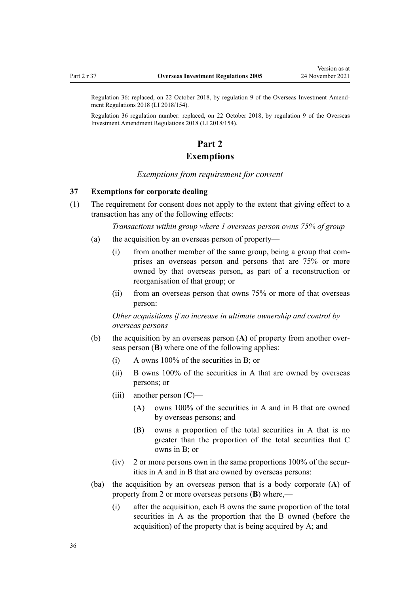<span id="page-35-0"></span>Regulation 36: replaced, on 22 October 2018, by [regulation 9](http://legislation.govt.nz/pdflink.aspx?id=LMS77014) of the Overseas Investment Amend‐ ment Regulations 2018 (LI 2018/154).

Regulation 36 regulation number: replaced, on 22 October 2018, by [regulation 9](http://legislation.govt.nz/pdflink.aspx?id=LMS77014) of the Overseas Investment Amendment Regulations 2018 (LI 2018/154).

# **Part 2**

# **Exemptions**

*Exemptions from requirement for consent*

# **37 Exemptions for corporate dealing**

(1) The requirement for consent does not apply to the extent that giving effect to a transaction has any of the following effects:

*Transactions within group where 1 overseas person owns 75% of group*

- (a) the acquisition by an overseas person of property—
	- (i) from another member of the same group, being a group that comprises an overseas person and persons that are 75% or more owned by that overseas person, as part of a reconstruction or reorganisation of that group; or
	- (ii) from an overseas person that owns 75% or more of that overseas person:

*Other acquisitions if no increase in ultimate ownership and control by overseas persons*

- (b) the acquisition by an overseas person (**A**) of property from another over‐ seas person (**B**) where one of the following applies:
	- (i) A owns 100% of the securities in B; or
	- (ii) B owns 100% of the securities in A that are owned by overseas persons; or
	- (iii) another person (**C**)—
		- (A) owns 100% of the securities in A and in B that are owned by overseas persons; and
		- (B) owns a proportion of the total securities in A that is no greater than the proportion of the total securities that C owns in B; or
	- $(iv)$  2 or more persons own in the same proportions 100% of the securities in A and in B that are owned by overseas persons:
- (ba) the acquisition by an overseas person that is a body corporate (**A**) of property from 2 or more overseas persons (**B**) where,—
	- (i) after the acquisition, each B owns the same proportion of the total securities in A as the proportion that the B owned (before the acquisition) of the property that is being acquired by A; and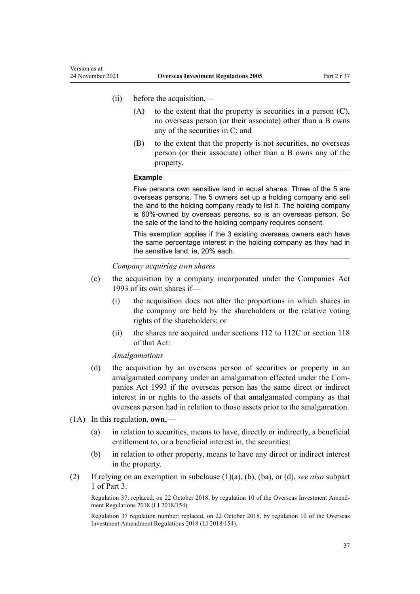- (ii) before the acquisition,—
	- (A) to the extent that the property is securities in a person (**C**), no overseas person (or their associate) other than a B owns any of the securities in C; and
	- (B) to the extent that the property is not securities, no overseas person (or their associate) other than a B owns any of the property.

#### **Example**

Five persons own sensitive land in equal shares. Three of the 5 are overseas persons. The 5 owners set up a holding company and sell the land to the holding company ready to list it. The holding company is 60%-owned by overseas persons, so is an overseas person. So the sale of the land to the holding company requires consent.

This exemption applies if the 3 existing overseas owners each have the same percentage interest in the holding company as they had in the sensitive land, ie, 20% each.

*Company acquiring own shares*

- (c) the acquisition by a company incorporated under the [Companies Act](http://legislation.govt.nz/pdflink.aspx?id=DLM319569) [1993](http://legislation.govt.nz/pdflink.aspx?id=DLM319569) of its own shares if—
	- (i) the acquisition does not alter the proportions in which shares in the company are held by the shareholders or the relative voting rights of the shareholders; or
	- (ii) the shares are acquired under [sections 112 to 112C](http://legislation.govt.nz/pdflink.aspx?id=DLM320498) or [section 118](http://legislation.govt.nz/pdflink.aspx?id=DLM320611) of that Act:

*Amalgamations*

- (d) the acquisition by an overseas person of securities or property in an amalgamated company under an amalgamation effected under the [Com‐](http://legislation.govt.nz/pdflink.aspx?id=DLM319569) [panies Act 1993](http://legislation.govt.nz/pdflink.aspx?id=DLM319569) if the overseas person has the same direct or indirect interest in or rights to the assets of that amalgamated company as that overseas person had in relation to those assets prior to the amalgamation.
- (1A) In this regulation, **own**,—
	- (a) in relation to securities, means to have, directly or indirectly, a beneficial entitlement to, or a beneficial interest in, the securities:
	- (b) in relation to other property, means to have any direct or indirect interest in the property.
- (2) If relying on an exemption in subclause (1)(a), (b), (ba), or (d), *see also* [subpart](#page-69-0) [1](#page-69-0) of Part 3.

Regulation 37: replaced, on 22 October 2018, by [regulation 10](http://legislation.govt.nz/pdflink.aspx?id=LMS77052) of the Overseas Investment Amendment Regulations 2018 (LI 2018/154).

Regulation 37 regulation number: replaced, on 22 October 2018, by [regulation 10](http://legislation.govt.nz/pdflink.aspx?id=LMS77052) of the Overseas Investment Amendment Regulations 2018 (LI 2018/154).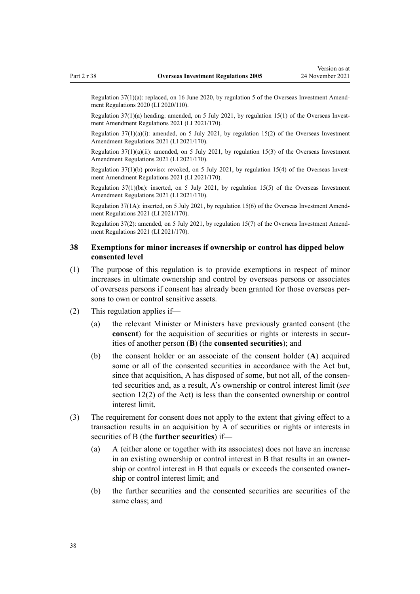Regulation 37(1)(a): replaced, on 16 June 2020, by [regulation 5](http://legislation.govt.nz/pdflink.aspx?id=LMS345190) of the Overseas Investment Amendment Regulations 2020 (LI 2020/110).

Regulation  $37(1)(a)$  heading: amended, on 5 July 2021, by [regulation 15\(1\)](http://legislation.govt.nz/pdflink.aspx?id=LMS500847) of the Overseas Investment Amendment Regulations 2021 (LI 2021/170).

Regulation 37(1)(a)(i): amended, on 5 July 2021, by [regulation 15\(2\)](http://legislation.govt.nz/pdflink.aspx?id=LMS500847) of the Overseas Investment Amendment Regulations 2021 (LI 2021/170).

Regulation  $37(1)(a)(ii)$ : amended, on 5 July 2021, by [regulation 15\(3\)](http://legislation.govt.nz/pdflink.aspx?id=LMS500847) of the Overseas Investment Amendment Regulations 2021 (LI 2021/170).

Regulation 37(1)(b) proviso: revoked, on 5 July 2021, by [regulation 15\(4\)](http://legislation.govt.nz/pdflink.aspx?id=LMS500847) of the Overseas Investment Amendment Regulations 2021 (LI 2021/170).

Regulation 37(1)(ba): inserted, on 5 July 2021, by [regulation 15\(5\)](http://legislation.govt.nz/pdflink.aspx?id=LMS500847) of the Overseas Investment Amendment Regulations 2021 (LI 2021/170).

Regulation 37(1A): inserted, on 5 July 2021, by [regulation 15\(6\)](http://legislation.govt.nz/pdflink.aspx?id=LMS500847) of the Overseas Investment Amend‐ ment Regulations 2021 (LI 2021/170).

Regulation 37(2): amended, on 5 July 2021, by [regulation 15\(7\)](http://legislation.govt.nz/pdflink.aspx?id=LMS500847) of the Overseas Investment Amend‐ ment Regulations 2021 (LI 2021/170).

# **38 Exemptions for minor increases if ownership or control has dipped below consented level**

- (1) The purpose of this regulation is to provide exemptions in respect of minor increases in ultimate ownership and control by overseas persons or associates of overseas persons if consent has already been granted for those overseas per‐ sons to own or control sensitive assets.
- (2) This regulation applies if—
	- (a) the relevant Minister or Ministers have previously granted consent (the **consent**) for the acquisition of securities or rights or interests in securities of another person (**B**) (the **consented securities**); and
	- (b) the consent holder or an associate of the consent holder (**A**) acquired some or all of the consented securities in accordance with the Act but, since that acquisition, A has disposed of some, but not all, of the consented securities and, as a result, A's ownership or control interest limit (*see* [section 12\(2\)](http://legislation.govt.nz/pdflink.aspx?id=DLM358017) of the Act) is less than the consented ownership or control interest limit.
- (3) The requirement for consent does not apply to the extent that giving effect to a transaction results in an acquisition by A of securities or rights or interests in securities of B (the **further securities**) if—
	- (a) A (either alone or together with its associates) does not have an increase in an existing ownership or control interest in B that results in an owner‐ ship or control interest in B that equals or exceeds the consented ownership or control interest limit; and
	- (b) the further securities and the consented securities are securities of the same class; and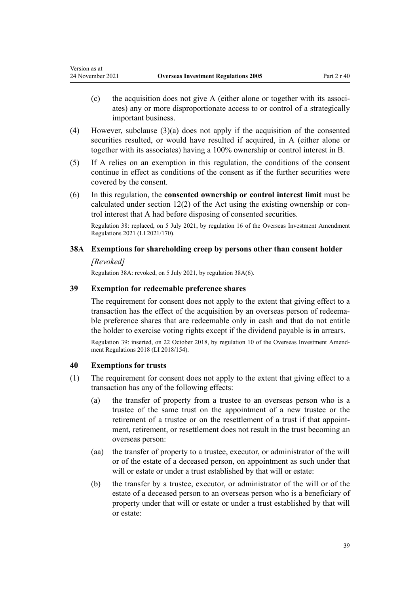- $(c)$  the acquisition does not give A (either alone or together with its associates) any or more disproportionate access to or control of a strategically important business.
- (4) However, subclause (3)(a) does not apply if the acquisition of the consented securities resulted, or would have resulted if acquired, in A (either alone or together with its associates) having a 100% ownership or control interest in B.
- (5) If A relies on an exemption in this regulation, the conditions of the consent continue in effect as conditions of the consent as if the further securities were covered by the consent.
- (6) In this regulation, the **consented ownership or control interest limit** must be calculated under section  $12(2)$  of the Act using the existing ownership or control interest that A had before disposing of consented securities.

Regulation 38: replaced, on 5 July 2021, by [regulation 16](http://legislation.govt.nz/pdflink.aspx?id=LMS500855) of the Overseas Investment Amendment Regulations 2021 (LI 2021/170).

# **38A Exemptions for shareholding creep by persons other than consent holder**

# *[Revoked]*

<span id="page-38-0"></span>Version as at

Regulation 38A: revoked, on 5 July 2021, by regulation 38A(6).

# **39 Exemption for redeemable preference shares**

The requirement for consent does not apply to the extent that giving effect to a transaction has the effect of the acquisition by an overseas person of redeema‐ ble preference shares that are redeemable only in cash and that do not entitle the holder to exercise voting rights except if the dividend payable is in arrears.

Regulation 39: inserted, on 22 October 2018, by [regulation 10](http://legislation.govt.nz/pdflink.aspx?id=LMS77052) of the Overseas Investment Amend‐ ment Regulations 2018 (LI 2018/154).

# **40 Exemptions for trusts**

- (1) The requirement for consent does not apply to the extent that giving effect to a transaction has any of the following effects:
	- (a) the transfer of property from a trustee to an overseas person who is a trustee of the same trust on the appointment of a new trustee or the retirement of a trustee or on the resettlement of a trust if that appointment, retirement, or resettlement does not result in the trust becoming an overseas person:
	- (aa) the transfer of property to a trustee, executor, or administrator of the will or of the estate of a deceased person, on appointment as such under that will or estate or under a trust established by that will or estate:
	- (b) the transfer by a trustee, executor, or administrator of the will or of the estate of a deceased person to an overseas person who is a beneficiary of property under that will or estate or under a trust established by that will or estate: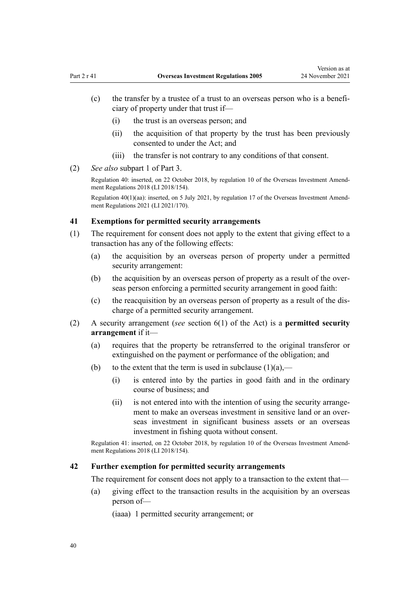- (c) the transfer by a trustee of a trust to an overseas person who is a benefi‐ ciary of property under that trust if—
	- (i) the trust is an overseas person; and
	- (ii) the acquisition of that property by the trust has been previously consented to under the Act; and
	- (iii) the transfer is not contrary to any conditions of that consent.
- (2) *See also* [subpart 1](#page-69-0) of Part 3.

Regulation 40: inserted, on 22 October 2018, by [regulation 10](http://legislation.govt.nz/pdflink.aspx?id=LMS77052) of the Overseas Investment Amend‐ ment Regulations 2018 (LI 2018/154).

Regulation 40(1)(aa): inserted, on 5 July 2021, by [regulation 17](http://legislation.govt.nz/pdflink.aspx?id=LMS500856) of the Overseas Investment Amendment Regulations 2021 (LI 2021/170).

# **41 Exemptions for permitted security arrangements**

- (1) The requirement for consent does not apply to the extent that giving effect to a transaction has any of the following effects:
	- (a) the acquisition by an overseas person of property under a permitted security arrangement:
	- (b) the acquisition by an overseas person of property as a result of the overseas person enforcing a permitted security arrangement in good faith:
	- (c) the reacquisition by an overseas person of property as a result of the dis‐ charge of a permitted security arrangement.
- (2) A security arrangement (*see* [section 6\(1\)](http://legislation.govt.nz/pdflink.aspx?id=DLM356891) of the Act) is a **permitted security arrangement** if it—
	- (a) requires that the property be retransferred to the original transferor or extinguished on the payment or performance of the obligation; and
	- (b) to the extent that the term is used in subclause  $(1)(a)$ ,—
		- (i) is entered into by the parties in good faith and in the ordinary course of business; and
		- (ii) is not entered into with the intention of using the security arrangement to make an overseas investment in sensitive land or an overseas investment in significant business assets or an overseas investment in fishing quota without consent.

Regulation 41: inserted, on 22 October 2018, by [regulation 10](http://legislation.govt.nz/pdflink.aspx?id=LMS77052) of the Overseas Investment Amend‐ ment Regulations 2018 (LI 2018/154).

# **42 Further exemption for permitted security arrangements**

The requirement for consent does not apply to a transaction to the extent that—

(a) giving effect to the transaction results in the acquisition by an overseas person of—

(iaaa) 1 permitted security arrangement; or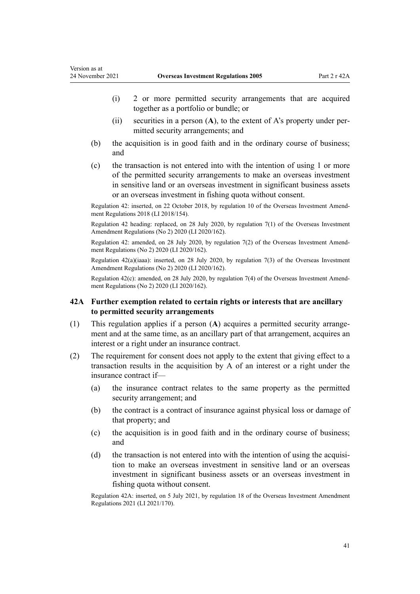- (i) 2 or more permitted security arrangements that are acquired together as a portfolio or bundle; or
- $(ii)$  securities in a person  $(A)$ , to the extent of A's property under permitted security arrangements; and
- (b) the acquisition is in good faith and in the ordinary course of business; and
- (c) the transaction is not entered into with the intention of using 1 or more of the permitted security arrangements to make an overseas investment in sensitive land or an overseas investment in significant business assets or an overseas investment in fishing quota without consent.

Regulation 42: inserted, on 22 October 2018, by [regulation 10](http://legislation.govt.nz/pdflink.aspx?id=LMS77052) of the Overseas Investment Amend‐ ment Regulations 2018 (LI 2018/154).

Regulation 42 heading: replaced, on 28 July 2020, by [regulation 7\(1\)](http://legislation.govt.nz/pdflink.aspx?id=LMS353126) of the Overseas Investment Amendment Regulations (No 2) 2020 (LI 2020/162).

Regulation 42: amended, on 28 July 2020, by [regulation 7\(2\)](http://legislation.govt.nz/pdflink.aspx?id=LMS353126) of the Overseas Investment Amendment Regulations (No 2) 2020 (LI 2020/162).

Regulation 42(a)(iaaa): inserted, on 28 July 2020, by [regulation 7\(3\)](http://legislation.govt.nz/pdflink.aspx?id=LMS353126) of the Overseas Investment Amendment Regulations (No 2) 2020 (LI 2020/162).

Regulation 42(c): amended, on 28 July 2020, by [regulation 7\(4\)](http://legislation.govt.nz/pdflink.aspx?id=LMS353126) of the Overseas Investment Amend‐ ment Regulations (No 2) 2020 (LI 2020/162).

# **42A Further exemption related to certain rights or interests that are ancillary to permitted security arrangements**

- (1) This regulation applies if a person (**A**) acquires a permitted security arrange‐ ment and at the same time, as an ancillary part of that arrangement, acquires an interest or a right under an insurance contract.
- (2) The requirement for consent does not apply to the extent that giving effect to a transaction results in the acquisition by A of an interest or a right under the insurance contract if—
	- (a) the insurance contract relates to the same property as the permitted security arrangement; and
	- (b) the contract is a contract of insurance against physical loss or damage of that property; and
	- (c) the acquisition is in good faith and in the ordinary course of business; and
	- $(d)$  the transaction is not entered into with the intention of using the acquisition to make an overseas investment in sensitive land or an overseas investment in significant business assets or an overseas investment in fishing quota without consent.

Regulation 42A: inserted, on 5 July 2021, by [regulation 18](http://legislation.govt.nz/pdflink.aspx?id=LMS500860) of the Overseas Investment Amendment Regulations 2021 (LI 2021/170).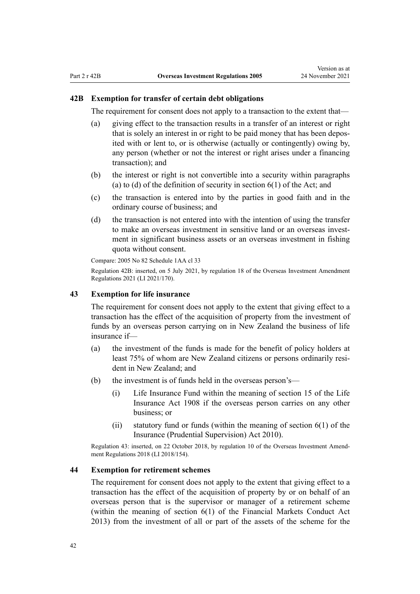# **42B Exemption for transfer of certain debt obligations**

The requirement for consent does not apply to a transaction to the extent that—

- (a) giving effect to the transaction results in a transfer of an interest or right that is solely an interest in or right to be paid money that has been depos‐ ited with or lent to, or is otherwise (actually or contingently) owing by, any person (whether or not the interest or right arises under a financing transaction); and
- (b) the interest or right is not convertible into a security within paragraphs (a) to (d) of the definition of security in section  $6(1)$  of the Act; and
- (c) the transaction is entered into by the parties in good faith and in the ordinary course of business; and
- (d) the transaction is not entered into with the intention of using the transfer to make an overseas investment in sensitive land or an overseas investment in significant business assets or an overseas investment in fishing quota without consent.

Compare: 2005 No 82 Schedule 1AA [cl 33](http://legislation.govt.nz/pdflink.aspx?id=LMS360401)

Regulation 42B: inserted, on 5 July 2021, by [regulation 18](http://legislation.govt.nz/pdflink.aspx?id=LMS500860) of the Overseas Investment Amendment Regulations 2021 (LI 2021/170).

## **43 Exemption for life insurance**

The requirement for consent does not apply to the extent that giving effect to a transaction has the effect of the acquisition of property from the investment of funds by an overseas person carrying on in New Zealand the business of life insurance if—

- (a) the investment of the funds is made for the benefit of policy holders at least 75% of whom are New Zealand citizens or persons ordinarily resident in New Zealand; and
- (b) the investment is of funds held in the overseas person's—
	- (i) Life Insurance Fund within the meaning of [section 15](http://legislation.govt.nz/pdflink.aspx?id=DLM169746) of the Life Insurance Act 1908 if the overseas person carries on any other business; or
	- (ii) statutory fund or funds (within the meaning of section  $6(1)$  of the Insurance (Prudential Supervision) Act 2010).

Regulation 43: inserted, on 22 October 2018, by [regulation 10](http://legislation.govt.nz/pdflink.aspx?id=LMS77052) of the Overseas Investment Amend‐ ment Regulations 2018 (LI 2018/154).

# **44 Exemption for retirement schemes**

The requirement for consent does not apply to the extent that giving effect to a transaction has the effect of the acquisition of property by or on behalf of an overseas person that is the supervisor or manager of a retirement scheme (within the meaning of [section 6\(1\)](http://legislation.govt.nz/pdflink.aspx?id=DLM4090590) of the Financial Markets Conduct Act 2013) from the investment of all or part of the assets of the scheme for the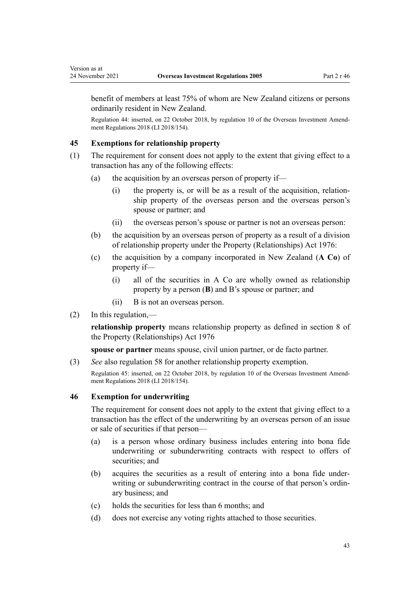benefit of members at least 75% of whom are New Zealand citizens or persons ordinarily resident in New Zealand.

Regulation 44: inserted, on 22 October 2018, by [regulation 10](http://legislation.govt.nz/pdflink.aspx?id=LMS77052) of the Overseas Investment Amend‐ ment Regulations 2018 (LI 2018/154).

# **45 Exemptions for relationship property**

- (1) The requirement for consent does not apply to the extent that giving effect to a transaction has any of the following effects:
	- (a) the acquisition by an overseas person of property if—
		- $(i)$  the property is, or will be as a result of the acquisition, relationship property of the overseas person and the overseas person's spouse or partner; and
		- (ii) the overseas person's spouse or partner is not an overseas person:
	- (b) the acquisition by an overseas person of property as a result of a division of relationship property under the [Property \(Relationships\) Act 1976:](http://legislation.govt.nz/pdflink.aspx?id=DLM440944)
	- (c) the acquisition by a company incorporated in New Zealand (**A Co**) of property if—
		- (i) all of the securities in A Co are wholly owned as relationship property by a person (**B**) and B's spouse or partner; and
		- (ii) B is not an overseas person.
- $(2)$  In this regulation,—

**relationship property** means relationship property as defined in [section 8](http://legislation.govt.nz/pdflink.aspx?id=DLM441170) of the Property (Relationships) Act 1976

**spouse or partner** means spouse, civil union partner, or de facto partner.

(3) *See* also [regulation 58](#page-62-0) for another relationship property exemption.

Regulation 45: inserted, on 22 October 2018, by [regulation 10](http://legislation.govt.nz/pdflink.aspx?id=LMS77052) of the Overseas Investment Amendment Regulations 2018 (LI 2018/154).

# **46 Exemption for underwriting**

The requirement for consent does not apply to the extent that giving effect to a transaction has the effect of the underwriting by an overseas person of an issue or sale of securities if that person—

- (a) is a person whose ordinary business includes entering into bona fide underwriting or subunderwriting contracts with respect to offers of securities; and
- (b) acquires the securities as a result of entering into a bona fide under‐ writing or subunderwriting contract in the course of that person's ordinary business; and
- (c) holds the securities for less than 6 months; and
- (d) does not exercise any voting rights attached to those securities.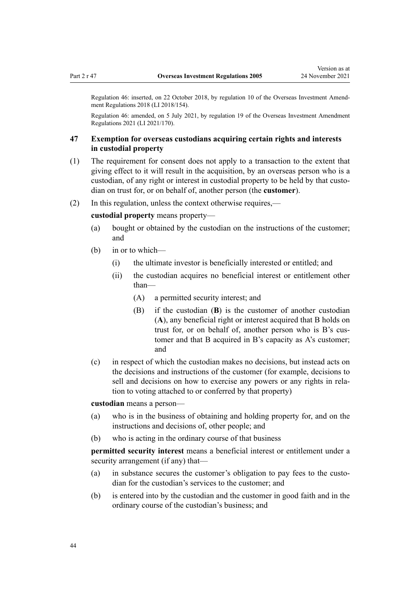Regulation 46: inserted, on 22 October 2018, by [regulation 10](http://legislation.govt.nz/pdflink.aspx?id=LMS77052) of the Overseas Investment Amend‐ ment Regulations 2018 (LI 2018/154).

Regulation 46: amended, on 5 July 2021, by [regulation 19](http://legislation.govt.nz/pdflink.aspx?id=LMS500861) of the Overseas Investment Amendment Regulations 2021 (LI 2021/170).

# **47 Exemption for overseas custodians acquiring certain rights and interests in custodial property**

- (1) The requirement for consent does not apply to a transaction to the extent that giving effect to it will result in the acquisition, by an overseas person who is a custodian, of any right or interest in custodial property to be held by that custo‐ dian on trust for, or on behalf of, another person (the **customer**).
- (2) In this regulation, unless the context otherwise requires,—

# **custodial property** means property—

- (a) bought or obtained by the custodian on the instructions of the customer; and
- (b) in or to which—
	- (i) the ultimate investor is beneficially interested or entitled; and
	- (ii) the custodian acquires no beneficial interest or entitlement other than—
		- (A) a permitted security interest; and
		- (B) if the custodian (**B**) is the customer of another custodian (**A**), any beneficial right or interest acquired that B holds on trust for, or on behalf of, another person who is B's customer and that B acquired in B's capacity as A's customer; and
- (c) in respect of which the custodian makes no decisions, but instead acts on the decisions and instructions of the customer (for example, decisions to sell and decisions on how to exercise any powers or any rights in relation to voting attached to or conferred by that property)

**custodian** means a person—

- (a) who is in the business of obtaining and holding property for, and on the instructions and decisions of, other people; and
- (b) who is acting in the ordinary course of that business

**permitted security interest** means a beneficial interest or entitlement under a security arrangement (if any) that—

- (a) in substance secures the customer's obligation to pay fees to the custo‐ dian for the custodian's services to the customer; and
- (b) is entered into by the custodian and the customer in good faith and in the ordinary course of the custodian's business; and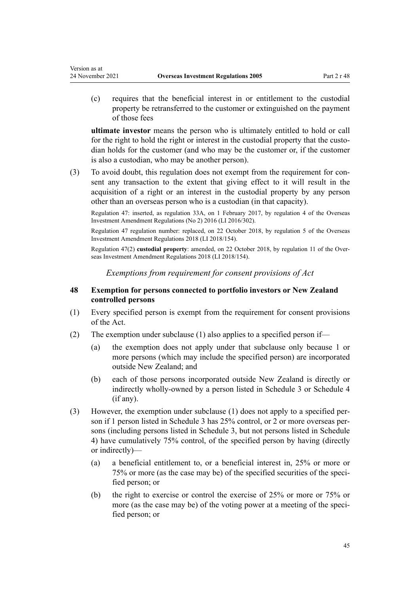<span id="page-44-0"></span>Version as at

(c) requires that the beneficial interest in or entitlement to the custodial property be retransferred to the customer or extinguished on the payment of those fees

**ultimate investor** means the person who is ultimately entitled to hold or call for the right to hold the right or interest in the custodial property that the custodian holds for the customer (and who may be the customer or, if the customer is also a custodian, who may be another person).

(3) To avoid doubt, this regulation does not exempt from the requirement for consent any transaction to the extent that giving effect to it will result in the acquisition of a right or an interest in the custodial property by any person other than an overseas person who is a custodian (in that capacity).

Regulation 47: inserted, as regulation 33A, on 1 February 2017, by [regulation 4](http://legislation.govt.nz/pdflink.aspx?id=DLM7059225) of the Overseas Investment Amendment Regulations (No 2) 2016 (LI 2016/302).

Regulation 47 regulation number: replaced, on 22 October 2018, by [regulation 5](http://legislation.govt.nz/pdflink.aspx?id=LMS76980) of the Overseas Investment Amendment Regulations 2018 (LI 2018/154).

Regulation 47(2) **custodial property**: amended, on 22 October 2018, by [regulation 11](http://legislation.govt.nz/pdflink.aspx?id=LMS77054) of the Overseas Investment Amendment Regulations 2018 (LI 2018/154).

*Exemptions from requirement for consent provisions of Act*

# **48 Exemption for persons connected to portfolio investors or New Zealand controlled persons**

- (1) Every specified person is exempt from the requirement for consent provisions of the Act.
- (2) The exemption under subclause (1) also applies to a specified person if—
	- (a) the exemption does not apply under that subclause only because 1 or more persons (which may include the specified person) are incorporated outside New Zealand; and
	- (b) each of those persons incorporated outside New Zealand is directly or indirectly wholly-owned by a person listed in [Schedule 3](#page-125-0) or [Schedule 4](#page-126-0) (if any).
- (3) However, the exemption under subclause (1) does not apply to a specified per‐ son if 1 person listed in [Schedule 3](#page-125-0) has  $25%$  control, or 2 or more overseas persons (including persons listed in Schedule 3, but not persons listed in [Schedule](#page-126-0) [4\)](#page-126-0) have cumulatively 75% control, of the specified person by having (directly or indirectly)—
	- (a) a beneficial entitlement to, or a beneficial interest in, 25% or more or 75% or more (as the case may be) of the specified securities of the speci‐ fied person; or
	- (b) the right to exercise or control the exercise of 25% or more or 75% or more (as the case may be) of the voting power at a meeting of the speci-fied person; or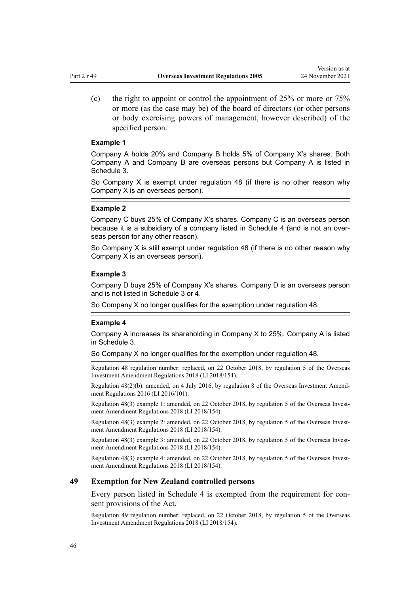<span id="page-45-0"></span>(c) the right to appoint or control the appointment of  $25\%$  or more or  $75\%$ or more (as the case may be) of the board of directors (or other persons or body exercising powers of management, however described) of the specified person.

#### **Example 1**

Company A holds 20% and Company B holds 5% of Company X's shares. Both Company A and Company B are overseas persons but Company A is listed in Schedule 3.

So Company X is exempt under regulation 48 (if there is no other reason why Company X is an overseas person).

### **Example 2**

Company C buys 25% of Company X's shares. Company C is an overseas person because it is a subsidiary of a company listed in Schedule 4 (and is not an overseas person for any other reason).

So Company X is still exempt under regulation 48 (if there is no other reason why Company X is an overseas person).

#### **Example 3**

Company D buys 25% of Company X's shares. Company D is an overseas person and is not listed in Schedule 3 or 4.

So Company X no longer qualifies for the exemption under regulation 48.

#### **Example 4**

Company A increases its shareholding in Company X to 25%. Company A is listed in Schedule 3.

So Company X no longer qualifies for the exemption under regulation 48.

Regulation 48 regulation number: replaced, on 22 October 2018, by [regulation 5](http://legislation.govt.nz/pdflink.aspx?id=LMS76980) of the Overseas Investment Amendment Regulations 2018 (LI 2018/154).

Regulation 48(2)(b): amended, on 4 July 2016, by [regulation 8](http://legislation.govt.nz/pdflink.aspx?id=DLM6845762) of the Overseas Investment Amend‐ ment Regulations 2016 (LI 2016/101).

Regulation 48(3) example 1: amended, on 22 October 2018, by [regulation 5](http://legislation.govt.nz/pdflink.aspx?id=LMS76980) of the Overseas Investment Amendment Regulations 2018 (LI 2018/154).

Regulation 48(3) example 2: amended, on 22 October 2018, by [regulation 5](http://legislation.govt.nz/pdflink.aspx?id=LMS76980) of the Overseas Investment Amendment Regulations 2018 (LI 2018/154).

Regulation 48(3) example 3: amended, on 22 October 2018, by [regulation 5](http://legislation.govt.nz/pdflink.aspx?id=LMS76980) of the Overseas Investment Amendment Regulations 2018 (LI 2018/154).

Regulation 48(3) example 4: amended, on 22 October 2018, by [regulation 5](http://legislation.govt.nz/pdflink.aspx?id=LMS76980) of the Overseas Investment Amendment Regulations 2018 (LI 2018/154).

#### **49 Exemption for New Zealand controlled persons**

Every person listed in [Schedule 4](#page-126-0) is exempted from the requirement for consent provisions of the Act.

Regulation 49 regulation number: replaced, on 22 October 2018, by [regulation 5](http://legislation.govt.nz/pdflink.aspx?id=LMS76980) of the Overseas Investment Amendment Regulations 2018 (LI 2018/154).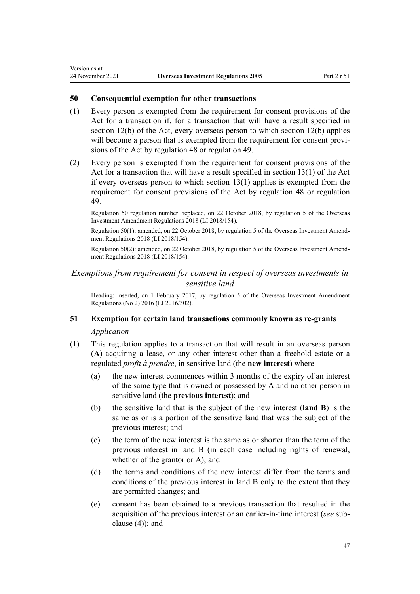## **50 Consequential exemption for other transactions**

Version as at

- (1) Every person is exempted from the requirement for consent provisions of the Act for a transaction if, for a transaction that will have a result specified in [section 12\(b\)](http://legislation.govt.nz/pdflink.aspx?id=DLM358017) of the Act, every overseas person to which section 12(b) applies will become a person that is exempted from the requirement for consent provisions of the Act by [regulation 48](#page-44-0) or [regulation 49](#page-45-0).
- (2) Every person is exempted from the requirement for consent provisions of the Act for a transaction that will have a result specified in [section 13\(1\)](http://legislation.govt.nz/pdflink.aspx?id=DLM358019) of the Act if every overseas person to which section 13(1) applies is exempted from the requirement for consent provisions of the Act by [regulation 48](#page-44-0) or [regulation](#page-45-0) [49.](#page-45-0)

Regulation 50 regulation number: replaced, on 22 October 2018, by [regulation 5](http://legislation.govt.nz/pdflink.aspx?id=LMS76980) of the Overseas Investment Amendment Regulations 2018 (LI 2018/154).

Regulation 50(1): amended, on 22 October 2018, by [regulation 5](http://legislation.govt.nz/pdflink.aspx?id=LMS76980) of the Overseas Investment Amend‐ ment Regulations 2018 (LI 2018/154).

Regulation 50(2): amended, on 22 October 2018, by [regulation 5](http://legislation.govt.nz/pdflink.aspx?id=LMS76980) of the Overseas Investment Amend‐ ment Regulations 2018 (LI 2018/154).

# *Exemptions from requirement for consent in respect of overseas investments in sensitive land*

Heading: inserted, on 1 February 2017, by [regulation 5](http://legislation.govt.nz/pdflink.aspx?id=DLM7059238) of the Overseas Investment Amendment Regulations (No 2) 2016 (LI 2016/302).

# **51 Exemption for certain land transactions commonly known as re-grants** *Application*

- (1) This regulation applies to a transaction that will result in an overseas person (**A**) acquiring a lease, or any other interest other than a freehold estate or a regulated *profit à prendre*, in sensitive land (the **new interest**) where—
	- (a) the new interest commences within 3 months of the expiry of an interest of the same type that is owned or possessed by A and no other person in sensitive land (the **previous interest**); and
	- (b) the sensitive land that is the subject of the new interest (**land B**) is the same as or is a portion of the sensitive land that was the subject of the previous interest; and
	- (c) the term of the new interest is the same as or shorter than the term of the previous interest in land B (in each case including rights of renewal, whether of the grantor or A); and
	- (d) the terms and conditions of the new interest differ from the terms and conditions of the previous interest in land B only to the extent that they are permitted changes; and
	- (e) consent has been obtained to a previous transaction that resulted in the acquisition of the previous interest or an earlier-in-time interest (*see* sub‐ clause (4)); and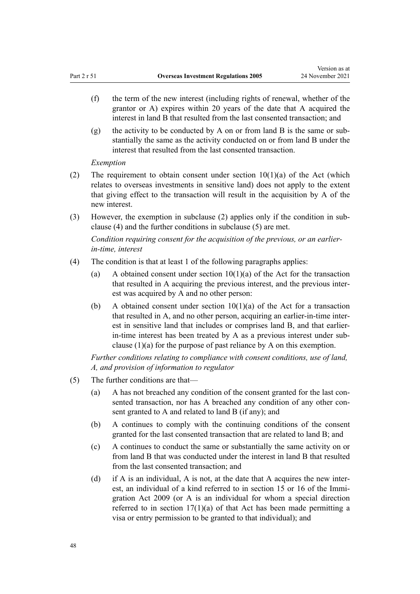- (f) the term of the new interest (including rights of renewal, whether of the grantor or A) expires within 20 years of the date that A acquired the interest in land B that resulted from the last consented transaction; and
- (g) the activity to be conducted by A on or from land B is the same or substantially the same as the activity conducted on or from land B under the interest that resulted from the last consented transaction.

*Exemption*

- (2) The requirement to obtain consent under section  $10(1)(a)$  of the Act (which relates to overseas investments in sensitive land) does not apply to the extent that giving effect to the transaction will result in the acquisition by A of the new interest.
- (3) However, the exemption in subclause (2) applies only if the condition in sub‐ clause (4) and the further conditions in subclause (5) are met.

*Condition requiring consent for the acquisition of the previous, or an earlierin-time, interest*

- (4) The condition is that at least 1 of the following paragraphs applies:
	- (a) A obtained consent under section  $10(1)(a)$  of the Act for the transaction that resulted in A acquiring the previous interest, and the previous inter‐ est was acquired by A and no other person:
	- (b) A obtained consent under section  $10(1)(a)$  of the Act for a transaction that resulted in A, and no other person, acquiring an earlier-in-time inter‐ est in sensitive land that includes or comprises land B, and that earlierin-time interest has been treated by A as a previous interest under subclause (1)(a) for the purpose of past reliance by A on this exemption.

*Further conditions relating to compliance with consent conditions, use of land, A, and provision of information to regulator*

- (5) The further conditions are that—
	- (a) A has not breached any condition of the consent granted for the last consented transaction, nor has A breached any condition of any other consent granted to A and related to land B (if any); and
	- (b) A continues to comply with the continuing conditions of the consent granted for the last consented transaction that are related to land B; and
	- (c) A continues to conduct the same or substantially the same activity on or from land B that was conducted under the interest in land B that resulted from the last consented transaction; and
	- (d) if A is an individual, A is not, at the date that A acquires the new interest, an individual of a kind referred to in [section 15](http://legislation.govt.nz/pdflink.aspx?id=DLM1440598) or [16](http://legislation.govt.nz/pdflink.aspx?id=DLM1440599) of the Immigration Act 2009 (or A is an individual for whom a special direction referred to in section  $17(1)(a)$  of that Act has been made permitting a visa or entry permission to be granted to that individual); and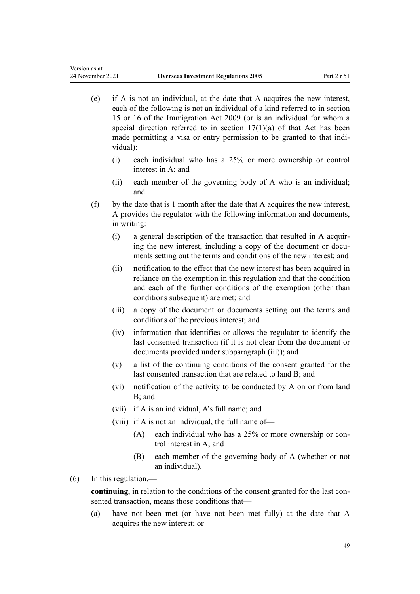- (e) if A is not an individual, at the date that A acquires the new interest, each of the following is not an individual of a kind referred to in [section](http://legislation.govt.nz/pdflink.aspx?id=DLM1440598) [15](http://legislation.govt.nz/pdflink.aspx?id=DLM1440598) or [16](http://legislation.govt.nz/pdflink.aspx?id=DLM1440599) of the Immigration Act 2009 (or is an individual for whom a special direction referred to in [section 17\(1\)\(a\)](http://legislation.govt.nz/pdflink.aspx?id=DLM1440600) of that Act has been made permitting a visa or entry permission to be granted to that individual):
	- (i) each individual who has a 25% or more ownership or control interest in A; and
	- (ii) each member of the governing body of A who is an individual; and
- (f) by the date that is 1 month after the date that A acquires the new interest, A provides the regulator with the following information and documents, in writing:
	- (i) a general description of the transaction that resulted in A acquir‐ ing the new interest, including a copy of the document or documents setting out the terms and conditions of the new interest; and
	- (ii) notification to the effect that the new interest has been acquired in reliance on the exemption in this regulation and that the condition and each of the further conditions of the exemption (other than conditions subsequent) are met; and
	- (iii) a copy of the document or documents setting out the terms and conditions of the previous interest; and
	- (iv) information that identifies or allows the regulator to identify the last consented transaction (if it is not clear from the document or documents provided under subparagraph (iii)); and
	- (v) a list of the continuing conditions of the consent granted for the last consented transaction that are related to land B; and
	- (vi) notification of the activity to be conducted by A on or from land B; and
	- (vii) if A is an individual, A's full name; and
	- (viii) if A is not an individual, the full name of—
		- (A) each individual who has a 25% or more ownership or con‐ trol interest in A; and
		- (B) each member of the governing body of A (whether or not an individual).
- $(6)$  In this regulation,—

Version as at

**continuing**, in relation to the conditions of the consent granted for the last consented transaction, means those conditions that—

(a) have not been met (or have not been met fully) at the date that A acquires the new interest; or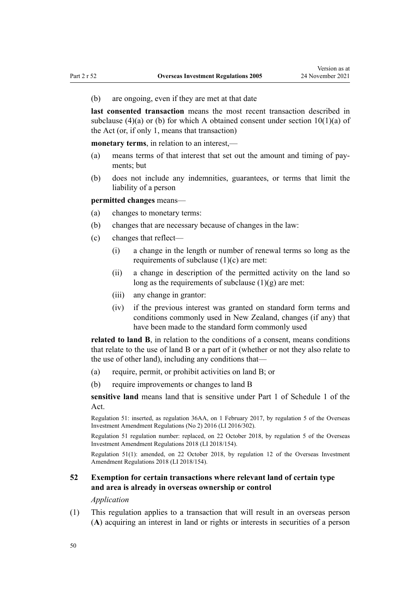(b) are ongoing, even if they are met at that date

**last consented transaction** means the most recent transaction described in subclause (4)(a) or (b) for which A obtained consent under section  $10(1)(a)$  of the Act (or, if only 1, means that transaction)

**monetary terms**, in relation to an interest,—

- (a) means terms of that interest that set out the amount and timing of pay‐ ments; but
- (b) does not include any indemnities, guarantees, or terms that limit the liability of a person

**permitted changes** means—

- (a) changes to monetary terms:
- (b) changes that are necessary because of changes in the law:
- (c) changes that reflect—
	- (i) a change in the length or number of renewal terms so long as the requirements of subclause  $(1)(c)$  are met:
	- (ii) a change in description of the permitted activity on the land so long as the requirements of subclause  $(1)(g)$  are met:
	- (iii) any change in grantor:
	- (iv) if the previous interest was granted on standard form terms and conditions commonly used in New Zealand, changes (if any) that have been made to the standard form commonly used

**related to land B**, in relation to the conditions of a consent, means conditions that relate to the use of land B or a part of it (whether or not they also relate to the use of other land), including any conditions that—

- (a) require, permit, or prohibit activities on land B; or
- (b) require improvements or changes to land B

**sensitive land** means land that is sensitive under [Part 1](http://legislation.govt.nz/pdflink.aspx?id=DLM358553) of Schedule 1 of the Act.

Regulation 51: inserted, as regulation 36AA, on 1 February 2017, by [regulation 5](http://legislation.govt.nz/pdflink.aspx?id=DLM7059238) of the Overseas Investment Amendment Regulations (No 2) 2016 (LI 2016/302).

Regulation 51 regulation number: replaced, on 22 October 2018, by [regulation 5](http://legislation.govt.nz/pdflink.aspx?id=LMS76980) of the Overseas Investment Amendment Regulations 2018 (LI 2018/154).

Regulation 51(1): amended, on 22 October 2018, by [regulation 12](http://legislation.govt.nz/pdflink.aspx?id=LMS77056) of the Overseas Investment Amendment Regulations 2018 (LI 2018/154).

# **52 Exemption for certain transactions where relevant land of certain type and area is already in overseas ownership or control**

#### *Application*

(1) This regulation applies to a transaction that will result in an overseas person (**A**) acquiring an interest in land or rights or interests in securities of a person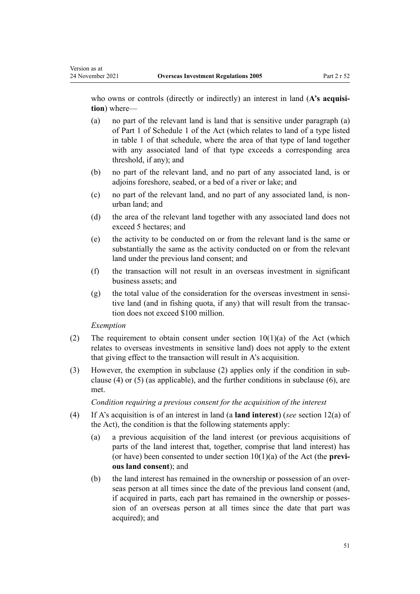who owns or controls (directly or indirectly) an interest in land (A's acquisi**tion**) where—

- (a) no part of the relevant land is land that is sensitive under paragraph (a) of [Part 1](http://legislation.govt.nz/pdflink.aspx?id=DLM358553) of Schedule 1 of the Act (which relates to land of a type listed in table 1 of that schedule, where the area of that type of land together with any associated land of that type exceeds a corresponding area threshold, if any); and
- (b) no part of the relevant land, and no part of any associated land, is or adjoins foreshore, seabed, or a bed of a river or lake; and
- (c) no part of the relevant land, and no part of any associated land, is nonurban land; and
- (d) the area of the relevant land together with any associated land does not exceed 5 hectares; and
- (e) the activity to be conducted on or from the relevant land is the same or substantially the same as the activity conducted on or from the relevant land under the previous land consent; and
- (f) the transaction will not result in an overseas investment in significant business assets; and
- $(g)$  the total value of the consideration for the overseas investment in sensitive land (and in fishing quota, if any) that will result from the transac‐ tion does not exceed \$100 million.

## *Exemption*

- (2) The requirement to obtain consent under section  $10(1)(a)$  of the Act (which relates to overseas investments in sensitive land) does not apply to the extent that giving effect to the transaction will result in A's acquisition.
- (3) However, the exemption in subclause (2) applies only if the condition in sub‐ clause (4) or (5) (as applicable), and the further conditions in subclause (6), are met.

*Condition requiring a previous consent for the acquisition of the interest*

- (4) If A's acquisition is of an interest in land (a **land interest**) (*see* [section 12\(a\)](http://legislation.govt.nz/pdflink.aspx?id=DLM358017) of the Act), the condition is that the following statements apply:
	- (a) a previous acquisition of the land interest (or previous acquisitions of parts of the land interest that, together, comprise that land interest) has (or have) been consented to under [section 10\(1\)\(a\)](http://legislation.govt.nz/pdflink.aspx?id=DLM358014) of the Act (the **previ‐ ous land consent**); and
	- (b) the land interest has remained in the ownership or possession of an overseas person at all times since the date of the previous land consent (and, if acquired in parts, each part has remained in the ownership or posses‐ sion of an overseas person at all times since the date that part was acquired); and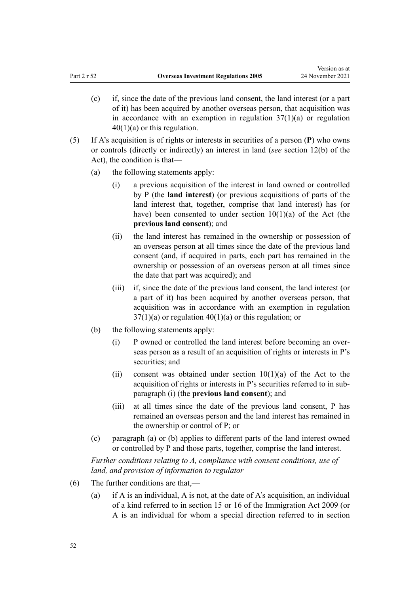- (c) if, since the date of the previous land consent, the land interest (or a part of it) has been acquired by another overseas person, that acquisition was in accordance with an exemption in [regulation](#page-38-0)  $37(1)(a)$  or regulation [40\(1\)\(a\)](#page-38-0) or this regulation.
- (5) If A's acquisition is of rights or interests in securities of a person (**P**) who owns or controls (directly or indirectly) an interest in land (*see* [section 12\(b\)](http://legislation.govt.nz/pdflink.aspx?id=DLM358017) of the Act), the condition is that—
	- (a) the following statements apply:
		- (i) a previous acquisition of the interest in land owned or controlled by P (the **land interest**) (or previous acquisitions of parts of the land interest that, together, comprise that land interest) has (or have) been consented to under section  $10(1)(a)$  of the Act (the **previous land consent**); and
		- (ii) the land interest has remained in the ownership or possession of an overseas person at all times since the date of the previous land consent (and, if acquired in parts, each part has remained in the ownership or possession of an overseas person at all times since the date that part was acquired); and
		- (iii) if, since the date of the previous land consent, the land interest (or a part of it) has been acquired by another overseas person, that acquisition was in accordance with an exemption in [regulation](#page-35-0)  $37(1)(a)$  or regulation  $40(1)(a)$  or this regulation; or
	- (b) the following statements apply:
		- (i) P owned or controlled the land interest before becoming an over‐ seas person as a result of an acquisition of rights or interests in P's securities; and
		- (ii) consent was obtained under section  $10(1)(a)$  of the Act to the acquisition of rights or interests in P's securities referred to in sub‐ paragraph (i) (the **previous land consent**); and
		- (iii) at all times since the date of the previous land consent, P has remained an overseas person and the land interest has remained in the ownership or control of P; or
	- (c) paragraph (a) or (b) applies to different parts of the land interest owned or controlled by P and those parts, together, comprise the land interest.

*Further conditions relating to A, compliance with consent conditions, use of land, and provision of information to regulator*

- (6) The further conditions are that,—
	- (a) if A is an individual, A is not, at the date of A's acquisition, an individual of a kind referred to in [section 15](http://legislation.govt.nz/pdflink.aspx?id=DLM1440598) or [16](http://legislation.govt.nz/pdflink.aspx?id=DLM1440599) of the Immigration Act 2009 (or A is an individual for whom a special direction referred to in [section](http://legislation.govt.nz/pdflink.aspx?id=DLM1440600)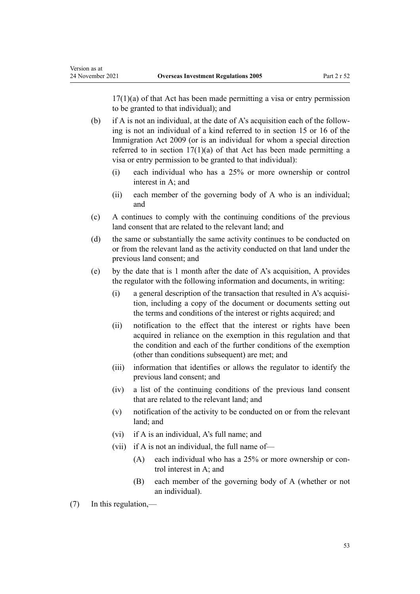$17(1)(a)$  of that Act has been made permitting a visa or entry permission to be granted to that individual); and

(b) if A is not an individual, at the date of A's acquisition each of the following is not an individual of a kind referred to in [section 15](http://legislation.govt.nz/pdflink.aspx?id=DLM1440598) or [16](http://legislation.govt.nz/pdflink.aspx?id=DLM1440599) of the Immigration Act 2009 (or is an individual for whom a special direction referred to in section  $17(1)(a)$  of that Act has been made permitting a visa or entry permission to be granted to that individual):

- (i) each individual who has a 25% or more ownership or control interest in A; and
- (ii) each member of the governing body of A who is an individual; and
- (c) A continues to comply with the continuing conditions of the previous land consent that are related to the relevant land; and
- (d) the same or substantially the same activity continues to be conducted on or from the relevant land as the activity conducted on that land under the previous land consent; and
- (e) by the date that is 1 month after the date of A's acquisition, A provides the regulator with the following information and documents, in writing:
	- $(i)$  a general description of the transaction that resulted in A's acquisition, including a copy of the document or documents setting out the terms and conditions of the interest or rights acquired; and
	- (ii) notification to the effect that the interest or rights have been acquired in reliance on the exemption in this regulation and that the condition and each of the further conditions of the exemption (other than conditions subsequent) are met; and
	- (iii) information that identifies or allows the regulator to identify the previous land consent; and
	- (iv) a list of the continuing conditions of the previous land consent that are related to the relevant land; and
	- (v) notification of the activity to be conducted on or from the relevant land; and
	- (vi) if A is an individual, A's full name; and
	- (vii) if A is not an individual, the full name of—
		- (A) each individual who has a 25% or more ownership or control interest in A; and
		- (B) each member of the governing body of A (whether or not an individual).

(7) In this regulation,—

Version as at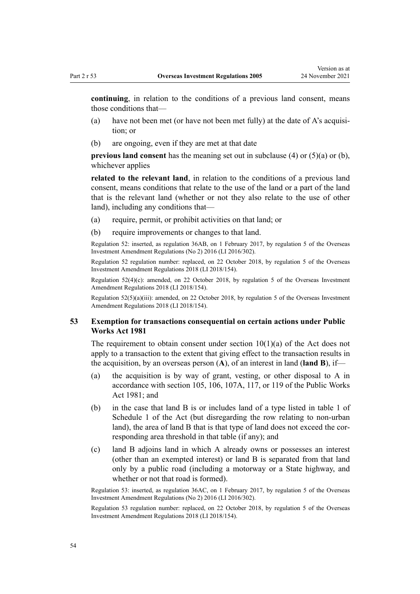**continuing**, in relation to the conditions of a previous land consent, means those conditions that—

- (a) have not been met (or have not been met fully) at the date of  $A$ 's acquisition; or
- (b) are ongoing, even if they are met at that date

**previous land consent** has the meaning set out in subclause (4) or (5)(a) or (b), whichever applies

**related to the relevant land**, in relation to the conditions of a previous land consent, means conditions that relate to the use of the land or a part of the land that is the relevant land (whether or not they also relate to the use of other land), including any conditions that—

- (a) require, permit, or prohibit activities on that land; or
- (b) require improvements or changes to that land.

Regulation 52: inserted, as regulation 36AB, on 1 February 2017, by [regulation 5](http://legislation.govt.nz/pdflink.aspx?id=DLM7059238) of the Overseas Investment Amendment Regulations (No 2) 2016 (LI 2016/302).

Regulation 52 regulation number: replaced, on 22 October 2018, by [regulation 5](http://legislation.govt.nz/pdflink.aspx?id=LMS76980) of the Overseas Investment Amendment Regulations 2018 (LI 2018/154).

Regulation 52(4)(c): amended, on 22 October 2018, by [regulation 5](http://legislation.govt.nz/pdflink.aspx?id=LMS76980) of the Overseas Investment Amendment Regulations 2018 (LI 2018/154).

Regulation 52(5)(a)(iii): amended, on 22 October 2018, by [regulation 5](http://legislation.govt.nz/pdflink.aspx?id=LMS76980) of the Overseas Investment Amendment Regulations 2018 (LI 2018/154).

# **53 Exemption for transactions consequential on certain actions under Public Works Act 1981**

The requirement to obtain consent under section  $10(1)(a)$  of the Act does not apply to a transaction to the extent that giving effect to the transaction results in the acquisition, by an overseas person (**A**), of an interest in land (**land B**), if—

- (a) the acquisition is by way of grant, vesting, or other disposal to A in accordance with [section 105,](http://legislation.govt.nz/pdflink.aspx?id=DLM46966) [106,](http://legislation.govt.nz/pdflink.aspx?id=DLM46968) [107A](http://legislation.govt.nz/pdflink.aspx?id=DLM46982), [117,](http://legislation.govt.nz/pdflink.aspx?id=DLM47324) or [119](http://legislation.govt.nz/pdflink.aspx?id=DLM47332) of the Public Works Act 1981; and
- (b) in the case that land B is or includes land of a type listed in table 1 of [Schedule 1](http://legislation.govt.nz/pdflink.aspx?id=DLM358552) of the Act (but disregarding the row relating to non-urban land), the area of land B that is that type of land does not exceed the corresponding area threshold in that table (if any); and
- (c) land B adjoins land in which A already owns or possesses an interest (other than an exempted interest) or land B is separated from that land only by a public road (including a motorway or a State highway, and whether or not that road is formed).

Regulation 53: inserted, as regulation 36AC, on 1 February 2017, by [regulation 5](http://legislation.govt.nz/pdflink.aspx?id=DLM7059238) of the Overseas Investment Amendment Regulations (No 2) 2016 (LI 2016/302).

Regulation 53 regulation number: replaced, on 22 October 2018, by [regulation 5](http://legislation.govt.nz/pdflink.aspx?id=LMS76980) of the Overseas Investment Amendment Regulations 2018 (LI 2018/154).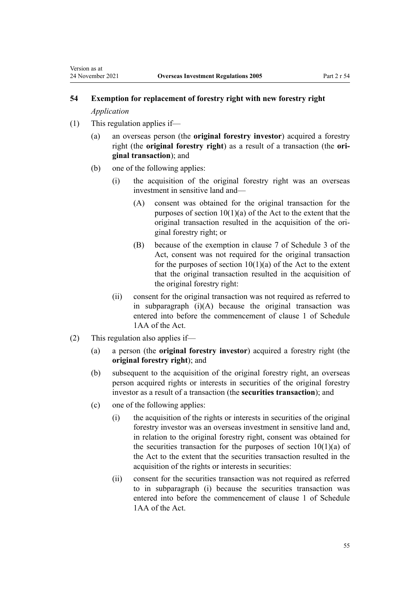*Application*

Version as at

- (1) This regulation applies if—
	- (a) an overseas person (the **original forestry investor**) acquired a forestry right (the **original forestry right**) as a result of a transaction (the **ori‐ ginal transaction**); and
	- (b) one of the following applies:
		- (i) the acquisition of the original forestry right was an overseas investment in sensitive land and—
			- (A) consent was obtained for the original transaction for the purposes of [section 10\(1\)\(a\)](http://legislation.govt.nz/pdflink.aspx?id=DLM358014) of the Act to the extent that the original transaction resulted in the acquisition of the ori‐ ginal forestry right; or
			- (B) because of the exemption in [clause 7](http://legislation.govt.nz/pdflink.aspx?id=LMS111235) of Schedule 3 of the Act, consent was not required for the original transaction for the purposes of section  $10(1)(a)$  of the Act to the extent that the original transaction resulted in the acquisition of the original forestry right:
		- (ii) consent for the original transaction was not required as referred to in subparagraph  $(i)(A)$  because the original transaction was entered into before the commencement of [clause 1](http://legislation.govt.nz/pdflink.aspx?id=LMS111964) of Schedule 1AA of the Act.
- (2) This regulation also applies if—
	- (a) a person (the **original forestry investor**) acquired a forestry right (the **original forestry right**); and
	- (b) subsequent to the acquisition of the original forestry right, an overseas person acquired rights or interests in securities of the original forestry investor as a result of a transaction (the **securities transaction**); and
	- (c) one of the following applies:
		- (i) the acquisition of the rights or interests in securities of the original forestry investor was an overseas investment in sensitive land and, in relation to the original forestry right, consent was obtained for the securities transaction for the purposes of section  $10(1)(a)$  of the Act to the extent that the securities transaction resulted in the acquisition of the rights or interests in securities:
		- (ii) consent for the securities transaction was not required as referred to in subparagraph (i) because the securities transaction was entered into before the commencement of [clause 1](http://legislation.govt.nz/pdflink.aspx?id=LMS111964) of Schedule 1AA of the Act.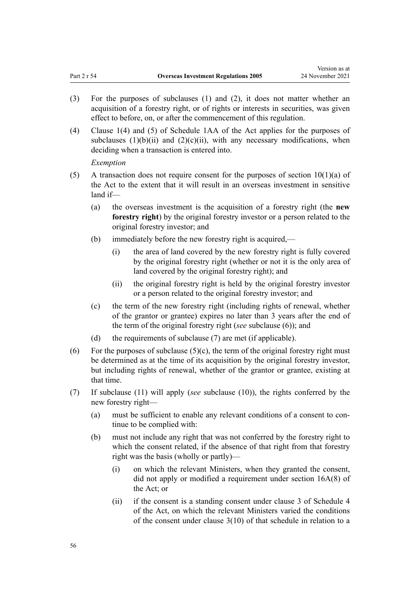- (3) For the purposes of subclauses (1) and (2), it does not matter whether an acquisition of a forestry right, or of rights or interests in securities, was given effect to before, on, or after the commencement of this regulation.
- (4) [Clause 1\(4\) and \(5\)](http://legislation.govt.nz/pdflink.aspx?id=LMS111964) of Schedule 1AA of the Act applies for the purposes of subclauses  $(1)(b)(ii)$  and  $(2)(c)(ii)$ , with any necessary modifications, when deciding when a transaction is entered into.

*Exemption*

- (5) A transaction does not require consent for the purposes of section  $10(1)(a)$  of the Act to the extent that it will result in an overseas investment in sensitive land if—
	- (a) the overseas investment is the acquisition of a forestry right (the **new forestry right**) by the original forestry investor or a person related to the original forestry investor; and
	- (b) immediately before the new forestry right is acquired,—
		- (i) the area of land covered by the new forestry right is fully covered by the original forestry right (whether or not it is the only area of land covered by the original forestry right); and
		- (ii) the original forestry right is held by the original forestry investor or a person related to the original forestry investor; and
	- (c) the term of the new forestry right (including rights of renewal, whether of the grantor or grantee) expires no later than 3 years after the end of the term of the original forestry right (*see* subclause (6)); and
	- (d) the requirements of subclause (7) are met (if applicable).
- (6) For the purposes of subclause  $(5)(c)$ , the term of the original forestry right must be determined as at the time of its acquisition by the original forestry investor, but including rights of renewal, whether of the grantor or grantee, existing at that time.
- (7) If subclause (11) will apply (*see* subclause (10)), the rights conferred by the new forestry right—
	- (a) must be sufficient to enable any relevant conditions of a consent to con‐ tinue to be complied with:
	- (b) must not include any right that was not conferred by the forestry right to which the consent related, if the absence of that right from that forestry right was the basis (wholly or partly)—
		- (i) on which the relevant Ministers, when they granted the consent, did not apply or modified a requirement under [section 16A\(8\)](http://legislation.govt.nz/pdflink.aspx?id=LMS110592) of the Act; or
		- (ii) if the consent is a standing consent under [clause 3](http://legislation.govt.nz/pdflink.aspx?id=LMS111258) of Schedule 4 of the Act, on which the relevant Ministers varied the conditions of the consent under clause 3(10) of that schedule in relation to a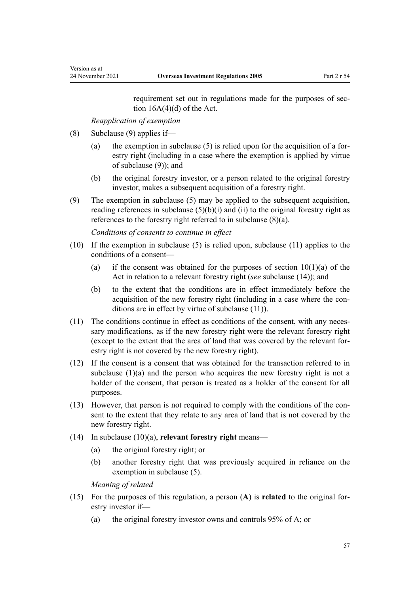requirement set out in regulations made for the purposes of section  $16A(4)(d)$  of the Act.

*Reapplication of exemption*

- (8) Subclause (9) applies if—
	- (a) the exemption in subclause  $(5)$  is relied upon for the acquisition of a forestry right (including in a case where the exemption is applied by virtue of subclause (9)); and
	- (b) the original forestry investor, or a person related to the original forestry investor, makes a subsequent acquisition of a forestry right.
- (9) The exemption in subclause (5) may be applied to the subsequent acquisition, reading references in subclause  $(5)(b)(i)$  and  $(ii)$  to the original forestry right as references to the forestry right referred to in subclause (8)(a).

*Conditions of consents to continue in effect*

- (10) If the exemption in subclause (5) is relied upon, subclause (11) applies to the conditions of a consent—
	- (a) if the consent was obtained for the purposes of section  $10(1)(a)$  of the Act in relation to a relevant forestry right (*see* subclause (14)); and
	- (b) to the extent that the conditions are in effect immediately before the acquisition of the new forestry right (including in a case where the conditions are in effect by virtue of subclause (11)).
- (11) The conditions continue in effect as conditions of the consent, with any necessary modifications, as if the new forestry right were the relevant forestry right (except to the extent that the area of land that was covered by the relevant for‐ estry right is not covered by the new forestry right).
- (12) If the consent is a consent that was obtained for the transaction referred to in subclause  $(1)(a)$  and the person who acquires the new forestry right is not a holder of the consent, that person is treated as a holder of the consent for all purposes.
- (13) However, that person is not required to comply with the conditions of the con‐ sent to the extent that they relate to any area of land that is not covered by the new forestry right.
- (14) In subclause (10)(a), **relevant forestry right** means—
	- (a) the original forestry right; or
	- (b) another forestry right that was previously acquired in reliance on the exemption in subclause (5).

*Meaning of related*

- (15) For the purposes of this regulation, a person (**A**) is **related** to the original for‐ estry investor if—
	- (a) the original forestry investor owns and controls 95% of A; or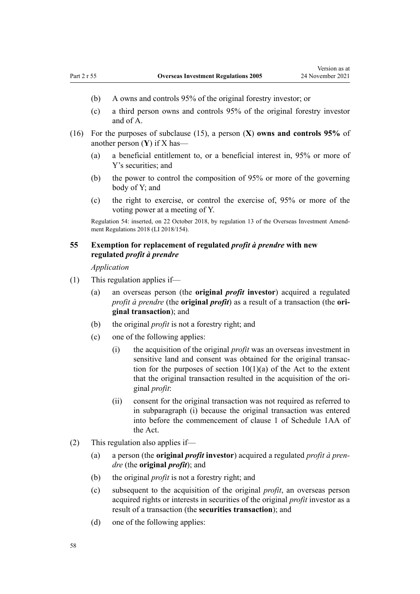- (b) A owns and controls 95% of the original forestry investor; or
- (c) a third person owns and controls 95% of the original forestry investor and of A.
- (16) For the purposes of subclause (15), a person (**X**) **owns and controls 95%** of another person (**Y**) if X has—
	- (a) a beneficial entitlement to, or a beneficial interest in, 95% or more of Y's securities; and
	- (b) the power to control the composition of 95% or more of the governing body of Y; and
	- (c) the right to exercise, or control the exercise of, 95% or more of the voting power at a meeting of Y.

Regulation 54: inserted, on 22 October 2018, by [regulation 13](http://legislation.govt.nz/pdflink.aspx?id=LMS77088) of the Overseas Investment Amend‐ ment Regulations 2018 (LI 2018/154).

# **55 Exemption for replacement of regulated** *profit à prendre* **with new regulated** *profit à prendre*

*Application*

- (1) This regulation applies if—
	- (a) an overseas person (the **original** *profit* **investor**) acquired a regulated *profit à prendre* (the **original** *profit*) as a result of a transaction (the **ori‐ ginal transaction**); and
	- (b) the original *profit* is not a forestry right; and
	- (c) one of the following applies:
		- (i) the acquisition of the original *profit* was an overseas investment in sensitive land and consent was obtained for the original transaction for the purposes of section  $10(1)(a)$  of the Act to the extent that the original transaction resulted in the acquisition of the ori‐ ginal *profit*:
		- (ii) consent for the original transaction was not required as referred to in subparagraph (i) because the original transaction was entered into before the commencement of [clause 1](http://legislation.govt.nz/pdflink.aspx?id=LMS111964) of Schedule 1AA of the Act.
- (2) This regulation also applies if—
	- (a) a person (the **original** *profit* **investor**) acquired a regulated *profit à pren‐ dre* (the **original** *profit*); and
	- (b) the original *profit* is not a forestry right; and
	- (c) subsequent to the acquisition of the original *profit*, an overseas person acquired rights or interests in securities of the original *profit* investor as a result of a transaction (the **securities transaction**); and
	- (d) one of the following applies: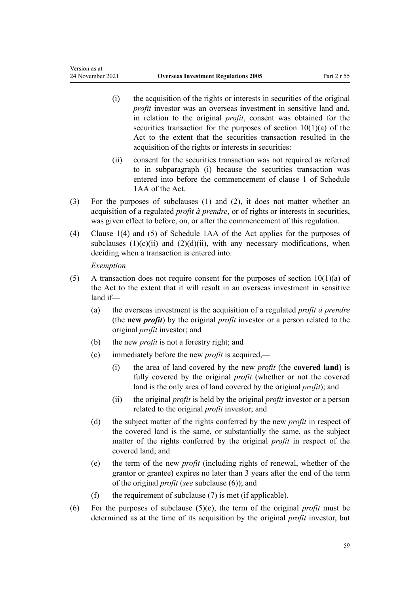- (i) the acquisition of the rights or interests in securities of the original *profit* investor was an overseas investment in sensitive land and, in relation to the original *profit*, consent was obtained for the securities transaction for the purposes of section  $10(1)(a)$  of the Act to the extent that the securities transaction resulted in the acquisition of the rights or interests in securities:
- (ii) consent for the securities transaction was not required as referred to in subparagraph (i) because the securities transaction was entered into before the commencement of [clause 1](http://legislation.govt.nz/pdflink.aspx?id=LMS111964) of Schedule 1AA of the Act.
- (3) For the purposes of subclauses (1) and (2), it does not matter whether an acquisition of a regulated *profit à prendre*, or of rights or interests in securities, was given effect to before, on, or after the commencement of this regulation.
- (4) [Clause 1\(4\) and \(5\)](http://legislation.govt.nz/pdflink.aspx?id=LMS111964) of Schedule 1AA of the Act applies for the purposes of subclauses  $(1)(c)(ii)$  and  $(2)(d)(ii)$ , with any necessary modifications, when deciding when a transaction is entered into.

*Exemption*

Version as at

- (5) A transaction does not require consent for the purposes of section  $10(1)(a)$  of the Act to the extent that it will result in an overseas investment in sensitive land if—
	- (a) the overseas investment is the acquisition of a regulated *profit à prendre* (the **new** *profit*) by the original *profit* investor or a person related to the original *profit* investor; and
	- (b) the new *profit* is not a forestry right; and
	- (c) immediately before the new *profit* is acquired,—
		- (i) the area of land covered by the new *profit* (the **covered land**) is fully covered by the original *profit* (whether or not the covered land is the only area of land covered by the original *profit*); and
		- (ii) the original *profit* is held by the original *profit* investor or a person related to the original *profit* investor; and
	- (d) the subject matter of the rights conferred by the new *profit* in respect of the covered land is the same, or substantially the same, as the subject matter of the rights conferred by the original *profit* in respect of the covered land; and
	- (e) the term of the new *profit* (including rights of renewal, whether of the grantor or grantee) expires no later than 3 years after the end of the term of the original *profit* (*see* subclause (6)); and
	- (f) the requirement of subclause (7) is met (if applicable).
- (6) For the purposes of subclause (5)(e), the term of the original *profit* must be determined as at the time of its acquisition by the original *profit* investor, but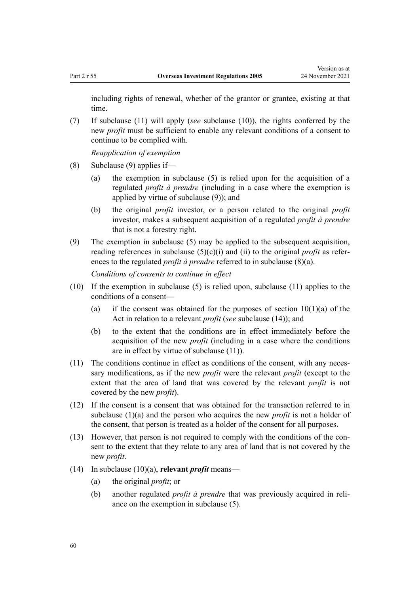including rights of renewal, whether of the grantor or grantee, existing at that time.

(7) If subclause (11) will apply (*see* subclause (10)), the rights conferred by the new *profit* must be sufficient to enable any relevant conditions of a consent to continue to be complied with.

*Reapplication of exemption*

- (8) Subclause (9) applies if—
	- (a) the exemption in subclause (5) is relied upon for the acquisition of a regulated *profit à prendre* (including in a case where the exemption is applied by virtue of subclause (9)); and
	- (b) the original *profit* investor, or a person related to the original *profit* investor, makes a subsequent acquisition of a regulated *profit à prendre* that is not a forestry right.
- (9) The exemption in subclause (5) may be applied to the subsequent acquisition, reading references in subclause  $(5)(c)(i)$  and  $(ii)$  to the original *profit* as references to the regulated *profit à prendre* referred to in subclause (8)(a).

*Conditions of consents to continue in effect*

- (10) If the exemption in subclause (5) is relied upon, subclause (11) applies to the conditions of a consent—
	- (a) if the consent was obtained for the purposes of section  $10(1)(a)$  of the Act in relation to a relevant *profit* (*see* subclause (14)); and
	- (b) to the extent that the conditions are in effect immediately before the acquisition of the new *profit* (including in a case where the conditions are in effect by virtue of subclause (11)).
- (11) The conditions continue in effect as conditions of the consent, with any necessary modifications, as if the new *profit* were the relevant *profit* (except to the extent that the area of land that was covered by the relevant *profit* is not covered by the new *profit*).
- (12) If the consent is a consent that was obtained for the transaction referred to in subclause (1)(a) and the person who acquires the new *profit* is not a holder of the consent, that person is treated as a holder of the consent for all purposes.
- $(13)$  However, that person is not required to comply with the conditions of the consent to the extent that they relate to any area of land that is not covered by the new *profit*.
- (14) In subclause (10)(a), **relevant** *profit* means—
	- (a) the original *profit*; or
	- (b) another regulated *profit à prendre* that was previously acquired in reliance on the exemption in subclause (5).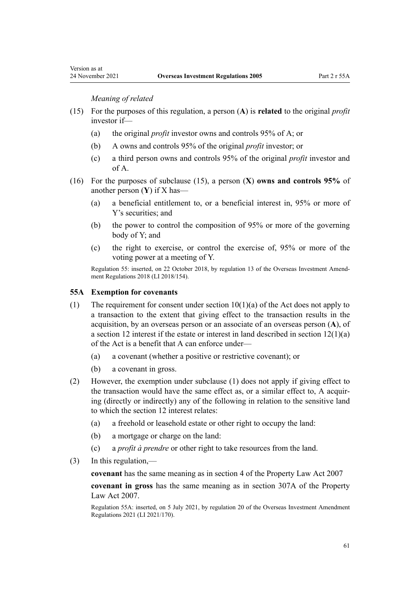*Meaning of related*

- (15) For the purposes of this regulation, a person (**A**) is **related** to the original *profit* investor if—
	- (a) the original *profit* investor owns and controls 95% of A; or
	- (b) A owns and controls 95% of the original *profit* investor; or
	- (c) a third person owns and controls 95% of the original *profit* investor and of A.
- (16) For the purposes of subclause (15), a person (**X**) **owns and controls 95%** of another person (**Y**) if X has—
	- (a) a beneficial entitlement to, or a beneficial interest in, 95% or more of Y's securities; and
	- (b) the power to control the composition of 95% or more of the governing body of Y; and
	- (c) the right to exercise, or control the exercise of, 95% or more of the voting power at a meeting of Y.

Regulation 55: inserted, on 22 October 2018, by [regulation 13](http://legislation.govt.nz/pdflink.aspx?id=LMS77088) of the Overseas Investment Amend‐ ment Regulations 2018 (LI 2018/154).

## **55A Exemption for covenants**

- (1) The requirement for consent under section  $10(1)(a)$  of the Act does not apply to a transaction to the extent that giving effect to the transaction results in the acquisition, by an overseas person or an associate of an overseas person (**A**), of a section 12 interest if the estate or interest in land described in section  $12(1)(a)$ of the Act is a benefit that A can enforce under—
	- (a) a covenant (whether a positive or restrictive covenant); or
	- (b) a covenant in gross.
- (2) However, the exemption under subclause (1) does not apply if giving effect to the transaction would have the same effect as, or a similar effect to, A acquir‐ ing (directly or indirectly) any of the following in relation to the sensitive land to which the section 12 interest relates:
	- (a) a freehold or leasehold estate or other right to occupy the land:
	- (b) a mortgage or charge on the land:
	- (c) a *profit à prendre* or other right to take resources from the land.
- (3) In this regulation,—

**covenant** has the same meaning as in [section 4](http://legislation.govt.nz/pdflink.aspx?id=DLM968969) of the Property Law Act 2007

**covenant in gross** has the same meaning as in [section 307A](http://legislation.govt.nz/pdflink.aspx?id=LMS120037) of the Property Law Act 2007.

Regulation 55A: inserted, on 5 July 2021, by [regulation 20](http://legislation.govt.nz/pdflink.aspx?id=LMS500868) of the Overseas Investment Amendment Regulations 2021 (LI 2021/170).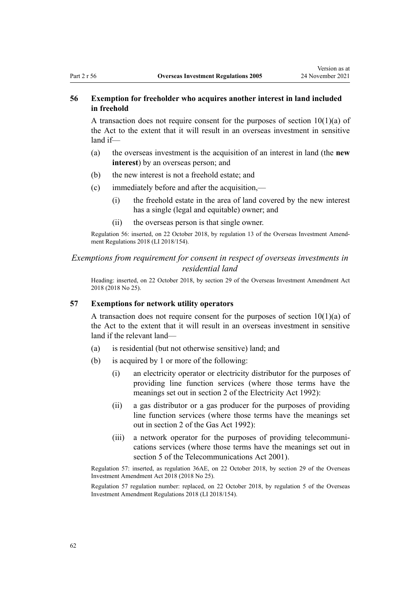# **56 Exemption for freeholder who acquires another interest in land included in freehold**

A transaction does not require consent for the purposes of section  $10(1)(a)$  of the Act to the extent that it will result in an overseas investment in sensitive land if—

- (a) the overseas investment is the acquisition of an interest in land (the **new interest**) by an overseas person; and
- (b) the new interest is not a freehold estate; and
- (c) immediately before and after the acquisition,—
	- (i) the freehold estate in the area of land covered by the new interest has a single (legal and equitable) owner; and
	- (ii) the overseas person is that single owner.

Regulation 56: inserted, on 22 October 2018, by [regulation 13](http://legislation.govt.nz/pdflink.aspx?id=LMS77088) of the Overseas Investment Amend‐ ment Regulations 2018 (LI 2018/154).

# *Exemptions from requirement for consent in respect of overseas investments in residential land*

Heading: inserted, on 22 October 2018, by [section 29](http://legislation.govt.nz/pdflink.aspx?id=LMS40766) of the Overseas Investment Amendment Act 2018 (2018 No 25).

### **57 Exemptions for network utility operators**

A transaction does not require consent for the purposes of [section 10\(1\)\(a\)](http://legislation.govt.nz/pdflink.aspx?id=DLM358014) of the Act to the extent that it will result in an overseas investment in sensitive land if the relevant land—

- (a) is residential (but not otherwise sensitive) land; and
- (b) is acquired by 1 or more of the following:
	- (i) an electricity operator or electricity distributor for the purposes of providing line function services (where those terms have the meanings set out in [section 2](http://legislation.govt.nz/pdflink.aspx?id=DLM281866) of the Electricity Act 1992):
	- (ii) a gas distributor or a gas producer for the purposes of providing line function services (where those terms have the meanings set out in [section 2](http://legislation.govt.nz/pdflink.aspx?id=DLM285420) of the Gas Act 1992):
	- (iii) a network operator for the purposes of providing telecommuni‐ cations services (where those terms have the meanings set out in [section 5](http://legislation.govt.nz/pdflink.aspx?id=DLM124974) of the Telecommunications Act 2001).

Regulation 57: inserted, as regulation 36AE, on 22 October 2018, by [section 29](http://legislation.govt.nz/pdflink.aspx?id=LMS40766) of the Overseas Investment Amendment Act 2018 (2018 No 25).

Regulation 57 regulation number: replaced, on 22 October 2018, by [regulation 5](http://legislation.govt.nz/pdflink.aspx?id=LMS76980) of the Overseas Investment Amendment Regulations 2018 (LI 2018/154).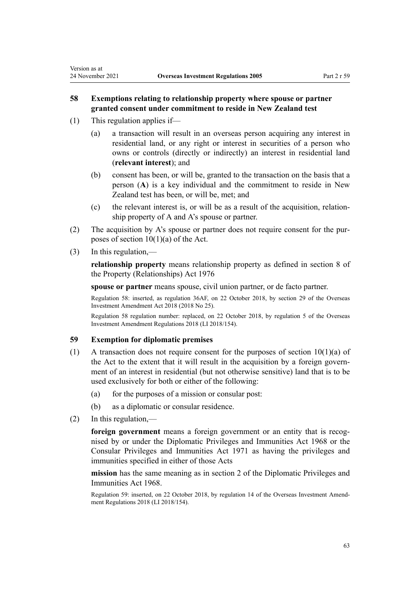# **58 Exemptions relating to relationship property where spouse or partner granted consent under commitment to reside in New Zealand test**

(1) This regulation applies if—

<span id="page-62-0"></span>Version as at

- (a) a transaction will result in an overseas person acquiring any interest in residential land, or any right or interest in securities of a person who owns or controls (directly or indirectly) an interest in residential land (**relevant interest**); and
- (b) consent has been, or will be, granted to the transaction on the basis that a person (**A**) is a key individual and the commitment to reside in New Zealand test has been, or will be, met; and
- (c) the relevant interest is, or will be as a result of the acquisition, relation‐ ship property of A and A's spouse or partner.
- (2) The acquisition by A's spouse or partner does not require consent for the purposes of [section 10\(1\)\(a\)](http://legislation.govt.nz/pdflink.aspx?id=DLM358014) of the Act.
- (3) In this regulation,—

**relationship property** means relationship property as defined in [section 8](http://legislation.govt.nz/pdflink.aspx?id=DLM441170) of the Property (Relationships) Act 1976

**spouse or partner** means spouse, civil union partner, or de facto partner.

Regulation 58: inserted, as regulation 36AF, on 22 October 2018, by [section 29](http://legislation.govt.nz/pdflink.aspx?id=LMS40766) of the Overseas Investment Amendment Act 2018 (2018 No 25).

Regulation 58 regulation number: replaced, on 22 October 2018, by [regulation 5](http://legislation.govt.nz/pdflink.aspx?id=LMS76980) of the Overseas Investment Amendment Regulations 2018 (LI 2018/154).

## **59 Exemption for diplomatic premises**

- (1) A transaction does not require consent for the purposes of [section 10\(1\)\(a\)](http://legislation.govt.nz/pdflink.aspx?id=DLM358014) of the Act to the extent that it will result in the acquisition by a foreign government of an interest in residential (but not otherwise sensitive) land that is to be used exclusively for both or either of the following:
	- (a) for the purposes of a mission or consular post:
	- (b) as a diplomatic or consular residence.
- (2) In this regulation,—

foreign government means a foreign government or an entity that is recognised by or under the [Diplomatic Privileges and Immunities Act 1968](http://legislation.govt.nz/pdflink.aspx?id=DLM387495) or the [Consular Privileges and Immunities Act 1971](http://legislation.govt.nz/pdflink.aspx?id=DLM397288) as having the privileges and immunities specified in either of those Acts

**mission** has the same meaning as in [section 2](http://legislation.govt.nz/pdflink.aspx?id=DLM388001) of the Diplomatic Privileges and Immunities Act 1968.

Regulation 59: inserted, on 22 October 2018, by [regulation 14](http://legislation.govt.nz/pdflink.aspx?id=LMS77096) of the Overseas Investment Amend‐ ment Regulations 2018 (LI 2018/154).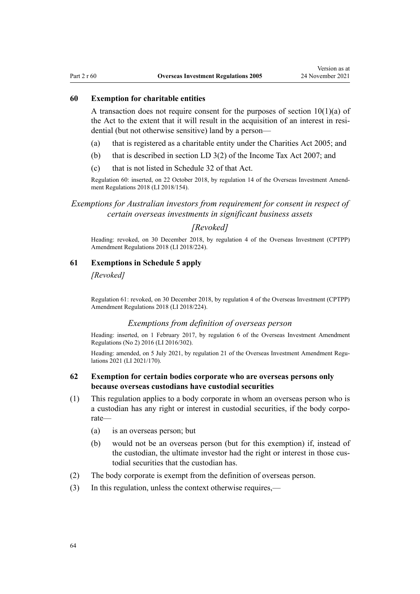## **60 Exemption for charitable entities**

A transaction does not require consent for the purposes of section  $10(1)(a)$  of the Act to the extent that it will result in the acquisition of an interest in residential (but not otherwise sensitive) land by a person—

- (a) that is registered as a charitable entity under the [Charities Act 2005;](http://legislation.govt.nz/pdflink.aspx?id=DLM344367) and
- (b) that is described in [section LD 3\(2\)](http://legislation.govt.nz/pdflink.aspx?id=DLM1518022) of the Income Tax Act 2007; and
- (c) that is not listed in [Schedule 32](http://legislation.govt.nz/pdflink.aspx?id=DLM1523393) of that Act.

Regulation 60: inserted, on 22 October 2018, by [regulation 14](http://legislation.govt.nz/pdflink.aspx?id=LMS77096) of the Overseas Investment Amend‐ ment Regulations 2018 (LI 2018/154).

# *Exemptions for Australian investors from requirement for consent in respect of certain overseas investments in significant business assets*

# *[Revoked]*

Heading: revoked, on 30 December 2018, by [regulation 4](http://legislation.govt.nz/pdflink.aspx?id=LMS119480) of the Overseas Investment (CPTPP) Amendment Regulations 2018 (LI 2018/224).

### **61 Exemptions in Schedule 5 apply**

# *[Revoked]*

Regulation 61: revoked, on 30 December 2018, by [regulation 4](http://legislation.govt.nz/pdflink.aspx?id=LMS119480) of the Overseas Investment (CPTPP) Amendment Regulations 2018 (LI 2018/224).

## *Exemptions from definition of overseas person*

Heading: inserted, on 1 February 2017, by [regulation 6](http://legislation.govt.nz/pdflink.aspx?id=DLM7059275) of the Overseas Investment Amendment Regulations (No 2) 2016 (LI 2016/302).

Heading: amended, on 5 July 2021, by [regulation 21](http://legislation.govt.nz/pdflink.aspx?id=LMS500869) of the Overseas Investment Amendment Regulations 2021 (LI 2021/170).

# **62 Exemption for certain bodies corporate who are overseas persons only because overseas custodians have custodial securities**

- (1) This regulation applies to a body corporate in whom an overseas person who is a custodian has any right or interest in custodial securities, if the body corporate—
	- (a) is an overseas person; but
	- (b) would not be an overseas person (but for this exemption) if, instead of the custodian, the ultimate investor had the right or interest in those custodial securities that the custodian has.
- (2) The body corporate is exempt from the definition of overseas person.
- (3) In this regulation, unless the context otherwise requires,—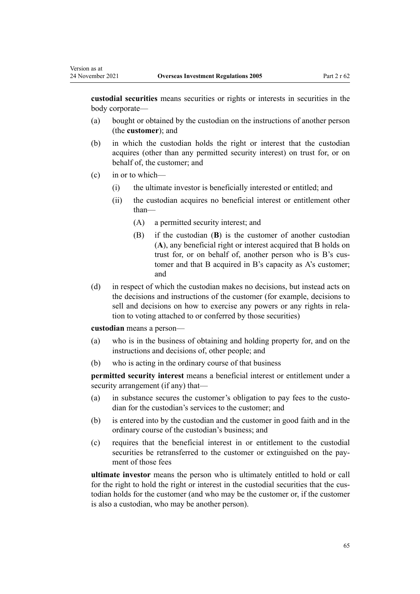**custodial securities** means securities or rights or interests in securities in the body corporate—

- (a) bought or obtained by the custodian on the instructions of another person (the **customer**); and
- (b) in which the custodian holds the right or interest that the custodian acquires (other than any permitted security interest) on trust for, or on behalf of, the customer; and
- (c) in or to which—

Version as at

- (i) the ultimate investor is beneficially interested or entitled; and
- (ii) the custodian acquires no beneficial interest or entitlement other than—
	- (A) a permitted security interest; and
	- (B) if the custodian (**B**) is the customer of another custodian (**A**), any beneficial right or interest acquired that B holds on trust for, or on behalf of, another person who is B's customer and that B acquired in B's capacity as A's customer; and
- (d) in respect of which the custodian makes no decisions, but instead acts on the decisions and instructions of the customer (for example, decisions to sell and decisions on how to exercise any powers or any rights in relation to voting attached to or conferred by those securities)

**custodian** means a person—

- (a) who is in the business of obtaining and holding property for, and on the instructions and decisions of, other people; and
- (b) who is acting in the ordinary course of that business

**permitted security interest** means a beneficial interest or entitlement under a security arrangement (if any) that—

- (a) in substance secures the customer's obligation to pay fees to the custodian for the custodian's services to the customer; and
- (b) is entered into by the custodian and the customer in good faith and in the ordinary course of the custodian's business; and
- (c) requires that the beneficial interest in or entitlement to the custodial securities be retransferred to the customer or extinguished on the payment of those fees

**ultimate investor** means the person who is ultimately entitled to hold or call for the right to hold the right or interest in the custodial securities that the custodian holds for the customer (and who may be the customer or, if the customer is also a custodian, who may be another person).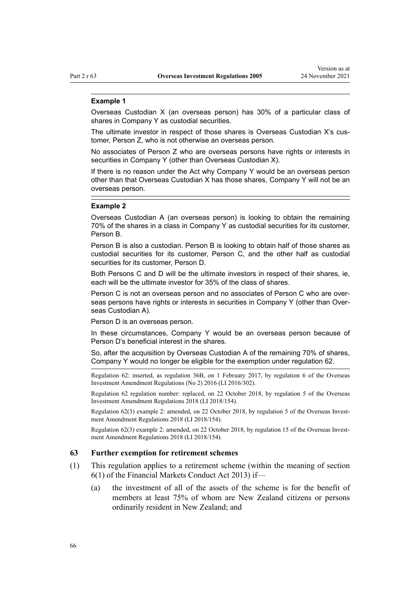#### **Example 1**

Overseas Custodian X (an overseas person) has 30% of a particular class of shares in Company Y as custodial securities.

The ultimate investor in respect of those shares is Overseas Custodian X's customer, Person Z, who is not otherwise an overseas person.

No associates of Person Z who are overseas persons have rights or interests in securities in Company Y (other than Overseas Custodian X).

If there is no reason under the Act why Company Y would be an overseas person other than that Overseas Custodian X has those shares, Company Y will not be an overseas person.

#### **Example 2**

Overseas Custodian A (an overseas person) is looking to obtain the remaining 70% of the shares in a class in Company Y as custodial securities for its customer, Person B.

Person B is also a custodian. Person B is looking to obtain half of those shares as custodial securities for its customer, Person C, and the other half as custodial securities for its customer, Person D.

Both Persons C and D will be the ultimate investors in respect of their shares, ie, each will be the ultimate investor for 35% of the class of shares.

Person C is not an overseas person and no associates of Person C who are overseas persons have rights or interests in securities in Company Y (other than Overseas Custodian A).

Person D is an overseas person.

In these circumstances, Company Y would be an overseas person because of Person D's beneficial interest in the shares.

So, after the acquisition by Overseas Custodian A of the remaining 70% of shares, Company Y would no longer be eligible for the exemption under regulation 62.

Regulation 62: inserted, as regulation 36B, on 1 February 2017, by [regulation 6](http://legislation.govt.nz/pdflink.aspx?id=DLM7059275) of the Overseas Investment Amendment Regulations (No 2) 2016 (LI 2016/302).

Regulation 62 regulation number: replaced, on 22 October 2018, by [regulation 5](http://legislation.govt.nz/pdflink.aspx?id=LMS76980) of the Overseas Investment Amendment Regulations 2018 (LI 2018/154).

Regulation 62(3) example 2: amended, on 22 October 2018, by [regulation 5](http://legislation.govt.nz/pdflink.aspx?id=LMS76980) of the Overseas Investment Amendment Regulations 2018 (LI 2018/154).

Regulation 62(3) example 2: amended, on 22 October 2018, by [regulation 15](http://legislation.govt.nz/pdflink.aspx?id=LMS77098) of the Overseas Investment Amendment Regulations 2018 (LI 2018/154).

## **63 Further exemption for retirement schemes**

- (1) This regulation applies to a retirement scheme (within the meaning of [section](http://legislation.govt.nz/pdflink.aspx?id=DLM4090590) [6\(1\)](http://legislation.govt.nz/pdflink.aspx?id=DLM4090590) of the Financial Markets Conduct Act 2013) if—
	- (a) the investment of all of the assets of the scheme is for the benefit of members at least 75% of whom are New Zealand citizens or persons ordinarily resident in New Zealand; and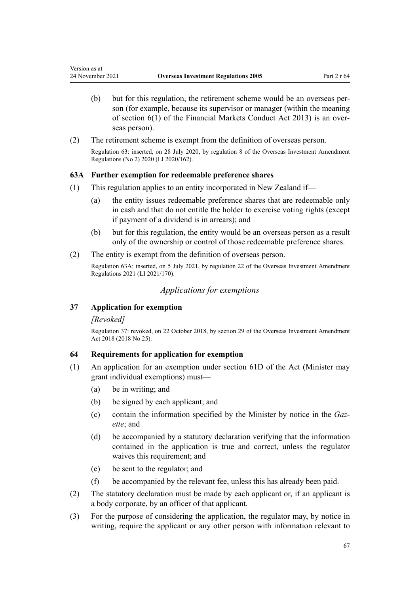- (b) but for this regulation, the retirement scheme would be an overseas person (for example, because its supervisor or manager (within the meaning of [section 6\(1\)](http://legislation.govt.nz/pdflink.aspx?id=DLM4090590) of the Financial Markets Conduct Act 2013) is an over‐ seas person).
- (2) The retirement scheme is exempt from the definition of overseas person. Regulation 63: inserted, on 28 July 2020, by [regulation 8](http://legislation.govt.nz/pdflink.aspx?id=LMS353128) of the Overseas Investment Amendment Regulations (No 2) 2020 (LI 2020/162).

# **63A Further exemption for redeemable preference shares**

- (1) This regulation applies to an entity incorporated in New Zealand if—
	- (a) the entity issues redeemable preference shares that are redeemable only in cash and that do not entitle the holder to exercise voting rights (except if payment of a dividend is in arrears); and
	- (b) but for this regulation, the entity would be an overseas person as a result only of the ownership or control of those redeemable preference shares.
- (2) The entity is exempt from the definition of overseas person.

Regulation 63A: inserted, on 5 July 2021, by [regulation 22](http://legislation.govt.nz/pdflink.aspx?id=LMS500871) of the Overseas Investment Amendment Regulations 2021 (LI 2021/170).

# *Applications for exemptions*

## **37 Application for exemption**

# *[Revoked]*

Version as at

Regulation 37: revoked, on 22 October 2018, by [section 29](http://legislation.govt.nz/pdflink.aspx?id=LMS40766) of the Overseas Investment Amendment Act 2018 (2018 No 25).

# **64 Requirements for application for exemption**

- (1) An application for an exemption under [section 61D](http://legislation.govt.nz/pdflink.aspx?id=LMS112019) of the Act (Minister may grant individual exemptions) must—
	- (a) be in writing; and
	- (b) be signed by each applicant; and
	- (c) contain the information specified by the Minister by notice in the *Gaz‐ ette*; and
	- (d) be accompanied by a statutory declaration verifying that the information contained in the application is true and correct, unless the regulator waives this requirement; and
	- (e) be sent to the regulator; and
	- (f) be accompanied by the relevant fee, unless this has already been paid.
- (2) The statutory declaration must be made by each applicant or, if an applicant is a body corporate, by an officer of that applicant.
- (3) For the purpose of considering the application, the regulator may, by notice in writing, require the applicant or any other person with information relevant to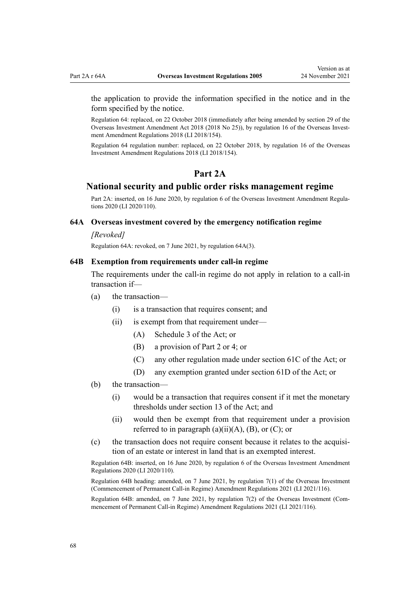the application to provide the information specified in the notice and in the form specified by the notice.

Regulation 64: replaced, on 22 October 2018 (immediately after being amended by [section 29](http://legislation.govt.nz/pdflink.aspx?id=LMS40766) of the Overseas Investment Amendment Act 2018 (2018 No 25)), by [regulation 16](http://legislation.govt.nz/pdflink.aspx?id=LMS77100) of the Overseas Investment Amendment Regulations 2018 (LI 2018/154).

Regulation 64 regulation number: replaced, on 22 October 2018, by [regulation 16](http://legislation.govt.nz/pdflink.aspx?id=LMS77100) of the Overseas Investment Amendment Regulations 2018 (LI 2018/154).

# **Part 2A**

# **National security and public order risks management regime**

Part 2A: inserted, on 16 June 2020, by [regulation 6](http://legislation.govt.nz/pdflink.aspx?id=LMS345212) of the Overseas Investment Amendment Regulations 2020 (LI 2020/110).

## **64A Overseas investment covered by the emergency notification regime**

#### *[Revoked]*

Regulation 64A: revoked, on 7 June 2021, by regulation 64A(3).

## **64B Exemption from requirements under call-in regime**

The requirements under the call-in regime do not apply in relation to a call-in transaction if—

- (a) the transaction—
	- (i) is a transaction that requires consent; and
	- (ii) is exempt from that requirement under—
		- (A) [Schedule 3](http://legislation.govt.nz/pdflink.aspx?id=LMS111248) of the Act; or
		- (B) a provision of [Part 2](#page-35-0) or [4](#page-77-0); or
		- (C) any other regulation made under [section 61C](http://legislation.govt.nz/pdflink.aspx?id=LMS112018) of the Act; or
		- (D) any exemption granted under [section 61D](http://legislation.govt.nz/pdflink.aspx?id=LMS112019) of the Act; or
- (b) the transaction—
	- (i) would be a transaction that requires consent if it met the monetary thresholds under [section 13](http://legislation.govt.nz/pdflink.aspx?id=DLM358019) of the Act; and
	- (ii) would then be exempt from that requirement under a provision referred to in paragraph  $(a)(ii)(A)$ ,  $(B)$ , or  $(C)$ ; or
- (c) the transaction does not require consent because it relates to the acquisition of an estate or interest in land that is an exempted interest.

Regulation 64B: inserted, on 16 June 2020, by [regulation 6](http://legislation.govt.nz/pdflink.aspx?id=LMS345212) of the Overseas Investment Amendment Regulations 2020 (LI 2020/110).

Regulation 64B heading: amended, on 7 June 2021, by [regulation 7\(1\)](http://legislation.govt.nz/pdflink.aspx?id=LMS495283) of the Overseas Investment (Commencement of Permanent Call-in Regime) Amendment Regulations 2021 (LI 2021/116).

Regulation 64B: amended, on 7 June 2021, by [regulation 7\(2\)](http://legislation.govt.nz/pdflink.aspx?id=LMS495283) of the Overseas Investment (Com‐ mencement of Permanent Call-in Regime) Amendment Regulations 2021 (LI 2021/116).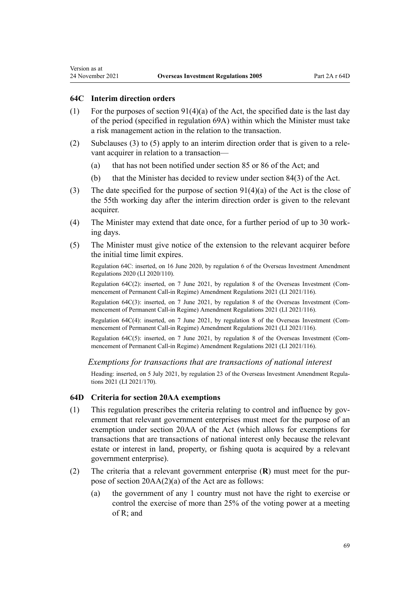#### **64C Interim direction orders**

Version as at

- (1) For the purposes of section  $91(4)(a)$  of the Act, the specified date is the last day of the period (specified in [regulation 69A\)](#page-73-0) within which the Minister must take a risk management action in the relation to the transaction.
- (2) Subclauses (3) to (5) apply to an interim direction order that is given to a rele‐ vant acquirer in relation to a transaction—
	- (a) that has not been notified under [section 85](http://legislation.govt.nz/pdflink.aspx?id=LMS358555) or [86](http://legislation.govt.nz/pdflink.aspx?id=LMS358557) of the Act; and
	- (b) that the Minister has decided to review under [section 84\(3\)](http://legislation.govt.nz/pdflink.aspx?id=LMS358551) of the Act.
- (3) The date specified for the purpose of [section 91\(4\)\(a\)](http://legislation.govt.nz/pdflink.aspx?id=LMS358773) of the Act is the close of the 55th working day after the interim direction order is given to the relevant acquirer.
- (4) The Minister may extend that date once, for a further period of up to 30 work‐ ing days.
- (5) The Minister must give notice of the extension to the relevant acquirer before the initial time limit expires.

Regulation 64C: inserted, on 16 June 2020, by [regulation 6](http://legislation.govt.nz/pdflink.aspx?id=LMS345212) of the Overseas Investment Amendment Regulations 2020 (LI 2020/110).

Regulation 64C(2): inserted, on 7 June 2021, by [regulation 8](http://legislation.govt.nz/pdflink.aspx?id=LMS495284) of the Overseas Investment (Com‐ mencement of Permanent Call-in Regime) Amendment Regulations 2021 (LI 2021/116).

Regulation 64C(3): inserted, on 7 June 2021, by [regulation 8](http://legislation.govt.nz/pdflink.aspx?id=LMS495284) of the Overseas Investment (Com‐ mencement of Permanent Call-in Regime) Amendment Regulations 2021 (LI 2021/116).

Regulation 64C(4): inserted, on 7 June 2021, by [regulation 8](http://legislation.govt.nz/pdflink.aspx?id=LMS495284) of the Overseas Investment (Com‐ mencement of Permanent Call-in Regime) Amendment Regulations 2021 (LI 2021/116).

Regulation 64C(5): inserted, on 7 June 2021, by [regulation 8](http://legislation.govt.nz/pdflink.aspx?id=LMS495284) of the Overseas Investment (Commencement of Permanent Call-in Regime) Amendment Regulations 2021 (LI 2021/116).

*Exemptions for transactions that are transactions of national interest*

Heading: inserted, on 5 July 2021, by [regulation 23](http://legislation.govt.nz/pdflink.aspx?id=LMS500876) of the Overseas Investment Amendment Regulations 2021 (LI 2021/170).

#### **64D Criteria for section 20AA exemptions**

- $(1)$  This regulation prescribes the criteria relating to control and influence by government that relevant government enterprises must meet for the purpose of an exemption under [section 20AA](http://legislation.govt.nz/pdflink.aspx?id=LMS518903) of the Act (which allows for exemptions for transactions that are transactions of national interest only because the relevant estate or interest in land, property, or fishing quota is acquired by a relevant government enterprise).
- (2) The criteria that a relevant government enterprise (**R**) must meet for the pur‐ pose of [section 20AA\(2\)\(a\)](http://legislation.govt.nz/pdflink.aspx?id=LMS518903) of the Act are as follows:
	- (a) the government of any 1 country must not have the right to exercise or control the exercise of more than 25% of the voting power at a meeting of R; and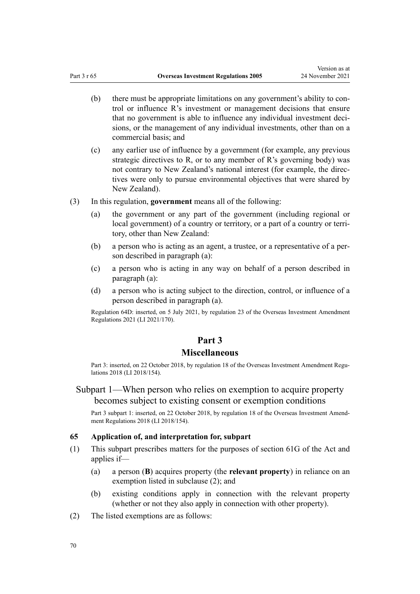Version as at

- <span id="page-69-0"></span>(b) there must be appropriate limitations on any government's ability to control or influence R's investment or management decisions that ensure that no government is able to influence any individual investment deci‐ sions, or the management of any individual investments, other than on a commercial basis; and
- (c) any earlier use of influence by a government (for example, any previous strategic directives to R, or to any member of R's governing body) was not contrary to New Zealand's national interest (for example, the direc‐ tives were only to pursue environmental objectives that were shared by New Zealand).
- (3) In this regulation, **government** means all of the following:
	- (a) the government or any part of the government (including regional or local government) of a country or territory, or a part of a country or territory, other than New Zealand:
	- (b) a person who is acting as an agent, a trustee, or a representative of a per‐ son described in paragraph (a):
	- (c) a person who is acting in any way on behalf of a person described in paragraph (a):
	- (d) a person who is acting subject to the direction, control, or influence of a person described in paragraph (a).

Regulation 64D: inserted, on 5 July 2021, by [regulation 23](http://legislation.govt.nz/pdflink.aspx?id=LMS500876) of the Overseas Investment Amendment Regulations 2021 (LI 2021/170).

# **Part 3**

# **Miscellaneous**

Part 3: inserted, on 22 October 2018, by [regulation 18](http://legislation.govt.nz/pdflink.aspx?id=LMS77223) of the Overseas Investment Amendment Regulations 2018 (LI 2018/154).

# Subpart 1—When person who relies on exemption to acquire property becomes subject to existing consent or exemption conditions

Part 3 subpart 1: inserted, on 22 October 2018, by [regulation 18](http://legislation.govt.nz/pdflink.aspx?id=LMS77223) of the Overseas Investment Amendment Regulations 2018 (LI 2018/154).

# **65 Application of, and interpretation for, subpart**

- (1) This subpart prescribes matters for the purposes of [section 61G](http://legislation.govt.nz/pdflink.aspx?id=LMS112026) of the Act and applies if—
	- (a) a person (**B**) acquires property (the **relevant property**) in reliance on an exemption listed in subclause (2); and
	- (b) existing conditions apply in connection with the relevant property (whether or not they also apply in connection with other property).
- (2) The listed exemptions are as follows: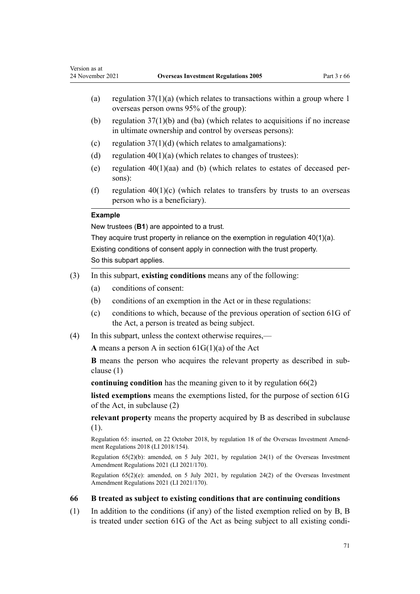- (a) regulation  $37(1)(a)$  (which relates to transactions within a group where 1 overseas person owns 95% of the group):
- (b) regulation  $37(1)(b)$  and (ba) (which relates to acquisitions if no increase in ultimate ownership and control by overseas persons):
- (c) regulation  $37(1)(d)$  (which relates to amalgamations):
- (d) regulation  $40(1)(a)$  (which relates to changes of trustees):
- (e) regulation  $40(1)(aa)$  and (b) (which relates to estates of deceased persons):
- (f) regulation  $40(1)(c)$  (which relates to transfers by trusts to an overseas person who is a beneficiary).

## **Example**

New trustees (**B1**) are appointed to a trust.

They acquire trust property in reliance on the exemption in regulation 40(1)(a). Existing conditions of consent apply in connection with the trust property. So this subpart applies.

- (3) In this subpart, **existing conditions** means any of the following:
	- (a) conditions of consent:
	- (b) conditions of an exemption in the Act or in these regulations:
	- (c) conditions to which, because of the previous operation of [section 61G](http://legislation.govt.nz/pdflink.aspx?id=LMS112026) of the Act, a person is treated as being subject.
- (4) In this subpart, unless the context otherwise requires,—

**A** means a person A in [section 61G\(1\)\(a\)](http://legislation.govt.nz/pdflink.aspx?id=LMS112026) of the Act

**B** means the person who acquires the relevant property as described in sub‐ clause (1)

**continuing condition** has the meaning given to it by regulation 66(2)

**listed exemptions** means the exemptions listed, for the purpose of [section 61G](http://legislation.govt.nz/pdflink.aspx?id=LMS112026) of the Act, in subclause (2)

**relevant property** means the property acquired by B as described in subclause (1).

Regulation 65: inserted, on 22 October 2018, by [regulation 18](http://legislation.govt.nz/pdflink.aspx?id=LMS77223) of the Overseas Investment Amend‐ ment Regulations 2018 (LI 2018/154).

Regulation 65(2)(b): amended, on 5 July 2021, by [regulation 24\(1\)](http://legislation.govt.nz/pdflink.aspx?id=LMS500877) of the Overseas Investment Amendment Regulations 2021 (LI 2021/170).

Regulation 65(2)(e): amended, on 5 July 2021, by [regulation 24\(2\)](http://legislation.govt.nz/pdflink.aspx?id=LMS500877) of the Overseas Investment Amendment Regulations 2021 (LI 2021/170).

# **66 B treated as subject to existing conditions that are continuing conditions**

(1) In addition to the conditions (if any) of the listed exemption relied on by B, B is treated under [section 61G](http://legislation.govt.nz/pdflink.aspx?id=LMS112026) of the Act as being subject to all existing condi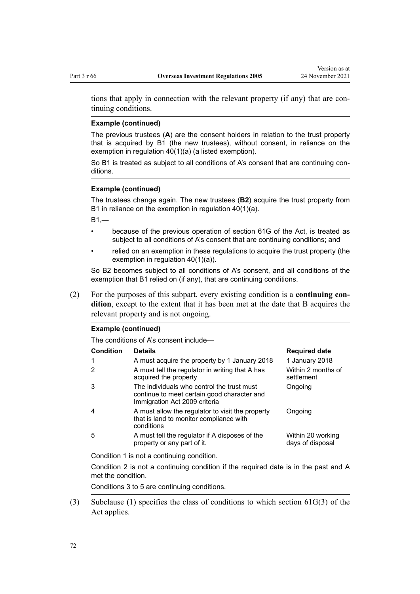tions that apply in connection with the relevant property (if any) that are con‐ tinuing conditions.

### **Example (continued)**

The previous trustees (**A**) are the consent holders in relation to the trust property that is acquired by B1 (the new trustees), without consent, in reliance on the exemption in regulation 40(1)(a) (a listed exemption).

So B1 is treated as subject to all conditions of A's consent that are continuing conditions.

# **Example (continued)**

The trustees change again. The new trustees (**B2**) acquire the trust property from B1 in reliance on the exemption in regulation 40(1)(a).

 $B1$ <sub>-</sub>

- because of the previous operation of section 61G of the Act, is treated as subject to all conditions of A's consent that are continuing conditions; and
- relied on an exemption in these regulations to acquire the trust property (the exemption in regulation 40(1)(a)).

So B2 becomes subject to all conditions of A's consent, and all conditions of the exemption that B1 relied on (if any), that are continuing conditions.

(2) For the purposes of this subpart, every existing condition is a **continuing con‐ dition**, except to the extent that it has been met at the date that B acquires the relevant property and is not ongoing.

#### **Example (continued)**

The conditions of A's consent include—

| <b>Condition</b> | <b>Details</b>                                                                                                             | <b>Required date</b>                  |
|------------------|----------------------------------------------------------------------------------------------------------------------------|---------------------------------------|
| 1                | A must acquire the property by 1 January 2018                                                                              | 1 January 2018                        |
| $\mathcal{P}$    | A must tell the regulator in writing that A has<br>acquired the property                                                   | Within 2 months of<br>settlement      |
| 3                | The individuals who control the trust must<br>continue to meet certain good character and<br>Immigration Act 2009 criteria | Ongoing                               |
| 4                | A must allow the regulator to visit the property<br>that is land to monitor compliance with<br>conditions                  | Ongoing                               |
| 5                | A must tell the regulator if A disposes of the<br>property or any part of it.                                              | Within 20 working<br>days of disposal |

Condition 1 is not a continuing condition.

Condition 2 is not a continuing condition if the required date is in the past and A met the condition.

Conditions 3 to 5 are continuing conditions.

(3) Subclause (1) specifies the class of conditions to which [section 61G\(3\)](http://legislation.govt.nz/pdflink.aspx?id=LMS112026) of the Act applies.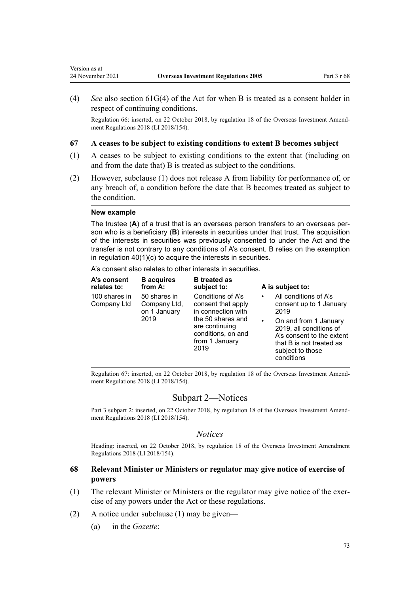(4) *See* also [section 61G\(4\)](http://legislation.govt.nz/pdflink.aspx?id=LMS112026) of the Act for when B is treated as a consent holder in respect of continuing conditions.

Regulation 66: inserted, on 22 October 2018, by [regulation 18](http://legislation.govt.nz/pdflink.aspx?id=LMS77223) of the Overseas Investment Amend‐ ment Regulations 2018 (LI 2018/154).

#### **67 A ceases to be subject to existing conditions to extent B becomes subject**

- (1) A ceases to be subject to existing conditions to the extent that (including on and from the date that) B is treated as subject to the conditions.
- (2) However, subclause (1) does not release A from liability for performance of, or any breach of, a condition before the date that B becomes treated as subject to the condition.

#### **New example**

Version as at<br>24 November 2021

The trustee (**A**) of a trust that is an overseas person transfers to an overseas person who is a beneficiary (**B**) interests in securities under that trust. The acquisition of the interests in securities was previously consented to under the Act and the transfer is not contrary to any conditions of A's consent. B relies on the exemption in regulation 40(1)(c) to acquire the interests in securities.

A's consent also relates to other interests in securities.

| A's consent<br>relates to:   | <b>B</b> acquires<br>from A:                         | <b>B</b> treated as<br>subject to:                                                                                                                   |                                | A is subject to:                                                                                                                                                                                |
|------------------------------|------------------------------------------------------|------------------------------------------------------------------------------------------------------------------------------------------------------|--------------------------------|-------------------------------------------------------------------------------------------------------------------------------------------------------------------------------------------------|
| 100 shares in<br>Company Ltd | 50 shares in<br>Company Ltd,<br>on 1 January<br>2019 | Conditions of A's<br>consent that apply<br>in connection with<br>the 50 shares and<br>are continuing<br>conditions, on and<br>from 1 January<br>2019 | $\bullet$<br>2019<br>$\bullet$ | All conditions of A's<br>consent up to 1 January<br>On and from 1 January<br>2019, all conditions of<br>A's consent to the extent<br>that B is not treated as<br>subject to those<br>conditions |

Regulation 67: inserted, on 22 October 2018, by [regulation 18](http://legislation.govt.nz/pdflink.aspx?id=LMS77223) of the Overseas Investment Amend‐ ment Regulations 2018 (LI 2018/154).

# Subpart 2—Notices

Part 3 subpart 2: inserted, on 22 October 2018, by [regulation 18](http://legislation.govt.nz/pdflink.aspx?id=LMS77223) of the Overseas Investment Amendment Regulations 2018 (LI 2018/154).

#### *Notices*

Heading: inserted, on 22 October 2018, by [regulation 18](http://legislation.govt.nz/pdflink.aspx?id=LMS77223) of the Overseas Investment Amendment Regulations 2018 (LI 2018/154).

# **68 Relevant Minister or Ministers or regulator may give notice of exercise of powers**

- (1) The relevant Minister or Ministers or the regulator may give notice of the exer‐ cise of any powers under the Act or these regulations.
- (2) A notice under subclause (1) may be given—
	- (a) in the *Gazette*: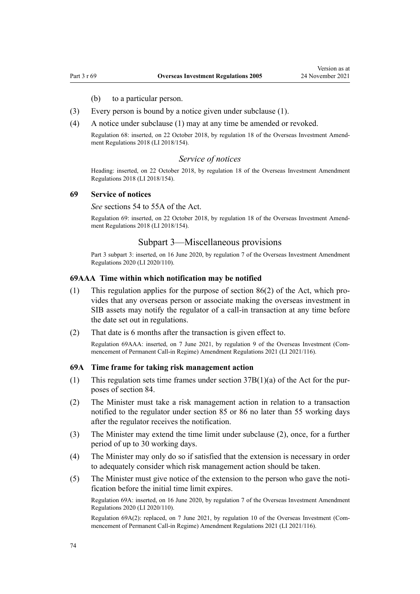- (b) to a particular person.
- (3) Every person is bound by a notice given under subclause (1).
- (4) A notice under subclause (1) may at any time be amended or revoked.

Regulation 68: inserted, on 22 October 2018, by [regulation 18](http://legislation.govt.nz/pdflink.aspx?id=LMS77223) of the Overseas Investment Amend‐ ment Regulations 2018 (LI 2018/154).

### *Service of notices*

Heading: inserted, on 22 October 2018, by [regulation 18](http://legislation.govt.nz/pdflink.aspx?id=LMS77223) of the Overseas Investment Amendment Regulations 2018 (LI 2018/154).

#### **69 Service of notices**

*See* [sections 54 to 55A](http://legislation.govt.nz/pdflink.aspx?id=DLM358075) of the Act.

Regulation 69: inserted, on 22 October 2018, by [regulation 18](http://legislation.govt.nz/pdflink.aspx?id=LMS77223) of the Overseas Investment Amend‐ ment Regulations 2018 (LI 2018/154).

# Subpart 3—Miscellaneous provisions

Part 3 subpart 3: inserted, on 16 June 2020, by [regulation 7](http://legislation.govt.nz/pdflink.aspx?id=LMS345222) of the Overseas Investment Amendment Regulations 2020 (LI 2020/110).

### **69AAA Time within which notification may be notified**

- (1) This regulation applies for the purpose of [section 86\(2\)](http://legislation.govt.nz/pdflink.aspx?id=LMS358557) of the Act, which pro‐ vides that any overseas person or associate making the overseas investment in SIB assets may notify the regulator of a call-in transaction at any time before the date set out in regulations.
- (2) That date is 6 months after the transaction is given effect to. Regulation 69AAA: inserted, on 7 June 2021, by [regulation 9](http://legislation.govt.nz/pdflink.aspx?id=LMS495286) of the Overseas Investment (Com‐ mencement of Permanent Call-in Regime) Amendment Regulations 2021 (LI 2021/116).

### **69A Time frame for taking risk management action**

- (1) This regulation sets time frames under section  $37B(1)(a)$  of the Act for the purposes of [section 84](http://legislation.govt.nz/pdflink.aspx?id=LMS358551).
- (2) The Minister must take a risk management action in relation to a transaction notified to the regulator under [section 85](http://legislation.govt.nz/pdflink.aspx?id=LMS358555) or [86](http://legislation.govt.nz/pdflink.aspx?id=LMS358557) no later than 55 working days after the regulator receives the notification.
- (3) The Minister may extend the time limit under subclause (2), once, for a further period of up to 30 working days.
- (4) The Minister may only do so if satisfied that the extension is necessary in order to adequately consider which risk management action should be taken.
- (5) The Minister must give notice of the extension to the person who gave the noti‐ fication before the initial time limit expires.

Regulation 69A: inserted, on 16 June 2020, by [regulation 7](http://legislation.govt.nz/pdflink.aspx?id=LMS345222) of the Overseas Investment Amendment Regulations 2020 (LI 2020/110).

Regulation 69A(2): replaced, on 7 June 2021, by [regulation 10](http://legislation.govt.nz/pdflink.aspx?id=LMS495287) of the Overseas Investment (Commencement of Permanent Call-in Regime) Amendment Regulations 2021 (LI 2021/116).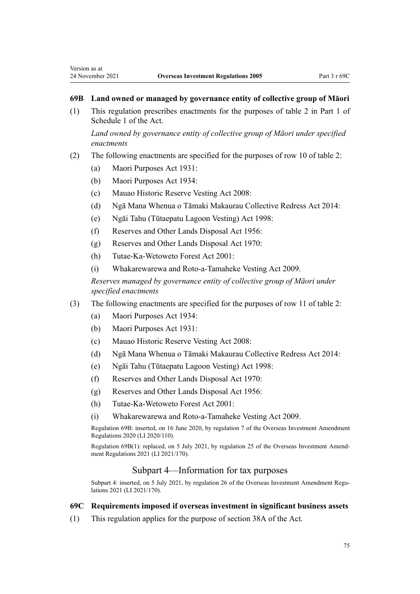# <span id="page-74-0"></span>**69B Land owned or managed by governance entity of collective group of Māori**

(1) This regulation prescribes enactments for the purposes of table 2 in [Part 1](http://legislation.govt.nz/pdflink.aspx?id=DLM358553) of Schedule 1 of the Act.

*Land owned by governance entity of collective group of Māori under specified enactments*

- (2) The following enactments are specified for the purposes of row 10 of table 2:
	- (a) [Maori Purposes Act 1931](http://legislation.govt.nz/pdflink.aspx?id=DLM210308):
	- (b) [Maori Purposes Act 1934](http://legislation.govt.nz/pdflink.aspx?id=DLM217510):
	- (c) [Mauao Historic Reserve Vesting Act 2008:](http://legislation.govt.nz/pdflink.aspx?id=DLM1037700)
	- (d) [Ngā Mana Whenua o Tāmaki Makaurau Collective Redress Act 2014:](http://legislation.govt.nz/pdflink.aspx?id=DLM5322300)
	- (e) [Ngāi Tahu \(Tūtaepatu Lagoon Vesting\) Act 1998:](http://legislation.govt.nz/pdflink.aspx?id=DLM425352)
	- (f) [Reserves and Other Lands Disposal Act 1956:](http://legislation.govt.nz/pdflink.aspx?id=DLM304358)
	- (g) [Reserves and Other Lands Disposal Act 1970:](http://legislation.govt.nz/pdflink.aspx?id=DLM396126)
	- (h) [Tutae-Ka-Wetoweto Forest Act 2001](http://legislation.govt.nz/pdflink.aspx?id=DLM99419):
	- (i) [Whakarewarewa and Roto-a-Tamaheke Vesting Act 2009.](http://legislation.govt.nz/pdflink.aspx?id=DLM1569900)

*Reserves managed by governance entity of collective group of Māori under specified enactments*

- (3) The following enactments are specified for the purposes of row 11 of table 2:
	- (a) [Maori Purposes Act 1934](http://legislation.govt.nz/pdflink.aspx?id=DLM217510):
	- (b) [Maori Purposes Act 1931](http://legislation.govt.nz/pdflink.aspx?id=DLM210308):
	- (c) [Mauao Historic Reserve Vesting Act 2008:](http://legislation.govt.nz/pdflink.aspx?id=DLM1037700)
	- (d) [Ngā Mana Whenua o Tāmaki Makaurau Collective Redress Act 2014:](http://legislation.govt.nz/pdflink.aspx?id=DLM5322300)
	- (e) [Ngāi Tahu \(Tūtaepatu Lagoon Vesting\) Act 1998:](http://legislation.govt.nz/pdflink.aspx?id=DLM425352)
	- (f) [Reserves and Other Lands Disposal Act 1970:](http://legislation.govt.nz/pdflink.aspx?id=DLM396126)
	- (g) [Reserves and Other Lands Disposal Act 1956:](http://legislation.govt.nz/pdflink.aspx?id=DLM304358)
	- (h) [Tutae-Ka-Wetoweto Forest Act 2001](http://legislation.govt.nz/pdflink.aspx?id=DLM99419):
	- (i) [Whakarewarewa and Roto-a-Tamaheke Vesting Act 2009.](http://legislation.govt.nz/pdflink.aspx?id=DLM1569900)

Regulation 69B: inserted, on 16 June 2020, by [regulation 7](http://legislation.govt.nz/pdflink.aspx?id=LMS345222) of the Overseas Investment Amendment Regulations 2020 (LI 2020/110).

Regulation 69B(1): replaced, on 5 July 2021, by [regulation 25](http://legislation.govt.nz/pdflink.aspx?id=LMS500879) of the Overseas Investment Amend‐ ment Regulations 2021 (LI 2021/170).

### Subpart 4—Information for tax purposes

Subpart 4: inserted, on 5 July 2021, by [regulation 26](http://legislation.govt.nz/pdflink.aspx?id=LMS500885) of the Overseas Investment Amendment Regulations 2021 (LI 2021/170).

# **69C Requirements imposed if overseas investment in significant business assets**

(1) This regulation applies for the purpose of [section 38A](http://legislation.govt.nz/pdflink.aspx?id=LMS519035) of the Act.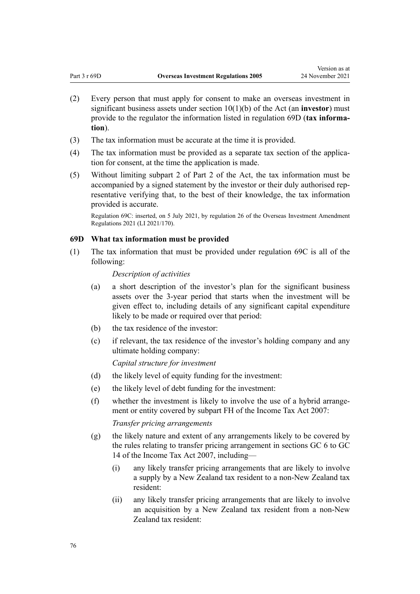- <span id="page-75-0"></span>(2) Every person that must apply for consent to make an overseas investment in significant business assets under [section 10\(1\)\(b\)](http://legislation.govt.nz/pdflink.aspx?id=DLM358014) of the Act (an **investor**) must provide to the regulator the information listed in regulation 69D (**tax informa‐ tion**).
- (3) The tax information must be accurate at the time it is provided.
- (4) The tax information must be provided as a separate tax section of the application for consent, at the time the application is made.
- (5) Without limiting [subpart 2](http://legislation.govt.nz/pdflink.aspx?id=DLM358032) of Part 2 of the Act, the tax information must be accompanied by a signed statement by the investor or their duly authorised rep‐ resentative verifying that, to the best of their knowledge, the tax information provided is accurate.

Regulation 69C: inserted, on 5 July 2021, by [regulation 26](http://legislation.govt.nz/pdflink.aspx?id=LMS500885) of the Overseas Investment Amendment Regulations 2021 (LI 2021/170).

#### **69D What tax information must be provided**

(1) The tax information that must be provided under [regulation 69C](#page-74-0) is all of the following:

# *Description of activities*

- (a) a short description of the investor's plan for the significant business assets over the 3-year period that starts when the investment will be given effect to, including details of any significant capital expenditure likely to be made or required over that period:
- (b) the tax residence of the investor:
- (c) if relevant, the tax residence of the investor's holding company and any ultimate holding company:

#### *Capital structure for investment*

- (d) the likely level of equity funding for the investment:
- (e) the likely level of debt funding for the investment:
- (f) whether the investment is likely to involve the use of a hybrid arrange‐ ment or entity covered by [subpart FH](http://legislation.govt.nz/pdflink.aspx?id=LMS65879) of the Income Tax Act 2007:

#### *Transfer pricing arrangements*

- (g) the likely nature and extent of any arrangements likely to be covered by the rules relating to transfer pricing arrangement in [sections GC 6 to GC](http://legislation.govt.nz/pdflink.aspx?id=DLM1517090) [14](http://legislation.govt.nz/pdflink.aspx?id=DLM1517090) of the Income Tax Act 2007, including—
	- (i) any likely transfer pricing arrangements that are likely to involve a supply by a New Zealand tax resident to a non-New Zealand tax resident:
	- (ii) any likely transfer pricing arrangements that are likely to involve an acquisition by a New Zealand tax resident from a non-New Zealand tax resident: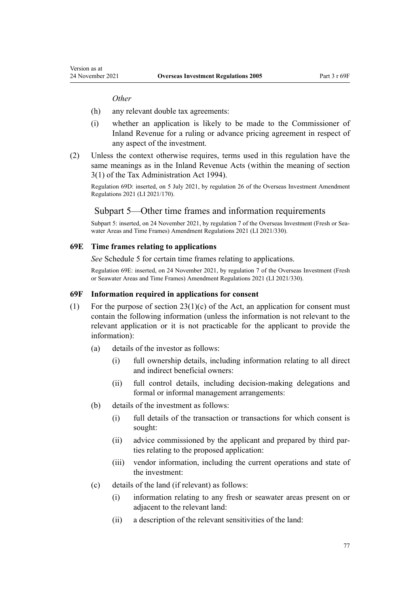*Other*

Version as at

- (h) any relevant double tax agreements:
- (i) whether an application is likely to be made to the Commissioner of Inland Revenue for a ruling or advance pricing agreement in respect of any aspect of the investment.
- (2) Unless the context otherwise requires, terms used in this regulation have the same meanings as in the Inland Revenue Acts (within the meaning of [section](http://legislation.govt.nz/pdflink.aspx?id=DLM348353) [3\(1\)](http://legislation.govt.nz/pdflink.aspx?id=DLM348353) of the Tax Administration Act 1994).

Regulation 69D: inserted, on 5 July 2021, by [regulation 26](http://legislation.govt.nz/pdflink.aspx?id=LMS500885) of the Overseas Investment Amendment Regulations 2021 (LI 2021/170).

# Subpart 5—Other time frames and information requirements

Subpart 5: inserted, on 24 November 2021, by [regulation 7](http://legislation.govt.nz/pdflink.aspx?id=LMS572200) of the Overseas Investment (Fresh or Seawater Areas and Time Frames) Amendment Regulations 2021 (LI 2021/330).

#### **69E Time frames relating to applications**

*See* [Schedule 5](#page-130-0) for certain time frames relating to applications.

Regulation 69E: inserted, on 24 November 2021, by [regulation 7](http://legislation.govt.nz/pdflink.aspx?id=LMS572200) of the Overseas Investment (Fresh or Seawater Areas and Time Frames) Amendment Regulations 2021 (LI 2021/330).

#### **69F Information required in applications for consent**

- (1) For the purpose of section  $23(1)(c)$  of the Act, an application for consent must contain the following information (unless the information is not relevant to the relevant application or it is not practicable for the applicant to provide the information):
	- (a) details of the investor as follows:
		- (i) full ownership details, including information relating to all direct and indirect beneficial owners:
		- (ii) full control details, including decision-making delegations and formal or informal management arrangements:
	- (b) details of the investment as follows:
		- (i) full details of the transaction or transactions for which consent is sought:
		- (ii) advice commissioned by the applicant and prepared by third par‐ ties relating to the proposed application:
		- (iii) vendor information, including the current operations and state of the investment:
	- (c) details of the land (if relevant) as follows:
		- (i) information relating to any fresh or seawater areas present on or adjacent to the relevant land:
		- (ii) a description of the relevant sensitivities of the land: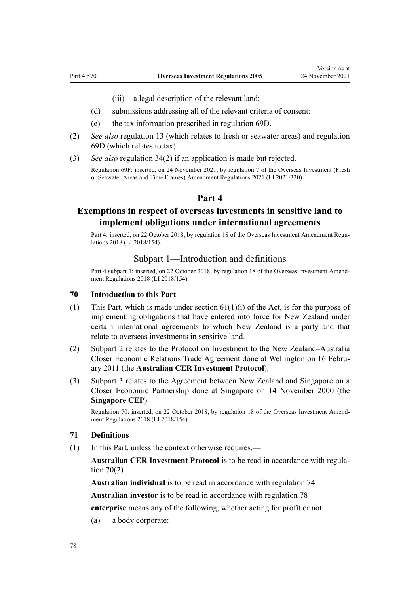(iii) a legal description of the relevant land:

- <span id="page-77-0"></span>(d) submissions addressing all of the relevant criteria of consent:
- (e) the tax information prescribed in [regulation 69D](#page-75-0).
- (2) *See also* [regulation 13](#page-16-0) (which relates to fresh or seawater areas) and [regulation](#page-75-0) [69D](#page-75-0) (which relates to tax).
- (3) *See also* [regulation 34\(2\)](#page-33-0) if an application is made but rejected. Regulation 69F: inserted, on 24 November 2021, by [regulation 7](http://legislation.govt.nz/pdflink.aspx?id=LMS572200) of the Overseas Investment (Fresh or Seawater Areas and Time Frames) Amendment Regulations 2021 (LI 2021/330).

# **Part 4**

# **Exemptions in respect of overseas investments in sensitive land to implement obligations under international agreements**

Part 4: inserted, on 22 October 2018, by [regulation 18](http://legislation.govt.nz/pdflink.aspx?id=LMS77223) of the Overseas Investment Amendment Regulations 2018 (LI 2018/154).

# Subpart 1—Introduction and definitions

Part 4 subpart 1: inserted, on 22 October 2018, by [regulation 18](http://legislation.govt.nz/pdflink.aspx?id=LMS77223) of the Overseas Investment Amendment Regulations 2018 (LI 2018/154).

#### **70 Introduction to this Part**

- (1) This Part, which is made under [section 61\(1\)\(i\)](http://legislation.govt.nz/pdflink.aspx?id=DLM358084) of the Act, is for the purpose of implementing obligations that have entered into force for New Zealand under certain international agreements to which New Zealand is a party and that relate to overseas investments in sensitive land.
- (2) [Subpart 2](#page-81-0) relates to the Protocol on Investment to the New Zealand–Australia Closer Economic Relations Trade Agreement done at Wellington on 16 Febru‐ ary 2011 (the **Australian CER Investment Protocol**).
- (3) [Subpart 3](#page-84-0) relates to the Agreement between New Zealand and Singapore on a Closer Economic Partnership done at Singapore on 14 November 2000 (the **Singapore CEP**).

Regulation 70: inserted, on 22 October 2018, by [regulation 18](http://legislation.govt.nz/pdflink.aspx?id=LMS77223) of the Overseas Investment Amendment Regulations 2018 (LI 2018/154).

#### **71 Definitions**

(1) In this Part, unless the context otherwise requires,—

**Australian CER Investment Protocol** is to be read in accordance with regula‐ tion 70(2)

**Australian individual** is to be read in accordance with [regulation 74](#page-81-0)

**Australian investor** is to be read in accordance with [regulation 78](#page-83-0)

**enterprise** means any of the following, whether acting for profit or not:

(a) a body corporate: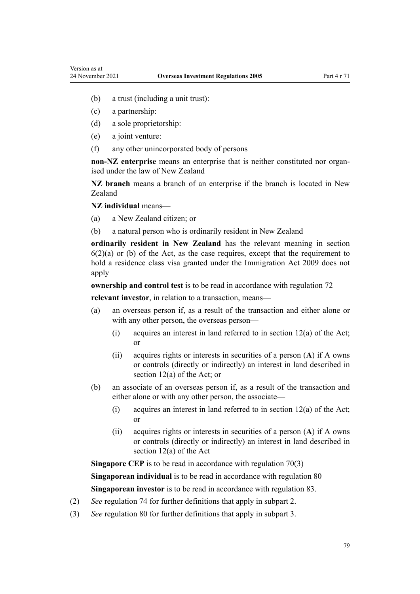- (b) a trust (including a unit trust):
- (c) a partnership:
- (d) a sole proprietorship:
- (e) a joint venture:
- (f) any other unincorporated body of persons

**non-NZ enterprise** means an enterprise that is neither constituted nor organ‐ ised under the law of New Zealand

**NZ branch** means a branch of an enterprise if the branch is located in New Zealand

**NZ individual** means—

- (a) a New Zealand citizen; or
- (b) a natural person who is ordinarily resident in New Zealand

**ordinarily resident in New Zealand** has the relevant meaning in [section](http://legislation.govt.nz/pdflink.aspx?id=DLM356891)  $6(2)(a)$  or (b) of the Act, as the case requires, except that the requirement to hold a residence class visa granted under the [Immigration Act 2009](http://legislation.govt.nz/pdflink.aspx?id=DLM1440300) does not apply

**ownership and control test** is to be read in accordance with [regulation 72](#page-79-0)

**relevant investor**, in relation to a transaction, means—

- (a) an overseas person if, as a result of the transaction and either alone or with any other person, the overseas person—
	- (i) acquires an interest in land referred to in [section 12\(a\)](http://legislation.govt.nz/pdflink.aspx?id=DLM358017) of the Act; or
	- (ii) acquires rights or interests in securities of a person (**A**) if A owns or controls (directly or indirectly) an interest in land described in [section 12\(a\)](http://legislation.govt.nz/pdflink.aspx?id=DLM358017) of the Act; or
- (b) an associate of an overseas person if, as a result of the transaction and either alone or with any other person, the associate—
	- (i) acquires an interest in land referred to in [section 12\(a\)](http://legislation.govt.nz/pdflink.aspx?id=DLM358017) of the Act; or
	- (ii) acquires rights or interests in securities of a person (**A**) if A owns or controls (directly or indirectly) an interest in land described in [section 12\(a\)](http://legislation.govt.nz/pdflink.aspx?id=DLM358017) of the Act

**Singapore CEP** is to be read in accordance with [regulation 70\(3\)](#page-77-0)

**Singaporean individual** is to be read in accordance with [regulation 80](#page-84-0)

**Singaporean investor** is to be read in accordance with [regulation 83.](#page-86-0)

- (2) *See* [regulation 74](#page-81-0) for further definitions that apply in [subpart 2](#page-81-0).
- (3) *See* [regulation 80](#page-84-0) for further definitions that apply in [subpart 3](#page-84-0).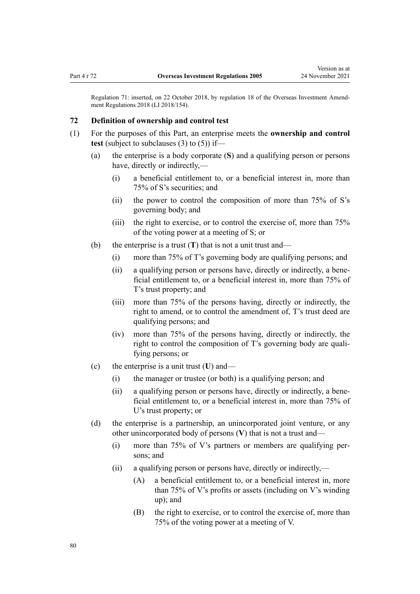<span id="page-79-0"></span>Regulation 71: inserted, on 22 October 2018, by [regulation 18](http://legislation.govt.nz/pdflink.aspx?id=LMS77223) of the Overseas Investment Amend‐ ment Regulations 2018 (LI 2018/154).

### **72 Definition of ownership and control test**

- (1) For the purposes of this Part, an enterprise meets the **ownership and control test** (subject to subclauses (3) to (5)) if—
	- (a) the enterprise is a body corporate (**S**) and a qualifying person or persons have, directly or indirectly,—
		- (i) a beneficial entitlement to, or a beneficial interest in, more than 75% of S's securities; and
		- (ii) the power to control the composition of more than 75% of S's governing body; and
		- (iii) the right to exercise, or to control the exercise of, more than 75% of the voting power at a meeting of S; or
	- (b) the enterprise is a trust (**T**) that is not a unit trust and—
		- (i) more than 75% of T's governing body are qualifying persons; and
		- (ii) a qualifying person or persons have, directly or indirectly, a bene‐ ficial entitlement to, or a beneficial interest in, more than 75% of T's trust property; and
		- (iii) more than 75% of the persons having, directly or indirectly, the right to amend, or to control the amendment of, T's trust deed are qualifying persons; and
		- (iv) more than 75% of the persons having, directly or indirectly, the right to control the composition of T's governing body are qualifying persons; or
	- (c) the enterprise is a unit trust (**U**) and—
		- (i) the manager or trustee (or both) is a qualifying person; and
		- (ii) a qualifying person or persons have, directly or indirectly, a bene‐ ficial entitlement to, or a beneficial interest in, more than 75% of U's trust property; or
	- (d) the enterprise is a partnership, an unincorporated joint venture, or any other unincorporated body of persons (**V**) that is not a trust and—
		- (i) more than 75% of V's partners or members are qualifying per‐ sons; and
		- (ii) a qualifying person or persons have, directly or indirectly,—
			- (A) a beneficial entitlement to, or a beneficial interest in, more than 75% of V's profits or assets (including on V's winding up); and
			- (B) the right to exercise, or to control the exercise of, more than 75% of the voting power at a meeting of V.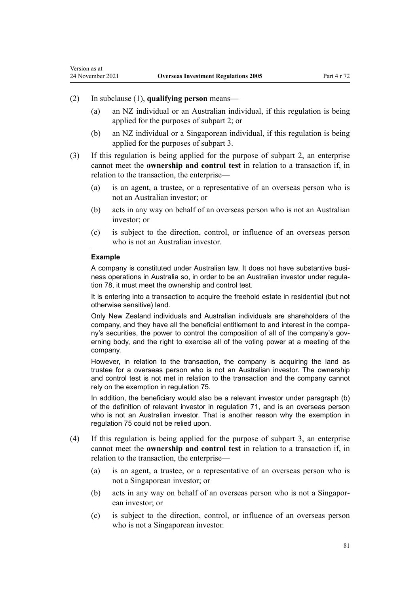## (2) In subclause (1), **qualifying person** means—

- (a) an NZ individual or an Australian individual, if this regulation is being applied for the purposes of [subpart 2;](#page-81-0) or
- (b) an NZ individual or a Singaporean individual, if this regulation is being applied for the purposes of [subpart 3.](#page-84-0)
- (3) If this regulation is being applied for the purpose of [subpart 2](#page-81-0), an enterprise cannot meet the **ownership and control test** in relation to a transaction if, in relation to the transaction, the enterprise—
	- (a) is an agent, a trustee, or a representative of an overseas person who is not an Australian investor; or
	- (b) acts in any way on behalf of an overseas person who is not an Australian investor; or
	- (c) is subject to the direction, control, or influence of an overseas person who is not an Australian investor.

#### **Example**

Version as at

A company is constituted under Australian law. It does not have substantive business operations in Australia so, in order to be an Australian investor under regulation 78, it must meet the ownership and control test.

It is entering into a transaction to acquire the freehold estate in residential (but not otherwise sensitive) land.

Only New Zealand individuals and Australian individuals are shareholders of the company, and they have all the beneficial entitlement to and interest in the company's securities, the power to control the composition of all of the company's governing body, and the right to exercise all of the voting power at a meeting of the company.

However, in relation to the transaction, the company is acquiring the land as trustee for a overseas person who is not an Australian investor. The ownership and control test is not met in relation to the transaction and the company cannot rely on the exemption in regulation 75.

In addition, the beneficiary would also be a relevant investor under paragraph (b) of the definition of relevant investor in regulation 71, and is an overseas person who is not an Australian investor. That is another reason why the exemption in regulation 75 could not be relied upon.

- (4) If this regulation is being applied for the purpose of [subpart 3](#page-84-0), an enterprise cannot meet the **ownership and control test** in relation to a transaction if, in relation to the transaction, the enterprise—
	- (a) is an agent, a trustee, or a representative of an overseas person who is not a Singaporean investor; or
	- (b) acts in any way on behalf of an overseas person who is not a Singapor‐ ean investor; or
	- (c) is subject to the direction, control, or influence of an overseas person who is not a Singaporean investor.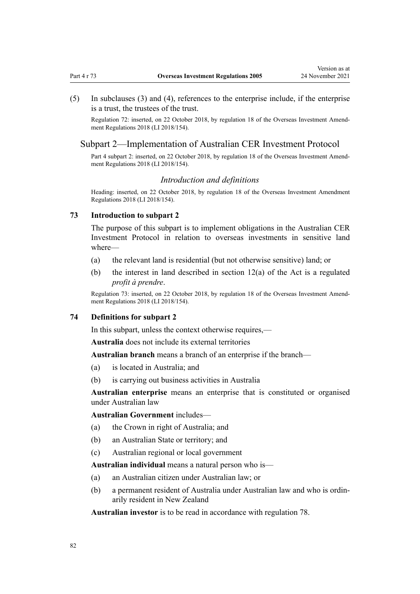- <span id="page-81-0"></span>
- (5) In subclauses (3) and (4), references to the enterprise include, if the enterprise is a trust, the trustees of the trust.

Regulation 72: inserted, on 22 October 2018, by [regulation 18](http://legislation.govt.nz/pdflink.aspx?id=LMS77223) of the Overseas Investment Amend‐ ment Regulations 2018 (LI 2018/154).

# Subpart 2—Implementation of Australian CER Investment Protocol

Part 4 subpart 2: inserted, on 22 October 2018, by [regulation 18](http://legislation.govt.nz/pdflink.aspx?id=LMS77223) of the Overseas Investment Amendment Regulations 2018 (LI 2018/154).

### *Introduction and definitions*

Heading: inserted, on 22 October 2018, by [regulation 18](http://legislation.govt.nz/pdflink.aspx?id=LMS77223) of the Overseas Investment Amendment Regulations 2018 (LI 2018/154).

#### **73 Introduction to subpart 2**

The purpose of this subpart is to implement obligations in the Australian CER Investment Protocol in relation to overseas investments in sensitive land where—

- (a) the relevant land is residential (but not otherwise sensitive) land; or
- (b) the interest in land described in [section 12\(a\)](http://legislation.govt.nz/pdflink.aspx?id=DLM358017) of the Act is a regulated *profit à prendre*.

Regulation 73: inserted, on 22 October 2018, by [regulation 18](http://legislation.govt.nz/pdflink.aspx?id=LMS77223) of the Overseas Investment Amend‐ ment Regulations 2018 (LI 2018/154).

### **74 Definitions for subpart 2**

In this subpart, unless the context otherwise requires,—

**Australia** does not include its external territories

**Australian branch** means a branch of an enterprise if the branch—

- (a) is located in Australia; and
- (b) is carrying out business activities in Australia

**Australian enterprise** means an enterprise that is constituted or organised under Australian law

**Australian Government** includes—

- (a) the Crown in right of Australia; and
- (b) an Australian State or territory; and
- (c) Australian regional or local government

**Australian individual** means a natural person who is—

- (a) an Australian citizen under Australian law; or
- (b) a permanent resident of Australia under Australian law and who is ordin‐ arily resident in New Zealand

**Australian investor** is to be read in accordance with [regulation 78](#page-83-0).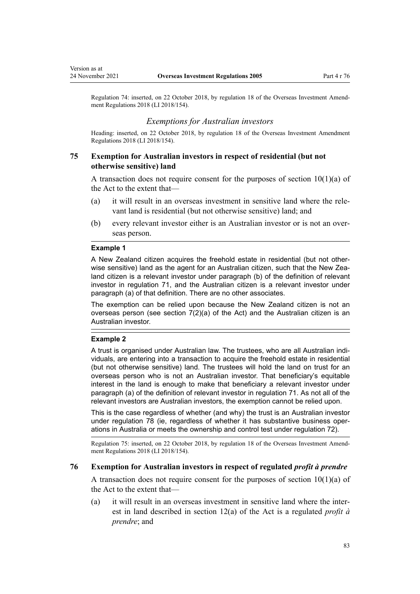<span id="page-82-0"></span>Regulation 74: inserted, on 22 October 2018, by [regulation 18](http://legislation.govt.nz/pdflink.aspx?id=LMS77223) of the Overseas Investment Amend‐ ment Regulations 2018 (LI 2018/154).

### *Exemptions for Australian investors*

Heading: inserted, on 22 October 2018, by [regulation 18](http://legislation.govt.nz/pdflink.aspx?id=LMS77223) of the Overseas Investment Amendment Regulations 2018 (LI 2018/154).

# **75 Exemption for Australian investors in respect of residential (but not otherwise sensitive) land**

A transaction does not require consent for the purposes of section  $10(1)(a)$  of the Act to the extent that—

- (a) it will result in an overseas investment in sensitive land where the rele‐ vant land is residential (but not otherwise sensitive) land; and
- (b) every relevant investor either is an Australian investor or is not an over‐ seas person.

#### **Example 1**

A New Zealand citizen acquires the freehold estate in residential (but not otherwise sensitive) land as the agent for an Australian citizen, such that the New Zealand citizen is a relevant investor under paragraph (b) of the definition of relevant investor in regulation 71, and the Australian citizen is a relevant investor under paragraph (a) of that definition. There are no other associates.

The exemption can be relied upon because the New Zealand citizen is not an overseas person (see section  $7(2)(a)$  of the Act) and the Australian citizen is an Australian investor.

### **Example 2**

A trust is organised under Australian law. The trustees, who are all Australian individuals, are entering into a transaction to acquire the freehold estate in residential (but not otherwise sensitive) land. The trustees will hold the land on trust for an overseas person who is not an Australian investor. That beneficiary's equitable interest in the land is enough to make that beneficiary a relevant investor under paragraph (a) of the definition of relevant investor in regulation 71. As not all of the relevant investors are Australian investors, the exemption cannot be relied upon.

This is the case regardless of whether (and why) the trust is an Australian investor under regulation 78 (ie, regardless of whether it has substantive business operations in Australia or meets the ownership and control test under regulation 72).

Regulation 75: inserted, on 22 October 2018, by [regulation 18](http://legislation.govt.nz/pdflink.aspx?id=LMS77223) of the Overseas Investment Amend‐ ment Regulations 2018 (LI 2018/154).

### **76 Exemption for Australian investors in respect of regulated** *profit à prendre*

A transaction does not require consent for the purposes of section  $10(1)(a)$  of the Act to the extent that—

(a) it will result in an overseas investment in sensitive land where the inter‐ est in land described in [section 12\(a\)](http://legislation.govt.nz/pdflink.aspx?id=DLM358017) of the Act is a regulated *profit à prendre*; and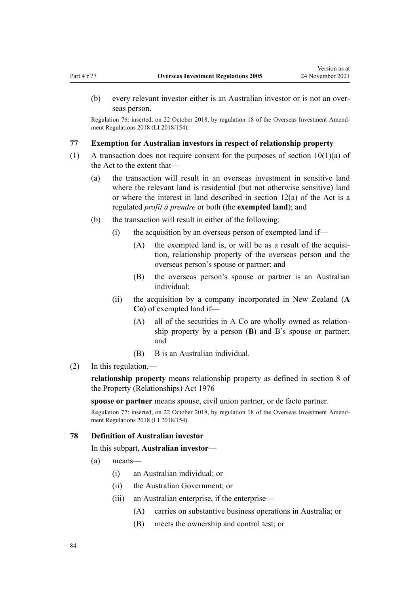<span id="page-83-0"></span>(b) every relevant investor either is an Australian investor or is not an over‐ seas person.

Regulation 76: inserted, on 22 October 2018, by [regulation 18](http://legislation.govt.nz/pdflink.aspx?id=LMS77223) of the Overseas Investment Amend‐ ment Regulations 2018 (LI 2018/154).

### **77 Exemption for Australian investors in respect of relationship property**

- (1) A transaction does not require consent for the purposes of [section 10\(1\)\(a\)](http://legislation.govt.nz/pdflink.aspx?id=DLM358014) of the Act to the extent that-
	- (a) the transaction will result in an overseas investment in sensitive land where the relevant land is residential (but not otherwise sensitive) land or where the interest in land described in [section 12\(a\)](http://legislation.govt.nz/pdflink.aspx?id=DLM358017) of the Act is a regulated *profit à prendre* or both (the **exempted land**); and
	- (b) the transaction will result in either of the following:
		- (i) the acquisition by an overseas person of exempted land if—
			- $(A)$  the exempted land is, or will be as a result of the acquisition, relationship property of the overseas person and the overseas person's spouse or partner; and
			- (B) the overseas person's spouse or partner is an Australian individual:
		- (ii) the acquisition by a company incorporated in New Zealand (**A Co**) of exempted land if—
			- (A) all of the securities in A Co are wholly owned as relationship property by a person (**B**) and B's spouse or partner; and
			- (B) B is an Australian individual.
- (2) In this regulation,—

**relationship property** means relationship property as defined in [section 8](http://legislation.govt.nz/pdflink.aspx?id=DLM441170) of the Property (Relationships) Act 1976

**spouse or partner** means spouse, civil union partner, or de facto partner.

Regulation 77: inserted, on 22 October 2018, by [regulation 18](http://legislation.govt.nz/pdflink.aspx?id=LMS77223) of the Overseas Investment Amendment Regulations 2018 (LI 2018/154).

### **78 Definition of Australian investor**

In this subpart, **Australian investor**—

- (a) means—
	- (i) an Australian individual; or
	- (ii) the Australian Government; or
	- (iii) an Australian enterprise, if the enterprise—
		- (A) carries on substantive business operations in Australia; or
		- (B) meets the ownership and control test; or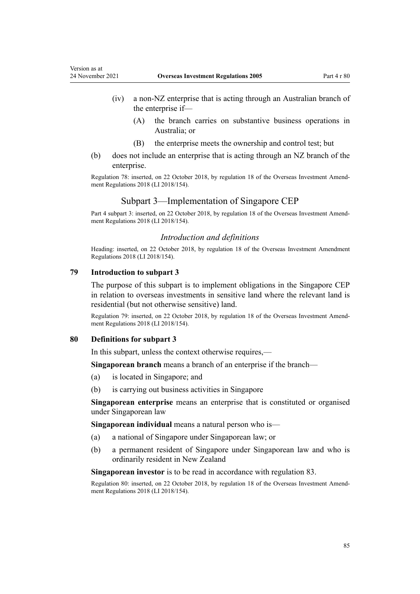- <span id="page-84-0"></span>(iv) a non-NZ enterprise that is acting through an Australian branch of the enterprise if—
	- (A) the branch carries on substantive business operations in Australia; or
	- (B) the enterprise meets the ownership and control test; but
- (b) does not include an enterprise that is acting through an NZ branch of the enterprise.

Regulation 78: inserted, on 22 October 2018, by [regulation 18](http://legislation.govt.nz/pdflink.aspx?id=LMS77223) of the Overseas Investment Amend‐ ment Regulations 2018 (LI 2018/154).

# Subpart 3—Implementation of Singapore CEP

Part 4 subpart 3: inserted, on 22 October 2018, by [regulation 18](http://legislation.govt.nz/pdflink.aspx?id=LMS77223) of the Overseas Investment Amendment Regulations 2018 (LI 2018/154).

#### *Introduction and definitions*

Heading: inserted, on 22 October 2018, by [regulation 18](http://legislation.govt.nz/pdflink.aspx?id=LMS77223) of the Overseas Investment Amendment Regulations 2018 (LI 2018/154).

### **79 Introduction to subpart 3**

The purpose of this subpart is to implement obligations in the Singapore CEP in relation to overseas investments in sensitive land where the relevant land is residential (but not otherwise sensitive) land.

Regulation 79: inserted, on 22 October 2018, by [regulation 18](http://legislation.govt.nz/pdflink.aspx?id=LMS77223) of the Overseas Investment Amend‐ ment Regulations 2018 (LI 2018/154).

### **80 Definitions for subpart 3**

In this subpart, unless the context otherwise requires,—

**Singaporean branch** means a branch of an enterprise if the branch—

- (a) is located in Singapore; and
- (b) is carrying out business activities in Singapore

**Singaporean enterprise** means an enterprise that is constituted or organised under Singaporean law

**Singaporean individual** means a natural person who is—

- (a) a national of Singapore under Singaporean law; or
- (b) a permanent resident of Singapore under Singaporean law and who is ordinarily resident in New Zealand

**Singaporean investor** is to be read in accordance with [regulation 83.](#page-86-0)

Regulation 80: inserted, on 22 October 2018, by [regulation 18](http://legislation.govt.nz/pdflink.aspx?id=LMS77223) of the Overseas Investment Amend‐ ment Regulations 2018 (LI 2018/154).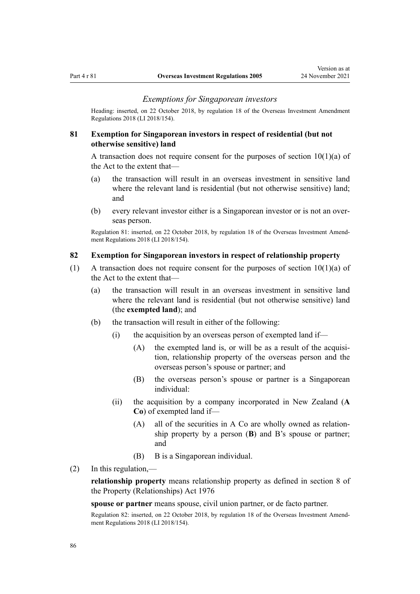#### *Exemptions for Singaporean investors*

Heading: inserted, on 22 October 2018, by [regulation 18](http://legislation.govt.nz/pdflink.aspx?id=LMS77223) of the Overseas Investment Amendment Regulations 2018 (LI 2018/154).

# **81 Exemption for Singaporean investors in respect of residential (but not otherwise sensitive) land**

A transaction does not require consent for the purposes of section  $10(1)(a)$  of the Act to the extent that—

- (a) the transaction will result in an overseas investment in sensitive land where the relevant land is residential (but not otherwise sensitive) land; and
- (b) every relevant investor either is a Singaporean investor or is not an over‐ seas person.

Regulation 81: inserted, on 22 October 2018, by [regulation 18](http://legislation.govt.nz/pdflink.aspx?id=LMS77223) of the Overseas Investment Amend‐ ment Regulations 2018 (LI 2018/154).

#### **82 Exemption for Singaporean investors in respect of relationship property**

- (1) A transaction does not require consent for the purposes of section  $10(1)(a)$  of the Act to the extent that—
	- (a) the transaction will result in an overseas investment in sensitive land where the relevant land is residential (but not otherwise sensitive) land (the **exempted land**); and
	- (b) the transaction will result in either of the following:
		- $(i)$  the acquisition by an overseas person of exempted land if—
			- $(A)$  the exempted land is, or will be as a result of the acquisition, relationship property of the overseas person and the overseas person's spouse or partner; and
			- (B) the overseas person's spouse or partner is a Singaporean individual:
		- (ii) the acquisition by a company incorporated in New Zealand (**A Co**) of exempted land if—
			- (A) all of the securities in A Co are wholly owned as relationship property by a person (**B**) and B's spouse or partner; and
			- (B) B is a Singaporean individual.
- (2) In this regulation,—

**relationship property** means relationship property as defined in [section 8](http://legislation.govt.nz/pdflink.aspx?id=DLM441170) of the Property (Relationships) Act 1976

**spouse or partner** means spouse, civil union partner, or de facto partner.

Regulation 82: inserted, on 22 October 2018, by [regulation 18](http://legislation.govt.nz/pdflink.aspx?id=LMS77223) of the Overseas Investment Amend‐ ment Regulations 2018 (LI 2018/154).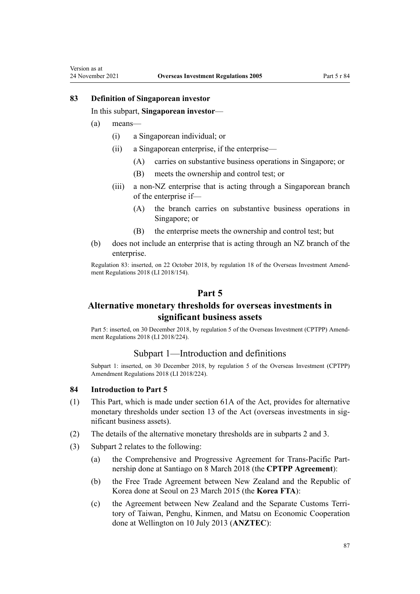### **83 Definition of Singaporean investor**

In this subpart, **Singaporean investor**—

(a) means—

<span id="page-86-0"></span>Version as at

- (i) a Singaporean individual; or
- (ii) a Singaporean enterprise, if the enterprise—
	- (A) carries on substantive business operations in Singapore; or
	- (B) meets the ownership and control test; or
- (iii) a non-NZ enterprise that is acting through a Singaporean branch of the enterprise if—
	- (A) the branch carries on substantive business operations in Singapore; or
	- (B) the enterprise meets the ownership and control test; but
- (b) does not include an enterprise that is acting through an NZ branch of the enterprise.

Regulation 83: inserted, on 22 October 2018, by [regulation 18](http://legislation.govt.nz/pdflink.aspx?id=LMS77223) of the Overseas Investment Amend‐ ment Regulations 2018 (LI 2018/154).

# **Part 5**

# **Alternative monetary thresholds for overseas investments in significant business assets**

Part 5: inserted, on 30 December 2018, by [regulation 5](http://legislation.govt.nz/pdflink.aspx?id=LMS119666) of the Overseas Investment (CPTPP) Amendment Regulations 2018 (LI 2018/224).

# Subpart 1—Introduction and definitions

Subpart 1: inserted, on 30 December 2018, by [regulation 5](http://legislation.govt.nz/pdflink.aspx?id=LMS119666) of the Overseas Investment (CPTPP) Amendment Regulations 2018 (LI 2018/224).

### **84 Introduction to Part 5**

- (1) This Part, which is made under [section 61A](http://legislation.govt.nz/pdflink.aspx?id=LMS152218) of the Act, provides for alternative monetary thresholds under [section 13](http://legislation.govt.nz/pdflink.aspx?id=DLM358019) of the Act (overseas investments in significant business assets).
- (2) The details of the alternative monetary thresholds are in [subparts 2](#page-93-0) and [3.](#page-100-0)
- (3) [Subpart 2](#page-93-0) relates to the following:
	- (a) the Comprehensive and Progressive Agreement for Trans-Pacific Part‐ nership done at Santiago on 8 March 2018 (the **CPTPP Agreement**):
	- (b) the Free Trade Agreement between New Zealand and the Republic of Korea done at Seoul on 23 March 2015 (the **Korea FTA**):
	- (c) the Agreement between New Zealand and the Separate Customs Terri‐ tory of Taiwan, Penghu, Kinmen, and Matsu on Economic Cooperation done at Wellington on 10 July 2013 (**ANZTEC**):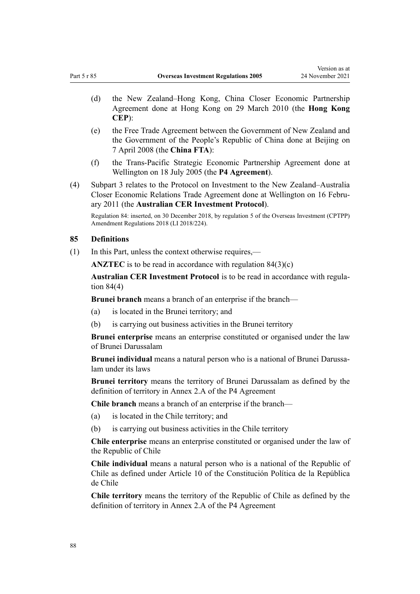- (d) the New Zealand–Hong Kong, China Closer Economic Partnership Agreement done at Hong Kong on 29 March 2010 (the **Hong Kong CEP**):
- (e) the Free Trade Agreement between the Government of New Zealand and the Government of the People's Republic of China done at Beijing on 7 April 2008 (the **China FTA**):
- (f) the Trans-Pacific Strategic Economic Partnership Agreement done at Wellington on 18 July 2005 (the **P4 Agreement**).
- (4) [Subpart 3](#page-100-0) relates to the Protocol on Investment to the New Zealand–Australia Closer Economic Relations Trade Agreement done at Wellington on 16 Febru‐ ary 2011 (the **Australian CER Investment Protocol**).

Regulation 84: inserted, on 30 December 2018, by [regulation 5](http://legislation.govt.nz/pdflink.aspx?id=LMS119666) of the Overseas Investment (CPTPP) Amendment Regulations 2018 (LI 2018/224).

# **85 Definitions**

(1) In this Part, unless the context otherwise requires,—

**ANZTEC** is to be read in accordance with [regulation 84\(3\)\(c\)](#page-86-0)

**Australian CER Investment Protocol** is to be read in accordance with [regula‐](#page-86-0) [tion 84\(4\)](#page-86-0)

**Brunei branch** means a branch of an enterprise if the branch—

- (a) is located in the Brunei territory; and
- (b) is carrying out business activities in the Brunei territory

**Brunei enterprise** means an enterprise constituted or organised under the law of Brunei Darussalam

**Brunei individual** means a natural person who is a national of Brunei Darussa‐ lam under its laws

**Brunei territory** means the territory of Brunei Darussalam as defined by the definition of territory in Annex 2.A of the P4 Agreement

**Chile branch** means a branch of an enterprise if the branch—

- (a) is located in the Chile territory; and
- (b) is carrying out business activities in the Chile territory

**Chile enterprise** means an enterprise constituted or organised under the law of the Republic of Chile

**Chile individual** means a natural person who is a national of the Republic of Chile as defined under Article 10 of the Constitución Política de la República de Chile

**Chile territory** means the territory of the Republic of Chile as defined by the definition of territory in Annex 2.A of the P4 Agreement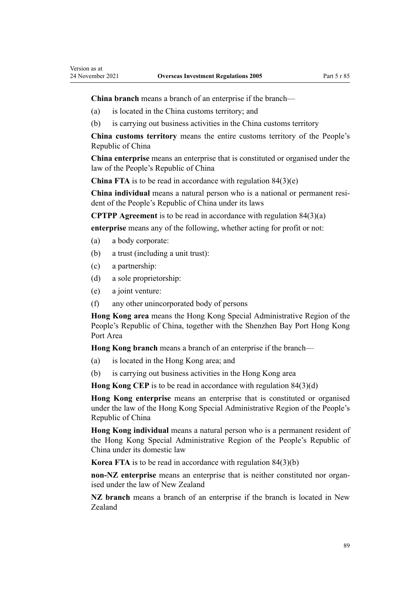**China branch** means a branch of an enterprise if the branch—

- (a) is located in the China customs territory; and
- (b) is carrying out business activities in the China customs territory

**China customs territory** means the entire customs territory of the People's Republic of China

**China enterprise** means an enterprise that is constituted or organised under the law of the People's Republic of China

**China FTA** is to be read in accordance with regulation  $84(3)(e)$ 

**China individual** means a natural person who is a national or permanent resi‐ dent of the People's Republic of China under its laws

**CPTPP Agreement** is to be read in accordance with [regulation 84\(3\)\(a\)](#page-86-0)

**enterprise** means any of the following, whether acting for profit or not:

- (a) a body corporate:
- (b) a trust (including a unit trust):
- (c) a partnership:
- (d) a sole proprietorship:
- (e) a joint venture:
- (f) any other unincorporated body of persons

**Hong Kong area** means the Hong Kong Special Administrative Region of the People's Republic of China, together with the Shenzhen Bay Port Hong Kong Port Area

**Hong Kong branch** means a branch of an enterprise if the branch—

- (a) is located in the Hong Kong area; and
- (b) is carrying out business activities in the Hong Kong area

**Hong Kong CEP** is to be read in accordance with [regulation 84\(3\)\(d\)](#page-86-0)

**Hong Kong enterprise** means an enterprise that is constituted or organised under the law of the Hong Kong Special Administrative Region of the People's Republic of China

**Hong Kong individual** means a natural person who is a permanent resident of the Hong Kong Special Administrative Region of the People's Republic of China under its domestic law

**Korea FTA** is to be read in accordance with [regulation 84\(3\)\(b\)](#page-86-0)

**non-NZ** enterprise means an enterprise that is neither constituted nor organised under the law of New Zealand

**NZ branch** means a branch of an enterprise if the branch is located in New Zealand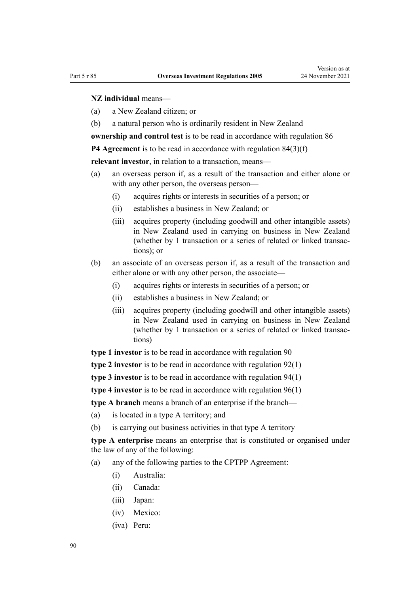## **NZ individual** means—

- (a) a New Zealand citizen; or
- (b) a natural person who is ordinarily resident in New Zealand

**ownership and control test** is to be read in accordance with regulation 86

**P4 Agreement** is to be read in accordance with [regulation 84\(3\)\(f\)](#page-86-0)

**relevant investor**, in relation to a transaction, means—

- (a) an overseas person if, as a result of the transaction and either alone or with any other person, the overseas person—
	- (i) acquires rights or interests in securities of a person; or
	- (ii) establishes a business in New Zealand; or
	- (iii) acquires property (including goodwill and other intangible assets) in New Zealand used in carrying on business in New Zealand (whether by 1 transaction or a series of related or linked transac‐ tions); or
- (b) an associate of an overseas person if, as a result of the transaction and either alone or with any other person, the associate—
	- (i) acquires rights or interests in securities of a person; or
	- (ii) establishes a business in New Zealand; or
	- (iii) acquires property (including goodwill and other intangible assets) in New Zealand used in carrying on business in New Zealand (whether by 1 transaction or a series of related or linked transac‐ tions)

**type 1 investor** is to be read in accordance with [regulation 90](#page-94-0)

**type 2 investor** is to be read in accordance with [regulation 92\(1\)](#page-96-0)

**type 3 investor** is to be read in accordance with [regulation 94\(1\)](#page-97-0)

**type 4 investor** is to be read in accordance with [regulation 96\(1\)](#page-99-0)

**type A branch** means a branch of an enterprise if the branch—

- (a) is located in a type A territory; and
- (b) is carrying out business activities in that type A territory

**type A enterprise** means an enterprise that is constituted or organised under the law of any of the following:

- (a) any of the following parties to the CPTPP Agreement:
	- (i) Australia:
	- (ii) Canada:
	- (iii) Japan:
	- (iv) Mexico:
	- (iva) Peru: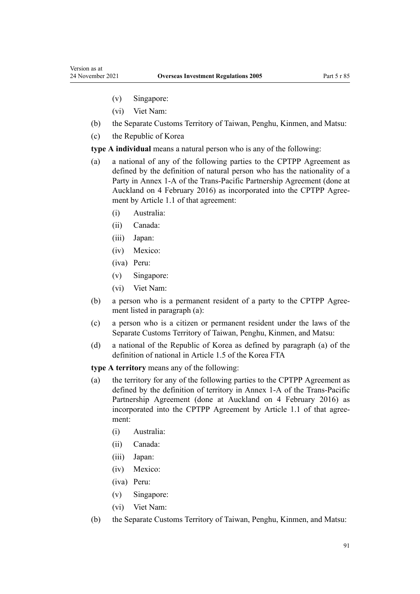- (v) Singapore:
- (vi) Viet Nam:
- (b) the Separate Customs Territory of Taiwan, Penghu, Kinmen, and Matsu:
- (c) the Republic of Korea

**type A individual** means a natural person who is any of the following:

- (a) a national of any of the following parties to the CPTPP Agreement as defined by the definition of natural person who has the nationality of a Party in Annex 1-A of the Trans-Pacific Partnership Agreement (done at Auckland on 4 February 2016) as incorporated into the CPTPP Agree‐ ment by Article 1.1 of that agreement:
	- (i) Australia:
	- (ii) Canada:
	- (iii) Japan:
	- (iv) Mexico:
	- (iva) Peru:
	- (v) Singapore:
	- (vi) Viet Nam:
- (b) a person who is a permanent resident of a party to the CPTPP Agree‐ ment listed in paragraph (a):
- (c) a person who is a citizen or permanent resident under the laws of the Separate Customs Territory of Taiwan, Penghu, Kinmen, and Matsu:
- (d) a national of the Republic of Korea as defined by paragraph (a) of the definition of national in Article 1.5 of the Korea FTA

**type A territory** means any of the following:

- (a) the territory for any of the following parties to the CPTPP Agreement as defined by the definition of territory in Annex 1-A of the Trans-Pacific Partnership Agreement (done at Auckland on 4 February 2016) as incorporated into the CPTPP Agreement by Article 1.1 of that agreement:
	- (i) Australia:
	- (ii) Canada:
	- (iii) Japan:
	- (iv) Mexico:
	- (iva) Peru:
	- (v) Singapore:
	- (vi) Viet Nam:
- (b) the Separate Customs Territory of Taiwan, Penghu, Kinmen, and Matsu: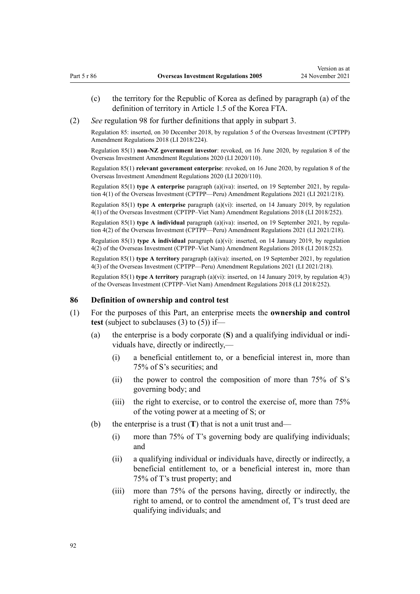- (c) the territory for the Republic of Korea as defined by paragraph (a) of the definition of territory in Article 1.5 of the Korea FTA.
- (2) *See* [regulation 98](#page-100-0) for further definitions that apply in [subpart 3](#page-100-0).

Regulation 85: inserted, on 30 December 2018, by [regulation 5](http://legislation.govt.nz/pdflink.aspx?id=LMS119666) of the Overseas Investment (CPTPP) Amendment Regulations 2018 (LI 2018/224).

Regulation 85(1) **non-NZ government investor**: revoked, on 16 June 2020, by [regulation 8](http://legislation.govt.nz/pdflink.aspx?id=LMS345215) of the Overseas Investment Amendment Regulations 2020 (LI 2020/110).

Regulation 85(1) **relevant government enterprise**: revoked, on 16 June 2020, by [regulation 8](http://legislation.govt.nz/pdflink.aspx?id=LMS345215) of the Overseas Investment Amendment Regulations 2020 (LI 2020/110).

Regulation 85(1) **type A enterprise** paragraph (a)(iva): inserted, on 19 September 2021, by [regula‐](http://legislation.govt.nz/pdflink.aspx?id=LMS533129) [tion 4\(1\)](http://legislation.govt.nz/pdflink.aspx?id=LMS533129) of the Overseas Investment (CPTPP—Peru) Amendment Regulations 2021 (LI 2021/218).

Regulation 85(1) **type A enterprise** paragraph (a)(vi): inserted, on 14 January 2019, by [regulation](http://legislation.govt.nz/pdflink.aspx?id=LMS140744) [4\(1\)](http://legislation.govt.nz/pdflink.aspx?id=LMS140744) of the Overseas Investment (CPTPP–Viet Nam) Amendment Regulations 2018 (LI 2018/252).

Regulation 85(1) **type A individual** paragraph (a)(iva): inserted, on 19 September 2021, by regula[tion 4\(2\)](http://legislation.govt.nz/pdflink.aspx?id=LMS533129) of the Overseas Investment (CPTPP—Peru) Amendment Regulations 2021 (LI 2021/218).

Regulation 85(1) **type A individual** paragraph (a)(vi): inserted, on 14 January 2019, by [regulation](http://legislation.govt.nz/pdflink.aspx?id=LMS140744) [4\(2\)](http://legislation.govt.nz/pdflink.aspx?id=LMS140744) of the Overseas Investment (CPTPP–Viet Nam) Amendment Regulations 2018 (LI 2018/252).

Regulation 85(1) **type A territory** paragraph (a)(iva): inserted, on 19 September 2021, by [regulation](http://legislation.govt.nz/pdflink.aspx?id=LMS533129) [4\(3\)](http://legislation.govt.nz/pdflink.aspx?id=LMS533129) of the Overseas Investment (CPTPP—Peru) Amendment Regulations 2021 (LI 2021/218).

Regulation 85(1) **type A territory** paragraph (a)(vi): inserted, on 14 January 2019, by [regulation 4\(3\)](http://legislation.govt.nz/pdflink.aspx?id=LMS140744) of the Overseas Investment (CPTPP–Viet Nam) Amendment Regulations 2018 (LI 2018/252).

#### **86 Definition of ownership and control test**

- (1) For the purposes of this Part, an enterprise meets the **ownership and control test** (subject to subclauses (3) to (5)) if—
	- (a) the enterprise is a body corporate (**S**) and a qualifying individual or indi‐ viduals have, directly or indirectly,—
		- (i) a beneficial entitlement to, or a beneficial interest in, more than 75% of S's securities; and
		- (ii) the power to control the composition of more than 75% of S's governing body; and
		- (iii) the right to exercise, or to control the exercise of, more than 75% of the voting power at a meeting of S; or
	- (b) the enterprise is a trust (**T**) that is not a unit trust and—
		- (i) more than 75% of T's governing body are qualifying individuals; and
		- (ii) a qualifying individual or individuals have, directly or indirectly, a beneficial entitlement to, or a beneficial interest in, more than 75% of T's trust property; and
		- (iii) more than 75% of the persons having, directly or indirectly, the right to amend, or to control the amendment of, T's trust deed are qualifying individuals; and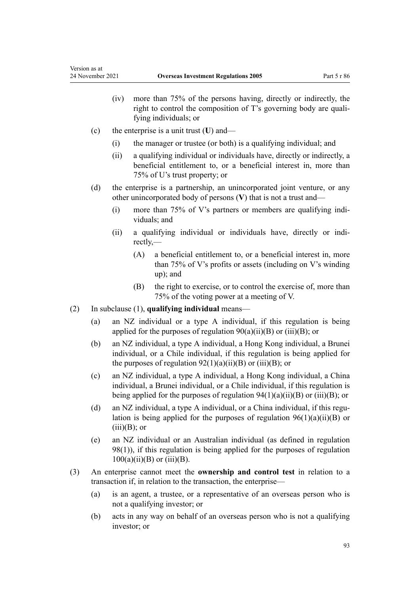- (iv) more than 75% of the persons having, directly or indirectly, the right to control the composition of T's governing body are qualifying individuals; or
- (c) the enterprise is a unit trust (**U**) and—
	- (i) the manager or trustee (or both) is a qualifying individual; and
	- (ii) a qualifying individual or individuals have, directly or indirectly, a beneficial entitlement to, or a beneficial interest in, more than 75% of U's trust property; or
- (d) the enterprise is a partnership, an unincorporated joint venture, or any other unincorporated body of persons (**V**) that is not a trust and—
	- (i) more than  $75\%$  of V's partners or members are qualifying individuals; and
	- (ii) a qualifying individual or individuals have, directly or indi‐ rectly,—
		- (A) a beneficial entitlement to, or a beneficial interest in, more than 75% of V's profits or assets (including on V's winding up); and
		- (B) the right to exercise, or to control the exercise of, more than 75% of the voting power at a meeting of V.
- (2) In subclause (1), **qualifying individual** means—
	- (a) an NZ individual or a type A individual, if this regulation is being applied for the purposes of regulation  $90(a)(ii)(B)$  or  $(iii)(B)$ ; or
	- (b) an NZ individual, a type A individual, a Hong Kong individual, a Brunei individual, or a Chile individual, if this regulation is being applied for the purposes of regulation  $92(1)(a)(ii)(B)$  or  $(iii)(B)$ ; or
	- (c) an NZ individual, a type A individual, a Hong Kong individual, a China individual, a Brunei individual, or a Chile individual, if this regulation is being applied for the purposes of regulation  $94(1)(a)(ii)(B)$  or  $(iii)(B)$ ; or
	- (d) an NZ individual, a type A individual, or a China individual, if this regulation is being applied for the purposes of regulation  $96(1)(a)(ii)(B)$  or  $(iii)(B)$ ; or
	- (e) an NZ individual or an Australian individual (as defined in [regulation](#page-100-0) [98\(1\)](#page-100-0)), if this regulation is being applied for the purposes of [regulation](#page-102-0)  $100(a)(ii)(B)$  or  $(iii)(B)$ .
- (3) An enterprise cannot meet the **ownership and control test** in relation to a transaction if, in relation to the transaction, the enterprise—
	- (a) is an agent, a trustee, or a representative of an overseas person who is not a qualifying investor; or
	- (b) acts in any way on behalf of an overseas person who is not a qualifying investor; or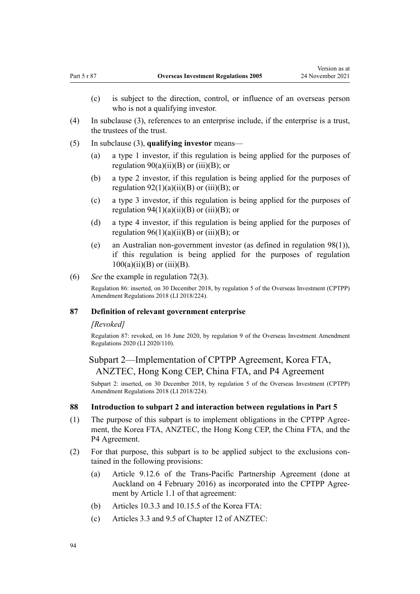- <span id="page-93-0"></span>(c) is subject to the direction, control, or influence of an overseas person who is not a qualifying investor.
- (4) In subclause (3), references to an enterprise include, if the enterprise is a trust, the trustees of the trust.
- (5) In subclause (3), **qualifying investor** means—
	- (a) a type 1 investor, if this regulation is being applied for the purposes of regulation  $90(a)(ii)(B)$  or  $(iii)(B)$ ; or
	- (b) a type 2 investor, if this regulation is being applied for the purposes of regulation  $92(1)(a)(ii)(B)$  or (iii)(B); or
	- (c) a type 3 investor, if this regulation is being applied for the purposes of regulation  $94(1)(a)(ii)(B)$  or  $(iii)(B)$ ; or
	- (d) a type 4 investor, if this regulation is being applied for the purposes of regulation  $96(1)(a)(ii)(B)$  or (iii)(B); or
	- (e) an Australian non-government investor (as defined in [regulation 98\(1\)](#page-100-0)), if this regulation is being applied for the purposes of [regulation](#page-102-0)  $100(a)(ii)(B)$  or  $(iii)(B)$ .
- (6) *See* the example in [regulation 72\(3\)](#page-79-0).

Regulation 86: inserted, on 30 December 2018, by [regulation 5](http://legislation.govt.nz/pdflink.aspx?id=LMS119666) of the Overseas Investment (CPTPP) Amendment Regulations 2018 (LI 2018/224).

#### **87 Definition of relevant government enterprise**

#### *[Revoked]*

Regulation 87: revoked, on 16 June 2020, by [regulation 9](http://legislation.govt.nz/pdflink.aspx?id=LMS345216) of the Overseas Investment Amendment Regulations 2020 (LI 2020/110).

# Subpart 2—Implementation of CPTPP Agreement, Korea FTA, ANZTEC, Hong Kong CEP, China FTA, and P4 Agreement

Subpart 2: inserted, on 30 December 2018, by [regulation 5](http://legislation.govt.nz/pdflink.aspx?id=LMS119666) of the Overseas Investment (CPTPP) Amendment Regulations 2018 (LI 2018/224).

# **88 Introduction to subpart 2 and interaction between regulations in Part 5**

- (1) The purpose of this subpart is to implement obligations in the CPTPP Agree‐ ment, the Korea FTA, ANZTEC, the Hong Kong CEP, the China FTA, and the P4 Agreement.
- (2) For that purpose, this subpart is to be applied subject to the exclusions con‐ tained in the following provisions:
	- (a) Article 9.12.6 of the Trans-Pacific Partnership Agreement (done at Auckland on 4 February 2016) as incorporated into the CPTPP Agree‐ ment by Article 1.1 of that agreement:
	- (b) Articles 10.3.3 and 10.15.5 of the Korea FTA:
	- (c) Articles 3.3 and 9.5 of Chapter 12 of ANZTEC: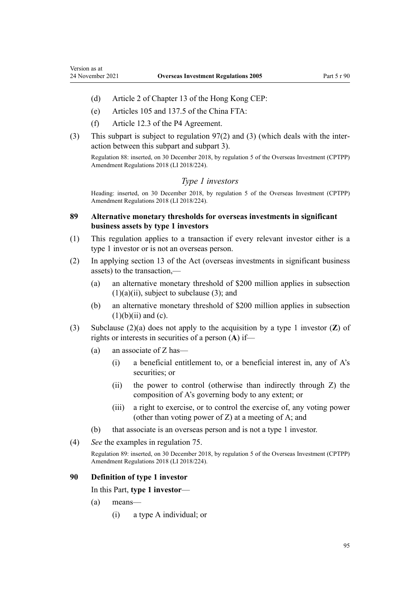<span id="page-94-0"></span>Version as at

- (d) Article 2 of Chapter 13 of the Hong Kong CEP:
- (e) Articles 105 and 137.5 of the China FTA:
- (f) Article 12.3 of the P4 Agreement.
- (3) This subpart is subject to [regulation 97\(2\) and \(3\)](#page-100-0) (which deals with the inter‐ action between this subpart and [subpart 3\)](#page-100-0).

Regulation 88: inserted, on 30 December 2018, by [regulation 5](http://legislation.govt.nz/pdflink.aspx?id=LMS119666) of the Overseas Investment (CPTPP) Amendment Regulations 2018 (LI 2018/224).

# *Type 1 investors*

Heading: inserted, on 30 December 2018, by [regulation 5](http://legislation.govt.nz/pdflink.aspx?id=LMS119666) of the Overseas Investment (CPTPP) Amendment Regulations 2018 (LI 2018/224).

# **89 Alternative monetary thresholds for overseas investments in significant business assets by type 1 investors**

- (1) This regulation applies to a transaction if every relevant investor either is a type 1 investor or is not an overseas person.
- (2) In applying [section 13](http://legislation.govt.nz/pdflink.aspx?id=DLM358019) of the Act (overseas investments in significant business assets) to the transaction,—
	- (a) an alternative monetary threshold of \$200 million applies in subsection  $(1)(a)(ii)$ , subject to subclause (3); and
	- (b) an alternative monetary threshold of \$200 million applies in subsection  $(1)(b)(ii)$  and  $(c)$ .
- (3) Subclause (2)(a) does not apply to the acquisition by a type 1 investor (**Z**) of rights or interests in securities of a person (**A**) if—
	- (a) an associate of Z has—
		- (i) a beneficial entitlement to, or a beneficial interest in, any of A's securities; or
		- (ii) the power to control (otherwise than indirectly through Z) the composition of A's governing body to any extent; or
		- (iii) a right to exercise, or to control the exercise of, any voting power (other than voting power of Z) at a meeting of A; and
	- (b) that associate is an overseas person and is not a type 1 investor.
- (4) *See* the examples in [regulation 75](#page-82-0).

Regulation 89: inserted, on 30 December 2018, by [regulation 5](http://legislation.govt.nz/pdflink.aspx?id=LMS119666) of the Overseas Investment (CPTPP) Amendment Regulations 2018 (LI 2018/224).

### **90 Definition of type 1 investor**

In this Part, **type 1 investor**—

- (a) means—
	- (i) a type A individual; or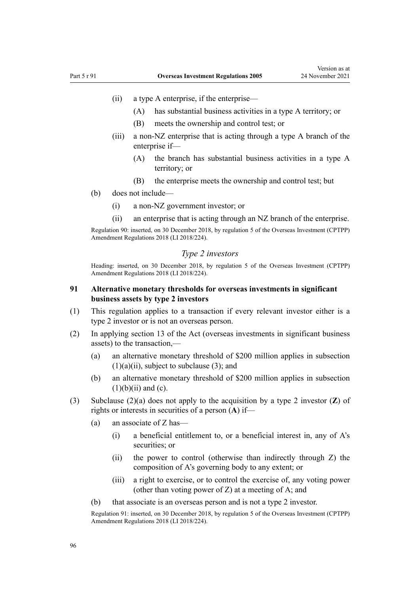- (ii) a type A enterprise, if the enterprise—
	- (A) has substantial business activities in a type A territory; or
	- (B) meets the ownership and control test; or
- (iii) a non-NZ enterprise that is acting through a type A branch of the enterprise if—
	- (A) the branch has substantial business activities in a type A territory; or
	- (B) the enterprise meets the ownership and control test; but
- (b) does not include—
	- (i) a non-NZ government investor; or
	- (ii) an enterprise that is acting through an NZ branch of the enterprise.

Regulation 90: inserted, on 30 December 2018, by [regulation 5](http://legislation.govt.nz/pdflink.aspx?id=LMS119666) of the Overseas Investment (CPTPP) Amendment Regulations 2018 (LI 2018/224).

# *Type 2 investors*

Heading: inserted, on 30 December 2018, by [regulation 5](http://legislation.govt.nz/pdflink.aspx?id=LMS119666) of the Overseas Investment (CPTPP) Amendment Regulations 2018 (LI 2018/224).

# **91 Alternative monetary thresholds for overseas investments in significant business assets by type 2 investors**

- (1) This regulation applies to a transaction if every relevant investor either is a type 2 investor or is not an overseas person.
- (2) In applying [section 13](http://legislation.govt.nz/pdflink.aspx?id=DLM358019) of the Act (overseas investments in significant business assets) to the transaction,—
	- (a) an alternative monetary threshold of \$200 million applies in subsection  $(1)(a)(ii)$ , subject to subclause (3); and
	- (b) an alternative monetary threshold of \$200 million applies in subsection  $(1)(b)(ii)$  and  $(c)$ .
- (3) Subclause (2)(a) does not apply to the acquisition by a type 2 investor (**Z**) of rights or interests in securities of a person (**A**) if—
	- (a) an associate of Z has—
		- (i) a beneficial entitlement to, or a beneficial interest in, any of A's securities; or
		- (ii) the power to control (otherwise than indirectly through Z) the composition of A's governing body to any extent; or
		- (iii) a right to exercise, or to control the exercise of, any voting power (other than voting power of Z) at a meeting of A; and
	- (b) that associate is an overseas person and is not a type 2 investor.

Regulation 91: inserted, on 30 December 2018, by [regulation 5](http://legislation.govt.nz/pdflink.aspx?id=LMS119666) of the Overseas Investment (CPTPP) Amendment Regulations 2018 (LI 2018/224).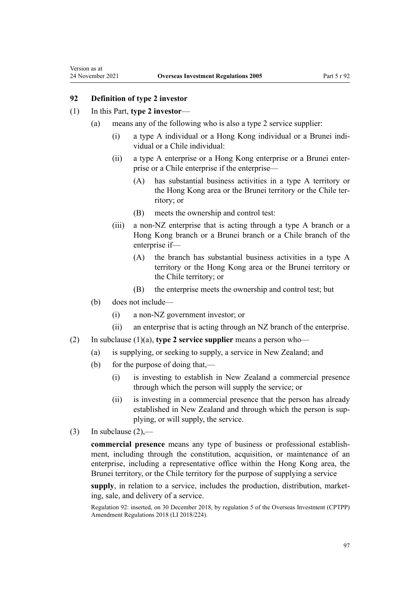<span id="page-96-0"></span>Version as at

# **92 Definition of type 2 investor**

#### (1) In this Part, **type 2 investor**—

- (a) means any of the following who is also a type 2 service supplier:
	- (i) a type A individual or a Hong Kong individual or a Brunei indi‐ vidual or a Chile individual:
	- (ii) a type A enterprise or a Hong Kong enterprise or a Brunei enter‐ prise or a Chile enterprise if the enterprise—
		- (A) has substantial business activities in a type A territory or the Hong Kong area or the Brunei territory or the Chile territory; or
		- (B) meets the ownership and control test:
	- (iii) a non-NZ enterprise that is acting through a type A branch or a Hong Kong branch or a Brunei branch or a Chile branch of the enterprise if—
		- (A) the branch has substantial business activities in a type A territory or the Hong Kong area or the Brunei territory or the Chile territory; or
		- (B) the enterprise meets the ownership and control test; but
- (b) does not include—
	- (i) a non-NZ government investor; or
	- (ii) an enterprise that is acting through an NZ branch of the enterprise.
- (2) In subclause (1)(a), **type 2 service supplier** means a person who—
	- (a) is supplying, or seeking to supply, a service in New Zealand; and
	- (b) for the purpose of doing that,—
		- (i) is investing to establish in New Zealand a commercial presence through which the person will supply the service; or
		- (ii) is investing in a commercial presence that the person has already established in New Zealand and through which the person is sup‐ plying, or will supply, the service.
- (3) In subclause  $(2)$ ,—

**commercial presence** means any type of business or professional establish‐ ment, including through the constitution, acquisition, or maintenance of an enterprise, including a representative office within the Hong Kong area, the Brunei territory, or the Chile territory for the purpose of supplying a service

supply, in relation to a service, includes the production, distribution, marketing, sale, and delivery of a service.

Regulation 92: inserted, on 30 December 2018, by [regulation 5](http://legislation.govt.nz/pdflink.aspx?id=LMS119666) of the Overseas Investment (CPTPP) Amendment Regulations 2018 (LI 2018/224).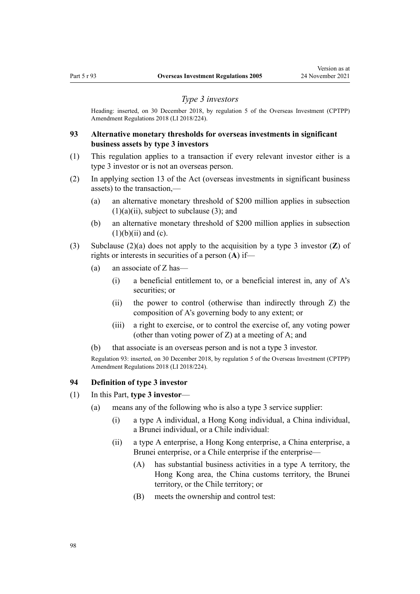#### *Type 3 investors*

<span id="page-97-0"></span>Heading: inserted, on 30 December 2018, by [regulation 5](http://legislation.govt.nz/pdflink.aspx?id=LMS119666) of the Overseas Investment (CPTPP) Amendment Regulations 2018 (LI 2018/224).

# **93 Alternative monetary thresholds for overseas investments in significant business assets by type 3 investors**

- (1) This regulation applies to a transaction if every relevant investor either is a type 3 investor or is not an overseas person.
- (2) In applying [section 13](http://legislation.govt.nz/pdflink.aspx?id=DLM358019) of the Act (overseas investments in significant business assets) to the transaction,—
	- (a) an alternative monetary threshold of \$200 million applies in subsection  $(1)(a)(ii)$ , subject to subclause (3); and
	- (b) an alternative monetary threshold of \$200 million applies in subsection  $(1)(b)(ii)$  and  $(c)$ .
- (3) Subclause (2)(a) does not apply to the acquisition by a type 3 investor (**Z**) of rights or interests in securities of a person (**A**) if—
	- (a) an associate of Z has—
		- (i) a beneficial entitlement to, or a beneficial interest in, any of A's securities; or
		- (ii) the power to control (otherwise than indirectly through Z) the composition of A's governing body to any extent; or
		- (iii) a right to exercise, or to control the exercise of, any voting power (other than voting power of Z) at a meeting of A; and
	- (b) that associate is an overseas person and is not a type 3 investor.

Regulation 93: inserted, on 30 December 2018, by [regulation 5](http://legislation.govt.nz/pdflink.aspx?id=LMS119666) of the Overseas Investment (CPTPP) Amendment Regulations 2018 (LI 2018/224).

# **94 Definition of type 3 investor**

- (1) In this Part, **type 3 investor**
	- (a) means any of the following who is also a type 3 service supplier:
		- (i) a type A individual, a Hong Kong individual, a China individual, a Brunei individual, or a Chile individual:
		- (ii) a type A enterprise, a Hong Kong enterprise, a China enterprise, a Brunei enterprise, or a Chile enterprise if the enterprise—
			- (A) has substantial business activities in a type A territory, the Hong Kong area, the China customs territory, the Brunei territory, or the Chile territory; or
			- (B) meets the ownership and control test: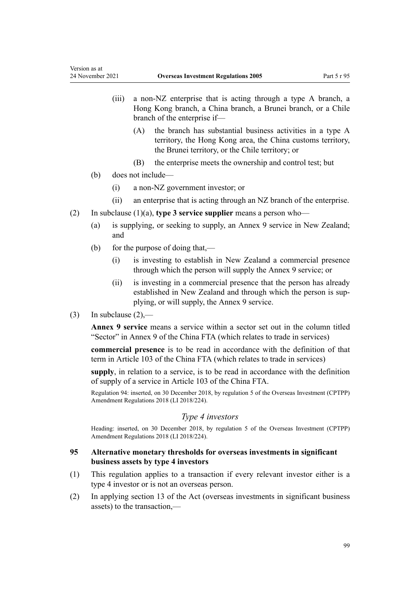- (iii) a non-NZ enterprise that is acting through a type A branch, a Hong Kong branch, a China branch, a Brunei branch, or a Chile branch of the enterprise if—
	- (A) the branch has substantial business activities in a type A territory, the Hong Kong area, the China customs territory, the Brunei territory, or the Chile territory; or
	- (B) the enterprise meets the ownership and control test; but
- (b) does not include—
	- (i) a non-NZ government investor; or
	- (ii) an enterprise that is acting through an NZ branch of the enterprise.
- (2) In subclause (1)(a), **type 3 service supplier** means a person who—
	- (a) is supplying, or seeking to supply, an Annex 9 service in New Zealand; and
	- (b) for the purpose of doing that,—
		- (i) is investing to establish in New Zealand a commercial presence through which the person will supply the Annex 9 service; or
		- (ii) is investing in a commercial presence that the person has already established in New Zealand and through which the person is supplying, or will supply, the Annex 9 service.
- (3) In subclause  $(2)$ ,—

**Annex 9 service** means a service within a sector set out in the column titled "Sector" in Annex 9 of the China FTA (which relates to trade in services)

**commercial presence** is to be read in accordance with the definition of that term in Article 103 of the China FTA (which relates to trade in services)

**supply**, in relation to a service, is to be read in accordance with the definition of supply of a service in Article 103 of the China FTA.

Regulation 94: inserted, on 30 December 2018, by [regulation 5](http://legislation.govt.nz/pdflink.aspx?id=LMS119666) of the Overseas Investment (CPTPP) Amendment Regulations 2018 (LI 2018/224).

# *Type 4 investors*

Heading: inserted, on 30 December 2018, by [regulation 5](http://legislation.govt.nz/pdflink.aspx?id=LMS119666) of the Overseas Investment (CPTPP) Amendment Regulations 2018 (LI 2018/224).

# **95 Alternative monetary thresholds for overseas investments in significant business assets by type 4 investors**

- (1) This regulation applies to a transaction if every relevant investor either is a type 4 investor or is not an overseas person.
- (2) In applying [section 13](http://legislation.govt.nz/pdflink.aspx?id=DLM358019) of the Act (overseas investments in significant business assets) to the transaction,—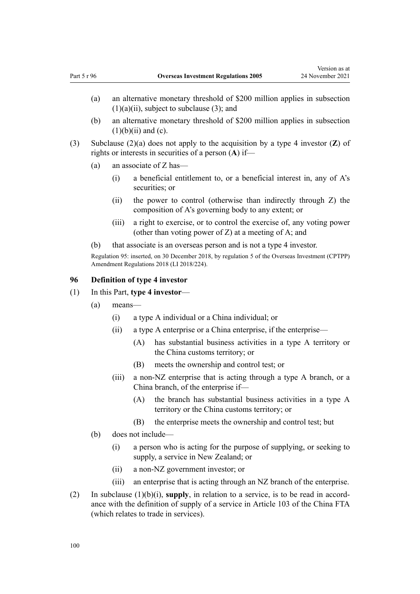- <span id="page-99-0"></span>(a) an alternative monetary threshold of \$200 million applies in subsection  $(1)(a)(ii)$ , subject to subclause (3); and
- (b) an alternative monetary threshold of \$200 million applies in subsection  $(1)(b)(ii)$  and  $(c)$ .
- (3) Subclause (2)(a) does not apply to the acquisition by a type 4 investor (**Z**) of rights or interests in securities of a person (**A**) if—
	- (a) an associate of Z has—
		- (i) a beneficial entitlement to, or a beneficial interest in, any of A's securities; or
		- (ii) the power to control (otherwise than indirectly through Z) the composition of A's governing body to any extent; or
		- (iii) a right to exercise, or to control the exercise of, any voting power (other than voting power of Z) at a meeting of A; and
	- (b) that associate is an overseas person and is not a type 4 investor.

Regulation 95: inserted, on 30 December 2018, by [regulation 5](http://legislation.govt.nz/pdflink.aspx?id=LMS119666) of the Overseas Investment (CPTPP) Amendment Regulations 2018 (LI 2018/224).

### **96 Definition of type 4 investor**

- (1) In this Part, **type 4 investor**
	- (a) means—
		- (i) a type A individual or a China individual; or
		- (ii) a type A enterprise or a China enterprise, if the enterprise—
			- (A) has substantial business activities in a type A territory or the China customs territory; or
			- (B) meets the ownership and control test; or
		- (iii) a non-NZ enterprise that is acting through a type A branch, or a China branch, of the enterprise if—
			- (A) the branch has substantial business activities in a type A territory or the China customs territory; or
			- (B) the enterprise meets the ownership and control test; but
	- (b) does not include—
		- (i) a person who is acting for the purpose of supplying, or seeking to supply, a service in New Zealand; or
		- (ii) a non-NZ government investor; or
		- (iii) an enterprise that is acting through an NZ branch of the enterprise.
- (2) In subclause  $(1)(b)(i)$ , supply, in relation to a service, is to be read in accordance with the definition of supply of a service in Article 103 of the China FTA (which relates to trade in services).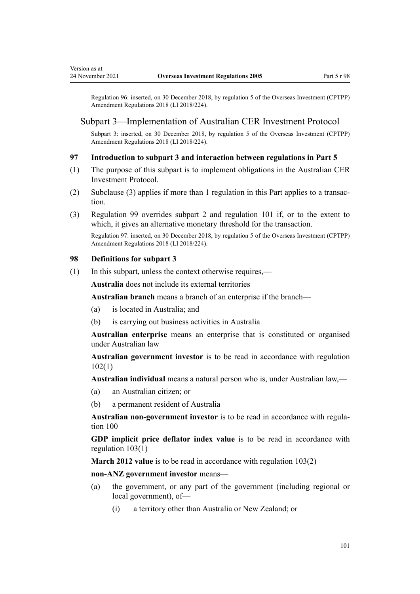<span id="page-100-0"></span>Regulation 96: inserted, on 30 December 2018, by [regulation 5](http://legislation.govt.nz/pdflink.aspx?id=LMS119666) of the Overseas Investment (CPTPP) Amendment Regulations 2018 (LI 2018/224).

## Subpart 3—Implementation of Australian CER Investment Protocol

Subpart 3: inserted, on 30 December 2018, by [regulation 5](http://legislation.govt.nz/pdflink.aspx?id=LMS119666) of the Overseas Investment (CPTPP) Amendment Regulations 2018 (LI 2018/224).

### **97 Introduction to subpart 3 and interaction between regulations in Part 5**

- (1) The purpose of this subpart is to implement obligations in the Australian CER Investment Protocol.
- (2) Subclause (3) applies if more than 1 regulation in this Part applies to a transaction.
- (3) [Regulation 99](#page-101-0) overrides [subpart 2](#page-93-0) and [regulation 101](#page-103-0) if, or to the extent to which, it gives an alternative monetary threshold for the transaction.

Regulation 97: inserted, on 30 December 2018, by [regulation 5](http://legislation.govt.nz/pdflink.aspx?id=LMS119666) of the Overseas Investment (CPTPP) Amendment Regulations 2018 (LI 2018/224).

# **98 Definitions for subpart 3**

(1) In this subpart, unless the context otherwise requires,—

**Australia** does not include its external territories

**Australian branch** means a branch of an enterprise if the branch—

- (a) is located in Australia; and
- (b) is carrying out business activities in Australia

**Australian enterprise** means an enterprise that is constituted or organised under Australian law

**Australian government investor** is to be read in accordance with [regulation](#page-104-0) [102\(1\)](#page-104-0)

**Australian individual** means a natural person who is, under Australian law,—

- (a) an Australian citizen; or
- (b) a permanent resident of Australia

**Australian non-government investor** is to be read in accordance with [regula‐](#page-102-0) [tion 100](#page-102-0)

**GDP implicit price deflator index value** is to be read in accordance with [regulation 103\(1\)](#page-104-0)

**March 2012 value** is to be read in accordance with [regulation 103\(2\)](#page-104-0)

**non-ANZ government investor** means—

- (a) the government, or any part of the government (including regional or local government), of—
	- (i) a territory other than Australia or New Zealand; or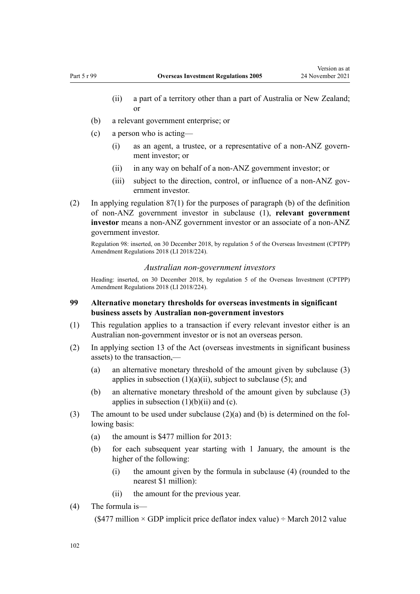- <span id="page-101-0"></span>(ii) a part of a territory other than a part of Australia or New Zealand; or
- (b) a relevant government enterprise; or
- (c) a person who is acting—
	- (i) as an agent, a trustee, or a representative of a non-ANZ govern‐ ment investor; or
	- (ii) in any way on behalf of a non-ANZ government investor; or
	- (iii) subject to the direction, control, or influence of a non-ANZ government investor.
- (2) In applying [regulation 87\(1\)](#page-93-0) for the purposes of paragraph (b) of the definition of non-ANZ government investor in subclause (1), **relevant government investor** means a non-ANZ government investor or an associate of a non-ANZ government investor.

Regulation 98: inserted, on 30 December 2018, by [regulation 5](http://legislation.govt.nz/pdflink.aspx?id=LMS119666) of the Overseas Investment (CPTPP) Amendment Regulations 2018 (LI 2018/224).

#### *Australian non-government investors*

Heading: inserted, on 30 December 2018, by [regulation 5](http://legislation.govt.nz/pdflink.aspx?id=LMS119666) of the Overseas Investment (CPTPP) Amendment Regulations 2018 (LI 2018/224).

## **99 Alternative monetary thresholds for overseas investments in significant business assets by Australian non-government investors**

- (1) This regulation applies to a transaction if every relevant investor either is an Australian non-government investor or is not an overseas person.
- (2) In applying [section 13](http://legislation.govt.nz/pdflink.aspx?id=DLM358019) of the Act (overseas investments in significant business assets) to the transaction,—
	- (a) an alternative monetary threshold of the amount given by subclause (3) applies in subsection  $(1)(a)(ii)$ , subject to subclause (5); and
	- (b) an alternative monetary threshold of the amount given by subclause (3) applies in subsection  $(1)(b)(ii)$  and  $(c)$ .
- (3) The amount to be used under subclause  $(2)(a)$  and (b) is determined on the following basis:
	- (a) the amount is \$477 million for 2013:
	- (b) for each subsequent year starting with 1 January, the amount is the higher of the following:
		- (i) the amount given by the formula in subclause (4) (rounded to the nearest \$1 million):
		- (ii) the amount for the previous year.
- (4) The formula is—

(\$477 million  $\times$  GDP implicit price deflator index value)  $\div$  March 2012 value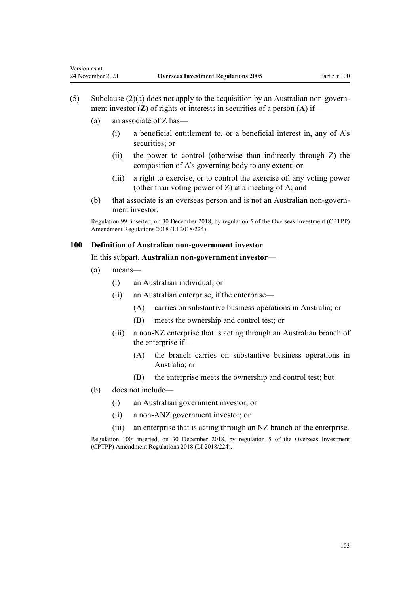- $(5)$  Subclause  $(2)(a)$  does not apply to the acquisition by an Australian non-government investor (**Z**) of rights or interests in securities of a person (**A**) if—
	- (a) an associate of Z has—

<span id="page-102-0"></span>Version as at

- (i) a beneficial entitlement to, or a beneficial interest in, any of A's securities; or
- (ii) the power to control (otherwise than indirectly through Z) the composition of A's governing body to any extent; or
- (iii) a right to exercise, or to control the exercise of, any voting power (other than voting power of Z) at a meeting of A; and
- (b) that associate is an overseas person and is not an Australian non-govern‐ ment investor.

Regulation 99: inserted, on 30 December 2018, by [regulation 5](http://legislation.govt.nz/pdflink.aspx?id=LMS119666) of the Overseas Investment (CPTPP) Amendment Regulations 2018 (LI 2018/224).

#### **100 Definition of Australian non-government investor**

#### In this subpart, **Australian non-government investor**—

- (a) means—
	- (i) an Australian individual; or
	- (ii) an Australian enterprise, if the enterprise—
		- (A) carries on substantive business operations in Australia; or
		- (B) meets the ownership and control test; or
	- (iii) a non-NZ enterprise that is acting through an Australian branch of the enterprise if—
		- (A) the branch carries on substantive business operations in Australia; or
		- (B) the enterprise meets the ownership and control test; but
- (b) does not include—
	- (i) an Australian government investor; or
	- (ii) a non-ANZ government investor; or
	- (iii) an enterprise that is acting through an NZ branch of the enterprise.

Regulation 100: inserted, on 30 December 2018, by [regulation 5](http://legislation.govt.nz/pdflink.aspx?id=LMS119666) of the Overseas Investment (CPTPP) Amendment Regulations 2018 (LI 2018/224).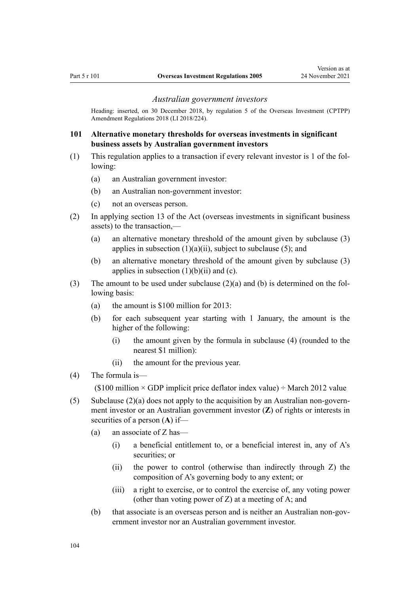#### *Australian government investors*

<span id="page-103-0"></span>Heading: inserted, on 30 December 2018, by [regulation 5](http://legislation.govt.nz/pdflink.aspx?id=LMS119666) of the Overseas Investment (CPTPP) Amendment Regulations 2018 (LI 2018/224).

# **101 Alternative monetary thresholds for overseas investments in significant business assets by Australian government investors**

- (1) This regulation applies to a transaction if every relevant investor is 1 of the fol‐ lowing:
	- (a) an Australian government investor:
	- (b) an Australian non-government investor:
	- (c) not an overseas person.
- (2) In applying [section 13](http://legislation.govt.nz/pdflink.aspx?id=DLM358019) of the Act (overseas investments in significant business assets) to the transaction,—
	- (a) an alternative monetary threshold of the amount given by subclause (3) applies in subsection  $(1)(a)(ii)$ , subject to subclause (5); and
	- (b) an alternative monetary threshold of the amount given by subclause (3) applies in subsection  $(1)(b)(ii)$  and  $(c)$ .
- (3) The amount to be used under subclause  $(2)(a)$  and (b) is determined on the following basis:
	- (a) the amount is \$100 million for 2013:
	- (b) for each subsequent year starting with 1 January, the amount is the higher of the following:
		- (i) the amount given by the formula in subclause (4) (rounded to the nearest \$1 million):
		- (ii) the amount for the previous year.
- (4) The formula is—

(\$100 million  $\times$  GDP implicit price deflator index value)  $\div$  March 2012 value

- (5) Subclause  $(2)(a)$  does not apply to the acquisition by an Australian non-government investor or an Australian government investor (**Z**) of rights or interests in securities of a person (**A**) if—
	- (a) an associate of Z has—
		- (i) a beneficial entitlement to, or a beneficial interest in, any of A's securities; or
		- (ii) the power to control (otherwise than indirectly through Z) the composition of A's governing body to any extent; or
		- (iii) a right to exercise, or to control the exercise of, any voting power (other than voting power of Z) at a meeting of A; and
	- (b) that associate is an overseas person and is neither an Australian non-government investor nor an Australian government investor.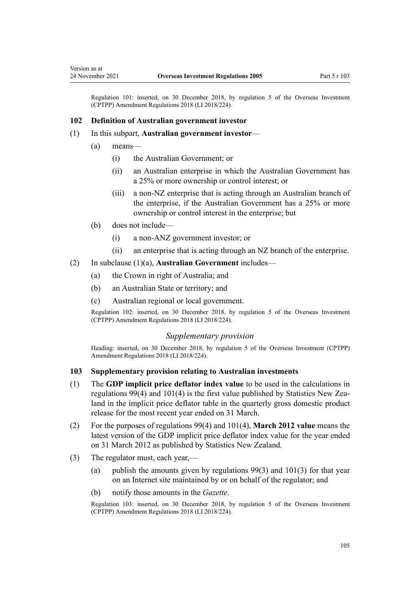<span id="page-104-0"></span>Regulation 101: inserted, on 30 December 2018, by [regulation 5](http://legislation.govt.nz/pdflink.aspx?id=LMS119666) of the Overseas Investment (CPTPP) Amendment Regulations 2018 (LI 2018/224).

#### **102 Definition of Australian government investor**

- (1) In this subpart, **Australian government investor**
	- (a) means—
		- (i) the Australian Government; or
		- (ii) an Australian enterprise in which the Australian Government has a 25% or more ownership or control interest; or
		- (iii) a non-NZ enterprise that is acting through an Australian branch of the enterprise, if the Australian Government has a 25% or more ownership or control interest in the enterprise; but
	- (b) does not include—
		- (i) a non-ANZ government investor; or
		- (ii) an enterprise that is acting through an NZ branch of the enterprise.
- (2) In subclause (1)(a), **Australian Government** includes—
	- (a) the Crown in right of Australia; and
	- (b) an Australian State or territory; and
	- (c) Australian regional or local government.

Regulation 102: inserted, on 30 December 2018, by [regulation 5](http://legislation.govt.nz/pdflink.aspx?id=LMS119666) of the Overseas Investment (CPTPP) Amendment Regulations 2018 (LI 2018/224).

#### *Supplementary provision*

Heading: inserted, on 30 December 2018, by [regulation 5](http://legislation.govt.nz/pdflink.aspx?id=LMS119666) of the Overseas Investment (CPTPP) Amendment Regulations 2018 (LI 2018/224).

### **103 Supplementary provision relating to Australian investments**

- (1) The **GDP implicit price deflator index value** to be used in the calculations in [regulations 99\(4\)](#page-101-0) and [101\(4\)](#page-103-0) is the first value published by Statistics New Zealand in the implicit price deflator table in the quarterly gross domestic product release for the most recent year ended on 31 March.
- (2) For the purposes of [regulations 99\(4\)](#page-101-0) and [101\(4\)](#page-103-0), **March 2012 value** means the latest version of the GDP implicit price deflator index value for the year ended on 31 March 2012 as published by Statistics New Zealand.
- (3) The regulator must, each year,—
	- (a) publish the amounts given by regulations  $99(3)$  and  $101(3)$  for that year on an Internet site maintained by or on behalf of the regulator; and
	- (b) notify those amounts in the *Gazette*.

Regulation 103: inserted, on 30 December 2018, by [regulation 5](http://legislation.govt.nz/pdflink.aspx?id=LMS119666) of the Overseas Investment (CPTPP) Amendment Regulations 2018 (LI 2018/224).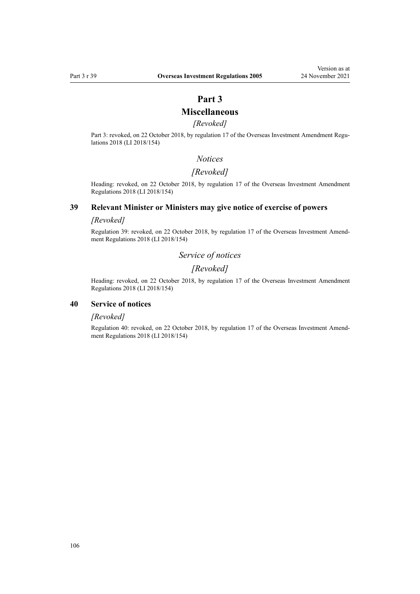# **Part 3**

# **Miscellaneous**

# *[Revoked]*

Part 3: revoked, on 22 October 2018, by [regulation 17](http://legislation.govt.nz/pdflink.aspx?id=LMS77102) of the Overseas Investment Amendment Regulations 2018 (LI 2018/154)

#### *Notices*

### *[Revoked]*

Heading: revoked, on 22 October 2018, by [regulation 17](http://legislation.govt.nz/pdflink.aspx?id=LMS77102) of the Overseas Investment Amendment Regulations 2018 (LI 2018/154)

# **39 Relevant Minister or Ministers may give notice of exercise of powers**

### *[Revoked]*

Regulation 39: revoked, on 22 October 2018, by [regulation 17](http://legislation.govt.nz/pdflink.aspx?id=LMS77102) of the Overseas Investment Amend‐ ment Regulations 2018 (LI 2018/154)

# *Service of notices*

# *[Revoked]*

Heading: revoked, on 22 October 2018, by [regulation 17](http://legislation.govt.nz/pdflink.aspx?id=LMS77102) of the Overseas Investment Amendment Regulations 2018 (LI 2018/154)

### **40 Service of notices**

#### *[Revoked]*

Regulation 40: revoked, on 22 October 2018, by [regulation 17](http://legislation.govt.nz/pdflink.aspx?id=LMS77102) of the Overseas Investment Amendment Regulations 2018 (LI 2018/154)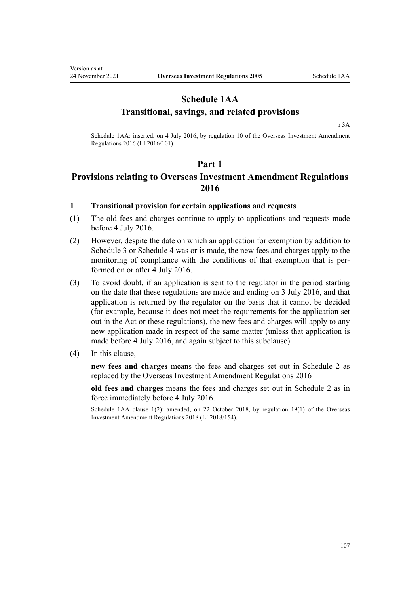# **Schedule 1AA Transitional, savings, and related provisions**

[r 3A](#page-9-0)

Schedule 1AA: inserted, on 4 July 2016, by [regulation 10](http://legislation.govt.nz/pdflink.aspx?id=DLM6845738) of the Overseas Investment Amendment Regulations 2016 (LI 2016/101).

# **Part 1**

# **Provisions relating to Overseas Investment Amendment Regulations 2016**

# **1 Transitional provision for certain applications and requests**

- (1) The old fees and charges continue to apply to applications and requests made before 4 July 2016.
- (2) However, despite the date on which an application for exemption by addition to [Schedule 3](#page-125-0) or [Schedule 4](#page-126-0) was or is made, the new fees and charges apply to the monitoring of compliance with the conditions of that exemption that is performed on or after 4 July 2016.
- (3) To avoid doubt, if an application is sent to the regulator in the period starting on the date that these regulations are made and ending on 3 July 2016, and that application is returned by the regulator on the basis that it cannot be decided (for example, because it does not meet the requirements for the application set out in the Act or these regulations), the new fees and charges will apply to any new application made in respect of the same matter (unless that application is made before 4 July 2016, and again subject to this subclause).
- (4) In this clause,—

**new fees and charges** means the fees and charges set out in [Schedule 2](#page-118-0) as replaced by the [Overseas Investment Amendment Regulations 2016](http://legislation.govt.nz/pdflink.aspx?id=DLM6845748)

**old fees and charges** means the fees and charges set out in Schedule 2 as in force immediately before 4 July 2016.

Schedule 1AA clause 1(2): amended, on 22 October 2018, by [regulation 19\(1\)](http://legislation.govt.nz/pdflink.aspx?id=LMS77228) of the Overseas Investment Amendment Regulations 2018 (LI 2018/154).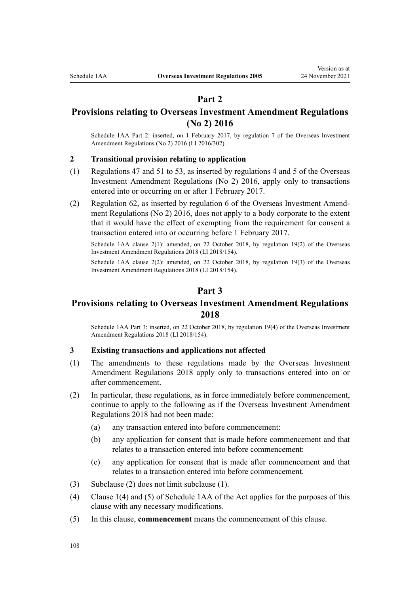# **Part 2**

# **Provisions relating to Overseas Investment Amendment Regulations (No 2) 2016**

Schedule 1AA Part 2: inserted, on 1 February 2017, by [regulation 7](http://legislation.govt.nz/pdflink.aspx?id=DLM7059206) of the Overseas Investment Amendment Regulations (No 2) 2016 (LI 2016/302).

# **2 Transitional provision relating to application**

- (1) [Regulations 47](#page-43-0) and [51 to 53,](#page-46-0) as inserted by [regulations 4](http://legislation.govt.nz/pdflink.aspx?id=DLM7059225) and [5](http://legislation.govt.nz/pdflink.aspx?id=DLM7059238) of the Overseas Investment Amendment Regulations (No 2) 2016, apply only to transactions entered into or occurring on or after 1 February 2017.
- (2) [Regulation 62,](#page-63-0) as inserted by [regulation 6](http://legislation.govt.nz/pdflink.aspx?id=DLM7059275) of the Overseas Investment Amend‐ ment Regulations (No 2) 2016, does not apply to a body corporate to the extent that it would have the effect of exempting from the requirement for consent a transaction entered into or occurring before 1 February 2017.

Schedule 1AA clause 2(1): amended, on 22 October 2018, by [regulation 19\(2\)](http://legislation.govt.nz/pdflink.aspx?id=LMS77228) of the Overseas Investment Amendment Regulations 2018 (LI 2018/154).

Schedule 1AA clause 2(2): amended, on 22 October 2018, by [regulation 19\(3\)](http://legislation.govt.nz/pdflink.aspx?id=LMS77228) of the Overseas Investment Amendment Regulations 2018 (LI 2018/154).

# **Part 3**

# **Provisions relating to Overseas Investment Amendment Regulations 2018**

Schedule 1AA Part 3: inserted, on 22 October 2018, by [regulation 19\(4\)](http://legislation.govt.nz/pdflink.aspx?id=LMS77228) of the Overseas Investment Amendment Regulations 2018 (LI 2018/154).

#### **3 Existing transactions and applications not affected**

- (1) The amendments to these regulations made by the [Overseas Investment](http://legislation.govt.nz/pdflink.aspx?id=LMS76969) [Amendment Regulations 2018](http://legislation.govt.nz/pdflink.aspx?id=LMS76969) apply only to transactions entered into on or after commencement.
- (2) In particular, these regulations, as in force immediately before commencement, continue to apply to the following as if the [Overseas Investment Amendment](http://legislation.govt.nz/pdflink.aspx?id=LMS76969) [Regulations 2018](http://legislation.govt.nz/pdflink.aspx?id=LMS76969) had not been made:
	- (a) any transaction entered into before commencement:
	- (b) any application for consent that is made before commencement and that relates to a transaction entered into before commencement:
	- (c) any application for consent that is made after commencement and that relates to a transaction entered into before commencement.
- (3) Subclause (2) does not limit subclause (1).
- (4) [Clause 1\(4\) and \(5\)](http://legislation.govt.nz/pdflink.aspx?id=LMS111964) of Schedule 1AA of the Act applies for the purposes of this clause with any necessary modifications.
- (5) In this clause, **commencement** means the commencement of this clause.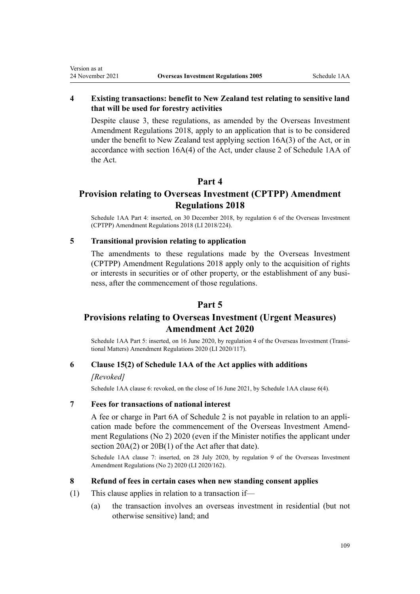## **4 Existing transactions: benefit to New Zealand test relating to sensitive land that will be used for forestry activities**

Despite [clause 3](#page-107-0), these regulations, as amended by the [Overseas Investment](http://legislation.govt.nz/pdflink.aspx?id=LMS76969) [Amendment Regulations 2018,](http://legislation.govt.nz/pdflink.aspx?id=LMS76969) apply to an application that is to be considered under the benefit to New Zealand test applying [section 16A\(3\)](http://legislation.govt.nz/pdflink.aspx?id=LMS110592) of the Act, or in accordance with section 16A(4) of the Act, under [clause 2](http://legislation.govt.nz/pdflink.aspx?id=LMS111965) of Schedule 1AA of the Act.

## **Part 4**

## **Provision relating to Overseas Investment (CPTPP) Amendment Regulations 2018**

Schedule 1AA Part 4: inserted, on 30 December 2018, by [regulation 6](http://legislation.govt.nz/pdflink.aspx?id=LMS119669) of the Overseas Investment (CPTPP) Amendment Regulations 2018 (LI 2018/224).

#### **5 Transitional provision relating to application**

The amendments to these regulations made by the [Overseas Investment](http://legislation.govt.nz/pdflink.aspx?id=LMS119473) [\(CPTPP\) Amendment Regulations 2018](http://legislation.govt.nz/pdflink.aspx?id=LMS119473) apply only to the acquisition of rights or interests in securities or of other property, or the establishment of any business, after the commencement of those regulations.

## **Part 5**

## **Provisions relating to Overseas Investment (Urgent Measures) Amendment Act 2020**

Schedule 1AA Part 5: inserted, on 16 June 2020, by [regulation 4](http://legislation.govt.nz/pdflink.aspx?id=LMS356168) of the Overseas Investment (Transitional Matters) Amendment Regulations 2020 (LI 2020/117).

#### **6 Clause 15(2) of Schedule 1AA of the Act applies with additions**

#### *[Revoked]*

<span id="page-108-0"></span>Version as at

Schedule 1AA clause 6: revoked, on the close of 16 June 2021, by Schedule 1AA clause 6(4).

#### **7 Fees for transactions of national interest**

A fee or charge in Part 6A of Schedule 2 is not payable in relation to an appli‐ cation made before the commencement of the Overseas Investment Amend[ment Regulations \(No 2\) 2020](http://legislation.govt.nz/pdflink.aspx?id=LMS353098) (even if the Minister notifies the applicant under [section 20A\(2\)](http://legislation.govt.nz/pdflink.aspx?id=LMS357515) or [20B\(1\)](http://legislation.govt.nz/pdflink.aspx?id=LMS357519) of the Act after that date).

Schedule 1AA clause 7: inserted, on 28 July 2020, by [regulation 9](http://legislation.govt.nz/pdflink.aspx?id=LMS353539) of the Overseas Investment Amendment Regulations (No 2) 2020 (LI 2020/162).

#### **8 Refund of fees in certain cases when new standing consent applies**

- (1) This clause applies in relation to a transaction if—
	- (a) the transaction involves an overseas investment in residential (but not otherwise sensitive) land; and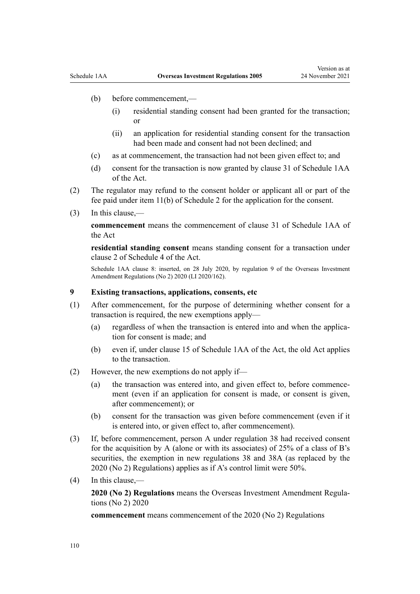- (b) before commencement,—
	- (i) residential standing consent had been granted for the transaction; or
	- (ii) an application for residential standing consent for the transaction had been made and consent had not been declined; and
- (c) as at commencement, the transaction had not been given effect to; and
- (d) consent for the transaction is now granted by [clause 31](http://legislation.govt.nz/pdflink.aspx?id=LMS360397) of Schedule 1AA of the Act.
- (2) The regulator may refund to the consent holder or applicant all or part of the fee paid under item 11(b) of [Schedule 2](#page-118-0) for the application for the consent.
- (3) In this clause,—

**commencement** means the commencement of [clause 31](http://legislation.govt.nz/pdflink.aspx?id=LMS360397) of Schedule 1AA of the Act

**residential standing consent** means standing consent for a transaction under [clause 2](http://legislation.govt.nz/pdflink.aspx?id=LMS111203) of Schedule 4 of the Act.

Schedule 1AA clause 8: inserted, on 28 July 2020, by [regulation 9](http://legislation.govt.nz/pdflink.aspx?id=LMS353539) of the Overseas Investment Amendment Regulations (No 2) 2020 (LI 2020/162).

#### **9 Existing transactions, applications, consents, etc**

- (1) After commencement, for the purpose of determining whether consent for a transaction is required, the new exemptions apply—
	- (a) regardless of when the transaction is entered into and when the application for consent is made; and
	- (b) even if, under [clause 15](http://legislation.govt.nz/pdflink.aspx?id=LMS360210) of Schedule 1AA of the Act, the old Act applies to the transaction.
- (2) However, the new exemptions do not apply if—
	- (a) the transaction was entered into, and given effect to, before commence‐ ment (even if an application for consent is made, or consent is given, after commencement); or
	- (b) consent for the transaction was given before commencement (even if it is entered into, or given effect to, after commencement).
- (3) If, before commencement, person A under regulation 38 had received consent for the acquisition by A (alone or with its associates) of 25% of a class of B's securities, the exemption in new [regulations 38](#page-37-0) and [38A](#page-38-0) (as replaced by the 2020 (No 2) Regulations) applies as if A's control limit were 50%.
- (4) In this clause,—

**2020 (No 2) Regulations** means the [Overseas Investment Amendment Regula‐](http://legislation.govt.nz/pdflink.aspx?id=LMS353098) [tions \(No 2\) 2020](http://legislation.govt.nz/pdflink.aspx?id=LMS353098)

**commencement** means commencement of the 2020 (No 2) Regulations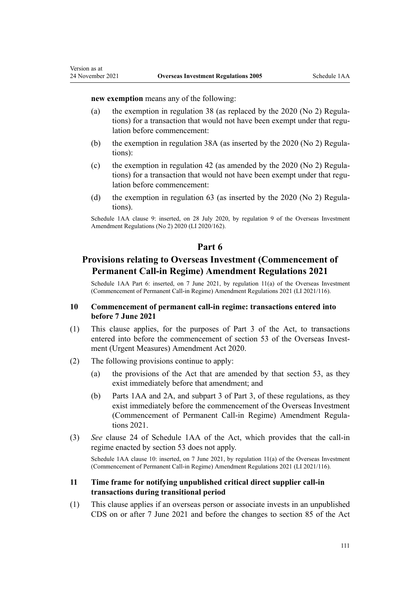#### **new exemption** means any of the following:

- (a) the exemption in [regulation 38](#page-37-0) (as replaced by the  $2020$  (No 2) Regulations) for a transaction that would not have been exempt under that regulation before commencement:
- (b) the exemption in regulation  $38A$  (as inserted by the 2020 (No 2) Regulations):
- (c) the exemption in [regulation 42](#page-39-0) (as amended by the  $2020$  (No 2) Regulations) for a transaction that would not have been exempt under that regulation before commencement:
- (d) the exemption in [regulation 63](#page-65-0) (as inserted by the 2020 (No 2) Regulations).

Schedule 1AA clause 9: inserted, on 28 July 2020, by [regulation 9](http://legislation.govt.nz/pdflink.aspx?id=LMS353539) of the Overseas Investment Amendment Regulations (No 2) 2020 (LI 2020/162).

## **Part 6**

## **Provisions relating to Overseas Investment (Commencement of Permanent Call-in Regime) Amendment Regulations 2021**

Schedule 1AA Part 6: inserted, on 7 June 2021, by [regulation 11\(a\)](http://legislation.govt.nz/pdflink.aspx?id=LMS495288) of the Overseas Investment (Commencement of Permanent Call-in Regime) Amendment Regulations 2021 (LI 2021/116).

#### **10 Commencement of permanent call-in regime: transactions entered into before 7 June 2021**

- (1) This clause applies, for the purposes of [Part 3](http://legislation.govt.nz/pdflink.aspx?id=LMS358413) of the Act, to transactions entered into before the commencement of [section 53](http://legislation.govt.nz/pdflink.aspx?id=LMS342569) of the Overseas Investment (Urgent Measures) Amendment Act 2020.
- (2) The following provisions continue to apply:
	- (a) the provisions of the Act that are amended by that [section 53](http://legislation.govt.nz/pdflink.aspx?id=LMS342569), as they exist immediately before that amendment; and
	- (b) Parts 1AA and 2A, and subpart 3 of Part 3, of these regulations, as they exist immediately before the commencement of the [Overseas Investment](http://legislation.govt.nz/pdflink.aspx?id=LMS495270) [\(Commencement of Permanent Call-in Regime\) Amendment Regula‐](http://legislation.govt.nz/pdflink.aspx?id=LMS495270) [tions 2021](http://legislation.govt.nz/pdflink.aspx?id=LMS495270).
- (3) *See* [clause 24](http://legislation.govt.nz/pdflink.aspx?id=LMS360235) of Schedule 1AA of the Act, which provides that the call-in regime enacted by [section 53](http://legislation.govt.nz/pdflink.aspx?id=LMS342569) does not apply.

Schedule 1AA clause 10: inserted, on 7 June 2021, by [regulation 11\(a\)](http://legislation.govt.nz/pdflink.aspx?id=LMS495288) of the Overseas Investment (Commencement of Permanent Call-in Regime) Amendment Regulations 2021 (LI 2021/116).

#### **11 Time frame for notifying unpublished critical direct supplier call-in transactions during transitional period**

(1) This clause applies if an overseas person or associate invests in an unpublished CDS on or after 7 June 2021 and before the changes to [section 85](http://legislation.govt.nz/pdflink.aspx?id=LMS358555) of the Act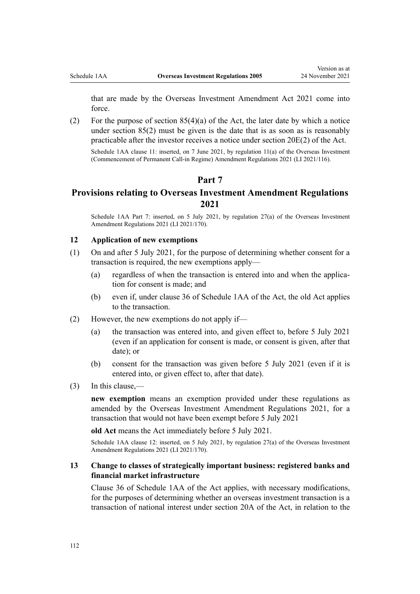that are made by the [Overseas Investment Amendment Act 2021](http://legislation.govt.nz/pdflink.aspx?id=LMS342654) come into force.

(2) For the purpose of section  $85(4)(a)$  of the Act, the later date by which a notice under section 85(2) must be given is the date that is as soon as is reasonably practicable after the investor receives a notice under [section 20E\(2\)](http://legislation.govt.nz/pdflink.aspx?id=LMS357525) of the Act.

Schedule 1AA clause 11: inserted, on 7 June 2021, by [regulation 11\(a\)](http://legislation.govt.nz/pdflink.aspx?id=LMS495288) of the Overseas Investment (Commencement of Permanent Call-in Regime) Amendment Regulations 2021 (LI 2021/116).

## **Part 7**

## **Provisions relating to Overseas Investment Amendment Regulations 2021**

Schedule 1AA Part 7: inserted, on 5 July 2021, by [regulation 27\(a\)](http://legislation.govt.nz/pdflink.aspx?id=LMS500886) of the Overseas Investment Amendment Regulations 2021 (LI 2021/170).

#### **12 Application of new exemptions**

- (1) On and after 5 July 2021, for the purpose of determining whether consent for a transaction is required, the new exemptions apply—
	- (a) regardless of when the transaction is entered into and when the applica‐ tion for consent is made; and
	- (b) even if, under [clause 36](http://legislation.govt.nz/pdflink.aspx?id=LMS360409) of Schedule 1AA of the Act, the old Act applies to the transaction.
- (2) However, the new exemptions do not apply if—
	- (a) the transaction was entered into, and given effect to, before 5 July 2021 (even if an application for consent is made, or consent is given, after that date); or
	- (b) consent for the transaction was given before 5 July 2021 (even if it is entered into, or given effect to, after that date).
- (3) In this clause,—

**new exemption** means an exemption provided under these regulations as amended by the [Overseas Investment Amendment Regulations 2021](http://legislation.govt.nz/pdflink.aspx?id=LMS500816), for a transaction that would not have been exempt before 5 July 2021

**old Act** means the Act immediately before 5 July 2021.

Schedule 1AA clause 12: inserted, on 5 July 2021, by [regulation 27\(a\)](http://legislation.govt.nz/pdflink.aspx?id=LMS500886) of the Overseas Investment Amendment Regulations 2021 (LI 2021/170).

#### **13 Change to classes of strategically important business: registered banks and financial market infrastructure**

[Clause 36](http://legislation.govt.nz/pdflink.aspx?id=LMS360409) of Schedule 1AA of the Act applies, with necessary modifications, for the purposes of determining whether an overseas investment transaction is a transaction of national interest under [section 20A](http://legislation.govt.nz/pdflink.aspx?id=LMS357515) of the Act, in relation to the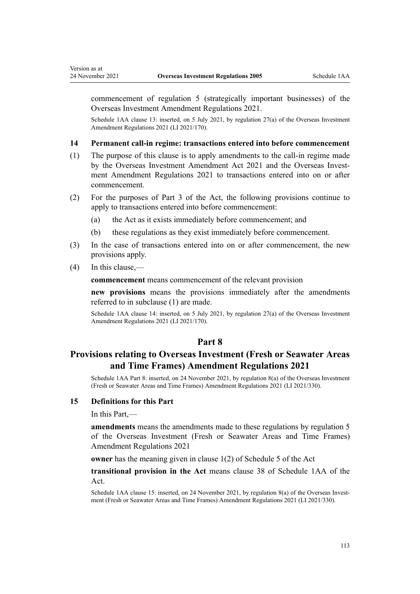commencement of [regulation 5](http://legislation.govt.nz/pdflink.aspx?id=LMS500825) (strategically important businesses) of the Overseas Investment Amendment Regulations 2021.

Schedule 1AA clause 13: inserted, on 5 July 2021, by [regulation 27\(a\)](http://legislation.govt.nz/pdflink.aspx?id=LMS500886) of the Overseas Investment Amendment Regulations 2021 (LI 2021/170).

#### **14 Permanent call-in regime: transactions entered into before commencement**

- (1) The purpose of this clause is to apply amendments to the call-in regime made by the [Overseas Investment Amendment Act 2021](http://legislation.govt.nz/pdflink.aspx?id=LMS342654) and the Overseas Invest[ment Amendment Regulations 2021](http://legislation.govt.nz/pdflink.aspx?id=LMS500816) to transactions entered into on or after commencement.
- (2) For the purposes of [Part 3](http://legislation.govt.nz/pdflink.aspx?id=LMS358413) of the Act, the following provisions continue to apply to transactions entered into before commencement:
	- (a) the Act as it exists immediately before commencement; and
	- (b) these regulations as they exist immediately before commencement.
- (3) In the case of transactions entered into on or after commencement, the new provisions apply.
- (4) In this clause,—

**commencement** means commencement of the relevant provision

**new provisions** means the provisions immediately after the amendments referred to in subclause (1) are made.

Schedule 1AA clause 14: inserted, on 5 July 2021, by [regulation 27\(a\)](http://legislation.govt.nz/pdflink.aspx?id=LMS500886) of the Overseas Investment Amendment Regulations 2021 (LI 2021/170).

#### **Part 8**

## **Provisions relating to Overseas Investment (Fresh or Seawater Areas and Time Frames) Amendment Regulations 2021**

Schedule 1AA Part 8: inserted, on 24 November 2021, by [regulation 8\(a\)](http://legislation.govt.nz/pdflink.aspx?id=LMS572201) of the Overseas Investment (Fresh or Seawater Areas and Time Frames) Amendment Regulations 2021 (LI 2021/330).

#### **15 Definitions for this Part**

In this Part,—

**amendments** means the amendments made to these regulations by [regulation 5](http://legislation.govt.nz/pdflink.aspx?id=LMS572195) of the Overseas Investment (Fresh or Seawater Areas and Time Frames) Amendment Regulations 2021

**owner** has the meaning given in [clause 1\(2\)](http://legislation.govt.nz/pdflink.aspx?id=LMS623456) of Schedule 5 of the Act

**transitional provision in the Act** means [clause 38](http://legislation.govt.nz/pdflink.aspx?id=LMS519813) of Schedule 1AA of the Act.

Schedule 1AA clause 15: inserted, on 24 November 2021, by [regulation 8\(a\)](http://legislation.govt.nz/pdflink.aspx?id=LMS572201) of the Overseas Investment (Fresh or Seawater Areas and Time Frames) Amendment Regulations 2021 (LI 2021/330).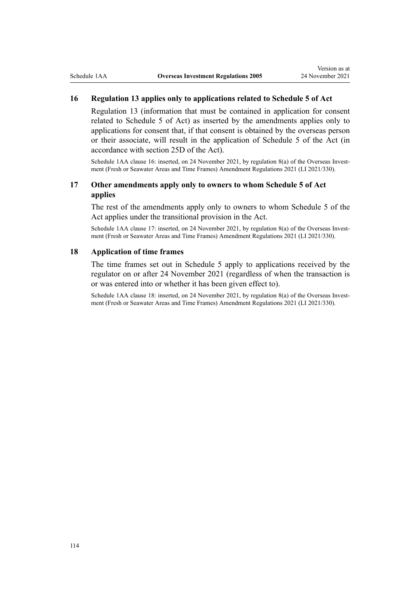## **16 Regulation 13 applies only to applications related to Schedule 5 of Act**

[Regulation 13](#page-16-0) (information that must be contained in application for consent related to [Schedule 5](http://legislation.govt.nz/pdflink.aspx?id=LMS623503) of Act) as inserted by the amendments applies only to applications for consent that, if that consent is obtained by the overseas person or their associate, will result in the application of Schedule 5 of the Act (in accordance with [section 25D](http://legislation.govt.nz/pdflink.aspx?id=LMS623448) of the Act).

Schedule 1AA clause 16: inserted, on 24 November 2021, by [regulation 8\(a\)](http://legislation.govt.nz/pdflink.aspx?id=LMS572201) of the Overseas Investment (Fresh or Seawater Areas and Time Frames) Amendment Regulations 2021 (LI 2021/330).

### **17 Other amendments apply only to owners to whom Schedule 5 of Act applies**

The rest of the amendments apply only to owners to whom [Schedule 5](http://legislation.govt.nz/pdflink.aspx?id=LMS623503) of the Act applies under the transitional provision in the Act.

Schedule 1AA clause 17: inserted, on 24 November 2021, by [regulation 8\(a\)](http://legislation.govt.nz/pdflink.aspx?id=LMS572201) of the Overseas Investment (Fresh or Seawater Areas and Time Frames) Amendment Regulations 2021 (LI 2021/330).

#### **18 Application of time frames**

The time frames set out in [Schedule 5](#page-127-0) apply to applications received by the regulator on or after 24 November 2021 (regardless of when the transaction is or was entered into or whether it has been given effect to).

Schedule 1AA clause 18: inserted, on 24 November 2021, by [regulation 8\(a\)](http://legislation.govt.nz/pdflink.aspx?id=LMS572201) of the Overseas Investment (Fresh or Seawater Areas and Time Frames) Amendment Regulations 2021 (LI 2021/330).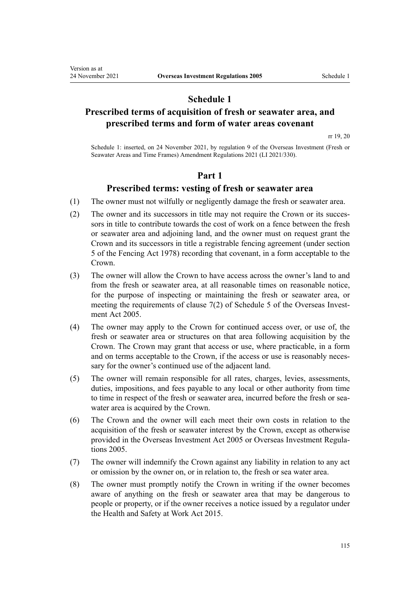## **Schedule 1**

## **Prescribed terms of acquisition of fresh or seawater area, and prescribed terms and form of water areas covenant**

[rr 19, 20](#page-21-0)

Schedule 1: inserted, on 24 November 2021, by [regulation 9](http://legislation.govt.nz/pdflink.aspx?id=LMS572202) of the Overseas Investment (Fresh or Seawater Areas and Time Frames) Amendment Regulations 2021 (LI 2021/330).

## **Part 1**

## **Prescribed terms: vesting of fresh or seawater area**

- (1) The owner must not wilfully or negligently damage the fresh or seawater area.
- (2) The owner and its successors in title may not require the Crown or its successors in title to contribute towards the cost of work on a fence between the fresh or seawater area and adjoining land, and the owner must on request grant the Crown and its successors in title a registrable fencing agreement (under [section](http://legislation.govt.nz/pdflink.aspx?id=DLM21851) [5](http://legislation.govt.nz/pdflink.aspx?id=DLM21851) of the Fencing Act 1978) recording that covenant, in a form acceptable to the Crown.
- (3) The owner will allow the Crown to have access across the owner's land to and from the fresh or seawater area, at all reasonable times on reasonable notice, for the purpose of inspecting or maintaining the fresh or seawater area, or meeting the requirements of clause  $7(2)$  of Schedule 5 of the Overseas Investment Act 2005.
- (4) The owner may apply to the Crown for continued access over, or use of, the fresh or seawater area or structures on that area following acquisition by the Crown. The Crown may grant that access or use, where practicable, in a form and on terms acceptable to the Crown, if the access or use is reasonably necessary for the owner's continued use of the adjacent land.
- (5) The owner will remain responsible for all rates, charges, levies, assessments, duties, impositions, and fees payable to any local or other authority from time to time in respect of the fresh or seawater area, incurred before the fresh or seawater area is acquired by the Crown.
- (6) The Crown and the owner will each meet their own costs in relation to the acquisition of the fresh or seawater interest by the Crown, except as otherwise provided in the [Overseas Investment Act 2005](http://legislation.govt.nz/pdflink.aspx?id=DLM356880) or Overseas Investment Regulations 2005.
- (7) The owner will indemnify the Crown against any liability in relation to any act or omission by the owner on, or in relation to, the fresh or sea water area.
- (8) The owner must promptly notify the Crown in writing if the owner becomes aware of anything on the fresh or seawater area that may be dangerous to people or property, or if the owner receives a notice issued by a regulator under the [Health and Safety at Work Act 2015](http://legislation.govt.nz/pdflink.aspx?id=DLM5976602).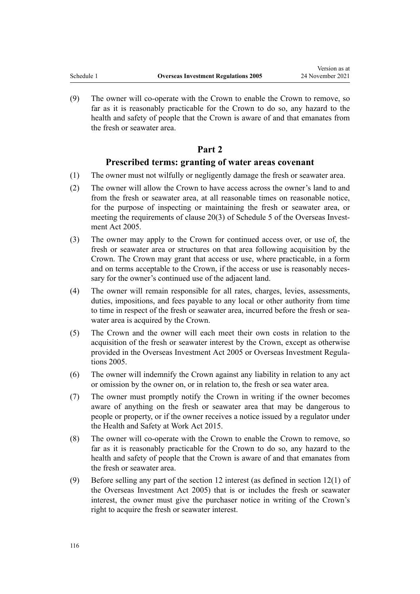(9) The owner will co-operate with the Crown to enable the Crown to remove, so far as it is reasonably practicable for the Crown to do so, any hazard to the health and safety of people that the Crown is aware of and that emanates from the fresh or seawater area.

## **Part 2**

## **Prescribed terms: granting of water areas covenant**

- (1) The owner must not wilfully or negligently damage the fresh or seawater area.
- (2) The owner will allow the Crown to have access across the owner's land to and from the fresh or seawater area, at all reasonable times on reasonable notice, for the purpose of inspecting or maintaining the fresh or seawater area, or meeting the requirements of [clause 20\(3\)](http://legislation.govt.nz/pdflink.aspx?id=LMS623499) of Schedule 5 of the Overseas Investment Act 2005.
- (3) The owner may apply to the Crown for continued access over, or use of, the fresh or seawater area or structures on that area following acquisition by the Crown. The Crown may grant that access or use, where practicable, in a form and on terms acceptable to the Crown, if the access or use is reasonably necessary for the owner's continued use of the adjacent land.
- (4) The owner will remain responsible for all rates, charges, levies, assessments, duties, impositions, and fees payable to any local or other authority from time to time in respect of the fresh or seawater area, incurred before the fresh or seawater area is acquired by the Crown.
- (5) The Crown and the owner will each meet their own costs in relation to the acquisition of the fresh or seawater interest by the Crown, except as otherwise provided in the [Overseas Investment Act 2005](http://legislation.govt.nz/pdflink.aspx?id=DLM356880) or Overseas Investment Regulations 2005.
- (6) The owner will indemnify the Crown against any liability in relation to any act or omission by the owner on, or in relation to, the fresh or sea water area.
- (7) The owner must promptly notify the Crown in writing if the owner becomes aware of anything on the fresh or seawater area that may be dangerous to people or property, or if the owner receives a notice issued by a regulator under the [Health and Safety at Work Act 2015](http://legislation.govt.nz/pdflink.aspx?id=DLM5976602).
- (8) The owner will co-operate with the Crown to enable the Crown to remove, so far as it is reasonably practicable for the Crown to do so, any hazard to the health and safety of people that the Crown is aware of and that emanates from the fresh or seawater area.
- (9) Before selling any part of the section 12 interest (as defined in [section 12\(1\)](http://legislation.govt.nz/pdflink.aspx?id=DLM358017) of the Overseas Investment Act 2005) that is or includes the fresh or seawater interest, the owner must give the purchaser notice in writing of the Crown's right to acquire the fresh or seawater interest.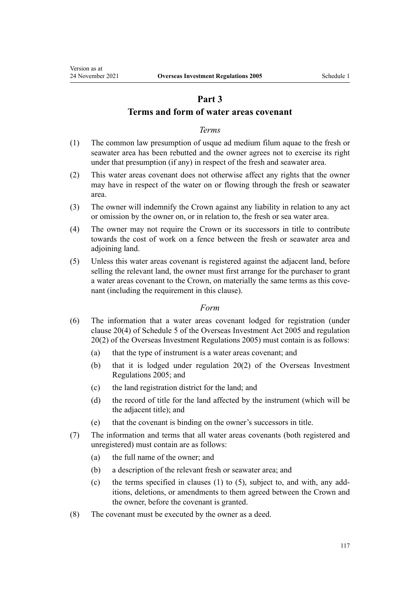## **Part 3**

## **Terms and form of water areas covenant**

### *Terms*

- (1) The common law presumption of usque ad medium filum aquae to the fresh or seawater area has been rebutted and the owner agrees not to exercise its right under that presumption (if any) in respect of the fresh and seawater area.
- (2) This water areas covenant does not otherwise affect any rights that the owner may have in respect of the water on or flowing through the fresh or seawater area.
- (3) The owner will indemnify the Crown against any liability in relation to any act or omission by the owner on, or in relation to, the fresh or sea water area.
- (4) The owner may not require the Crown or its successors in title to contribute towards the cost of work on a fence between the fresh or seawater area and adjoining land.
- (5) Unless this water areas covenant is registered against the adjacent land, before selling the relevant land, the owner must first arrange for the purchaser to grant a water areas covenant to the Crown, on materially the same terms as this covenant (including the requirement in this clause).

#### *Form*

- (6) The information that a water areas covenant lodged for registration (under [clause 20\(4\)](http://legislation.govt.nz/pdflink.aspx?id=LMS623499) of Schedule 5 of the Overseas Investment Act 2005 and [regulation](#page-21-0) [20\(2\)](#page-21-0) of the Overseas Investment Regulations 2005) must contain is as follows:
	- (a) that the type of instrument is a water areas covenant; and
	- (b) that it is lodged under [regulation 20\(2\)](#page-21-0) of the Overseas Investment Regulations 2005; and
	- (c) the land registration district for the land; and
	- (d) the record of title for the land affected by the instrument (which will be the adjacent title); and
	- (e) that the covenant is binding on the owner's successors in title.
- (7) The information and terms that all water areas covenants (both registered and unregistered) must contain are as follows:
	- (a) the full name of the owner; and
	- (b) a description of the relevant fresh or seawater area; and
	- (c) the terms specified in clauses  $(1)$  to  $(5)$ , subject to, and with, any additions, deletions, or amendments to them agreed between the Crown and the owner, before the covenant is granted.
- (8) The covenant must be executed by the owner as a deed.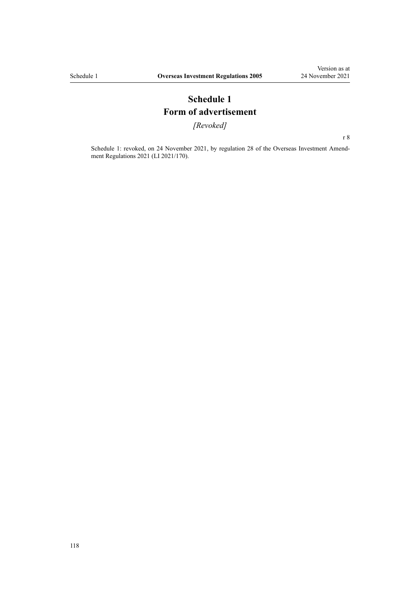## **Schedule 1 Form of advertisement**

*[Revoked]*

[r 8](#page-14-0)

Schedule 1: revoked, on 24 November 2021, by [regulation 28](http://legislation.govt.nz/pdflink.aspx?id=LMS500887) of the Overseas Investment Amendment Regulations 2021 (LI 2021/170).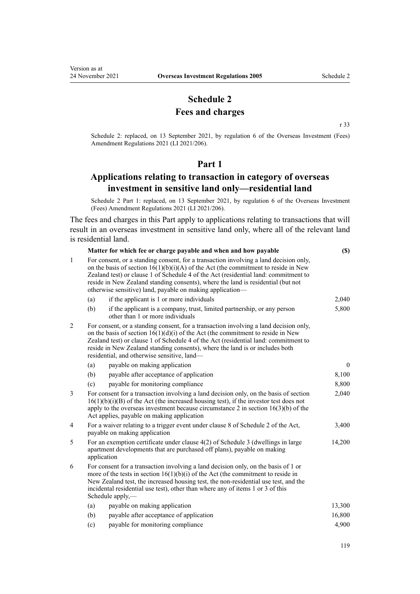## **Schedule 2 Fees and charges**

[r 33](#page-32-0)

<span id="page-118-0"></span>Schedule 2: replaced, on 13 September 2021, by [regulation 6](http://legislation.govt.nz/pdflink.aspx?id=LMS528052) of the Overseas Investment (Fees) Amendment Regulations 2021 (LI 2021/206).

#### **Part 1**

## **Applications relating to transaction in category of overseas investment in sensitive land only—residential land**

Schedule 2 Part 1: replaced, on 13 September 2021, by [regulation 6](http://legislation.govt.nz/pdflink.aspx?id=LMS528052) of the Overseas Investment (Fees) Amendment Regulations 2021 (LI 2021/206).

The fees and charges in this Part apply to applications relating to transactions that will result in an overseas investment in sensitive land only, where all of the relevant land is residential land.

|              | Matter for which fee or charge payable and when and how payable |                                                                                                                                                                                                                                                                                                                                                                                                                       | (S)          |
|--------------|-----------------------------------------------------------------|-----------------------------------------------------------------------------------------------------------------------------------------------------------------------------------------------------------------------------------------------------------------------------------------------------------------------------------------------------------------------------------------------------------------------|--------------|
| $\mathbf{1}$ |                                                                 | For consent, or a standing consent, for a transaction involving a land decision only,<br>on the basis of section $16(1)(b)(i)(A)$ of the Act (the commitment to reside in New<br>Zealand test) or clause 1 of Schedule 4 of the Act (residential land: commitment to<br>reside in New Zealand standing consents), where the land is residential (but not<br>otherwise sensitive) land, payable on making application— |              |
|              | (a)                                                             | if the applicant is 1 or more individuals                                                                                                                                                                                                                                                                                                                                                                             | 2,040        |
|              | (b)                                                             | if the applicant is a company, trust, limited partnership, or any person<br>other than 1 or more individuals                                                                                                                                                                                                                                                                                                          | 5,800        |
| 2            |                                                                 | For consent, or a standing consent, for a transaction involving a land decision only,<br>on the basis of section $16(1)(d)(i)$ of the Act (the commitment to reside in New<br>Zealand test) or clause 1 of Schedule 4 of the Act (residential land: commitment to<br>reside in New Zealand standing consents), where the land is or includes both<br>residential, and otherwise sensitive, land—                      |              |
|              | (a)                                                             | payable on making application                                                                                                                                                                                                                                                                                                                                                                                         | $\mathbf{0}$ |
|              | (b)                                                             | payable after acceptance of application                                                                                                                                                                                                                                                                                                                                                                               | 8,100        |
|              | (c)                                                             | payable for monitoring compliance                                                                                                                                                                                                                                                                                                                                                                                     | 8,800        |
| 3            |                                                                 | For consent for a transaction involving a land decision only, on the basis of section<br>$16(1)(b)(i)(B)$ of the Act (the increased housing test), if the investor test does not<br>apply to the overseas investment because circumstance 2 in section $16(3)(b)$ of the<br>Act applies, payable on making application                                                                                                | 2,040        |
| 4            |                                                                 | For a waiver relating to a trigger event under clause 8 of Schedule 2 of the Act,<br>payable on making application                                                                                                                                                                                                                                                                                                    | 3,400        |
| 5            | application                                                     | For an exemption certificate under clause $4(2)$ of Schedule 3 (dwellings in large<br>apartment developments that are purchased off plans), payable on making                                                                                                                                                                                                                                                         | 14,200       |
| 6            |                                                                 | For consent for a transaction involving a land decision only, on the basis of 1 or<br>more of the tests in section $16(1)(b)(i)$ of the Act (the commitment to reside in<br>New Zealand test, the increased housing test, the non-residential use test, and the<br>incidental residential use test), other than where any of items 1 or 3 of this<br>Schedule apply,—                                                 |              |
|              | (a)                                                             | payable on making application                                                                                                                                                                                                                                                                                                                                                                                         | 13,300       |
|              | (b)                                                             | payable after acceptance of application                                                                                                                                                                                                                                                                                                                                                                               | 16,800       |
|              | (c)                                                             | payable for monitoring compliance                                                                                                                                                                                                                                                                                                                                                                                     | 4,900        |
|              |                                                                 |                                                                                                                                                                                                                                                                                                                                                                                                                       |              |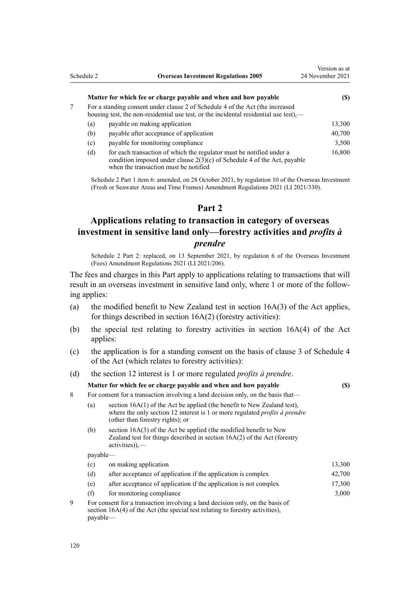<span id="page-119-0"></span>

|   | Schedule 2 | <b>Overseas Investment Regulations 2005</b>                                                                                                                                                 | Version as at<br>24 November 2021 |
|---|------------|---------------------------------------------------------------------------------------------------------------------------------------------------------------------------------------------|-----------------------------------|
|   |            | Matter for which fee or charge payable and when and how payable                                                                                                                             | (S)                               |
| 7 |            | For a standing consent under clause 2 of Schedule 4 of the Act (the increased<br>housing test, the non-residential use test, or the incidental residential use test),—                      |                                   |
|   | (a)        | payable on making application                                                                                                                                                               | 13,300                            |
|   | (b)        | payable after acceptance of application                                                                                                                                                     | 40,700                            |
|   | (c)        | payable for monitoring compliance                                                                                                                                                           | 3,500                             |
|   | (d)        | for each transaction of which the regulator must be notified under a<br>condition imposed under clause $2(3)(c)$ of Schedule 4 of the Act, payable<br>when the transaction must be notified | 16,800                            |

Schedule 2 Part 1 item 6: amended, on 28 October 2021, by [regulation 10](http://legislation.govt.nz/pdflink.aspx?id=LMS572203) of the Overseas Investment (Fresh or Seawater Areas and Time Frames) Amendment Regulations 2021 (LI 2021/330).

#### **Part 2**

## **Applications relating to transaction in category of overseas investment in sensitive land only—forestry activities and** *profits à prendre*

Schedule 2 Part 2: replaced, on 13 September 2021, by [regulation 6](http://legislation.govt.nz/pdflink.aspx?id=LMS528052) of the Overseas Investment (Fees) Amendment Regulations 2021 (LI 2021/206).

The fees and charges in this Part apply to applications relating to transactions that will result in an overseas investment in sensitive land only, where 1 or more of the following applies:

- (a) the modified benefit to New Zealand test in section  $16A(3)$  of the Act applies, for things described in section 16A(2) (forestry activities):
- (b) the special test relating to forestry activities in [section 16A\(4\)](http://legislation.govt.nz/pdflink.aspx?id=LMS110592) of the Act applies:
- (c) the application is for a standing consent on the basis of [clause 3](http://legislation.govt.nz/pdflink.aspx?id=LMS111258) of Schedule 4 of the Act (which relates to forestry activities):
- (d) the [section 12](http://legislation.govt.nz/pdflink.aspx?id=DLM358017) interest is 1 or more regulated *profits à prendre*.

#### **Matter for which fee or charge payable and when and how payable (\$)**

- 8 For consent for a transaction involving a land decision only, on the basis that—
	- (a) [section 16A\(1\)](http://legislation.govt.nz/pdflink.aspx?id=LMS110592) of the Act be applied (the benefit to New Zealand test), where the only section 12 interest is 1 or more regulated *profits à prendre* (other than forestry rights); or
	- (b) [section 16A\(3\)](http://legislation.govt.nz/pdflink.aspx?id=LMS110592) of the Act be applied (the modified benefit to New Zealand test for things described in section 16A(2) of the Act (forestry activities)),—

payable—

|                                                                                                                                                                                      | (c) | on making application                                             | 13,300 |
|--------------------------------------------------------------------------------------------------------------------------------------------------------------------------------------|-----|-------------------------------------------------------------------|--------|
|                                                                                                                                                                                      | (d) | after acceptance of application if the application is complex     | 42,700 |
|                                                                                                                                                                                      | (e) | after acceptance of application if the application is not complex | 17,300 |
|                                                                                                                                                                                      | (f) | for monitoring compliance                                         | 3,000  |
| For consent for a transaction involving a land decision only, on the basis of<br>9<br>section $16A(4)$ of the Act (the special test relating to forestry activities),<br>$payable$ — |     |                                                                   |        |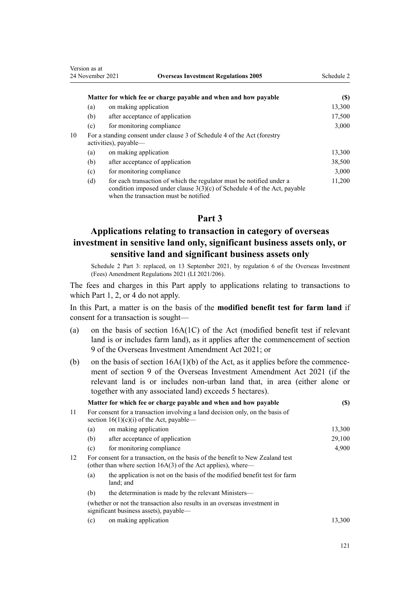| Version as at<br>24 November 2021<br><b>Overseas Investment Regulations 2005</b> |                                                                                                   | Schedule 2                                                                                                                                                                                  |        |
|----------------------------------------------------------------------------------|---------------------------------------------------------------------------------------------------|---------------------------------------------------------------------------------------------------------------------------------------------------------------------------------------------|--------|
|                                                                                  |                                                                                                   | Matter for which fee or charge payable and when and how payable                                                                                                                             | (S)    |
|                                                                                  | (a)                                                                                               | on making application                                                                                                                                                                       | 13,300 |
|                                                                                  | (b)                                                                                               | after acceptance of application                                                                                                                                                             | 17,500 |
|                                                                                  | (c)                                                                                               | for monitoring compliance                                                                                                                                                                   | 3,000  |
| 10                                                                               | For a standing consent under clause 3 of Schedule 4 of the Act (forestry<br>activities), payable— |                                                                                                                                                                                             |        |
|                                                                                  | (a)                                                                                               | on making application                                                                                                                                                                       | 13,300 |
|                                                                                  | (b)                                                                                               | after acceptance of application                                                                                                                                                             | 38,500 |
|                                                                                  | (c)                                                                                               | for monitoring compliance                                                                                                                                                                   | 3,000  |
|                                                                                  | (d)                                                                                               | for each transaction of which the regulator must be notified under a<br>condition imposed under clause $3(3)(c)$ of Schedule 4 of the Act, payable<br>when the transaction must be notified | 11,200 |

## **Part 3**

## **Applications relating to transaction in category of overseas investment in sensitive land only, significant business assets only, or sensitive land and significant business assets only**

Schedule 2 Part 3: replaced, on 13 September 2021, by [regulation 6](http://legislation.govt.nz/pdflink.aspx?id=LMS528052) of the Overseas Investment (Fees) Amendment Regulations 2021 (LI 2021/206).

The fees and charges in this Part apply to applications relating to transactions to which [Part 1](#page-118-0), [2,](#page-119-0) or [4](#page-122-0) do not apply.

In this Part, a matter is on the basis of the **modified benefit test for farm land** if consent for a transaction is sought—

- (a) on the basis of [section 16A\(1C\)](http://legislation.govt.nz/pdflink.aspx?id=LMS110592) of the Act (modified benefit test if relevant land is or includes farm land), as it applies after the commencement of [section](http://legislation.govt.nz/pdflink.aspx?id=LMS342706) [9](http://legislation.govt.nz/pdflink.aspx?id=LMS342706) of the Overseas Investment Amendment Act 2021; or
- (b) on the basis of section  $16A(1)(b)$  of the Act, as it applies before the commencement of [section 9](http://legislation.govt.nz/pdflink.aspx?id=LMS342706) of the Overseas Investment Amendment Act 2021 (if the relevant land is or includes non-urban land that, in area (either alone or together with any associated land) exceeds 5 hectares).

|    |     | Matter for which fee or charge payable and when and how payable                                                                                  | (\$)    |
|----|-----|--------------------------------------------------------------------------------------------------------------------------------------------------|---------|
| 11 |     | For consent for a transaction involving a land decision only, on the basis of<br>section $16(1)(c)(i)$ of the Act, payable—                      |         |
|    | (a) | on making application                                                                                                                            | 13,300  |
|    | (b) | after acceptance of application                                                                                                                  | 29,100  |
|    | (c) | for monitoring compliance                                                                                                                        | 4,900   |
| 12 |     | For consent for a transaction, on the basis of the benefit to New Zealand test<br>(other than where section $16A(3)$ of the Act applies), where— |         |
|    | (a) | the application is not on the basis of the modified benefit test for farm<br>land; and                                                           |         |
|    | (b) | the determination is made by the relevant Ministers—                                                                                             |         |
|    |     | (whether or not the transaction also results in an overseas investment in<br>significant business assets), payable—                              |         |
|    |     | $(a)$ on making application                                                                                                                      | 12.200. |

(c) on making application the contract of the contract of the contract of the contract of the contract of the contract of the contract of the contract of the contract of the contract of the contract of the contract of the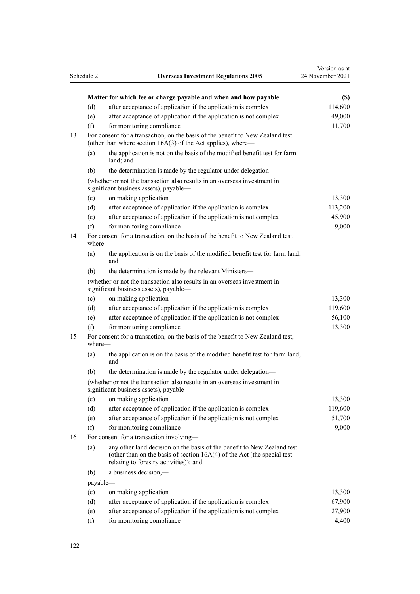|    | Schedule 2 | <b>Overseas Investment Regulations 2005</b>                                                                                                                                                    | Version as at<br>24 November 2021 |
|----|------------|------------------------------------------------------------------------------------------------------------------------------------------------------------------------------------------------|-----------------------------------|
|    |            | Matter for which fee or charge payable and when and how payable                                                                                                                                | (S)                               |
|    | (d)        | after acceptance of application if the application is complex                                                                                                                                  | 114,600                           |
|    | (e)        | after acceptance of application if the application is not complex                                                                                                                              | 49,000                            |
|    | (f)        | for monitoring compliance                                                                                                                                                                      | 11,700                            |
| 13 |            | For consent for a transaction, on the basis of the benefit to New Zealand test<br>(other than where section 16A(3) of the Act applies), where—                                                 |                                   |
|    | (a)        | the application is not on the basis of the modified benefit test for farm<br>land: and                                                                                                         |                                   |
|    | (b)        | the determination is made by the regulator under delegation—                                                                                                                                   |                                   |
|    |            | (whether or not the transaction also results in an overseas investment in<br>significant business assets), payable-                                                                            |                                   |
|    | (c)        | on making application                                                                                                                                                                          | 13,300                            |
|    | (d)        | after acceptance of application if the application is complex                                                                                                                                  | 113,200                           |
|    | (e)        | after acceptance of application if the application is not complex                                                                                                                              | 45,900                            |
|    | (f)        | for monitoring compliance                                                                                                                                                                      | 9,000                             |
| 14 | where—     | For consent for a transaction, on the basis of the benefit to New Zealand test,                                                                                                                |                                   |
|    | (a)        | the application is on the basis of the modified benefit test for farm land;<br>and                                                                                                             |                                   |
|    | (b)        | the determination is made by the relevant Ministers-                                                                                                                                           |                                   |
|    |            | (whether or not the transaction also results in an overseas investment in<br>significant business assets), payable-                                                                            |                                   |
|    | (c)        | on making application                                                                                                                                                                          | 13,300                            |
|    | (d)        | after acceptance of application if the application is complex                                                                                                                                  | 119,600                           |
|    | (e)        | after acceptance of application if the application is not complex                                                                                                                              | 56,100                            |
|    | (f)        | for monitoring compliance                                                                                                                                                                      | 13,300                            |
| 15 | where—     | For consent for a transaction, on the basis of the benefit to New Zealand test,                                                                                                                |                                   |
|    | (a)        | the application is on the basis of the modified benefit test for farm land;<br>and                                                                                                             |                                   |
|    | (b)        | the determination is made by the regulator under delegation—                                                                                                                                   |                                   |
|    |            | (whether or not the transaction also results in an overseas investment in<br>significant business assets), payable-                                                                            |                                   |
|    | (c)        | on making application                                                                                                                                                                          | 13,300                            |
|    | (d)        | after acceptance of application if the application is complex                                                                                                                                  | 119,600                           |
|    | (e)        | after acceptance of application if the application is not complex                                                                                                                              | 51,700                            |
|    | (f)        | for monitoring compliance                                                                                                                                                                      | 9,000                             |
| 16 |            | For consent for a transaction involving-                                                                                                                                                       |                                   |
|    | (a)        | any other land decision on the basis of the benefit to New Zealand test<br>(other than on the basis of section $16A(4)$ of the Act (the special test<br>relating to forestry activities)); and |                                   |
|    | (b)        | a business decision,-                                                                                                                                                                          |                                   |
|    | payable-   |                                                                                                                                                                                                |                                   |
|    | (c)        | on making application                                                                                                                                                                          | 13,300                            |
|    | (d)        | after acceptance of application if the application is complex                                                                                                                                  | 67,900                            |
|    | (e)        | after acceptance of application if the application is not complex                                                                                                                              | 27,900                            |
|    | (f)        | for monitoring compliance                                                                                                                                                                      | 4,400                             |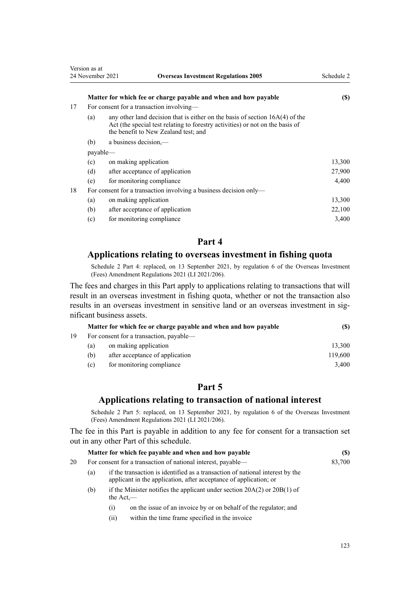|    | 24 November 2021 | <b>Overseas Investment Regulations 2005</b>                                                                                                                                                             | Schedule 2           |
|----|------------------|---------------------------------------------------------------------------------------------------------------------------------------------------------------------------------------------------------|----------------------|
|    |                  | Matter for which fee or charge payable and when and how payable                                                                                                                                         | (S)                  |
| 17 |                  | For consent for a transaction involving-                                                                                                                                                                |                      |
|    | (a)              | any other land decision that is either on the basis of section $16A(4)$ of the<br>Act (the special test relating to forestry activities) or not on the basis of<br>the benefit to New Zealand test; and |                      |
|    | (b)              | a business decision,—                                                                                                                                                                                   |                      |
|    | payable—         |                                                                                                                                                                                                         |                      |
|    | (c)              | on making application                                                                                                                                                                                   | 13,300               |
|    | (d)              | after acceptance of application                                                                                                                                                                         | 27,900               |
|    | (e)              | for monitoring compliance                                                                                                                                                                               | 4,400                |
| 18 |                  | For consent for a transaction involving a business decision only—                                                                                                                                       |                      |
|    | (a)              | on making application                                                                                                                                                                                   | 13,300               |
|    |                  |                                                                                                                                                                                                         | $\sim$ $\sim$ $\sim$ |

<span id="page-122-0"></span>Version as at

(b) after acceptance of application 22,100 (c) for monitoring compliance 3,400

## **Part 4**

## **Applications relating to overseas investment in fishing quota**

Schedule 2 Part 4: replaced, on 13 September 2021, by [regulation 6](http://legislation.govt.nz/pdflink.aspx?id=LMS528052) of the Overseas Investment (Fees) Amendment Regulations 2021 (LI 2021/206).

The fees and charges in this Part apply to applications relating to transactions that will result in an overseas investment in fishing quota, whether or not the transaction also results in an overseas investment in sensitive land or an overseas investment in significant business assets.

|    |                                         | Matter for which fee or charge payable and when and how payable | (\$)    |
|----|-----------------------------------------|-----------------------------------------------------------------|---------|
| 19 | For consent for a transaction, payable— |                                                                 |         |
|    | (a)                                     | on making application                                           | 13.300  |
|    | (b)                                     | after acceptance of application                                 | 119,600 |
|    | (c)                                     | for monitoring compliance                                       | 3.400   |

## **Part 5**

## **Applications relating to transaction of national interest**

Schedule 2 Part 5: replaced, on 13 September 2021, by [regulation 6](http://legislation.govt.nz/pdflink.aspx?id=LMS528052) of the Overseas Investment (Fees) Amendment Regulations 2021 (LI 2021/206).

The fee in this Part is payable in addition to any fee for consent for a transaction set out in any other Part of this schedule.

|    |     | Matter for which fee payable and when and how payable                                                                                              | (\$)   |
|----|-----|----------------------------------------------------------------------------------------------------------------------------------------------------|--------|
| 20 |     | For consent for a transaction of national interest, payable—                                                                                       | 83,700 |
|    | (a) | if the transaction is identified as a transaction of national interest by the<br>applicant in the application, after acceptance of application; or |        |
|    | (b) | if the Minister notifies the applicant under section $20A(2)$ or $20B(1)$ of<br>the $Act$ —                                                        |        |

- (i) on the issue of an invoice by or on behalf of the regulator; and
- (ii) within the time frame specified in the invoice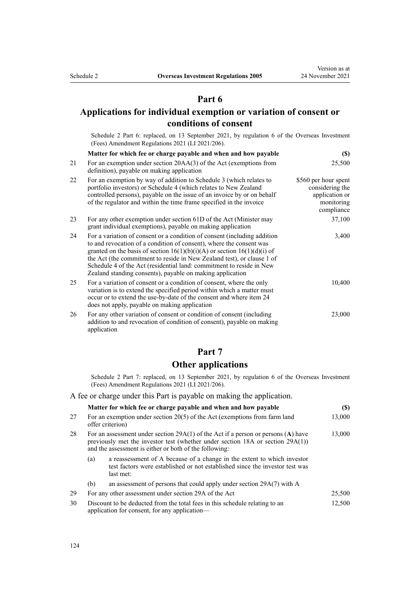## **Part 6**

## **Applications for individual exemption or variation of consent or conditions of consent**

Schedule 2 Part 6: replaced, on 13 September 2021, by [regulation 6](http://legislation.govt.nz/pdflink.aspx?id=LMS528052) of the Overseas Investment (Fees) Amendment Regulations 2021 (LI 2021/206).

|    | Matter for which fee or charge payable and when and how payable                                                                                                                                                                                                                                                                                                                                                                                | $(\$)$                                                                                |
|----|------------------------------------------------------------------------------------------------------------------------------------------------------------------------------------------------------------------------------------------------------------------------------------------------------------------------------------------------------------------------------------------------------------------------------------------------|---------------------------------------------------------------------------------------|
| 21 | For an exemption under section $20AA(3)$ of the Act (exemptions from<br>definition), payable on making application                                                                                                                                                                                                                                                                                                                             | 25,500                                                                                |
| 22 | For an exemption by way of addition to Schedule 3 (which relates to<br>portfolio investors) or Schedule 4 (which relates to New Zealand<br>controlled persons), payable on the issue of an invoice by or on behalf<br>of the regulator and within the time frame specified in the invoice                                                                                                                                                      | \$560 per hour spent<br>considering the<br>application or<br>monitoring<br>compliance |
| 23 | For any other exemption under section 61D of the Act (Minister may<br>grant individual exemptions), payable on making application                                                                                                                                                                                                                                                                                                              | 37,100                                                                                |
| 24 | For a variation of consent or a condition of consent (including addition<br>to and revocation of a condition of consent), where the consent was<br>granted on the basis of section $16(1)(b)(i)(A)$ or section $16(1)(d)(i)$ of<br>the Act (the commitment to reside in New Zealand test), or clause 1 of<br>Schedule 4 of the Act (residential land: commitment to reside in New<br>Zealand standing consents), payable on making application | 3,400                                                                                 |
| 25 | For a variation of consent or a condition of consent, where the only<br>variation is to extend the specified period within which a matter must<br>occur or to extend the use-by-date of the consent and where item 24<br>does not apply, payable on making application                                                                                                                                                                         | 10,400                                                                                |
| 26 | For any other variation of consent or condition of consent (including<br>addition to and revocation of condition of consent), payable on making<br>application                                                                                                                                                                                                                                                                                 | 23,000                                                                                |

## **Part 7**

## **Other applications**

Schedule 2 Part 7: replaced, on 13 September 2021, by [regulation 6](http://legislation.govt.nz/pdflink.aspx?id=LMS528052) of the Overseas Investment (Fees) Amendment Regulations 2021 (LI 2021/206).

A fee or charge under this Part is payable on making the application.

|     |                                                                                                                              | Matter for which fee or charge payable and when and how payable                                                                                                                                                                      | (S)    |
|-----|------------------------------------------------------------------------------------------------------------------------------|--------------------------------------------------------------------------------------------------------------------------------------------------------------------------------------------------------------------------------------|--------|
| 27  | For an exemption under section $20(5)$ of the Act (exemptions from farm land<br>offer criterion)                             |                                                                                                                                                                                                                                      | 13,000 |
| 28. |                                                                                                                              | For an assessment under section $29A(1)$ of the Act if a person or persons (A) have<br>previously met the investor test (whether under section $18A$ or section $29A(1)$ )<br>and the assessment is either or both of the following: | 13,000 |
|     | (a)                                                                                                                          | a reassessment of A because of a change in the extent to which investor<br>test factors were established or not established since the investor test was<br>last met:                                                                 |        |
|     | (b)                                                                                                                          | an assessment of persons that could apply under section 29A(7) with A                                                                                                                                                                |        |
| 29. |                                                                                                                              | For any other assessment under section 29A of the Act                                                                                                                                                                                | 25,500 |
| 30  | Discount to be deducted from the total fees in this schedule relating to an<br>application for consent, for any application— |                                                                                                                                                                                                                                      | 12,500 |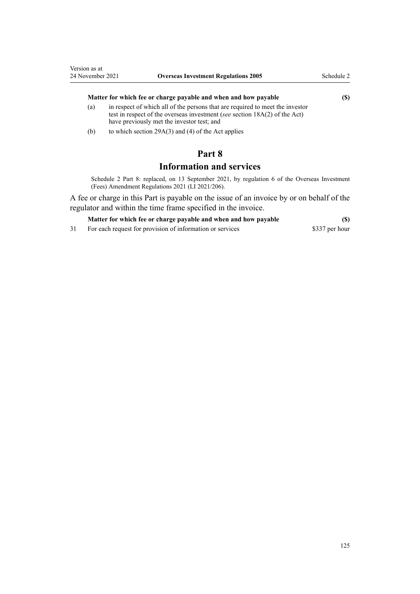#### **Matter for which fee or charge payable and when and how payable (\$)**

- (a) in respect of which all of the persons that are required to meet the investor test in respect of the overseas investment (*see* [section 18A\(2\)](http://legislation.govt.nz/pdflink.aspx?id=LMS468073) of the Act) have previously met the investor test; and
- (b) to which section  $29A(3)$  and (4) of the Act applies

## **Part 8**

## **Information and services**

Schedule 2 Part 8: replaced, on 13 September 2021, by [regulation 6](http://legislation.govt.nz/pdflink.aspx?id=LMS528052) of the Overseas Investment (Fees) Amendment Regulations 2021 (LI 2021/206).

A fee or charge in this Part is payable on the issue of an invoice by or on behalf of the regulator and within the time frame specified in the invoice.

| $(\$\)$ |
|---------|
|         |

31 For each request for provision of information or services \$337 per hour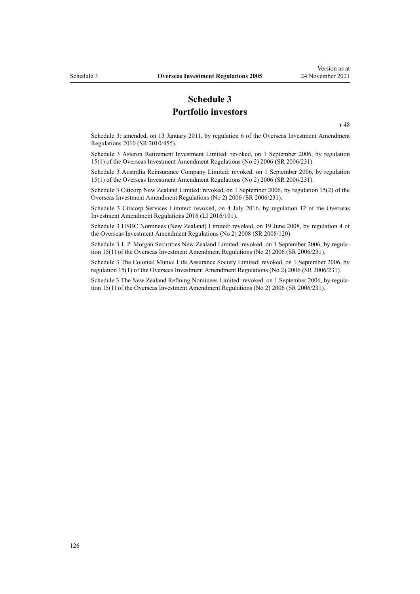## **Schedule 3 Portfolio investors**

[r 48](#page-44-0)

<span id="page-125-0"></span>Schedule 3: amended, on 13 January 2011, by [regulation 6](http://legislation.govt.nz/pdflink.aspx?id=DLM3410109) of the Overseas Investment Amendment Regulations 2010 (SR 2010/455).

Schedule 3 Asteron Retirement Investment Limited: revoked, on 1 September 2006, by [regulation](http://legislation.govt.nz/pdflink.aspx?id=DLM404366) [15\(1\)](http://legislation.govt.nz/pdflink.aspx?id=DLM404366) of the Overseas Investment Amendment Regulations (No 2) 2006 (SR 2006/231).

Schedule 3 Australia Reinsurance Company Limited: revoked, on 1 September 2006, by [regulation](http://legislation.govt.nz/pdflink.aspx?id=DLM404366) [15\(1\)](http://legislation.govt.nz/pdflink.aspx?id=DLM404366) of the Overseas Investment Amendment Regulations (No 2) 2006 (SR 2006/231).

Schedule 3 Citicorp New Zealand Limited: revoked, on 1 September 2006, by [regulation 15\(2\)](http://legislation.govt.nz/pdflink.aspx?id=DLM404366) of the Overseas Investment Amendment Regulations (No 2) 2006 (SR 2006/231).

Schedule 3 Citicorp Services Limited: revoked, on 4 July 2016, by [regulation 12](http://legislation.govt.nz/pdflink.aspx?id=DLM6845764) of the Overseas Investment Amendment Regulations 2016 (LI 2016/101).

Schedule 3 HSBC Nominees (New Zealand) Limited: revoked, on 19 June 2008, by [regulation 4](http://legislation.govt.nz/pdflink.aspx?id=DLM1325807) of the Overseas Investment Amendment Regulations (No 2) 2008 (SR 2008/120).

Schedule 3 J. P. Morgan Securities New Zealand Limited: revoked, on 1 September 2006, by regula[tion 15\(1\)](http://legislation.govt.nz/pdflink.aspx?id=DLM404366) of the Overseas Investment Amendment Regulations (No 2) 2006 (SR 2006/231).

Schedule 3 The Colonial Mutual Life Assurance Society Limited: revoked, on 1 September 2006, by [regulation 15\(1\)](http://legislation.govt.nz/pdflink.aspx?id=DLM404366) of the Overseas Investment Amendment Regulations (No 2) 2006 (SR 2006/231).

Schedule 3 The New Zealand Refining Nominees Limited: revoked, on 1 September 2006, by regula[tion 15\(1\)](http://legislation.govt.nz/pdflink.aspx?id=DLM404366) of the Overseas Investment Amendment Regulations (No 2) 2006 (SR 2006/231).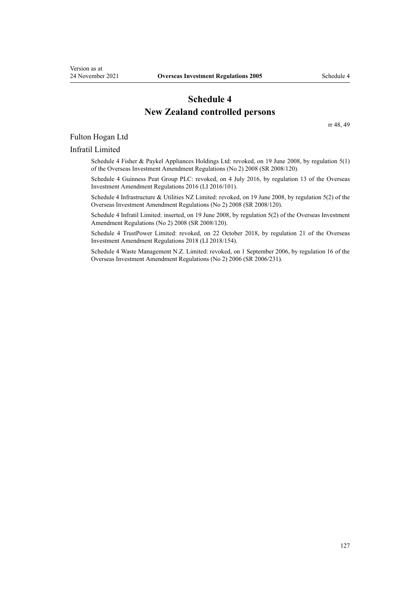## **Schedule 4 New Zealand controlled persons**

[rr 48,](#page-44-0) [49](#page-45-0)

#### <span id="page-126-0"></span>Fulton Hogan Ltd

#### Infratil Limited

Schedule 4 Fisher & Paykel Appliances Holdings Ltd: revoked, on 19 June 2008, by [regulation 5\(1\)](http://legislation.govt.nz/pdflink.aspx?id=DLM1325808) of the Overseas Investment Amendment Regulations (No 2) 2008 (SR 2008/120).

Schedule 4 Guinness Peat Group PLC: revoked, on 4 July 2016, by [regulation 13](http://legislation.govt.nz/pdflink.aspx?id=DLM6845765) of the Overseas Investment Amendment Regulations 2016 (LI 2016/101).

Schedule 4 Infrastructure & Utilities NZ Limited: revoked, on 19 June 2008, by [regulation 5\(2\)](http://legislation.govt.nz/pdflink.aspx?id=DLM1325808) of the Overseas Investment Amendment Regulations (No 2) 2008 (SR 2008/120).

Schedule 4 Infratil Limited: inserted, on 19 June 2008, by [regulation 5\(2\)](http://legislation.govt.nz/pdflink.aspx?id=DLM1325808) of the Overseas Investment Amendment Regulations (No 2) 2008 (SR 2008/120).

Schedule 4 TrustPower Limited: revoked, on 22 October 2018, by [regulation 21](http://legislation.govt.nz/pdflink.aspx?id=LMS77230) of the Overseas Investment Amendment Regulations 2018 (LI 2018/154).

Schedule 4 Waste Management N.Z. Limited: revoked, on 1 September 2006, by [regulation 16](http://legislation.govt.nz/pdflink.aspx?id=DLM404367) of the Overseas Investment Amendment Regulations (No 2) 2006 (SR 2006/231).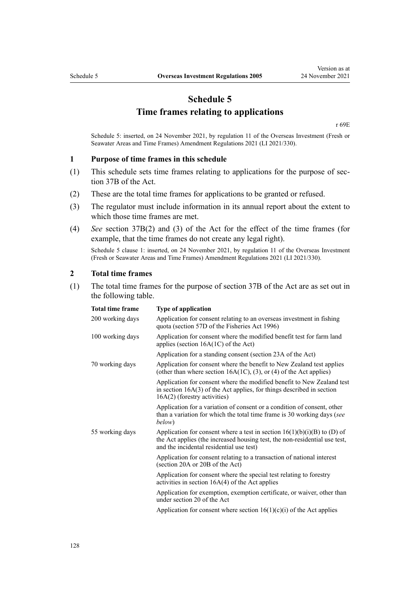## **Schedule 5 Time frames relating to applications**

[r 69E](#page-76-0)

<span id="page-127-0"></span>Schedule 5: inserted, on 24 November 2021, by [regulation 11](http://legislation.govt.nz/pdflink.aspx?id=LMS572204) of the Overseas Investment (Fresh or Seawater Areas and Time Frames) Amendment Regulations 2021 (LI 2021/330).

#### **1 Purpose of time frames in this schedule**

- (1) This schedule sets time frames relating to applications for the purpose of [sec‐](http://legislation.govt.nz/pdflink.aspx?id=LMS357721) [tion 37B](http://legislation.govt.nz/pdflink.aspx?id=LMS357721) of the Act.
- (2) These are the total time frames for applications to be granted or refused.
- (3) The regulator must include information in its annual report about the extent to which those time frames are met.
- (4) *See* [section 37B\(2\) and \(3\)](http://legislation.govt.nz/pdflink.aspx?id=LMS357721) of the Act for the effect of the time frames (for example, that the time frames do not create any legal right).

Schedule 5 clause 1: inserted, on 24 November 2021, by [regulation 11](http://legislation.govt.nz/pdflink.aspx?id=LMS572204) of the Overseas Investment (Fresh or Seawater Areas and Time Frames) Amendment Regulations 2021 (LI 2021/330).

#### **2 Total time frames**

(1) The total time frames for the purpose of [section 37B](http://legislation.govt.nz/pdflink.aspx?id=LMS357721) of the Act are as set out in the following table.

| <b>Total time frame</b> | <b>Type of application</b>                                                                                                                                                                           |
|-------------------------|------------------------------------------------------------------------------------------------------------------------------------------------------------------------------------------------------|
| 200 working days        | Application for consent relating to an overseas investment in fishing<br>quota (section 57D of the Fisheries Act 1996)                                                                               |
| 100 working days        | Application for consent where the modified benefit test for farm land<br>applies (section $16A(1C)$ of the Act)                                                                                      |
|                         | Application for a standing consent (section 23A of the Act)                                                                                                                                          |
| 70 working days         | Application for consent where the benefit to New Zealand test applies<br>(other than where section $16A(1C)$ , (3), or (4) of the Act applies)                                                       |
|                         | Application for consent where the modified benefit to New Zealand test<br>in section $16A(3)$ of the Act applies, for things described in section<br>16A(2) (forestry activities)                    |
|                         | Application for a variation of consent or a condition of consent, other<br>than a variation for which the total time frame is 30 working days (see<br>below)                                         |
| 55 working days         | Application for consent where a test in section $16(1)(b)(i)(B)$ to (D) of<br>the Act applies (the increased housing test, the non-residential use test,<br>and the incidental residential use test) |
|                         | Application for consent relating to a transaction of national interest<br>(section 20A or 20B of the Act)                                                                                            |
|                         | Application for consent where the special test relating to forestry<br>activities in section $16A(4)$ of the Act applies                                                                             |
|                         | Application for exemption, exemption certificate, or waiver, other than<br>under section 20 of the Act                                                                                               |
|                         | Application for consent where section $16(1)(c)(i)$ of the Act applies                                                                                                                               |
|                         |                                                                                                                                                                                                      |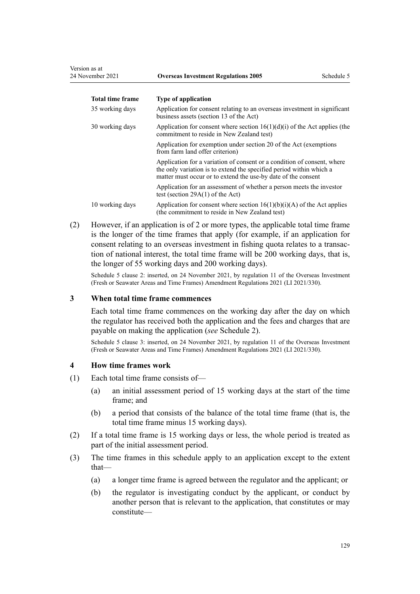| <b>Total time frame</b> | <b>Type of application</b>                                                                                                                                                                                      |
|-------------------------|-----------------------------------------------------------------------------------------------------------------------------------------------------------------------------------------------------------------|
| 35 working days         | Application for consent relating to an overseas investment in significant<br>business assets (section 13 of the Act)                                                                                            |
| 30 working days         | Application for consent where section $16(1)(d)(i)$ of the Act applies (the<br>commitment to reside in New Zealand test)                                                                                        |
|                         | Application for exemption under section 20 of the Act (exemptions)<br>from farm land offer criterion)                                                                                                           |
|                         | Application for a variation of consent or a condition of consent, where<br>the only variation is to extend the specified period within which a<br>matter must occur or to extend the use-by date of the consent |
|                         | Application for an assessment of whether a person meets the investor<br>test (section $29A(1)$ of the Act)                                                                                                      |
| 10 working days         | Application for consent where section $16(1)(b)(i)(A)$ of the Act applies<br>(the commitment to reside in New Zealand test)                                                                                     |

(2) However, if an application is of 2 or more types, the applicable total time frame is the longer of the time frames that apply (for example, if an application for consent relating to an overseas investment in fishing quota relates to a transaction of national interest, the total time frame will be 200 working days, that is, the longer of 55 working days and 200 working days).

Schedule 5 clause 2: inserted, on 24 November 2021, by [regulation 11](http://legislation.govt.nz/pdflink.aspx?id=LMS572204) of the Overseas Investment (Fresh or Seawater Areas and Time Frames) Amendment Regulations 2021 (LI 2021/330).

#### **3 When total time frame commences**

Each total time frame commences on the working day after the day on which the regulator has received both the application and the fees and charges that are payable on making the application (*see* [Schedule 2\)](#page-118-0).

Schedule 5 clause 3: inserted, on 24 November 2021, by [regulation 11](http://legislation.govt.nz/pdflink.aspx?id=LMS572204) of the Overseas Investment (Fresh or Seawater Areas and Time Frames) Amendment Regulations 2021 (LI 2021/330).

#### **4 How time frames work**

- (1) Each total time frame consists of—
	- (a) an initial assessment period of 15 working days at the start of the time frame; and
	- (b) a period that consists of the balance of the total time frame (that is, the total time frame minus 15 working days).
- (2) If a total time frame is 15 working days or less, the whole period is treated as part of the initial assessment period.
- (3) The time frames in this schedule apply to an application except to the extent that—
	- (a) a longer time frame is agreed between the regulator and the applicant; or
	- (b) the regulator is investigating conduct by the applicant, or conduct by another person that is relevant to the application, that constitutes or may constitute—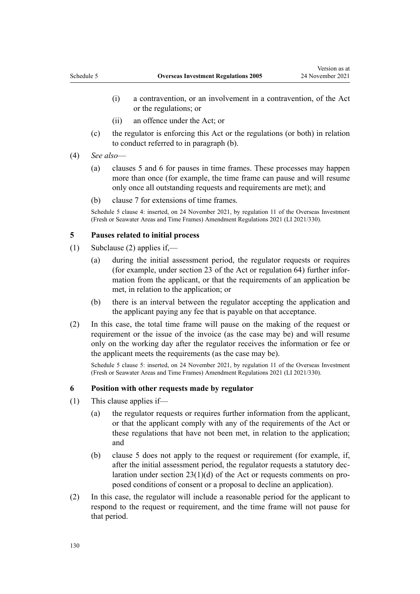- (i) a contravention, or an involvement in a contravention, of the Act or the regulations; or
- (ii) an offence under the Act; or
- (c) the regulator is enforcing this Act or the regulations (or both) in relation to conduct referred to in paragraph (b).
- (4) *See also*
	- (a) clauses 5 and 6 for pauses in time frames. These processes may happen more than once (for example, the time frame can pause and will resume only once all outstanding requests and requirements are met); and
	- (b) [clause 7](#page-130-0) for extensions of time frames.

Schedule 5 clause 4: inserted, on 24 November 2021, by [regulation 11](http://legislation.govt.nz/pdflink.aspx?id=LMS572204) of the Overseas Investment (Fresh or Seawater Areas and Time Frames) Amendment Regulations 2021 (LI 2021/330).

#### **5 Pauses related to initial process**

- (1) Subclause (2) applies if,—
	- (a) during the initial assessment period, the regulator requests or requires (for example, under [section 23](http://legislation.govt.nz/pdflink.aspx?id=DLM358035) of the Act or [regulation 64](#page-66-0)) further infor‐ mation from the applicant, or that the requirements of an application be met, in relation to the application; or
	- (b) there is an interval between the regulator accepting the application and the applicant paying any fee that is payable on that acceptance.
- (2) In this case, the total time frame will pause on the making of the request or requirement or the issue of the invoice (as the case may be) and will resume only on the working day after the regulator receives the information or fee or the applicant meets the requirements (as the case may be).

Schedule 5 clause 5: inserted, on 24 November 2021, by [regulation 11](http://legislation.govt.nz/pdflink.aspx?id=LMS572204) of the Overseas Investment (Fresh or Seawater Areas and Time Frames) Amendment Regulations 2021 (LI 2021/330).

#### **6 Position with other requests made by regulator**

- (1) This clause applies if—
	- (a) the regulator requests or requires further information from the applicant, or that the applicant comply with any of the requirements of the Act or these regulations that have not been met, in relation to the application; and
	- (b) clause 5 does not apply to the request or requirement (for example, if, after the initial assessment period, the regulator requests a statutory dec‐ laration under section  $23(1)(d)$  of the Act or requests comments on proposed conditions of consent or a proposal to decline an application).
- (2) In this case, the regulator will include a reasonable period for the applicant to respond to the request or requirement, and the time frame will not pause for that period.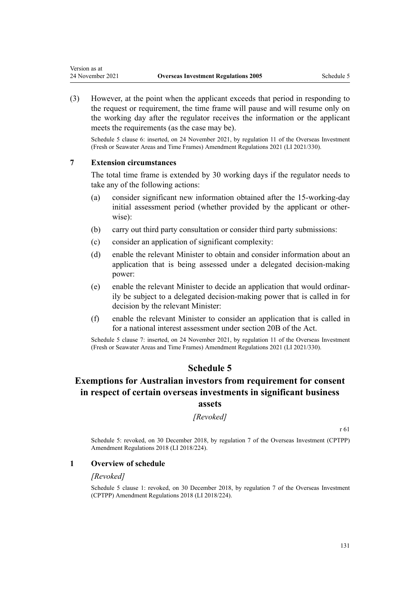(3) However, at the point when the applicant exceeds that period in responding to the request or requirement, the time frame will pause and will resume only on the working day after the regulator receives the information or the applicant meets the requirements (as the case may be).

Schedule 5 clause 6: inserted, on 24 November 2021, by [regulation 11](http://legislation.govt.nz/pdflink.aspx?id=LMS572204) of the Overseas Investment (Fresh or Seawater Areas and Time Frames) Amendment Regulations 2021 (LI 2021/330).

#### **7 Extension circumstances**

<span id="page-130-0"></span>Version as at

The total time frame is extended by 30 working days if the regulator needs to take any of the following actions:

- (a) consider significant new information obtained after the 15-working-day initial assessment period (whether provided by the applicant or otherwise):
- (b) carry out third party consultation or consider third party submissions:
- (c) consider an application of significant complexity:
- (d) enable the relevant Minister to obtain and consider information about an application that is being assessed under a delegated decision-making power:
- (e) enable the relevant Minister to decide an application that would ordinar‐ ily be subject to a delegated decision-making power that is called in for decision by the relevant Minister:
- (f) enable the relevant Minister to consider an application that is called in for a national interest assessment under [section 20B](http://legislation.govt.nz/pdflink.aspx?id=LMS357519) of the Act.

Schedule 5 clause 7: inserted, on 24 November 2021, by [regulation 11](http://legislation.govt.nz/pdflink.aspx?id=LMS572204) of the Overseas Investment (Fresh or Seawater Areas and Time Frames) Amendment Regulations 2021 (LI 2021/330).

#### **Schedule 5**

## **Exemptions for Australian investors from requirement for consent in respect of certain overseas investments in significant business**

#### **assets**

#### *[Revoked]*

[r 61](#page-63-0)

Schedule 5: revoked, on 30 December 2018, by [regulation 7](http://legislation.govt.nz/pdflink.aspx?id=LMS119670) of the Overseas Investment (CPTPP) Amendment Regulations 2018 (LI 2018/224).

#### **1 Overview of schedule**

#### *[Revoked]*

Schedule 5 clause 1: revoked, on 30 December 2018, by [regulation 7](http://legislation.govt.nz/pdflink.aspx?id=LMS119670) of the Overseas Investment (CPTPP) Amendment Regulations 2018 (LI 2018/224).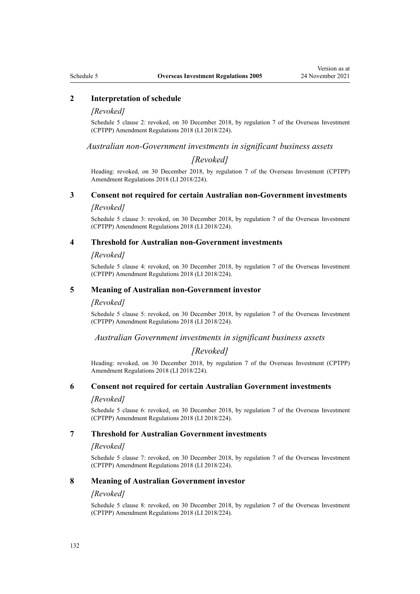#### **2 Interpretation of schedule**

#### *[Revoked]*

Schedule 5 clause 2: revoked, on 30 December 2018, by [regulation 7](http://legislation.govt.nz/pdflink.aspx?id=LMS119670) of the Overseas Investment (CPTPP) Amendment Regulations 2018 (LI 2018/224).

*Australian non-Government investments in significant business assets*

#### *[Revoked]*

Heading: revoked, on 30 December 2018, by [regulation 7](http://legislation.govt.nz/pdflink.aspx?id=LMS119670) of the Overseas Investment (CPTPP) Amendment Regulations 2018 (LI 2018/224).

## **3 Consent not required for certain Australian non-Government investments**

#### *[Revoked]*

Schedule 5 clause 3: revoked, on 30 December 2018, by [regulation 7](http://legislation.govt.nz/pdflink.aspx?id=LMS119670) of the Overseas Investment (CPTPP) Amendment Regulations 2018 (LI 2018/224).

#### **4 Threshold for Australian non-Government investments**

#### *[Revoked]*

Schedule 5 clause 4: revoked, on 30 December 2018, by [regulation 7](http://legislation.govt.nz/pdflink.aspx?id=LMS119670) of the Overseas Investment (CPTPP) Amendment Regulations 2018 (LI 2018/224).

#### **5 Meaning of Australian non-Government investor**

#### *[Revoked]*

Schedule 5 clause 5: revoked, on 30 December 2018, by [regulation 7](http://legislation.govt.nz/pdflink.aspx?id=LMS119670) of the Overseas Investment (CPTPP) Amendment Regulations 2018 (LI 2018/224).

#### *Australian Government investments in significant business assets*

### *[Revoked]*

Heading: revoked, on 30 December 2018, by [regulation 7](http://legislation.govt.nz/pdflink.aspx?id=LMS119670) of the Overseas Investment (CPTPP) Amendment Regulations 2018 (LI 2018/224).

#### **6 Consent not required for certain Australian Government investments**

#### *[Revoked]*

Schedule 5 clause 6: revoked, on 30 December 2018, by [regulation 7](http://legislation.govt.nz/pdflink.aspx?id=LMS119670) of the Overseas Investment (CPTPP) Amendment Regulations 2018 (LI 2018/224).

#### **7 Threshold for Australian Government investments**

#### *[Revoked]*

Schedule 5 clause 7: revoked, on 30 December 2018, by [regulation 7](http://legislation.govt.nz/pdflink.aspx?id=LMS119670) of the Overseas Investment (CPTPP) Amendment Regulations 2018 (LI 2018/224).

#### **8 Meaning of Australian Government investor**

#### *[Revoked]*

Schedule 5 clause 8: revoked, on 30 December 2018, by [regulation 7](http://legislation.govt.nz/pdflink.aspx?id=LMS119670) of the Overseas Investment (CPTPP) Amendment Regulations 2018 (LI 2018/224).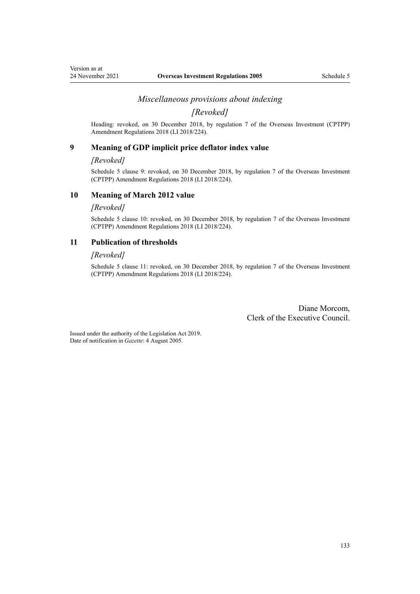#### *Miscellaneous provisions about indexing*

*[Revoked]*

Heading: revoked, on 30 December 2018, by [regulation 7](http://legislation.govt.nz/pdflink.aspx?id=LMS119670) of the Overseas Investment (CPTPP) Amendment Regulations 2018 (LI 2018/224).

#### **9 Meaning of GDP implicit price deflator index value**

#### *[Revoked]*

Schedule 5 clause 9: revoked, on 30 December 2018, by [regulation 7](http://legislation.govt.nz/pdflink.aspx?id=LMS119670) of the Overseas Investment (CPTPP) Amendment Regulations 2018 (LI 2018/224).

## **10 Meaning of March 2012 value**

#### *[Revoked]*

Schedule 5 clause 10: revoked, on 30 December 2018, by [regulation 7](http://legislation.govt.nz/pdflink.aspx?id=LMS119670) of the Overseas Investment (CPTPP) Amendment Regulations 2018 (LI 2018/224).

#### **11 Publication of thresholds**

#### *[Revoked]*

Schedule 5 clause 11: revoked, on 30 December 2018, by [regulation 7](http://legislation.govt.nz/pdflink.aspx?id=LMS119670) of the Overseas Investment (CPTPP) Amendment Regulations 2018 (LI 2018/224).

> Diane Morcom, Clerk of the Executive Council.

Issued under the authority of the [Legislation Act 2019](http://legislation.govt.nz/pdflink.aspx?id=DLM7298104). Date of notification in *Gazette*: 4 August 2005.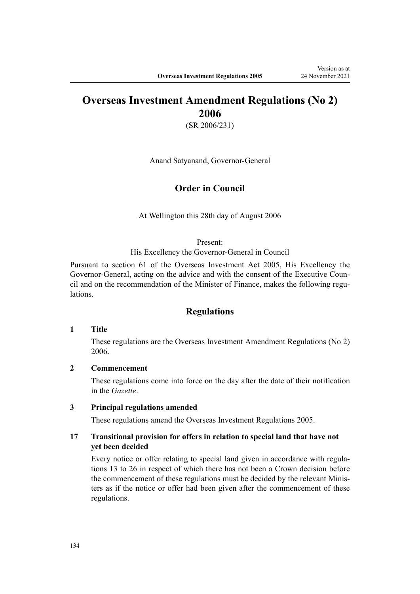## **Overseas Investment Amendment Regulations (No 2) 2006**

(SR 2006/231)

Anand Satyanand, Governor-General

## **Order in Council**

At Wellington this 28th day of August 2006

#### Present:

His Excellency the Governor-General in Council

Pursuant to section 61 of the Overseas Investment Act 2005, His Excellency the Governor-General, acting on the advice and with the consent of the Executive Council and on the recommendation of the Minister of Finance, makes the following regulations.

#### **Regulations**

#### **1 Title**

These regulations are the [Overseas Investment Amendment Regulations \(No 2\)](http://legislation.govt.nz/pdflink.aspx?id=DLM404346) [2006](http://legislation.govt.nz/pdflink.aspx?id=DLM404346).

#### **2 Commencement**

These regulations come into force on the day after the date of their notification in the *Gazette*.

#### **3 Principal regulations amended**

These regulations amend the Overseas Investment Regulations 2005.

## **17 Transitional provision for offers in relation to special land that have not yet been decided**

Every notice or offer relating to special land given in accordance with regulations 13 to 26 in respect of which there has not been a Crown decision before the commencement of these regulations must be decided by the relevant Minis‐ ters as if the notice or offer had been given after the commencement of these regulations.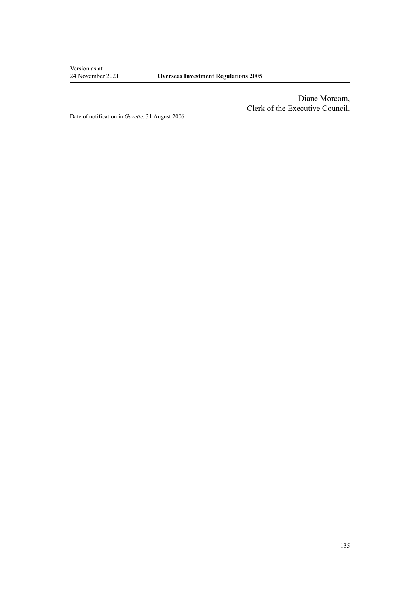Version as at<br>24 November 2021

Diane Morcom, Clerk of the Executive Council.

Date of notification in *Gazette*: 31 August 2006.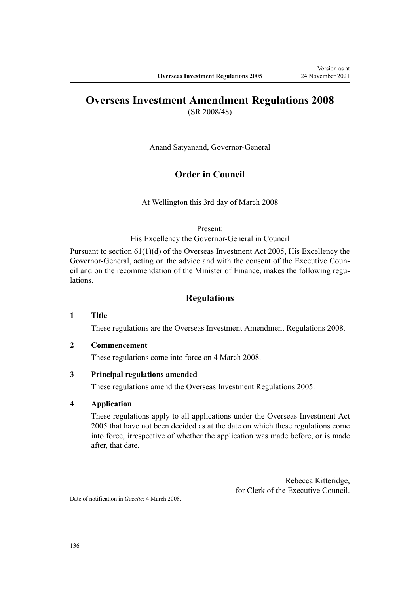## **Overseas Investment Amendment Regulations 2008**

(SR 2008/48)

Anand Satyanand, Governor-General

## **Order in Council**

At Wellington this 3rd day of March 2008

Present:

His Excellency the Governor-General in Council

Pursuant to section 61(1)(d) of the Overseas Investment Act 2005, His Excellency the Governor-General, acting on the advice and with the consent of the Executive Council and on the recommendation of the Minister of Finance, makes the following regulations.

## **Regulations**

#### **1 Title**

These regulations are the [Overseas Investment Amendment Regulations 2008.](http://legislation.govt.nz/pdflink.aspx?id=DLM1181200)

#### **2 Commencement**

These regulations come into force on 4 March 2008.

#### **3 Principal regulations amended**

These regulations amend the Overseas Investment Regulations 2005.

#### **4 Application**

These regulations apply to all applications under the Overseas Investment Act 2005 that have not been decided as at the date on which these regulations come into force, irrespective of whether the application was made before, or is made after, that date.

> Rebecca Kitteridge, for Clerk of the Executive Council.

Date of notification in *Gazette*: 4 March 2008.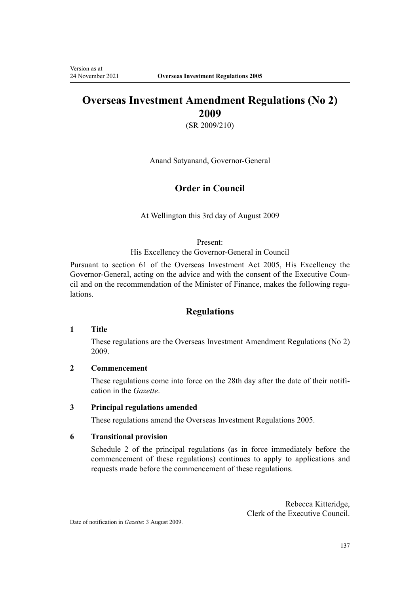## **Overseas Investment Amendment Regulations (No 2) 2009**

(SR 2009/210)

Anand Satyanand, Governor-General

## **Order in Council**

At Wellington this 3rd day of August 2009

#### Present:

His Excellency the Governor-General in Council

Pursuant to section 61 of the Overseas Investment Act 2005, His Excellency the Governor-General, acting on the advice and with the consent of the Executive Council and on the recommendation of the Minister of Finance, makes the following regulations.

## **Regulations**

#### **1 Title**

These regulations are the [Overseas Investment Amendment Regulations \(No 2\)](http://legislation.govt.nz/pdflink.aspx?id=DLM2242414) [2009](http://legislation.govt.nz/pdflink.aspx?id=DLM2242414).

## **2 Commencement**

These regulations come into force on the 28th day after the date of their notification in the *Gazette*.

## **3 Principal regulations amended**

These regulations amend the Overseas Investment Regulations 2005.

#### **6 Transitional provision**

Schedule 2 of the principal regulations (as in force immediately before the commencement of these regulations) continues to apply to applications and requests made before the commencement of these regulations.

> Rebecca Kitteridge, Clerk of the Executive Council.

Date of notification in *Gazette*: 3 August 2009.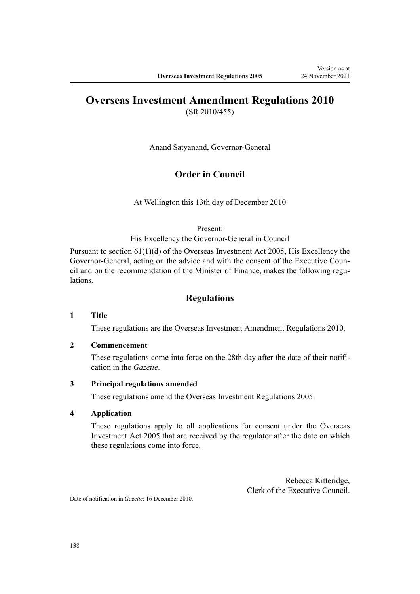# **Overseas Investment Amendment Regulations 2010**

(SR 2010/455)

Anand Satyanand, Governor-General

## **Order in Council**

At Wellington this 13th day of December 2010

Present:

His Excellency the Governor-General in Council

Pursuant to section 61(1)(d) of the Overseas Investment Act 2005, His Excellency the Governor-General, acting on the advice and with the consent of the Executive Council and on the recommendation of the Minister of Finance, makes the following regulations.

## **Regulations**

#### **1 Title**

These regulations are the [Overseas Investment Amendment Regulations 2010.](http://legislation.govt.nz/pdflink.aspx?id=DLM3410100)

#### **2 Commencement**

These regulations come into force on the 28th day after the date of their notification in the *Gazette*.

#### **3 Principal regulations amended**

These regulations amend the Overseas Investment Regulations 2005.

#### **4 Application**

These regulations apply to all applications for consent under the Overseas Investment Act 2005 that are received by the regulator after the date on which these regulations come into force.

> Rebecca Kitteridge, Clerk of the Executive Council.

Date of notification in *Gazette*: 16 December 2010.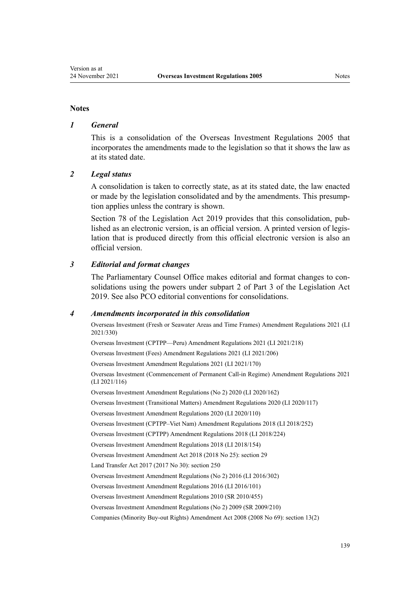#### **Notes**

#### *1 General*

This is a consolidation of the Overseas Investment Regulations 2005 that incorporates the amendments made to the legislation so that it shows the law as at its stated date.

#### *2 Legal status*

A consolidation is taken to correctly state, as at its stated date, the law enacted or made by the legislation consolidated and by the amendments. This presump‐ tion applies unless the contrary is shown.

[Section 78](http://legislation.govt.nz/pdflink.aspx?id=DLM7298365) of the Legislation Act 2019 provides that this consolidation, published as an electronic version, is an official version. A printed version of legis‐ lation that is produced directly from this official electronic version is also an official version.

#### *3 Editorial and format changes*

The Parliamentary Counsel Office makes editorial and format changes to con‐ solidations using the powers under [subpart 2](http://legislation.govt.nz/pdflink.aspx?id=DLM7298371) of Part 3 of the Legislation Act 2019. See also [PCO editorial conventions for consolidations](http://www.pco.govt.nz/editorial-conventions/).

#### *4 Amendments incorporated in this consolidation*

[Overseas Investment \(Fresh or Seawater Areas and Time Frames\) Amendment Regulations 2021](http://legislation.govt.nz/pdflink.aspx?id=LMS572162) (LI 2021/330)

[Overseas Investment \(CPTPP—Peru\) Amendment Regulations 2021](http://legislation.govt.nz/pdflink.aspx?id=LMS533120) (LI 2021/218)

[Overseas Investment \(Fees\) Amendment Regulations 2021](http://legislation.govt.nz/pdflink.aspx?id=LMS528042) (LI 2021/206)

[Overseas Investment Amendment Regulations 2021](http://legislation.govt.nz/pdflink.aspx?id=LMS500816) (LI 2021/170)

[Overseas Investment \(Commencement of Permanent Call-in Regime\) Amendment Regulations 2021](http://legislation.govt.nz/pdflink.aspx?id=LMS495270) (LI 2021/116)

[Overseas Investment Amendment Regulations \(No 2\) 2020](http://legislation.govt.nz/pdflink.aspx?id=LMS353098) (LI 2020/162)

[Overseas Investment \(Transitional Matters\) Amendment Regulations 2020](http://legislation.govt.nz/pdflink.aspx?id=LMS356158) (LI 2020/117)

[Overseas Investment Amendment Regulations 2020](http://legislation.govt.nz/pdflink.aspx?id=LMS345183) (LI 2020/110)

[Overseas Investment \(CPTPP–Viet Nam\) Amendment Regulations 2018](http://legislation.govt.nz/pdflink.aspx?id=LMS140734) (LI 2018/252)

[Overseas Investment \(CPTPP\) Amendment Regulations 2018](http://legislation.govt.nz/pdflink.aspx?id=LMS119473) (LI 2018/224)

[Overseas Investment Amendment Regulations 2018](http://legislation.govt.nz/pdflink.aspx?id=LMS76969) (LI 2018/154)

Overseas Investment Amendment Act 2018 (2018 No 25): [section 29](http://legislation.govt.nz/pdflink.aspx?id=LMS40766)

Land Transfer Act 2017 (2017 No 30): [section 250](http://legislation.govt.nz/pdflink.aspx?id=DLM6731493)

[Overseas Investment Amendment Regulations \(No 2\) 2016](http://legislation.govt.nz/pdflink.aspx?id=DLM7059217) (LI 2016/302)

[Overseas Investment Amendment Regulations 2016](http://legislation.govt.nz/pdflink.aspx?id=DLM6845748) (LI 2016/101)

[Overseas Investment Amendment Regulations 2010](http://legislation.govt.nz/pdflink.aspx?id=DLM3410100) (SR 2010/455)

[Overseas Investment Amendment Regulations \(No 2\) 2009](http://legislation.govt.nz/pdflink.aspx?id=DLM2242414) (SR 2009/210)

Companies (Minority Buy-out Rights) Amendment Act 2008 (2008 No 69): [section 13\(2\)](http://legislation.govt.nz/pdflink.aspx?id=DLM1036539)